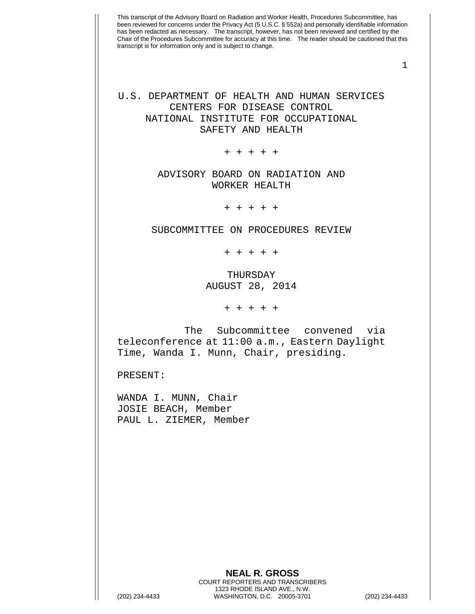1

U.S. DEPARTMENT OF HEALTH AND HUMAN SERVICES CENTERS FOR DISEASE CONTROL NATIONAL INSTITUTE FOR OCCUPATIONAL SAFETY AND HEALTH

+ + + + +

## ADVISORY BOARD ON RADIATION AND WORKER HEALTH

+ + + + +

SUBCOMMITTEE ON PROCEDURES REVIEW

+ + + + +

THURSDAY AUGUST 28, 2014

+ + + + +

The Subcommittee convened via teleconference at 11:00 a.m., Eastern Daylight Time, Wanda I. Munn, Chair, presiding.

PRESENT:

WANDA I. MUNN, Chair JOSIE BEACH, Member PAUL L. ZIEMER, Member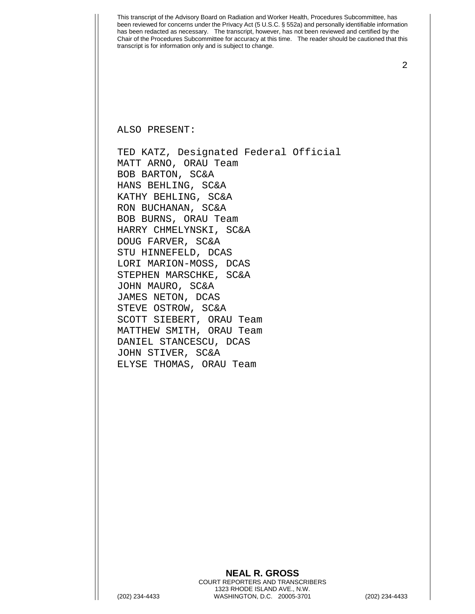2

ALSO PRESENT:

TED KATZ, Designated Federal Official MATT ARNO, ORAU Team BOB BARTON, SC&A HANS BEHLING, SC&A KATHY BEHLING, SC&A RON BUCHANAN, SC&A BOB BURNS, ORAU Team HARRY CHMELYNSKI, SC&A DOUG FARVER, SC&A STU HINNEFELD, DCAS LORI MARION-MOSS, DCAS STEPHEN MARSCHKE, SC&A JOHN MAURO, SC&A JAMES NETON, DCAS STEVE OSTROW, SC&A SCOTT SIEBERT, ORAU Team MATTHEW SMITH, ORAU Team DANIEL STANCESCU, DCAS JOHN STIVER, SC&A ELYSE THOMAS, ORAU Team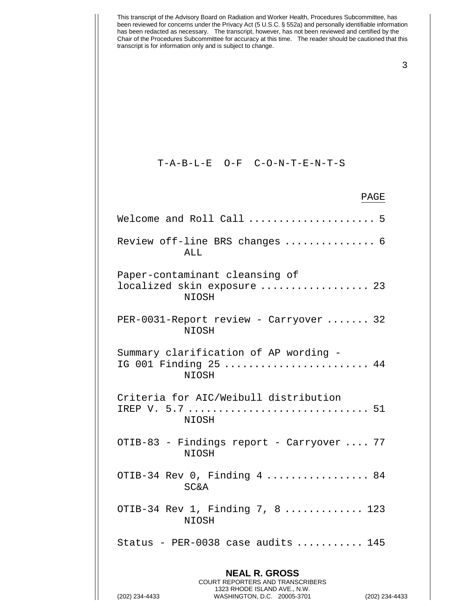| This transcript of the Advisory Board on Radiation and Worker Health, Procedures Subcommittee, has<br>been reviewed for concerns under the Privacy Act (5 U.S.C. § 552a) and personally identifiable information<br>has been redacted as necessary. The transcript, however, has not been reviewed and certified by the<br>Chair of the Procedures Subcommittee for accuracy at this time.  The reader should be cautioned that this<br>transcript is for information only and is subject to change. |
|------------------------------------------------------------------------------------------------------------------------------------------------------------------------------------------------------------------------------------------------------------------------------------------------------------------------------------------------------------------------------------------------------------------------------------------------------------------------------------------------------|
| 3                                                                                                                                                                                                                                                                                                                                                                                                                                                                                                    |
|                                                                                                                                                                                                                                                                                                                                                                                                                                                                                                      |
|                                                                                                                                                                                                                                                                                                                                                                                                                                                                                                      |
| $T - A - B - L - E$ O-F C-O-N-T-E-N-T-S                                                                                                                                                                                                                                                                                                                                                                                                                                                              |
| PAGE                                                                                                                                                                                                                                                                                                                                                                                                                                                                                                 |
| Welcome and Roll Call  5                                                                                                                                                                                                                                                                                                                                                                                                                                                                             |
| Review off-line BRS changes  6<br>ALL                                                                                                                                                                                                                                                                                                                                                                                                                                                                |
| Paper-contaminant cleansing of<br>localized skin exposure  23<br>NIOSH                                                                                                                                                                                                                                                                                                                                                                                                                               |
| PER-0031-Report review - Carryover  32<br><b>NIOSH</b>                                                                                                                                                                                                                                                                                                                                                                                                                                               |
| Summary clarification of AP wording -<br>IG 001 Finding 25  44<br>NIOSH                                                                                                                                                                                                                                                                                                                                                                                                                              |
| Criteria for AIC/Weibull distribution<br>NIOSH                                                                                                                                                                                                                                                                                                                                                                                                                                                       |
| OTIB-83 - Findings report - Carryover  77<br>NIOSH                                                                                                                                                                                                                                                                                                                                                                                                                                                   |
| OTIB-34 Rev 0, Finding 4  84<br><b>SC&amp;A</b>                                                                                                                                                                                                                                                                                                                                                                                                                                                      |
| OTIB-34 Rev 1, Finding 7, 8  123<br>NIOSH                                                                                                                                                                                                                                                                                                                                                                                                                                                            |
| Status - PER-0038 case audits  145                                                                                                                                                                                                                                                                                                                                                                                                                                                                   |
| <b>NEAL R. GROSS</b><br><b>COURT REPORTERS AND TRANSCRIBERS</b><br>1323 RHODE ISLAND AVE., N.W.                                                                                                                                                                                                                                                                                                                                                                                                      |

 $\prod$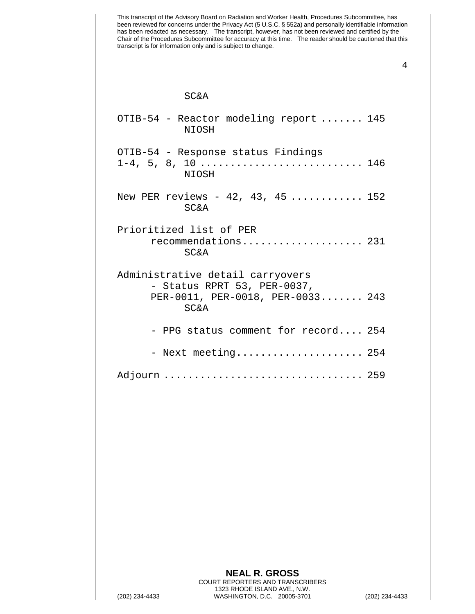This transcript of the Advisory Board on Radiation and Worker Health, Procedures Subcommittee, has been reviewed for concerns under the Privacy Act (5 U.S.C. § 552a) and personally identifiable information has been redacted as necessary. The transcript, however, has not been reviewed and certified by the Chair of the Procedures Subcommittee for accuracy at this time. The reader should be cautioned that this transcript is for information only and is subject to change. SC&A OTIB-54 - Reactor modeling report ....... 145 NIOSH OTIB-54 - Response status Findings 1-4, 5, 8, 10 ........................... 146 NIOSH New PER reviews - 42, 43, 45 ............. 152 SC&A Prioritized list of PER recommendations.................... 231 SC&A Administrative detail carryovers - Status RPRT 53, PER-0037, PER-0011, PER-0018, PER-0033....... 243 SC&A - PPG status comment for record.... 254 - Next meeting..................... 254 Adjourn ................................. 259 **NEAL R. GROSS** COURT REPORTERS AND TRANSCRIBERS 1323 RHODE ISLAND AVE., N.W.

(202) 234-4433 WASHINGTON, D.C. 20005-3701 (202) 234-4433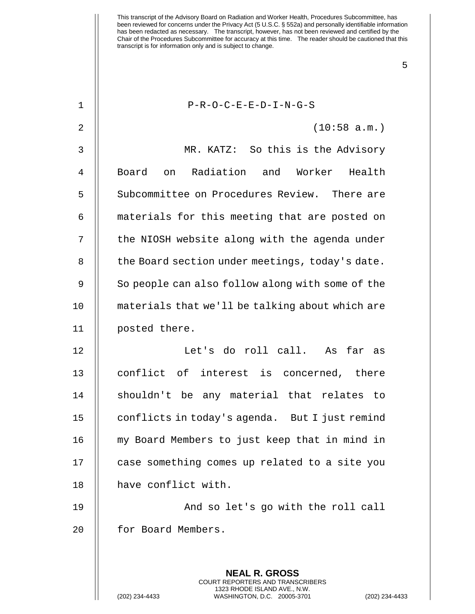5

## 1 P-R-O-C-E-E-D-I-N-G-S

2 (10:58 a.m.)

3 MR. KATZ: So this is the Advisory 4 || Board on Radiation and Worker Health 5  $\parallel$  Subcommittee on Procedures Review. There are 6 | materials for this meeting that are posted on 7 || the NIOSH website along with the agenda under  $8$   $\parallel$  the Board section under meetings, today's date. 9 | So people can also follow along with some of the 10 materials that we'll be talking about which are 11 posted there. 12 Let's do roll call. As far as 13 || conflict of interest is concerned, there 14 || shouldn't be any material that relates to

19 || And so let's go with the roll call 20 || for Board Members.

> **NEAL R. GROSS** COURT REPORTERS AND TRANSCRIBERS 1323 RHODE ISLAND AVE., N.W.

15 | conflicts in today's agenda. But I just remind

16 my Board Members to just keep that in mind in

17 | case something comes up related to a site you

18 || have conflict with.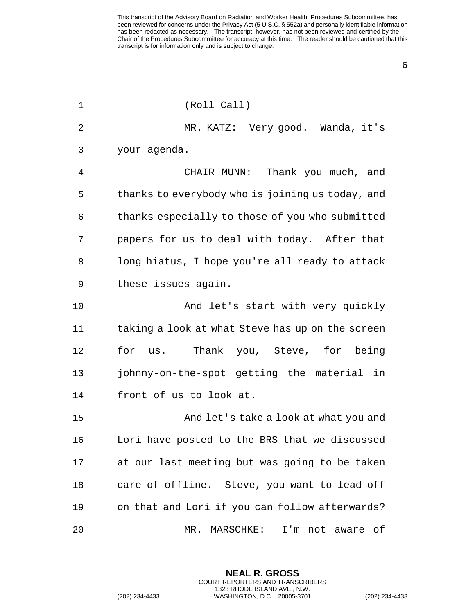6

## 1 (Roll Call)

2 MR. KATZ: Very good. Wanda, it's 3 your agenda.

4 CHAIR MUNN: Thank you much, and 5 | thanks to everybody who is joining us today, and  $6$   $\parallel$  thanks especially to those of you who submitted 7 || papers for us to deal with today. After that 8 | | long hiatus, I hope you're all ready to attack 9 || these issues again.

10 || And let's start with very quickly 11 | taking a look at what Steve has up on the screen 12 || for us. Thank you, Steve, for being 13 johnny-on-the-spot getting the material in 14 | front of us to look at.

15 And let's take a look at what you and 16 | Lori have posted to the BRS that we discussed 17 || at our last meeting but was going to be taken 18 || care of offline. Steve, you want to lead off 19 || on that and Lori if you can follow afterwards? 20 MR. MARSCHKE: I'm not aware of

> **NEAL R. GROSS** COURT REPORTERS AND TRANSCRIBERS 1323 RHODE ISLAND AVE., N.W.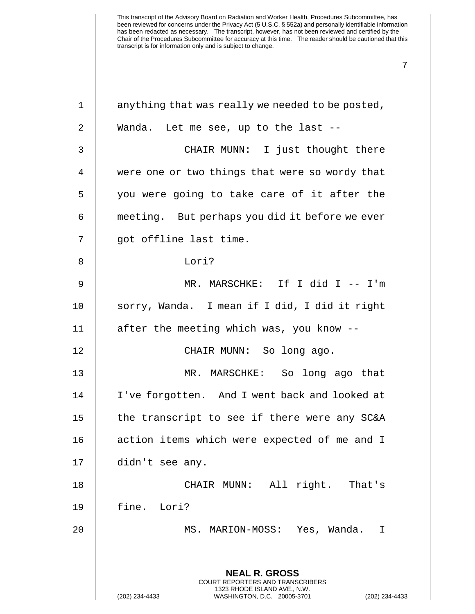| $\mathbf 1$    | anything that was really we needed to be posted,                                                                                                                   |
|----------------|--------------------------------------------------------------------------------------------------------------------------------------------------------------------|
| $\sqrt{2}$     | Wanda. Let me see, up to the last --                                                                                                                               |
| 3              | CHAIR MUNN: I just thought there                                                                                                                                   |
| $\overline{4}$ | were one or two things that were so wordy that                                                                                                                     |
| 5              | you were going to take care of it after the                                                                                                                        |
| 6              | meeting. But perhaps you did it before we ever                                                                                                                     |
| 7              | got offline last time.                                                                                                                                             |
| 8              | Lori?                                                                                                                                                              |
| $\mathsf 9$    | MR. MARSCHKE: If I did I -- I'm                                                                                                                                    |
| 10             | sorry, Wanda. I mean if I did, I did it right                                                                                                                      |
| 11             | after the meeting which was, you know --                                                                                                                           |
| 12             | CHAIR MUNN: So long ago.                                                                                                                                           |
| 13             | MR. MARSCHKE: So long ago that                                                                                                                                     |
| 14             | I've forgotten. And I went back and looked at                                                                                                                      |
| 15             | the transcript to see if there were any SC&A                                                                                                                       |
| 16             | action items which were expected of me and I                                                                                                                       |
| 17             | didn't see any.                                                                                                                                                    |
| 18             | CHAIR MUNN: All right. That's                                                                                                                                      |
| 19             | fine. Lori?                                                                                                                                                        |
| 20             | MS. MARION-MOSS: Yes, Wanda.<br>I                                                                                                                                  |
|                |                                                                                                                                                                    |
|                | <b>NEAL R. GROSS</b><br><b>COURT REPORTERS AND TRANSCRIBERS</b><br>1323 RHODE ISLAND AVE., N.W.<br>(202) 234-4433<br>WASHINGTON, D.C. 20005-3701<br>(202) 234-4433 |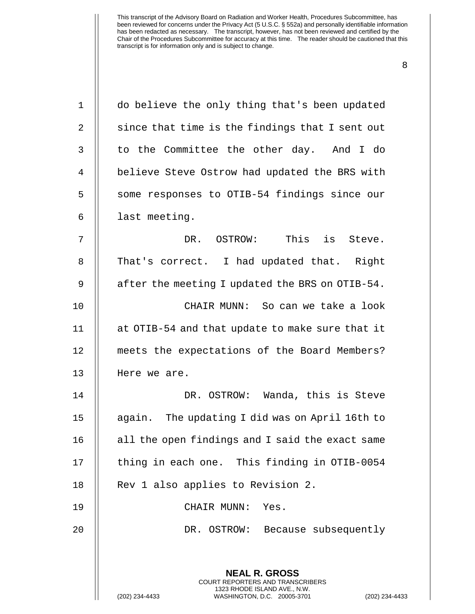| $\mathbf 1$    | do believe the only thing that's been updated                                                   |
|----------------|-------------------------------------------------------------------------------------------------|
| $\overline{2}$ | since that time is the findings that I sent out                                                 |
| 3              | to the Committee the other day. And I do                                                        |
| 4              | believe Steve Ostrow had updated the BRS with                                                   |
| 5              | some responses to OTIB-54 findings since our                                                    |
| 6              | last meeting.                                                                                   |
| 7              | DR. OSTROW: This is Steve.                                                                      |
| 8              | That's correct. I had updated that. Right                                                       |
| 9              | after the meeting I updated the BRS on OTIB-54.                                                 |
| 10             | CHAIR MUNN: So can we take a look                                                               |
| 11             | at OTIB-54 and that update to make sure that it                                                 |
| 12             | meets the expectations of the Board Members?                                                    |
| 13             | Here we are.                                                                                    |
| 14             | DR. OSTROW: Wanda, this is Steve                                                                |
| 15             | again. The updating I did was on April 16th to                                                  |
| 16             | all the open findings and I said the exact same                                                 |
| 17             | thing in each one. This finding in OTIB-0054                                                    |
| 18             | Rev 1 also applies to Revision 2.                                                               |
| 19             | CHAIR MUNN:<br>Yes.                                                                             |
| 20             | DR. OSTROW: Because subsequently                                                                |
|                |                                                                                                 |
|                | <b>NEAL R. GROSS</b><br><b>COURT REPORTERS AND TRANSCRIBERS</b>                                 |
|                | 1323 RHODE ISLAND AVE., N.W.<br>(202) 234-4433<br>WASHINGTON, D.C. 20005-3701<br>(202) 234-4433 |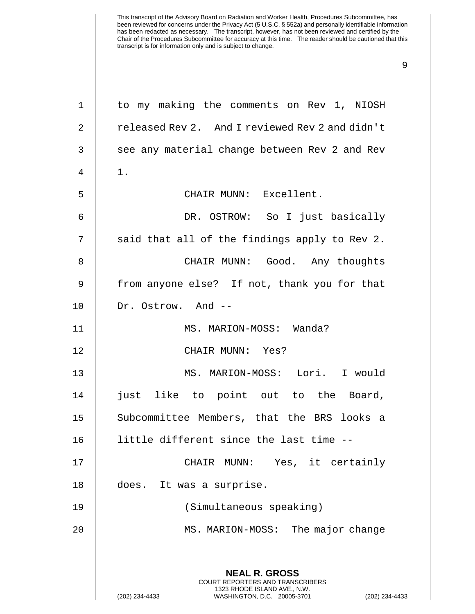| $\mathbf 1$    | to my making the comments on Rev 1, NIOSH                                                       |
|----------------|-------------------------------------------------------------------------------------------------|
| $\overline{2}$ | released Rev 2. And I reviewed Rev 2 and didn't                                                 |
| 3              | see any material change between Rev 2 and Rev                                                   |
| 4              | $1$ .                                                                                           |
| 5              | CHAIR MUNN: Excellent.                                                                          |
| 6              | DR. OSTROW: So I just basically                                                                 |
| 7              | said that all of the findings apply to Rev 2.                                                   |
| 8              | CHAIR MUNN: Good. Any thoughts                                                                  |
| 9              | from anyone else? If not, thank you for that                                                    |
| 10             | Dr. Ostrow. And --                                                                              |
| 11             | MS. MARION-MOSS: Wanda?                                                                         |
| 12             | CHAIR MUNN: Yes?                                                                                |
| 13             | MS. MARION-MOSS: Lori. I would                                                                  |
| 14             | just like to point out to the Board,                                                            |
| 15             | Subcommittee Members, that the BRS looks a                                                      |
| 16             | little different since the last time                                                            |
| 17             | Yes, it certainly<br>CHAIR MUNN:                                                                |
| 18             | does. It was a surprise.                                                                        |
| 19             | (Simultaneous speaking)                                                                         |
| 20             | MS. MARION-MOSS: The major change                                                               |
|                |                                                                                                 |
|                | <b>NEAL R. GROSS</b><br><b>COURT REPORTERS AND TRANSCRIBERS</b>                                 |
|                | 1323 RHODE ISLAND AVE., N.W.<br>(202) 234-4433<br>WASHINGTON, D.C. 20005-3701<br>(202) 234-4433 |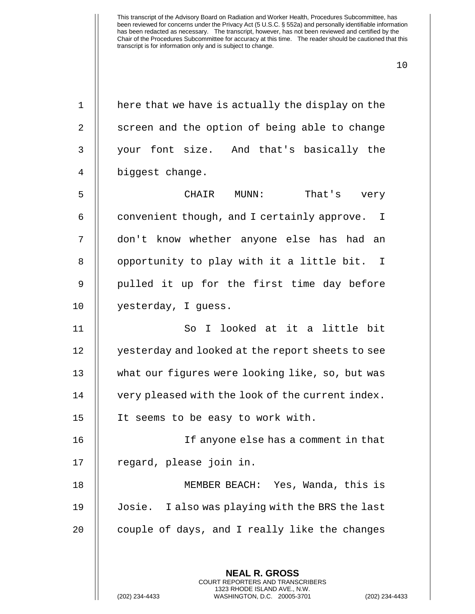| $\mathbf 1$    | here that we have is actually the display on the |
|----------------|--------------------------------------------------|
| $\overline{2}$ | screen and the option of being able to change    |
| 3              | your font size. And that's basically the         |
| 4              | biggest change.                                  |
| 5              | CHAIR<br>$MUNN$ :<br>That's very                 |
| 6              | convenient though, and I certainly approve. I    |
| 7              | don't know whether anyone else has had an        |
| 8              | opportunity to play with it a little bit. I      |
| 9              | pulled it up for the first time day before       |
| 10             | yesterday, I guess.                              |
| 11             | So I looked at it a little bit                   |
| 12             | yesterday and looked at the report sheets to see |
| 13             | what our figures were looking like, so, but was  |
| 14             | very pleased with the look of the current index. |
| 15             | It seems to be easy to work with.                |
| 16             | If anyone else has a comment in that             |
| 17             | regard, please join in.                          |
| 18             | MEMBER BEACH: Yes, Wanda, this is                |
| 19             | Josie. I also was playing with the BRS the last  |
| 20             | couple of days, and I really like the changes    |
|                |                                                  |
|                | <b>NEAL R. GROSS</b>                             |

COURT REPORTERS AND TRANSCRIBERS 1323 RHODE ISLAND AVE., N.W.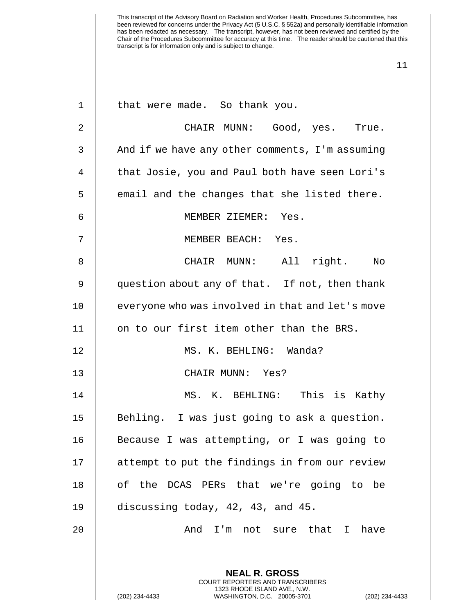| $\mathbf 1$    | that were made. So thank you.                                                                   |
|----------------|-------------------------------------------------------------------------------------------------|
| 2              | CHAIR MUNN: Good, yes. True.                                                                    |
| 3              | And if we have any other comments, I'm assuming                                                 |
| $\overline{4}$ | that Josie, you and Paul both have seen Lori's                                                  |
| 5              | email and the changes that she listed there.                                                    |
| 6              | MEMBER ZIEMER: Yes.                                                                             |
| 7              | MEMBER BEACH: Yes.                                                                              |
| 8              | CHAIR MUNN: All right. No                                                                       |
| 9              | question about any of that. If not, then thank                                                  |
| 10             | everyone who was involved in that and let's move                                                |
| 11             | on to our first item other than the BRS.                                                        |
| 12             | MS. K. BEHLING: Wanda?                                                                          |
| 13             | CHAIR MUNN: Yes?                                                                                |
| 14             | MS. K. BEHLING: This is Kathy                                                                   |
| 15             | Behling. I was just going to ask a question.                                                    |
| 16             | Because I was attempting, or I was going to                                                     |
| 17             | attempt to put the findings in from our review                                                  |
| 18             | of the DCAS PERs that we're going to be                                                         |
| 19             | discussing today, 42, 43, and 45.                                                               |
| 20             | And I'm not sure that I have                                                                    |
|                |                                                                                                 |
|                | <b>NEAL R. GROSS</b><br><b>COURT REPORTERS AND TRANSCRIBERS</b><br>1323 RHODE ISLAND AVE., N.W. |
|                | (202) 234-4433<br>WASHINGTON, D.C. 20005-3701<br>(202) 234-4433                                 |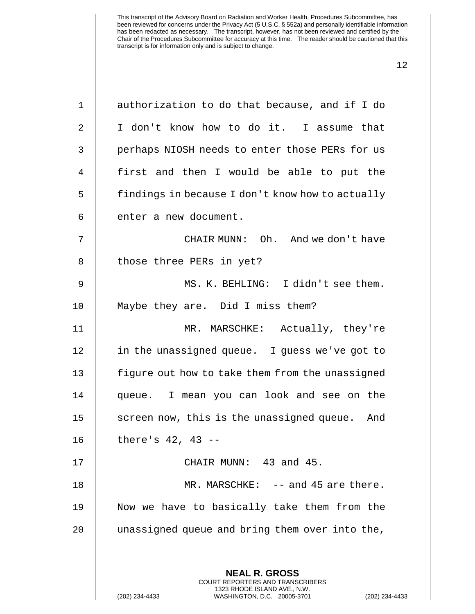| $\mathbf{1}$   | authorization to do that because, and if I do                                                                                                                     |
|----------------|-------------------------------------------------------------------------------------------------------------------------------------------------------------------|
| 2              | I don't know how to do it. I assume that                                                                                                                          |
| 3              | perhaps NIOSH needs to enter those PERs for us                                                                                                                    |
| $\overline{4}$ | first and then I would be able to put the                                                                                                                         |
| 5              | findings in because I don't know how to actually                                                                                                                  |
| 6              | enter a new document.                                                                                                                                             |
| 7              | CHAIR MUNN: Oh. And we don't have                                                                                                                                 |
| 8              | those three PERs in yet?                                                                                                                                          |
| 9              | MS. K. BEHLING: I didn't see them.                                                                                                                                |
| 10             | Maybe they are. Did I miss them?                                                                                                                                  |
| 11             | MR. MARSCHKE: Actually, they're                                                                                                                                   |
| 12             | in the unassigned queue. I guess we've got to                                                                                                                     |
| 13             | figure out how to take them from the unassigned                                                                                                                   |
| 14             | queue. I mean you can look and see on the                                                                                                                         |
| 15             | screen now, this is the unassigned queue. And                                                                                                                     |
| 16             | there's $42, 43 --$                                                                                                                                               |
| 17             | CHAIR MUNN: 43 and 45.                                                                                                                                            |
| 18             | MR. MARSCHKE: -- and 45 are there.                                                                                                                                |
| 19             | Now we have to basically take them from the                                                                                                                       |
| 20             | unassigned queue and bring them over into the,                                                                                                                    |
|                |                                                                                                                                                                   |
|                | <b>NEAL R. GROSS</b><br><b>COURT REPORTERS AND TRANSCRIBERS</b><br>1323 RHODE ISLAND AVE., N.W.<br>(202) 234-4433<br>WASHINGTON, D.C. 20005-3701<br>$(202)$ 234-4 |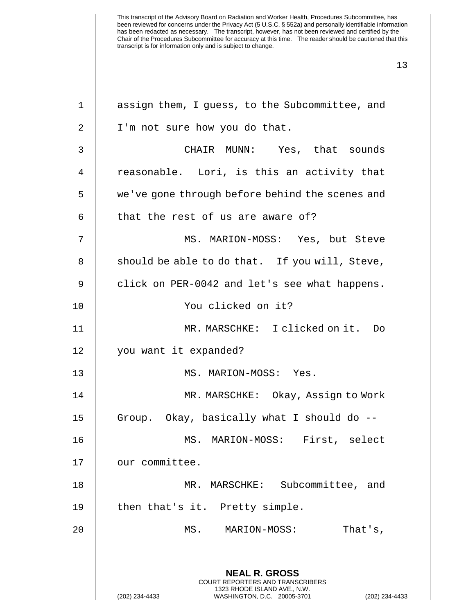| $\mathbf 1$  | assign them, I guess, to the Subcommittee, and                                                  |
|--------------|-------------------------------------------------------------------------------------------------|
| 2            | I'm not sure how you do that.                                                                   |
| $\mathsf{3}$ | CHAIR MUNN: Yes, that sounds                                                                    |
| 4            | reasonable. Lori, is this an activity that                                                      |
| 5            | we've gone through before behind the scenes and                                                 |
| 6            | that the rest of us are aware of?                                                               |
| 7            | MS. MARION-MOSS: Yes, but Steve                                                                 |
| 8            | should be able to do that. If you will, Steve,                                                  |
| 9            | click on PER-0042 and let's see what happens.                                                   |
| 10           | You clicked on it?                                                                              |
| 11           | MR. MARSCHKE: I clicked on it. Do                                                               |
| 12           | you want it expanded?                                                                           |
| 13           | MS. MARION-MOSS: Yes.                                                                           |
| 14           | MR. MARSCHKE: Okay, Assign to Work                                                              |
| 15           | Group. Okay, basically what I should do --                                                      |
| 16           | MARION-MOSS:<br>First, select<br>MS.                                                            |
| 17           | our committee.                                                                                  |
| 18           | Subcommittee, and<br>MR. MARSCHKE:                                                              |
| 19           | then that's it. Pretty simple.                                                                  |
| 20           | MS.<br>MARION-MOSS:<br>That's,                                                                  |
|              |                                                                                                 |
|              | <b>NEAL R. GROSS</b><br><b>COURT REPORTERS AND TRANSCRIBERS</b>                                 |
|              | 1323 RHODE ISLAND AVE., N.W.<br>(202) 234-4433<br>WASHINGTON, D.C. 20005-3701<br>(202) 234-4433 |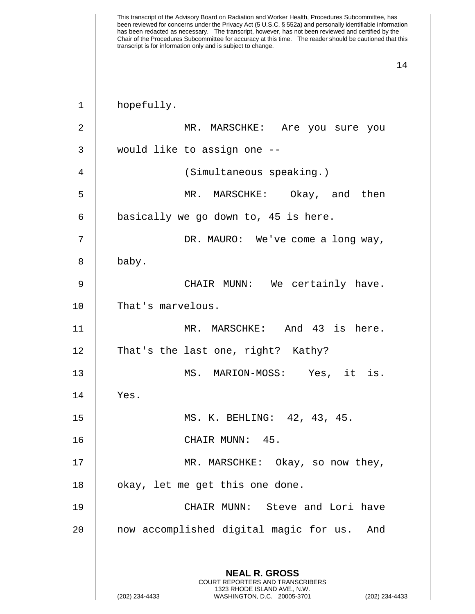| 1              | hopefully.                                                                                      |
|----------------|-------------------------------------------------------------------------------------------------|
| $\overline{2}$ | MR. MARSCHKE: Are you sure you                                                                  |
| 3              | would like to assign one --                                                                     |
| 4              | (Simultaneous speaking.)                                                                        |
| 5              | MR. MARSCHKE: Okay, and then                                                                    |
| 6              | basically we go down to, 45 is here.                                                            |
| 7              | DR. MAURO: We've come a long way,                                                               |
| 8              | baby.                                                                                           |
| 9              | CHAIR MUNN: We certainly have.                                                                  |
| 10             | That's marvelous.                                                                               |
| 11             | MR. MARSCHKE: And 43 is here.                                                                   |
| 12             | That's the last one, right? Kathy?                                                              |
| 13             | MS. MARION-MOSS: Yes, it is.                                                                    |
| 14             | Yes.                                                                                            |
| 15             | MS. K. BEHLING: 42, 43, 45.                                                                     |
| 16             | CHAIR MUNN:<br>45.                                                                              |
| 17             | MR. MARSCHKE: Okay, so now they,                                                                |
| 18             | okay, let me get this one done.                                                                 |
| 19             | CHAIR MUNN: Steve and Lori have                                                                 |
| 20             | now accomplished digital magic for us.<br>And                                                   |
|                |                                                                                                 |
|                | <b>NEAL R. GROSS</b><br>COURT REPORTERS AND TRANSCRIBERS                                        |
|                | 1323 RHODE ISLAND AVE., N.W.<br>WASHINGTON, D.C. 20005-3701<br>(202) 234-4433<br>(202) 234-4433 |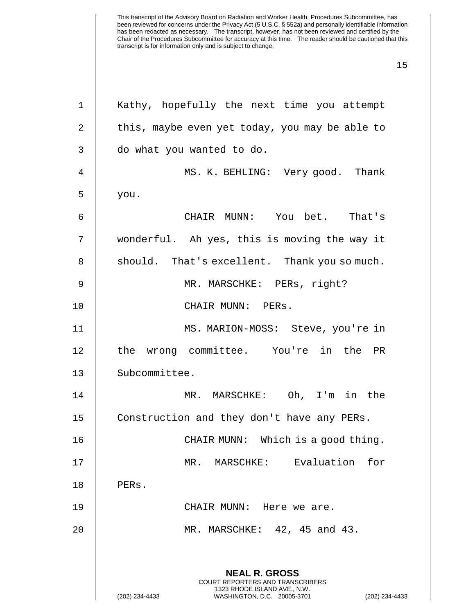| 1              | Kathy, hopefully the next time you attempt                                                                                                                         |
|----------------|--------------------------------------------------------------------------------------------------------------------------------------------------------------------|
| 2              | this, maybe even yet today, you may be able to                                                                                                                     |
| 3              | do what you wanted to do.                                                                                                                                          |
| $\overline{4}$ | MS. K. BEHLING: Very good. Thank                                                                                                                                   |
| 5              | you.                                                                                                                                                               |
| 6              | CHAIR MUNN: You bet. That's                                                                                                                                        |
| 7              | wonderful. Ah yes, this is moving the way it                                                                                                                       |
| 8              | should. That's excellent. Thank you so much.                                                                                                                       |
| 9              | MR. MARSCHKE: PERs, right?                                                                                                                                         |
| 10             | CHAIR MUNN: PERs.                                                                                                                                                  |
| 11             | MS. MARION-MOSS: Steve, you're in                                                                                                                                  |
| 12             | the wrong committee. You're in the PR                                                                                                                              |
| 13             | Subcommittee.                                                                                                                                                      |
| 14             | MR. MARSCHKE: Oh, I'm in the                                                                                                                                       |
| 15             | Construction and they don't have any PERs.                                                                                                                         |
| 16             | CHAIR MUNN: Which is a good thing.                                                                                                                                 |
| 17             | MR. MARSCHKE: Evaluation for                                                                                                                                       |
| 18             | PERs.                                                                                                                                                              |
| 19             | CHAIR MUNN: Here we are.                                                                                                                                           |
| 20             | MR. MARSCHKE: 42, 45 and 43.                                                                                                                                       |
|                |                                                                                                                                                                    |
|                | <b>NEAL R. GROSS</b><br><b>COURT REPORTERS AND TRANSCRIBERS</b><br>1323 RHODE ISLAND AVE., N.W.<br>WASHINGTON, D.C. 20005-3701<br>(202) 234-4433<br>(202) 234-4433 |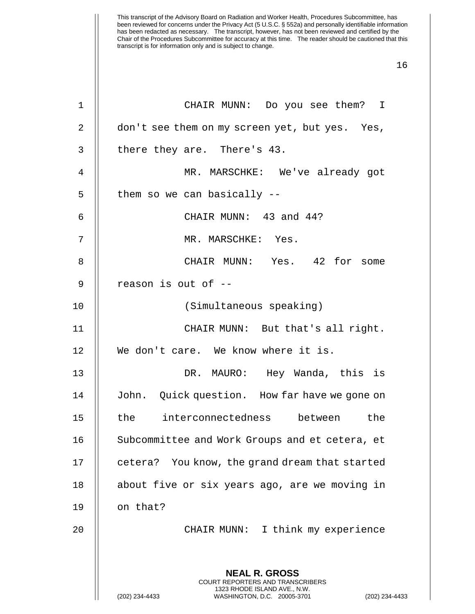| 1  | CHAIR MUNN: Do you see them? I                                                                                                                                     |
|----|--------------------------------------------------------------------------------------------------------------------------------------------------------------------|
| 2  | don't see them on my screen yet, but yes. Yes,                                                                                                                     |
| 3  | there they are. There's 43.                                                                                                                                        |
| 4  | MR. MARSCHKE: We've already got                                                                                                                                    |
| 5  | them so we can basically --                                                                                                                                        |
| 6  | CHAIR MUNN: 43 and 44?                                                                                                                                             |
| 7  | MR. MARSCHKE: Yes.                                                                                                                                                 |
| 8  | CHAIR MUNN: Yes. 42 for some                                                                                                                                       |
| 9  | reason is out of --                                                                                                                                                |
| 10 | (Simultaneous speaking)                                                                                                                                            |
| 11 | CHAIR MUNN: But that's all right.                                                                                                                                  |
| 12 | We don't care. We know where it is.                                                                                                                                |
| 13 | DR. MAURO: Hey Wanda, this is                                                                                                                                      |
| 14 | John. Quick question. How far have we gone on                                                                                                                      |
| 15 | the interconnectedness between the                                                                                                                                 |
| 16 | Subcommittee and Work Groups and et cetera, et                                                                                                                     |
| 17 | cetera? You know, the grand dream that started                                                                                                                     |
| 18 | about five or six years ago, are we moving in                                                                                                                      |
| 19 | on that?                                                                                                                                                           |
| 20 | CHAIR MUNN: I think my experience                                                                                                                                  |
|    | <b>NEAL R. GROSS</b><br><b>COURT REPORTERS AND TRANSCRIBERS</b><br>1323 RHODE ISLAND AVE., N.W.<br>(202) 234-4433<br>WASHINGTON, D.C. 20005-3701<br>(202) 234-4433 |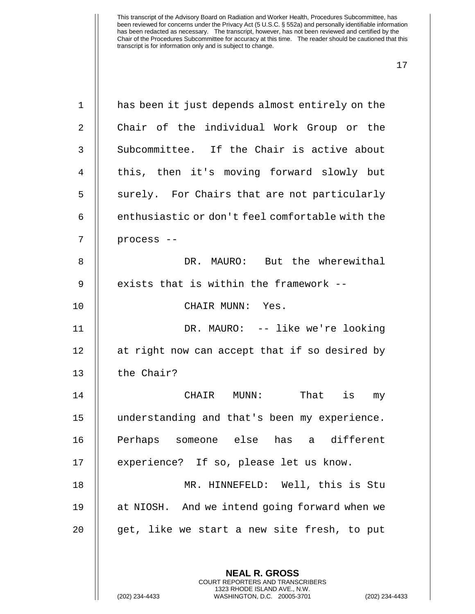| $\mathbf 1$    | has been it just depends almost entirely on the                                                                                                            |
|----------------|------------------------------------------------------------------------------------------------------------------------------------------------------------|
| $\overline{2}$ | Chair of the individual Work Group or the                                                                                                                  |
| 3              | Subcommittee. If the Chair is active about                                                                                                                 |
| 4              | this, then it's moving forward slowly but                                                                                                                  |
| 5              | surely. For Chairs that are not particularly                                                                                                               |
| 6              | enthusiastic or don't feel comfortable with the                                                                                                            |
| 7              | process --                                                                                                                                                 |
| 8              | DR. MAURO: But the wherewithal                                                                                                                             |
| 9              | exists that is within the framework --                                                                                                                     |
| 10             | CHAIR MUNN: Yes.                                                                                                                                           |
| 11             | DR. MAURO: -- like we're looking                                                                                                                           |
| 12             | at right now can accept that if so desired by                                                                                                              |
| 13             | the Chair?                                                                                                                                                 |
| 14             | That is<br>CHAIR<br>MUNN:<br>my                                                                                                                            |
| 15             | understanding and that's been my experience.                                                                                                               |
| 16             | Perhaps someone else has a different                                                                                                                       |
| 17             | experience? If so, please let us know.                                                                                                                     |
| 18             | MR. HINNEFELD: Well, this is Stu                                                                                                                           |
| 19             | at NIOSH. And we intend going forward when we                                                                                                              |
| 20             | get, like we start a new site fresh, to put                                                                                                                |
|                | <b>NEAL R. GROSS</b><br>COURT REPORTERS AND TRANSCRIBERS<br>1323 RHODE ISLAND AVE., N.W.<br>(202) 234-4433<br>WASHINGTON, D.C. 20005-3701<br>$(202)$ 234-4 |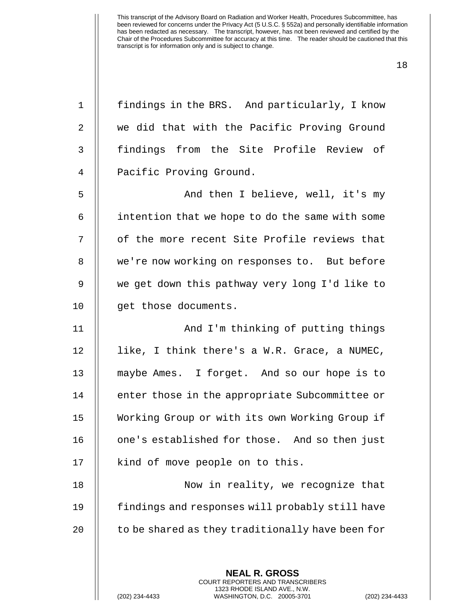| $\mathbf{1}$   | findings in the BRS. And particularly, I know            |
|----------------|----------------------------------------------------------|
| $\overline{2}$ | we did that with the Pacific Proving Ground              |
| 3              | findings from the Site Profile Review of                 |
| 4              | Pacific Proving Ground.                                  |
| 5              | And then I believe, well, it's my                        |
| 6              | intention that we hope to do the same with some          |
| 7              | of the more recent Site Profile reviews that             |
| 8              | we're now working on responses to. But before            |
| $\mathsf 9$    | we get down this pathway very long I'd like to           |
| 10             | get those documents.                                     |
| 11             | And I'm thinking of putting things                       |
| 12             | like, I think there's a W.R. Grace, a NUMEC,             |
| 13             | maybe Ames. I forget. And so our hope is to              |
| 14             | enter those in the appropriate Subcommittee or           |
| 15             | Working Group or with its own Working Group if           |
| 16             | one's established for those. And so then just            |
| 17             | kind of move people on to this.                          |
| 18             | Now in reality, we recognize that                        |
| 19             | findings and responses will probably still have          |
| 20             | to be shared as they traditionally have been for         |
|                |                                                          |
|                | <b>NEAL R. GROSS</b><br>COURT REPORTERS AND TRANSCRIBERS |

1323 RHODE ISLAND AVE., N.W.

 $\mathsf{||}$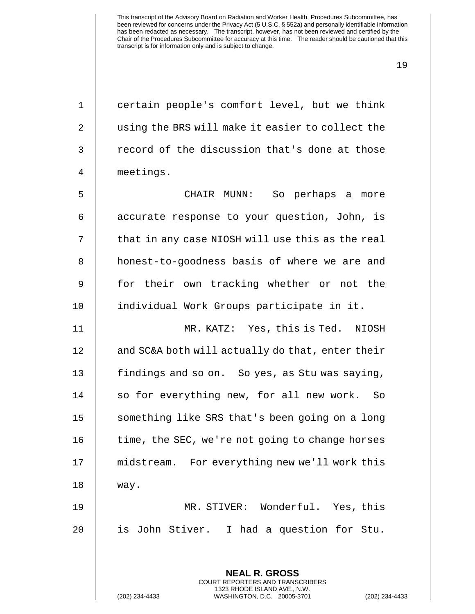| $\mathbf{1}$   | certain people's comfort level, but we think     |
|----------------|--------------------------------------------------|
| 2              | using the BRS will make it easier to collect the |
| 3              | record of the discussion that's done at those    |
| $\overline{4}$ | meetings.                                        |
| 5              | CHAIR MUNN: So perhaps a more                    |
| 6              | accurate response to your question, John, is     |
| 7              | that in any case NIOSH will use this as the real |
| 8              | honest-to-goodness basis of where we are and     |
| 9              | for their own tracking whether or not the        |
| 10             | individual Work Groups participate in it.        |
| 11             | MR. KATZ: Yes, this is Ted. NIOSH                |
| 12             | and SC&A both will actually do that, enter their |
| 13             | findings and so on. So yes, as Stu was saying,   |
| 14             | so for everything new, for all new work. So      |
| 15             | something like SRS that's been going on a long   |
| 16             | time, the SEC, we're not going to change horses  |
| 17             | midstream. For everything new we'll work this    |
| 18             | way.                                             |
| 19             | MR. STIVER: Wonderful. Yes, this                 |
| 20             | is John Stiver. I had a question for Stu.        |
|                |                                                  |
|                | <b>NEAL R. GROSS</b>                             |

COURT REPORTERS AND TRANSCRIBERS 1323 RHODE ISLAND AVE., N.W.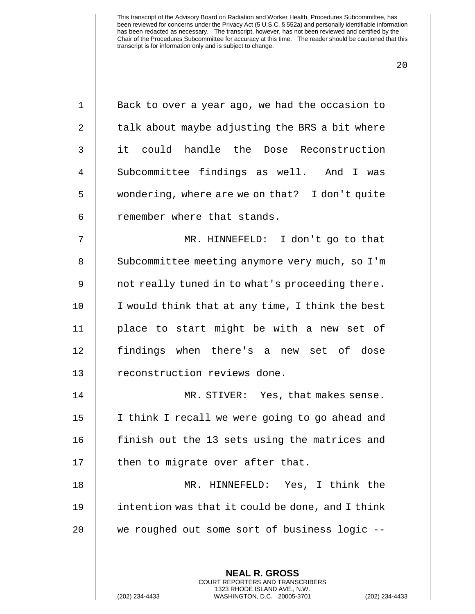| $\mathbf{1}$   | Back to over a year ago, we had the occasion to          |
|----------------|----------------------------------------------------------|
| 2              | talk about maybe adjusting the BRS a bit where           |
| $\mathfrak{Z}$ | it could handle the Dose Reconstruction                  |
| $\overline{4}$ | Subcommittee findings as well. And I was                 |
| 5              | wondering, where are we on that? I don't quite           |
| 6              | remember where that stands.                              |
| 7              | MR. HINNEFELD: I don't go to that                        |
| $\, 8$         | Subcommittee meeting anymore very much, so I'm           |
| 9              | not really tuned in to what's proceeding there.          |
| 10             | I would think that at any time, I think the best         |
| 11             | place to start might be with a new set of                |
| 12             | findings when there's a new set of dose                  |
| 13             | reconstruction reviews done.                             |
| 14             | MR. STIVER: Yes, that makes sense.                       |
| 15             | I think I recall we were going to go ahead and           |
| 16             | finish out the 13 sets using the matrices and            |
| 17             | then to migrate over after that.                         |
| 18             | MR. HINNEFELD: Yes, I think the                          |
| 19             | intention was that it could be done, and I think         |
| 20             | we roughed out some sort of business logic --            |
|                |                                                          |
|                | <b>NEAL R. GROSS</b><br>COURT REPORTERS AND TRANSCRIBERS |

1323 RHODE ISLAND AVE., N.W.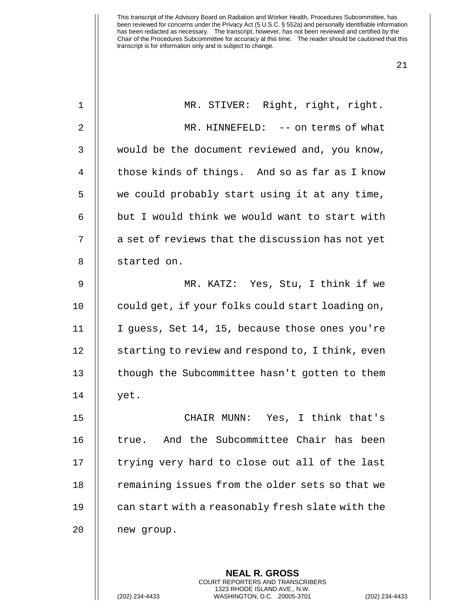| $\mathbf 1$ | MR. STIVER: Right, right, right.                 |
|-------------|--------------------------------------------------|
| 2           | MR. HINNEFELD: -- on terms of what               |
| 3           | would be the document reviewed and, you know,    |
| 4           | those kinds of things. And so as far as I know   |
| 5           | we could probably start using it at any time,    |
| 6           | but I would think we would want to start with    |
| 7           | a set of reviews that the discussion has not yet |
| 8           | started on.                                      |
| 9           | MR. KATZ: Yes, Stu, I think if we                |
| 10          | could get, if your folks could start loading on, |
| 11          | I guess, Set 14, 15, because those ones you're   |
| 12          | starting to review and respond to, I think, even |
| 13          | though the Subcommittee hasn't gotten to them    |
| 14          | yet.                                             |
| 15          | CHAIR MUNN: Yes, I think that's                  |
| 16          | And the Subcommittee Chair has been<br>true.     |
| 17          | trying very hard to close out all of the last    |
| 18          | remaining issues from the older sets so that we  |
| 19          | can start with a reasonably fresh slate with the |
| 20          | new group.                                       |
|             |                                                  |
|             | <b>NEAL R. GROSS</b>                             |

COURT REPORTERS AND TRANSCRIBERS 1323 RHODE ISLAND AVE., N.W.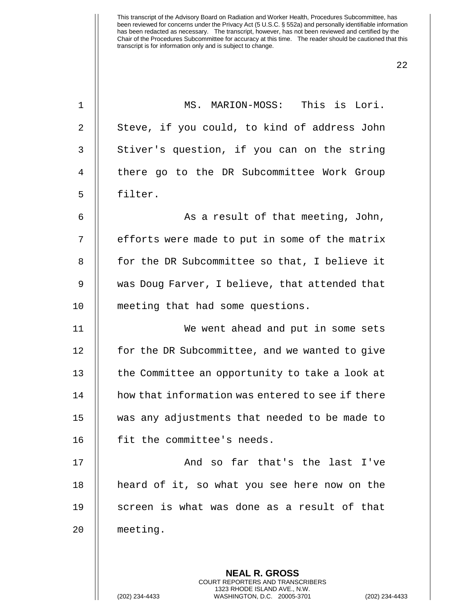| $\mathbf{1}$ | MS. MARION-MOSS: This is Lori.                   |
|--------------|--------------------------------------------------|
| 2            | Steve, if you could, to kind of address John     |
| 3            | Stiver's question, if you can on the string      |
| 4            | there go to the DR Subcommittee Work Group       |
| 5            | filter.                                          |
| 6            | As a result of that meeting, John,               |
| 7            | efforts were made to put in some of the matrix   |
| 8            | for the DR Subcommittee so that, I believe it    |
| 9            | was Doug Farver, I believe, that attended that   |
| 10           | meeting that had some questions.                 |
| 11           | We went ahead and put in some sets               |
| 12           | for the DR Subcommittee, and we wanted to give   |
| 13           | the Committee an opportunity to take a look at   |
| 14           | how that information was entered to see if there |
| 15           | was any adjustments that needed to be made to    |
| 16           | fit the committee's needs.                       |
| 17           | And so far that's the last I've                  |
| 18           | heard of it, so what you see here now on the     |
| 19           | screen is what was done as a result of that      |
| 20           | meeting.                                         |
|              |                                                  |
|              | <b>NEAL R. GROSS</b>                             |

COURT REPORTERS AND TRANSCRIBERS 1323 RHODE ISLAND AVE., N.W.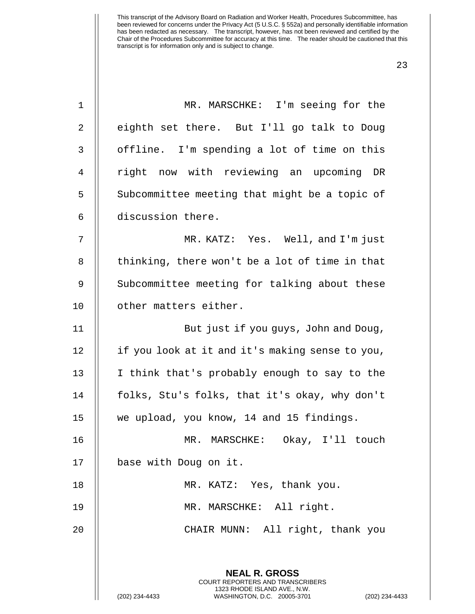| $\mathbf 1$    | MR. MARSCHKE: I'm seeing for the                                                                                                                            |
|----------------|-------------------------------------------------------------------------------------------------------------------------------------------------------------|
|                |                                                                                                                                                             |
| 2              | eighth set there. But I'll go talk to Doug                                                                                                                  |
| 3              | offline. I'm spending a lot of time on this                                                                                                                 |
| $\overline{4}$ | right now with reviewing an upcoming DR                                                                                                                     |
| 5              | Subcommittee meeting that might be a topic of                                                                                                               |
| 6              | discussion there.                                                                                                                                           |
| 7              | MR. KATZ: Yes. Well, and I'm just                                                                                                                           |
| 8              | thinking, there won't be a lot of time in that                                                                                                              |
| 9              | Subcommittee meeting for talking about these                                                                                                                |
| 10             | other matters either.                                                                                                                                       |
| 11             | But just if you guys, John and Doug,                                                                                                                        |
| 12             | if you look at it and it's making sense to you,                                                                                                             |
| 13             | I think that's probably enough to say to the                                                                                                                |
| 14             | folks, Stu's folks, that it's okay, why don't                                                                                                               |
| 15             | we upload, you know, 14 and 15 findings.                                                                                                                    |
| 16             | MR. MARSCHKE: Okay, I'll touch                                                                                                                              |
| 17             | base with Doug on it.                                                                                                                                       |
| 18             | MR. KATZ: Yes, thank you.                                                                                                                                   |
| 19             | MR. MARSCHKE: All right.                                                                                                                                    |
| 20             | CHAIR MUNN: All right, thank you                                                                                                                            |
|                | <b>NEAL R. GROSS</b><br>COURT REPORTERS AND TRANSCRIBERS<br>1323 RHODE ISLAND AVE., N.W.<br>(202) 234-4433<br>WASHINGTON, D.C. 20005-3701<br>(202) 234-4433 |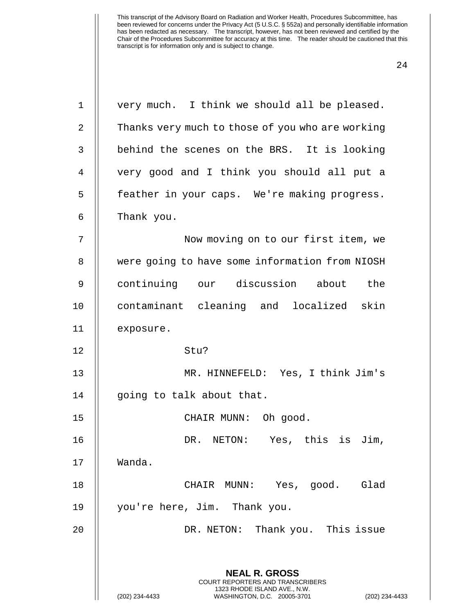| $\mathbf 1$ | very much. I think we should all be pleased.                                             |
|-------------|------------------------------------------------------------------------------------------|
| 2           | Thanks very much to those of you who are working                                         |
| 3           | behind the scenes on the BRS. It is looking                                              |
| 4           | very good and I think you should all put a                                               |
| 5           | feather in your caps. We're making progress.                                             |
| 6           | Thank you.                                                                               |
| 7           | Now moving on to our first item, we                                                      |
| 8           | were going to have some information from NIOSH                                           |
| 9           | continuing our discussion about the                                                      |
| 10          | contaminant cleaning and localized skin                                                  |
| 11          | exposure.                                                                                |
| 12          | Stu?                                                                                     |
| 13          | MR. HINNEFELD: Yes, I think Jim's                                                        |
| 14          | going to talk about that.                                                                |
| 15          | CHAIR MUNN: Oh good.                                                                     |
| 16          | DR. NETON: Yes, this is Jim,                                                             |
| 17          | Wanda.                                                                                   |
| 18          | Glad<br>CHAIR MUNN: Yes, good.                                                           |
| 19          | you're here, Jim. Thank you.                                                             |
| 20          | DR. NETON: Thank you. This issue                                                         |
|             | <b>NEAL R. GROSS</b><br>COURT REPORTERS AND TRANSCRIBERS<br>1323 RHODE ISLAND AVE., N.W. |
|             | (202) 234-4433<br>WASHINGTON, D.C. 20005-3701<br>(202) 234-4433                          |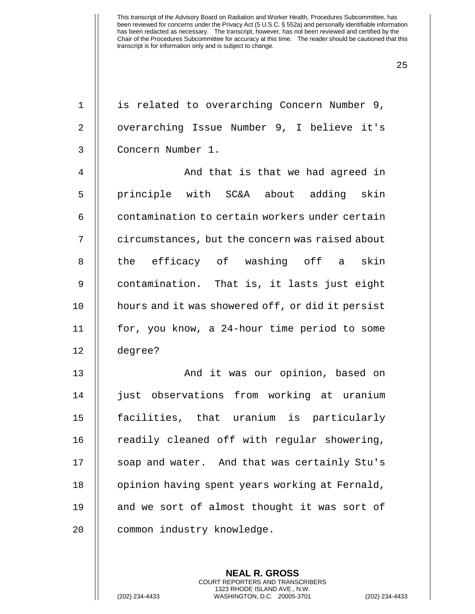| $\mathbf 1$    | is related to overarching Concern Number 9,      |
|----------------|--------------------------------------------------|
| 2              | overarching Issue Number 9, I believe it's       |
| 3              | Concern Number 1.                                |
| $\overline{4}$ | And that is that we had agreed in                |
| 5              | principle with SC&A about adding skin            |
| 6              | contamination to certain workers under certain   |
| 7              | circumstances, but the concern was raised about  |
| 8              | the efficacy of washing off a skin               |
| $\mathsf 9$    | contamination. That is, it lasts just eight      |
| 10             | hours and it was showered off, or did it persist |
| 11             | for, you know, a 24-hour time period to some     |
| 12             | degree?                                          |
| 13             | And it was our opinion, based on                 |
| 14             | just observations from working at uranium        |
| 15             | facilities, that uranium is particularly         |
| 16             | readily cleaned off with regular showering,      |
| 17             | soap and water. And that was certainly Stu's     |
| 18             | opinion having spent years working at Fernald,   |
| 19             | and we sort of almost thought it was sort of     |
| 20             | common industry knowledge.                       |
|                |                                                  |

**NEAL R. GROSS** COURT REPORTERS AND TRANSCRIBERS 1323 RHODE ISLAND AVE., N.W.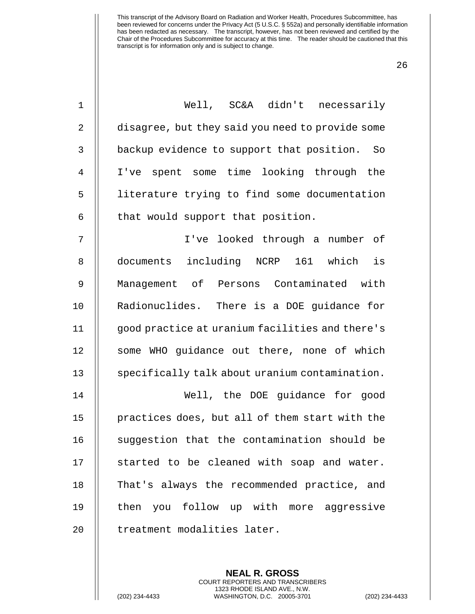| $1\,$          | Well, SC&A didn't necessarily                    |
|----------------|--------------------------------------------------|
| 2              | disagree, but they said you need to provide some |
| $\mathbf{3}$   | backup evidence to support that position. So     |
| $\overline{4}$ | I've spent some time looking through the         |
| 5              | literature trying to find some documentation     |
| $\epsilon$     | that would support that position.                |
| 7              | I've looked through a number of                  |
| 8              | documents including NCRP 161 which<br>is         |
| 9              | Management of Persons Contaminated with          |
| 10             | Radionuclides. There is a DOE guidance for       |
| 11             | good practice at uranium facilities and there's  |
| 12             | some WHO guidance out there, none of which       |
| 13             | specifically talk about uranium contamination.   |
| 14             | Well, the DOE guidance for good                  |
| 15             | practices does, but all of them start with the   |
| 16             | suggestion that the contamination should be      |
| 17             | started to be cleaned with soap and water.       |
| 18             | That's always the recommended practice, and      |
| 19             | then you follow up with more aggressive          |
| 20             | treatment modalities later.                      |

**NEAL R. GROSS** COURT REPORTERS AND TRANSCRIBERS 1323 RHODE ISLAND AVE., N.W.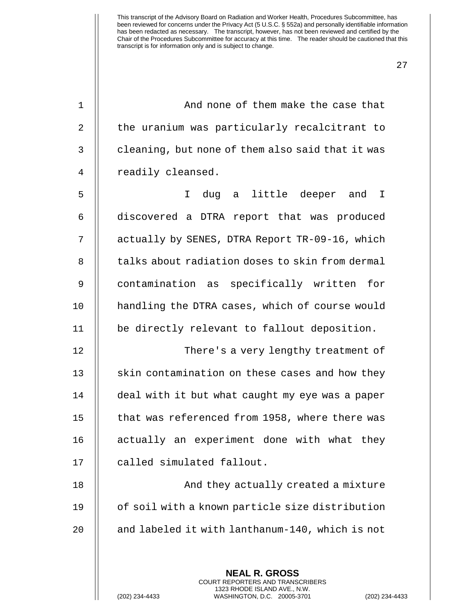27

1 || And none of them make the case that 2 | the uranium was particularly recalcitrant to  $3 \parallel$  cleaning, but none of them also said that it was 4 || readily cleansed.

5 I dug a little deeper and I 6 discovered a DTRA report that was produced 7 | actually by SENES, DTRA Report TR-09-16, which 8 || talks about radiation doses to skin from dermal 9 || contamination as specifically written for 10 | handling the DTRA cases, which of course would 11 be directly relevant to fallout deposition.

12 There's a very lengthy treatment of 13 || skin contamination on these cases and how they 14 | deal with it but what caught my eye was a paper 15 | that was referenced from 1958, where there was 16 || actually an experiment done with what they 17 || called simulated fallout.

18 || And they actually created a mixture 19 || of soil with a known particle size distribution 20  $\parallel$  and labeled it with lanthanum-140, which is not

> **NEAL R. GROSS** COURT REPORTERS AND TRANSCRIBERS 1323 RHODE ISLAND AVE., N.W.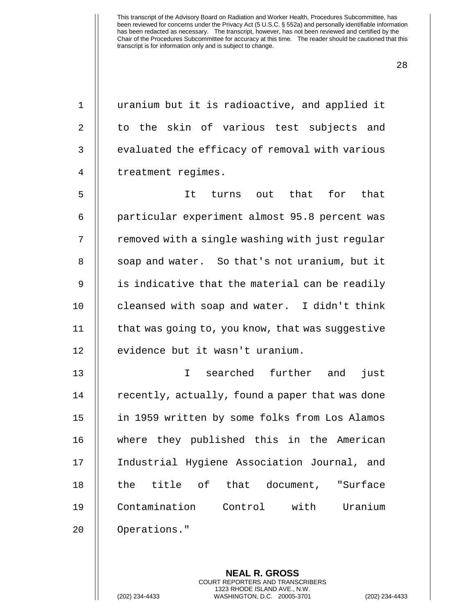28

1 || uranium but it is radioactive, and applied it 2 || to the skin of various test subjects and  $3$   $\parallel$  evaluated the efficacy of removal with various 4 | treatment regimes. 5 It turns out that for that 6 || particular experiment almost 95.8 percent was 7 | removed with a single washing with just regular 8 | soap and water. So that's not uranium, but it 9 || is indicative that the material can be readily 10 || cleansed with soap and water. I didn't think 11 | that was going to, you know, that was suggestive 12 || evidence but it wasn't uranium. 13 I searched further and just 14 | recently, actually, found a paper that was done 15 in 1959 written by some folks from Los Alamos 16 where they published this in the American 17 Industrial Hygiene Association Journal, and 18 || the title of that document, "Surface 19 Contamination Control with Uranium 20 | Operations."

> **NEAL R. GROSS** COURT REPORTERS AND TRANSCRIBERS 1323 RHODE ISLAND AVE., N.W.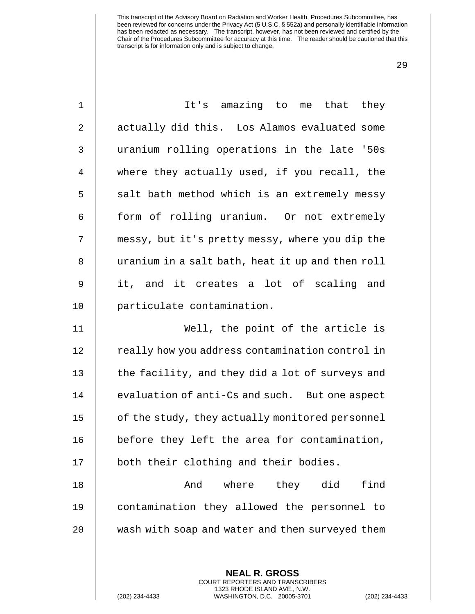| $\mathbf 1$    | It's amazing to me that they                     |
|----------------|--------------------------------------------------|
| $\overline{2}$ | actually did this. Los Alamos evaluated some     |
| 3              | uranium rolling operations in the late '50s      |
| 4              | where they actually used, if you recall, the     |
| 5              | salt bath method which is an extremely messy     |
| 6              | form of rolling uranium. Or not extremely        |
| 7              | messy, but it's pretty messy, where you dip the  |
| 8              | uranium in a salt bath, heat it up and then roll |
| 9              | it, and it creates a lot of scaling and          |
| 10             | particulate contamination.                       |
| 11             | Well, the point of the article is                |
| 12             | really how you address contamination control in  |
| 13             | the facility, and they did a lot of surveys and  |
| 14             | evaluation of anti-Cs and such. But one aspect   |
| 15             | of the study, they actually monitored personnel  |
| 16             | before they left the area for contamination,     |
| 17             | both their clothing and their bodies.            |
| 18             | where they did<br>find<br>And                    |
| 19             | contamination they allowed the personnel to      |
| 20             | wash with soap and water and then surveyed them  |
|                |                                                  |
|                | <b>NEAL R. GROSS</b>                             |

COURT REPORTERS AND TRANSCRIBERS 1323 RHODE ISLAND AVE., N.W.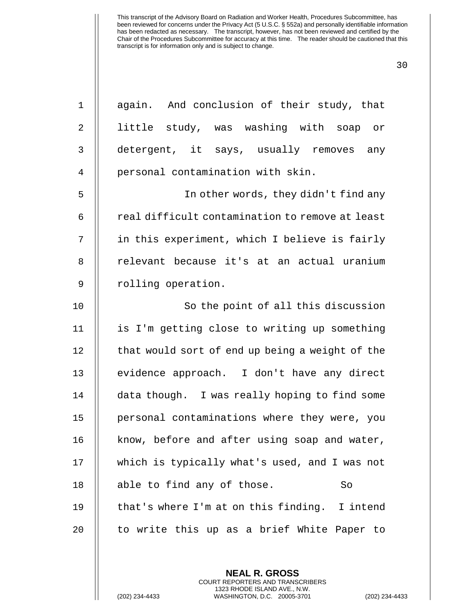| $\mathbf 1$ | again. And conclusion of their study, that      |
|-------------|-------------------------------------------------|
| $\sqrt{2}$  | little study, was washing with soap or          |
| 3           | detergent, it says, usually removes any         |
| 4           | personal contamination with skin.               |
| 5           | In other words, they didn't find any            |
| 6           | real difficult contamination to remove at least |
| 7           | in this experiment, which I believe is fairly   |
| 8           | relevant because it's at an actual uranium      |
| $\mathsf 9$ | rolling operation.                              |
| 10          | So the point of all this discussion             |
| 11          | is I'm getting close to writing up something    |
| 12          | that would sort of end up being a weight of the |
| 13          | evidence approach. I don't have any direct      |
| 14          | data though. I was really hoping to find some   |
| 15          | personal contaminations where they were, you    |
| 16          | know, before and after using soap and water,    |
| 17          | which is typically what's used, and I was not   |
| 18          | able to find any of those.<br>So                |
| 19          | that's where I'm at on this finding. I intend   |
| 20          | to write this up as a brief White Paper to      |

**NEAL R. GROSS** COURT REPORTERS AND TRANSCRIBERS 1323 RHODE ISLAND AVE., N.W.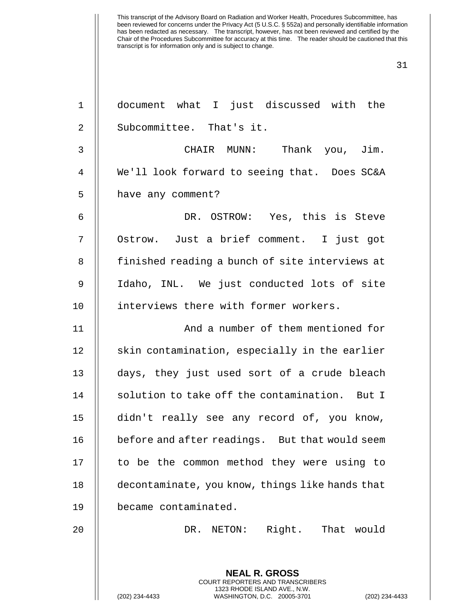| $\mathbf 1$    | document what I just discussed with the                                                                                                                          |
|----------------|------------------------------------------------------------------------------------------------------------------------------------------------------------------|
| $\overline{2}$ | Subcommittee. That's it.                                                                                                                                         |
| 3              | CHAIR MUNN: Thank you, Jim.                                                                                                                                      |
| $\overline{4}$ | We'll look forward to seeing that. Does SC&A                                                                                                                     |
| 5              | have any comment?                                                                                                                                                |
| 6              | DR. OSTROW: Yes, this is Steve                                                                                                                                   |
| 7              | Ostrow. Just a brief comment. I just got                                                                                                                         |
| 8              | finished reading a bunch of site interviews at                                                                                                                   |
| $\mathsf 9$    | Idaho, INL. We just conducted lots of site                                                                                                                       |
| 10             | interviews there with former workers.                                                                                                                            |
| 11             | And a number of them mentioned for                                                                                                                               |
| 12             | skin contamination, especially in the earlier                                                                                                                    |
| 13             | days, they just used sort of a crude bleach                                                                                                                      |
| 14             | solution to take off the contamination. But I                                                                                                                    |
| 15             | didn't really see any record of, you know,                                                                                                                       |
| 16             | before and after readings. But that would seem                                                                                                                   |
| 17             | to be the common method they were using to                                                                                                                       |
| 18             | decontaminate, you know, things like hands that                                                                                                                  |
| 19             | became contaminated.                                                                                                                                             |
| 20             | DR. NETON: Right. That would                                                                                                                                     |
|                |                                                                                                                                                                  |
|                | <b>NEAL R. GROSS</b><br><b>COURT REPORTERS AND TRANSCRIBERS</b><br>1323 RHODE ISLAND AVE., N.W.<br>(202) 234-4433<br>WASHINGTON, D.C. 20005-3701<br>$(202)$ 234- |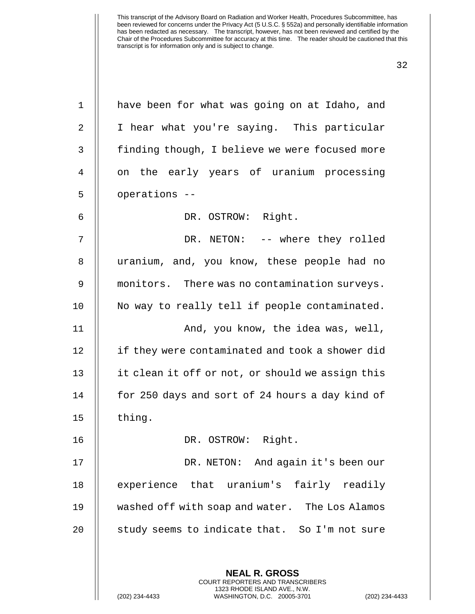| $\mathbf 1$ | have been for what was going on at Idaho, and                                                                                                                   |
|-------------|-----------------------------------------------------------------------------------------------------------------------------------------------------------------|
| 2           | I hear what you're saying. This particular                                                                                                                      |
| 3           | finding though, I believe we were focused more                                                                                                                  |
| 4           | on the early years of uranium processing                                                                                                                        |
| 5           | operations --                                                                                                                                                   |
| 6           | DR. OSTROW: Right.                                                                                                                                              |
| 7           | DR. NETON: -- where they rolled                                                                                                                                 |
| 8           | uranium, and, you know, these people had no                                                                                                                     |
| 9           | monitors. There was no contamination surveys.                                                                                                                   |
| 10          | No way to really tell if people contaminated.                                                                                                                   |
| 11          | And, you know, the idea was, well,                                                                                                                              |
| 12          | if they were contaminated and took a shower did                                                                                                                 |
| 13          | it clean it off or not, or should we assign this                                                                                                                |
| 14          | for 250 days and sort of 24 hours a day kind of                                                                                                                 |
| 15          | thing.                                                                                                                                                          |
| 16          | DR. OSTROW: Right.                                                                                                                                              |
| 17          | DR. NETON: And again it's been our                                                                                                                              |
| 18          | experience that uranium's fairly readily                                                                                                                        |
| 19          | washed off with soap and water. The Los Alamos                                                                                                                  |
| 20          | study seems to indicate that. So I'm not sure                                                                                                                   |
|             |                                                                                                                                                                 |
|             | <b>NEAL R. GROSS</b><br><b>COURT REPORTERS AND TRANSCRIBERS</b><br>1323 RHODE ISLAND AVE., N.W.<br>(202) 234-4433<br>WASHINGTON, D.C. 20005-3701<br>$(202)$ 234 |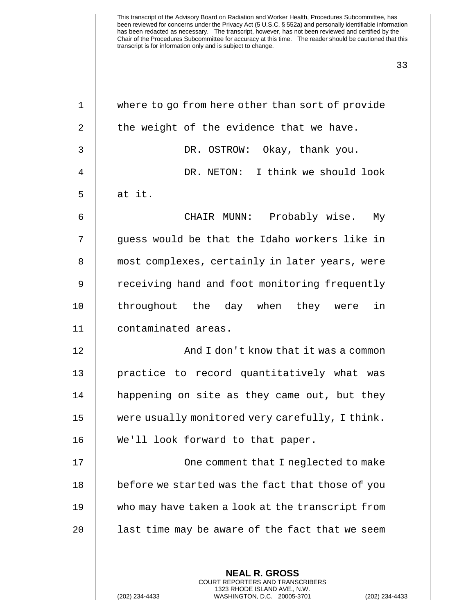| $\mathbf 1$    | where to go from here other than sort of provide |
|----------------|--------------------------------------------------|
| 2              | the weight of the evidence that we have.         |
| 3              | DR. OSTROW: Okay, thank you.                     |
| $\overline{4}$ | DR. NETON: I think we should look                |
| 5              | at it.                                           |
| 6              | CHAIR MUNN: Probably wise.<br>Мy                 |
| 7              | guess would be that the Idaho workers like in    |
| 8              | most complexes, certainly in later years, were   |
| 9              | receiving hand and foot monitoring frequently    |
| 10             | throughout the day when they were<br>in          |
| 11             | contaminated areas.                              |
| 12             | And I don't know that it was a common            |
| 13             | practice to record quantitatively what was       |
| 14             | happening on site as they came out, but they     |
| 15             | were usually monitored very carefully, I think.  |
| 16             | We'll look forward to that paper.                |
| 17             | One comment that I neglected to make             |
| 18             | before we started was the fact that those of you |
| 19             | who may have taken a look at the transcript from |
|                |                                                  |
| 20             | last time may be aware of the fact that we seem  |
|                |                                                  |

1323 RHODE ISLAND AVE., N.W.

 $\mathsf{I}$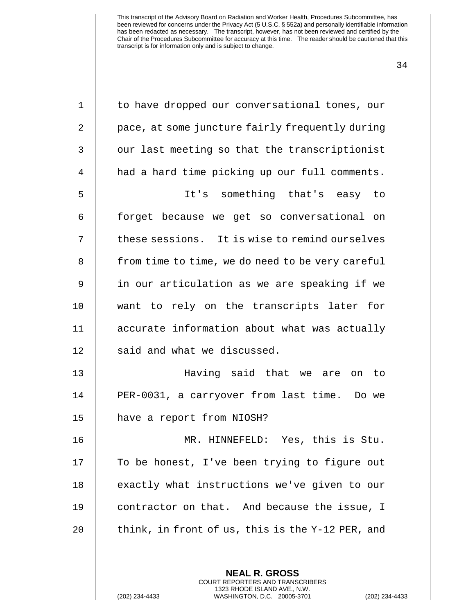| $\mathbf 1$    | to have dropped our conversational tones, our    |
|----------------|--------------------------------------------------|
| 2              | pace, at some juncture fairly frequently during  |
| $\mathsf{3}$   | our last meeting so that the transcriptionist    |
| $\overline{4}$ | had a hard time picking up our full comments.    |
| 5              | It's something that's easy to                    |
| 6              | forget because we get so conversational on       |
| 7              | these sessions. It is wise to remind ourselves   |
| 8              | from time to time, we do need to be very careful |
| 9              | in our articulation as we are speaking if we     |
| 10             | want to rely on the transcripts later for        |
| 11             | accurate information about what was actually     |
| 12             | said and what we discussed.                      |
| 13             | Having said that we are on to                    |
| 14             | PER-0031, a carryover from last time. Do we      |
| 15             | have a report from NIOSH?                        |
| 16             | MR. HINNEFELD: Yes, this is Stu.                 |
| 17             | To be honest, I've been trying to figure out     |
| 18             | exactly what instructions we've given to our     |
| 19             | contractor on that. And because the issue, I     |
| 20             | think, in front of us, this is the Y-12 PER, and |
|                |                                                  |
|                | <b>NEAL R. GROSS</b>                             |

COURT REPORTERS AND TRANSCRIBERS 1323 RHODE ISLAND AVE., N.W.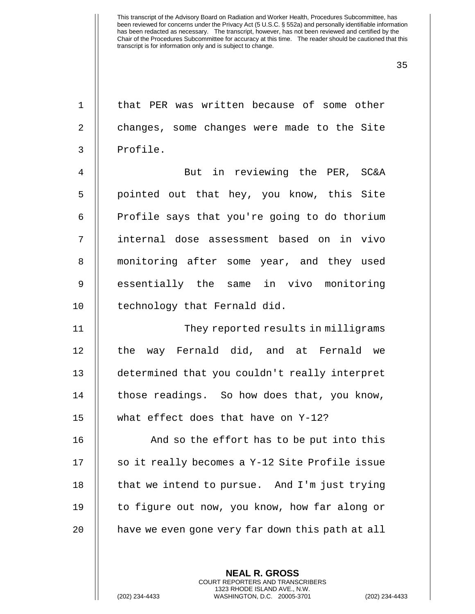| $\mathbf{1}$   | that PER was written because of some other       |
|----------------|--------------------------------------------------|
| $\overline{2}$ | changes, some changes were made to the Site      |
| $\mathsf{3}$   | Profile.                                         |
| 4              | But in reviewing the PER, SC&A                   |
| 5              | pointed out that hey, you know, this Site        |
| 6              | Profile says that you're going to do thorium     |
| 7              | internal dose assessment based on in vivo        |
| 8              | monitoring after some year, and they used        |
| $\overline{9}$ | essentially the same in vivo monitoring          |
| 10             | technology that Fernald did.                     |
| 11             | They reported results in milligrams              |
| 12             | the way Fernald did, and at Fernald we           |
| 13             | determined that you couldn't really interpret    |
| 14             | those readings. So how does that, you know,      |
| 15             | what effect does that have on Y-12?              |
| 16             | And so the effort has to be put into this        |
| 17             | so it really becomes a Y-12 Site Profile issue   |
| 18             | that we intend to pursue. And I'm just trying    |
| 19             | to figure out now, you know, how far along or    |
| 20             | have we even gone very far down this path at all |
|                |                                                  |

**NEAL R. GROSS** COURT REPORTERS AND TRANSCRIBERS 1323 RHODE ISLAND AVE., N.W.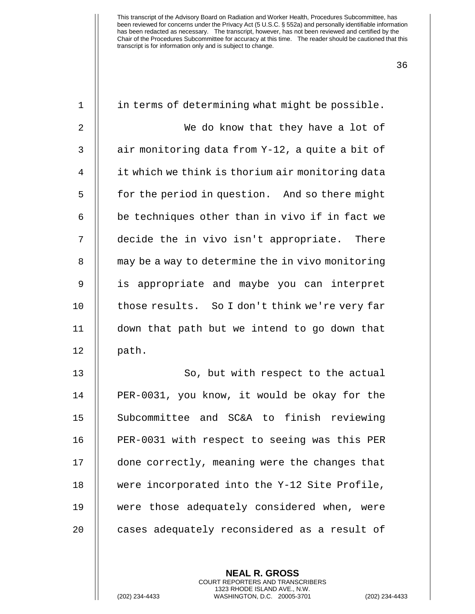| $\mathbf 1$    | in terms of determining what might be possible.  |
|----------------|--------------------------------------------------|
| $\overline{2}$ | We do know that they have a lot of               |
| 3              | air monitoring data from Y-12, a quite a bit of  |
| 4              | it which we think is thorium air monitoring data |
| 5              | for the period in question. And so there might   |
| 6              | be techniques other than in vivo if in fact we   |
| 7              | decide the in vivo isn't appropriate. There      |
| 8              | may be a way to determine the in vivo monitoring |
| 9              | is appropriate and maybe you can interpret       |
| 10             | those results. So I don't think we're very far   |
| 11             | down that path but we intend to go down that     |
| 12             | path.                                            |
| 13             | So, but with respect to the actual               |
| 14             | PER-0031, you know, it would be okay for the     |
| 15             | Subcommittee and SC&A to finish reviewing        |
| 16             | PER-0031 with respect to seeing was this PER     |
| 17             | done correctly, meaning were the changes that    |
| 18             | were incorporated into the Y-12 Site Profile,    |
| 19             | were those adequately considered when, were      |
| 20             | cases adequately reconsidered as a result of     |
|                |                                                  |
|                | <b>NEAL R. GROSS</b>                             |

COURT REPORTERS AND TRANSCRIBERS 1323 RHODE ISLAND AVE., N.W.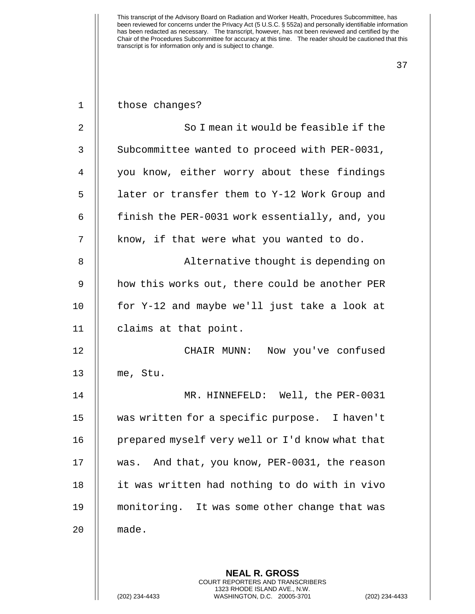| $\mathbf{1}$   | those changes?                                           |
|----------------|----------------------------------------------------------|
| $\overline{2}$ | So I mean it would be feasible if the                    |
| $\mathbf{3}$   | Subcommittee wanted to proceed with PER-0031,            |
| 4              | you know, either worry about these findings              |
| 5              | later or transfer them to Y-12 Work Group and            |
| 6              | finish the PER-0031 work essentially, and, you           |
| 7              | know, if that were what you wanted to do.                |
| 8              | Alternative thought is depending on                      |
| 9              | how this works out, there could be another PER           |
| 10             | for Y-12 and maybe we'll just take a look at             |
| 11             | claims at that point.                                    |
| 12             | CHAIR MUNN: Now you've confused                          |
| 13             | me, Stu.                                                 |
| 14             | MR. HINNEFELD: Well, the PER-0031                        |
| 15             | was written for a specific purpose. I haven't            |
| 16             | prepared myself very well or I'd know what that          |
| 17             | And that, you know, PER-0031, the reason<br>was.         |
| 18             | it was written had nothing to do with in vivo            |
| 19             | monitoring. It was some other change that was            |
| 20             | made.                                                    |
|                |                                                          |
|                | <b>NEAL R. GROSS</b><br>COURT REPORTERS AND TRANSCRIBERS |

1323 RHODE ISLAND AVE., N.W.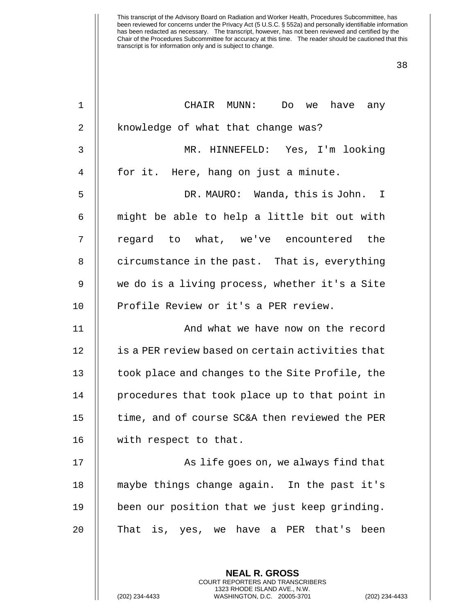| $\mathbf 1$    | CHAIR MUNN:<br>have any<br>Do<br>we                             |
|----------------|-----------------------------------------------------------------|
| 2              | knowledge of what that change was?                              |
| 3              | MR. HINNEFELD: Yes, I'm looking                                 |
| $\overline{4}$ | for it. Here, hang on just a minute.                            |
| 5              | DR. MAURO: Wanda, this is John. I                               |
| 6              | might be able to help a little bit out with                     |
| 7              | regard to what, we've encountered<br>the                        |
| 8              | circumstance in the past. That is, everything                   |
| 9              | we do is a living process, whether it's a Site                  |
| 10             | Profile Review or it's a PER review.                            |
| 11             | And what we have now on the record                              |
| 12             | is a PER review based on certain activities that                |
| 13             | took place and changes to the Site Profile, the                 |
| 14             | procedures that took place up to that point in                  |
| 15             | time, and of course SC&A then reviewed the PER                  |
| 16             | with respect to that.                                           |
| 17             | As life goes on, we always find that                            |
| 18             | maybe things change again. In the past it's                     |
| 19             | been our position that we just keep grinding.                   |
| 20             | That is, yes, we have a PER that's been                         |
|                | <b>NEAL R. GROSS</b><br><b>COURT REPORTERS AND TRANSCRIBERS</b> |

1323 RHODE ISLAND AVE., N.W.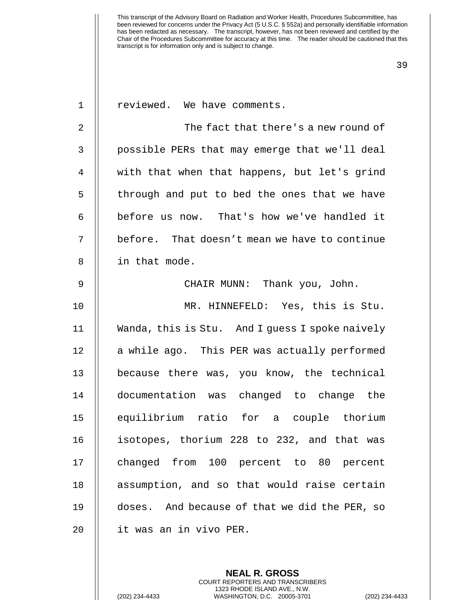| $\mathbf 1$ | reviewed. We have comments.                     |
|-------------|-------------------------------------------------|
| $\sqrt{2}$  | The fact that there's a new round of            |
| 3           | possible PERs that may emerge that we'll deal   |
| 4           | with that when that happens, but let's grind    |
| 5           | through and put to bed the ones that we have    |
| 6           | before us now. That's how we've handled it      |
| 7           | before. That doesn't mean we have to continue   |
| $\,8\,$     | in that mode.                                   |
| $\mathsf 9$ | CHAIR MUNN: Thank you, John.                    |
| 10          | MR. HINNEFELD: Yes, this is Stu.                |
| 11          | Wanda, this is Stu. And I guess I spoke naively |
| 12          | a while ago. This PER was actually performed    |
| 13          | because there was, you know, the technical      |
| 14          | documentation was changed to change the         |
| 15          | equilibrium ratio for a couple thorium          |
| 16          | isotopes, thorium 228 to 232, and that was      |
| 17          | changed from 100 percent to 80 percent          |
| 18          | assumption, and so that would raise certain     |
| 19          | doses. And because of that we did the PER, so   |
| 20          | it was an in vivo PER.                          |
|             |                                                 |

**NEAL R. GROSS** COURT REPORTERS AND TRANSCRIBERS 1323 RHODE ISLAND AVE., N.W.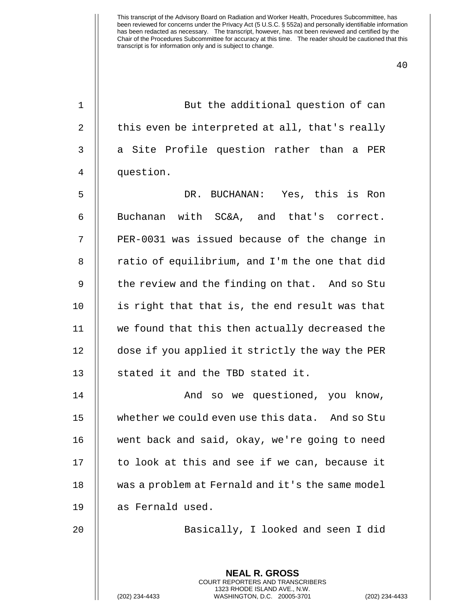40

1 || But the additional question of can 2  $\parallel$  this even be interpreted at all, that's really 3 || a Site Profile question rather than a PER 4 question.

5 DR. BUCHANAN: Yes, this is Ron 6 || Buchanan with SC&A, and that's correct. 7 || PER-0031 was issued because of the change in  $8$  || ratio of equilibrium, and I'm the one that did 9 || the review and the finding on that. And so Stu 10 || is right that that is, the end result was that 11 we found that this then actually decreased the 12 | dose if you applied it strictly the way the PER 13 || stated it and the TBD stated it.

14 || And so we questioned, you know, 15 whether we could even use this data. And so Stu 16 went back and said, okay, we're going to need 17 || to look at this and see if we can, because it 18 was a problem at Fernald and it's the same model 19 || as Fernald used.

20 || Basically, I looked and seen I did

**NEAL R. GROSS** COURT REPORTERS AND TRANSCRIBERS 1323 RHODE ISLAND AVE., N.W.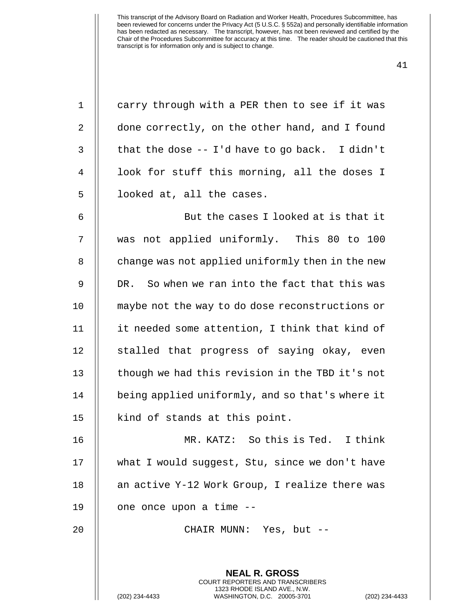| $\mathbf 1$ | carry through with a PER then to see if it was                                                                                                                  |
|-------------|-----------------------------------------------------------------------------------------------------------------------------------------------------------------|
| 2           | done correctly, on the other hand, and I found                                                                                                                  |
| 3           | that the dose $-$ I'd have to go back. I didn't                                                                                                                 |
| 4           | look for stuff this morning, all the doses I                                                                                                                    |
| 5           | looked at, all the cases.                                                                                                                                       |
| 6           | But the cases I looked at is that it                                                                                                                            |
| 7           | was not applied uniformly. This 80 to 100                                                                                                                       |
| 8           | change was not applied uniformly then in the new                                                                                                                |
| 9           | So when we ran into the fact that this was<br>DR.                                                                                                               |
| 10          | maybe not the way to do dose reconstructions or                                                                                                                 |
| 11          | it needed some attention, I think that kind of                                                                                                                  |
| 12          | stalled that progress of saying okay, even                                                                                                                      |
| 13          | though we had this revision in the TBD it's not                                                                                                                 |
| 14          | being applied uniformly, and so that's where it                                                                                                                 |
| 15          | kind of stands at this point.                                                                                                                                   |
| 16          | MR. KATZ: So this is Ted. I think                                                                                                                               |
| 17          | what I would suggest, Stu, since we don't have                                                                                                                  |
| 18          | an active Y-12 Work Group, I realize there was                                                                                                                  |
| 19          | one once upon a time --                                                                                                                                         |
| 20          | CHAIR MUNN: Yes, but --                                                                                                                                         |
|             |                                                                                                                                                                 |
|             | <b>NEAL R. GROSS</b><br><b>COURT REPORTERS AND TRANSCRIBERS</b><br>1323 RHODE ISLAND AVE., N.W.<br>(202) 234-4433<br>WASHINGTON, D.C. 20005-3701<br>$(202)$ 234 |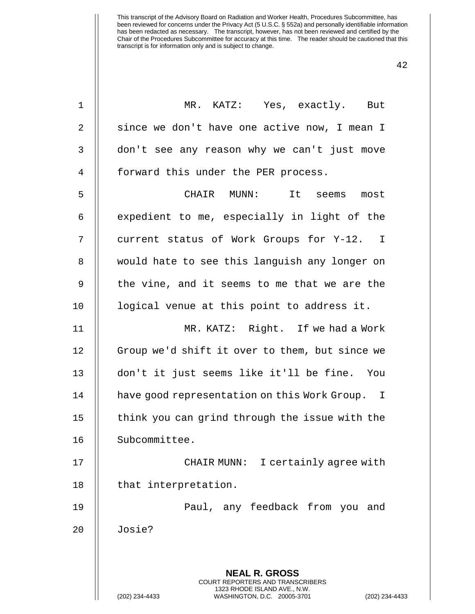| 1  | MR. KATZ: Yes, exactly. But                                                                                                                                        |
|----|--------------------------------------------------------------------------------------------------------------------------------------------------------------------|
| 2  | since we don't have one active now, I mean I                                                                                                                       |
| 3  | don't see any reason why we can't just move                                                                                                                        |
| 4  | forward this under the PER process.                                                                                                                                |
| 5  | CHAIR MUNN:<br>It seems most                                                                                                                                       |
| 6  | expedient to me, especially in light of the                                                                                                                        |
| 7  | current status of Work Groups for Y-12. I                                                                                                                          |
| 8  | would hate to see this languish any longer on                                                                                                                      |
| 9  | the vine, and it seems to me that we are the                                                                                                                       |
| 10 | logical venue at this point to address it.                                                                                                                         |
| 11 | MR. KATZ: Right. If we had a Work                                                                                                                                  |
| 12 | Group we'd shift it over to them, but since we                                                                                                                     |
| 13 | don't it just seems like it'll be fine. You                                                                                                                        |
| 14 | have good representation on this Work Group. I                                                                                                                     |
| 15 | think you can grind through the issue with the                                                                                                                     |
| 16 | Subcommittee                                                                                                                                                       |
| 17 | CHAIR MUNN: I certainly agree with                                                                                                                                 |
| 18 | that interpretation.                                                                                                                                               |
| 19 | Paul, any feedback from you and                                                                                                                                    |
| 20 | Josie?                                                                                                                                                             |
|    |                                                                                                                                                                    |
|    | <b>NEAL R. GROSS</b><br><b>COURT REPORTERS AND TRANSCRIBERS</b><br>1323 RHODE ISLAND AVE., N.W.<br>(202) 234-4433<br>WASHINGTON, D.C. 20005-3701<br>(202) 234-4433 |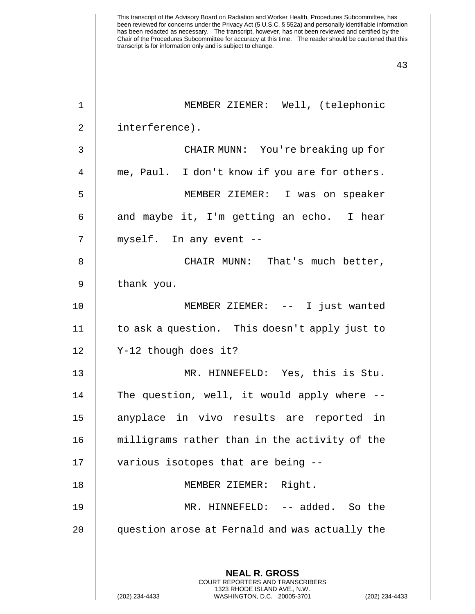| $\mathbf 1$    | MEMBER ZIEMER: Well, (telephonic                                                              |
|----------------|-----------------------------------------------------------------------------------------------|
| $\overline{2}$ | interference).                                                                                |
| 3              | CHAIR MUNN: You're breaking up for                                                            |
| 4              | me, Paul. I don't know if you are for others.                                                 |
| 5              | MEMBER ZIEMER: I was on speaker                                                               |
| 6              | and maybe it, I'm getting an echo. I hear                                                     |
| 7              | myself. In any event --                                                                       |
| 8              | CHAIR MUNN: That's much better,                                                               |
| 9              | thank you.                                                                                    |
| 10             | MEMBER ZIEMER: -- I just wanted                                                               |
| 11             | to ask a question. This doesn't apply just to                                                 |
| 12             | Y-12 though does it?                                                                          |
| 13             | MR. HINNEFELD: Yes, this is Stu.                                                              |
| 14             | The question, well, it would apply where --                                                   |
| 15             | anyplace in vivo results are reported in                                                      |
| 16             | milligrams rather than in the activity of the                                                 |
| 17             | various isotopes that are being --                                                            |
| 18             | MEMBER ZIEMER: Right.                                                                         |
| 19             | MR. HINNEFELD: -- added. So the                                                               |
| 20             | question arose at Fernald and was actually the                                                |
|                |                                                                                               |
|                | <b>NEAL R. GROSS</b><br><b>COURT REPORTERS AND TRANSCRIBERS</b>                               |
|                | 1323 RHODE ISLAND AVE., N.W.<br>WASHINGTON, D.C. 20005-3701<br>(202) 234-4433<br>$(202)$ 234- |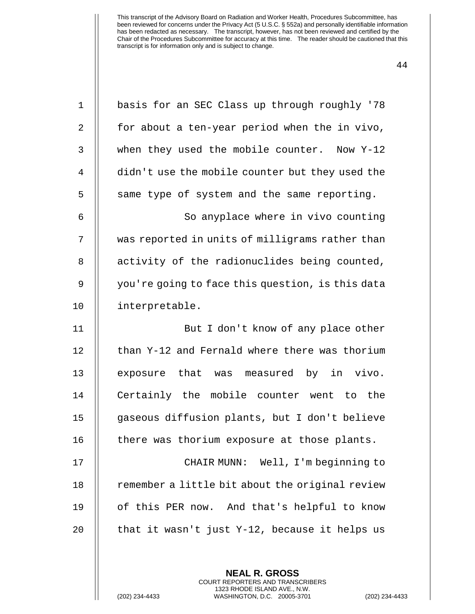| $\mathbf 1$    | basis for an SEC Class up through roughly '78    |
|----------------|--------------------------------------------------|
| $\overline{2}$ | for about a ten-year period when the in vivo,    |
| 3              | when they used the mobile counter. Now Y-12      |
| 4              | didn't use the mobile counter but they used the  |
| 5              | same type of system and the same reporting.      |
| 6              | So anyplace where in vivo counting               |
| 7              | was reported in units of milligrams rather than  |
| 8              | activity of the radionuclides being counted,     |
| 9              | you're going to face this question, is this data |
| 10             | interpretable.                                   |
| 11             | But I don't know of any place other              |
| 12             | than Y-12 and Fernald where there was thorium    |
| 13             | exposure that was measured by in vivo.           |
| 14             | Certainly the mobile counter went to the         |
| 15             | gaseous diffusion plants, but I don't believe    |
| 16             | there was thorium exposure at those plants.      |
| 17             | CHAIR MUNN: Well, I'm beginning to               |
| 18             | remember a little bit about the original review  |
| 19             | of this PER now. And that's helpful to know      |
| 20             | that it wasn't just Y-12, because it helps us    |
|                |                                                  |

**NEAL R. GROSS** COURT REPORTERS AND TRANSCRIBERS 1323 RHODE ISLAND AVE., N.W.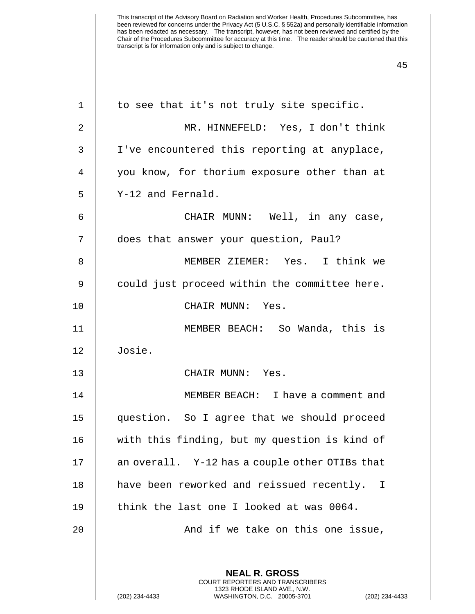| $\mathbf 1$ | to see that it's not truly site specific.                                                                                                                   |
|-------------|-------------------------------------------------------------------------------------------------------------------------------------------------------------|
| 2           | MR. HINNEFELD: Yes, I don't think                                                                                                                           |
| 3           | I've encountered this reporting at anyplace,                                                                                                                |
| 4           | you know, for thorium exposure other than at                                                                                                                |
| 5           | Y-12 and Fernald.                                                                                                                                           |
| 6           | CHAIR MUNN: Well, in any case,                                                                                                                              |
| 7           | does that answer your question, Paul?                                                                                                                       |
| 8           | MEMBER ZIEMER: Yes. I think we                                                                                                                              |
| 9           | could just proceed within the committee here.                                                                                                               |
| 10          | CHAIR MUNN: Yes.                                                                                                                                            |
| 11          | MEMBER BEACH: So Wanda, this is                                                                                                                             |
| 12          | Josie.                                                                                                                                                      |
| 13          | CHAIR MUNN: Yes.                                                                                                                                            |
| 14          | MEMBER BEACH: I have a comment and                                                                                                                          |
| 15          | question. So I agree that we should proceed                                                                                                                 |
| 16          | with this finding, but my question is kind of                                                                                                               |
| 17          | an overall. Y-12 has a couple other OTIBs that                                                                                                              |
| 18          | have been reworked and reissued recently. I                                                                                                                 |
| 19          | think the last one I looked at was 0064.                                                                                                                    |
| 20          | And if we take on this one issue,                                                                                                                           |
|             |                                                                                                                                                             |
|             | <b>NEAL R. GROSS</b><br>COURT REPORTERS AND TRANSCRIBERS<br>1323 RHODE ISLAND AVE., N.W.<br>(202) 234-4433<br>WASHINGTON, D.C. 20005-3701<br>(202) 234-4433 |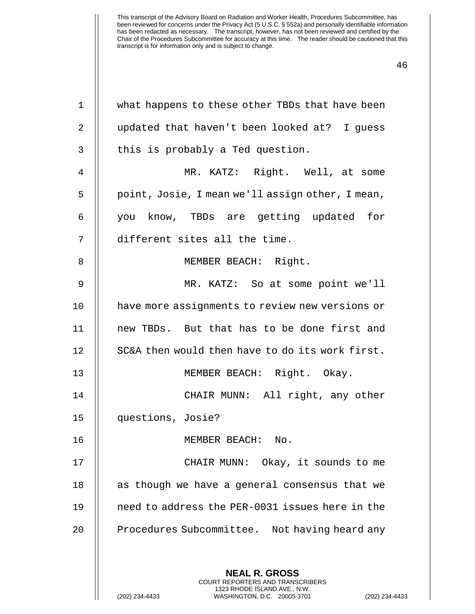| $\mathbf 1$    | what happens to these other TBDs that have been                                                                                                           |
|----------------|-----------------------------------------------------------------------------------------------------------------------------------------------------------|
| $\overline{2}$ | updated that haven't been looked at? I guess                                                                                                              |
| 3              | this is probably a Ted question.                                                                                                                          |
| 4              | MR. KATZ: Right. Well, at some                                                                                                                            |
| 5              | point, Josie, I mean we'll assign other, I mean,                                                                                                          |
| 6              | know, TBDs are getting updated for<br>you                                                                                                                 |
| 7              | different sites all the time.                                                                                                                             |
| 8              | MEMBER BEACH: Right.                                                                                                                                      |
| 9              | MR. KATZ: So at some point we'll                                                                                                                          |
| 10             | have more assignments to review new versions or                                                                                                           |
| 11             | new TBDs. But that has to be done first and                                                                                                               |
| 12             | SC&A then would then have to do its work first.                                                                                                           |
| 13             | MEMBER BEACH: Right. Okay.                                                                                                                                |
| 14             | CHAIR MUNN: All right, any other                                                                                                                          |
| 15             | questions, Josie?                                                                                                                                         |
| 16             | MEMBER BEACH:<br>$\rm No$ .                                                                                                                               |
| 17             | CHAIR MUNN: Okay, it sounds to me                                                                                                                         |
| 18             | as though we have a general consensus that we                                                                                                             |
| 19             | need to address the PER-0031 issues here in the                                                                                                           |
| 20             | Procedures Subcommittee. Not having heard any                                                                                                             |
|                |                                                                                                                                                           |
|                | <b>NEAL R. GROSS</b><br>COURT REPORTERS AND TRANSCRIBERS<br>1323 RHODE ISLAND AVE., N.W.<br>WASHINGTON, D.C. 20005-3701<br>(202) 234-4433<br>$(202)$ 234- |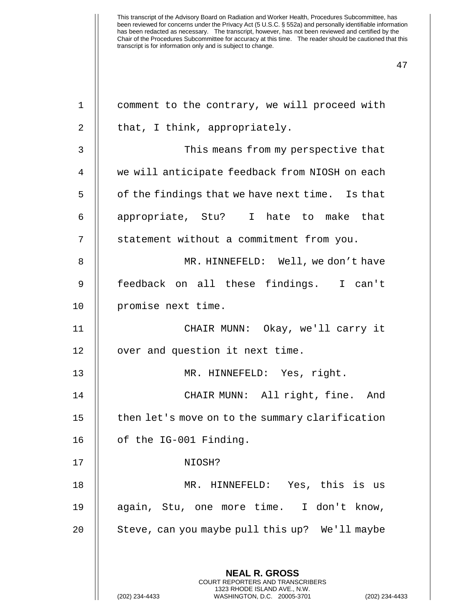| $\mathbf 1$    | comment to the contrary, we will proceed with                                                   |
|----------------|-------------------------------------------------------------------------------------------------|
| 2              | that, I think, appropriately.                                                                   |
| 3              | This means from my perspective that                                                             |
| $\overline{4}$ | we will anticipate feedback from NIOSH on each                                                  |
| 5              | of the findings that we have next time. Is that                                                 |
| 6              | appropriate, Stu? I hate to make that                                                           |
| 7              | statement without a commitment from you.                                                        |
| 8              | MR. HINNEFELD: Well, we don't have                                                              |
| 9              | feedback on all these findings. I can't                                                         |
| 10             | promise next time.                                                                              |
| 11             | CHAIR MUNN: Okay, we'll carry it                                                                |
| 12             | over and question it next time.                                                                 |
| 13             | MR. HINNEFELD: Yes, right.                                                                      |
| 14             | CHAIR MUNN: All right, fine. And                                                                |
| 15             | then let's move on to the summary clarification                                                 |
| 16             | of the IG-001 Finding.                                                                          |
| 17             | NIOSH?                                                                                          |
| 18             | MR. HINNEFELD: Yes, this is us                                                                  |
| 19             | again, Stu, one more time. I don't know,                                                        |
| 20             | Steve, can you maybe pull this up? We'll maybe                                                  |
|                |                                                                                                 |
|                | <b>NEAL R. GROSS</b><br><b>COURT REPORTERS AND TRANSCRIBERS</b>                                 |
|                | 1323 RHODE ISLAND AVE., N.W.<br>(202) 234-4433<br>WASHINGTON, D.C. 20005-3701<br>(202) 234-4433 |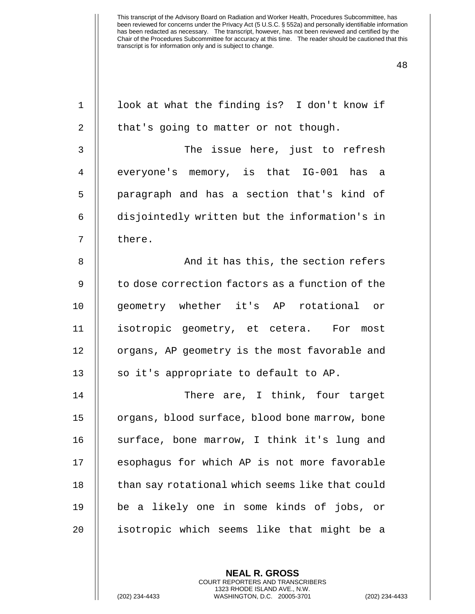| $\mathbf 1$    | look at what the finding is? I don't know if    |
|----------------|-------------------------------------------------|
| 2              | that's going to matter or not though.           |
| $\mathsf{3}$   | The issue here, just to refresh                 |
| $\overline{4}$ | everyone's memory, is that IG-001 has a         |
| 5              | paragraph and has a section that's kind of      |
| 6              | disjointedly written but the information's in   |
| 7              | there.                                          |
| 8              | And it has this, the section refers             |
| 9              | to dose correction factors as a function of the |
| 10             | geometry whether it's AP rotational or          |
| 11             | isotropic geometry, et cetera. For most         |
| 12             | organs, AP geometry is the most favorable and   |
| 13             | so it's appropriate to default to AP.           |
| 14             | There are, I think, four target                 |
| 15             | organs, blood surface, blood bone marrow, bone  |
| 16             | surface, bone marrow, I think it's lung and     |
| 17             | esophagus for which AP is not more favorable    |
| 18             | than say rotational which seems like that could |
| 19             | be a likely one in some kinds of jobs, or       |
| 20             | isotropic which seems like that might be a      |
|                |                                                 |
|                | <b>NEAL R. GROSS</b>                            |

COURT REPORTERS AND TRANSCRIBERS 1323 RHODE ISLAND AVE., N.W.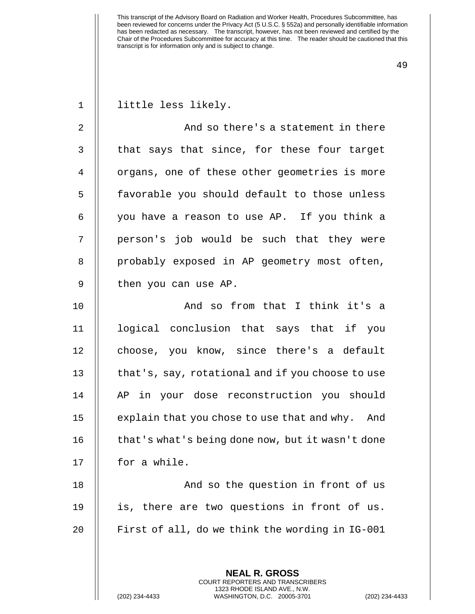| $\mathbf{1}$   | little less likely.                                      |
|----------------|----------------------------------------------------------|
| $\overline{2}$ | And so there's a statement in there                      |
| 3              | that says that since, for these four target              |
| 4              | organs, one of these other geometries is more            |
| 5              | favorable you should default to those unless             |
| 6              | you have a reason to use AP. If you think a              |
| 7              | person's job would be such that they were                |
| 8              | probably exposed in AP geometry most often,              |
| $\mathsf 9$    | then you can use AP.                                     |
| 10             | And so from that I think it's a                          |
| 11             | logical conclusion that says that if you                 |
| 12             | choose, you know, since there's a default                |
| 13             | that's, say, rotational and if you choose to use         |
| 14             | AP in your dose reconstruction you should                |
| 15             | explain that you chose to use that and why. And          |
| 16             | that's what's being done now, but it wasn't done         |
| 17             | for a while.                                             |
| 18             | And so the question in front of us                       |
| 19             | is, there are two questions in front of us.              |
| 20             | First of all, do we think the wording in IG-001          |
|                |                                                          |
|                | <b>NEAL R. GROSS</b><br>COURT REPORTERS AND TRANSCRIBERS |

1323 RHODE ISLAND AVE., N.W.

 $\mathop{||}$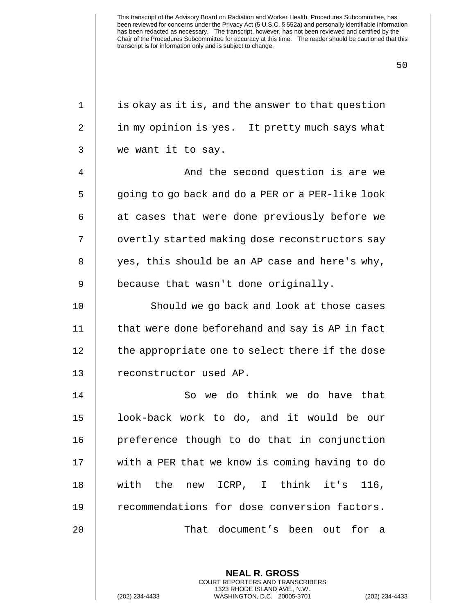| $\mathbf 1$    | is okay as it is, and the answer to that question |  |  |  |  |  |  |
|----------------|---------------------------------------------------|--|--|--|--|--|--|
| $\overline{2}$ | in my opinion is yes. It pretty much says what    |  |  |  |  |  |  |
| 3              | we want it to say.                                |  |  |  |  |  |  |
| 4              | And the second question is are we                 |  |  |  |  |  |  |
| 5              | going to go back and do a PER or a PER-like look  |  |  |  |  |  |  |
| 6              | at cases that were done previously before we      |  |  |  |  |  |  |
| 7              | overtly started making dose reconstructors say    |  |  |  |  |  |  |
| 8              | yes, this should be an AP case and here's why,    |  |  |  |  |  |  |
| 9              | because that wasn't done originally.              |  |  |  |  |  |  |
| 10             | Should we go back and look at those cases         |  |  |  |  |  |  |
| 11             | that were done beforehand and say is AP in fact   |  |  |  |  |  |  |
| 12             | the appropriate one to select there if the dose   |  |  |  |  |  |  |
| 13             | reconstructor used AP.                            |  |  |  |  |  |  |
| 14             | So we do think we do have that                    |  |  |  |  |  |  |
| 15             | look-back work to do, and it would be our         |  |  |  |  |  |  |
| 16             | preference though to do that in conjunction       |  |  |  |  |  |  |
| 17             | with a PER that we know is coming having to do    |  |  |  |  |  |  |
| 18             | with the new<br>ICRP, I think it's<br>116,        |  |  |  |  |  |  |
| 19             | recommendations for dose conversion factors.      |  |  |  |  |  |  |
| 20             | That document's been out for a                    |  |  |  |  |  |  |
|                |                                                   |  |  |  |  |  |  |
|                | <b>NEAL R. GROSS</b>                              |  |  |  |  |  |  |

COURT REPORTERS AND TRANSCRIBERS 1323 RHODE ISLAND AVE., N.W.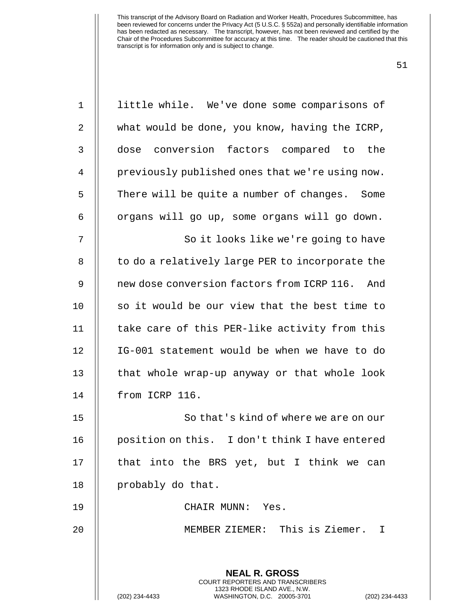| $\mathbf 1$ | little while. We've done some comparisons of                                                                                                                       |  |  |  |  |  |  |
|-------------|--------------------------------------------------------------------------------------------------------------------------------------------------------------------|--|--|--|--|--|--|
| 2           | what would be done, you know, having the ICRP,                                                                                                                     |  |  |  |  |  |  |
| 3           | dose conversion factors compared to the                                                                                                                            |  |  |  |  |  |  |
| 4           | previously published ones that we're using now.                                                                                                                    |  |  |  |  |  |  |
| 5           | There will be quite a number of changes. Some                                                                                                                      |  |  |  |  |  |  |
| 6           | organs will go up, some organs will go down.                                                                                                                       |  |  |  |  |  |  |
| 7           | So it looks like we're going to have                                                                                                                               |  |  |  |  |  |  |
| 8           | to do a relatively large PER to incorporate the                                                                                                                    |  |  |  |  |  |  |
| 9           | new dose conversion factors from ICRP 116. And                                                                                                                     |  |  |  |  |  |  |
| 10          | so it would be our view that the best time to                                                                                                                      |  |  |  |  |  |  |
| 11          | take care of this PER-like activity from this                                                                                                                      |  |  |  |  |  |  |
| 12          | IG-001 statement would be when we have to do                                                                                                                       |  |  |  |  |  |  |
| 13          | that whole wrap-up anyway or that whole look                                                                                                                       |  |  |  |  |  |  |
| 14          | from ICRP 116.                                                                                                                                                     |  |  |  |  |  |  |
| 15          | So that's kind of where we are on our                                                                                                                              |  |  |  |  |  |  |
| 16          | position on this. I don't think I have entered                                                                                                                     |  |  |  |  |  |  |
| 17          | that into the BRS yet, but I think we can                                                                                                                          |  |  |  |  |  |  |
| 18          | probably do that.                                                                                                                                                  |  |  |  |  |  |  |
| 19          | CHAIR MUNN: Yes.                                                                                                                                                   |  |  |  |  |  |  |
| 20          | MEMBER ZIEMER: This is Ziemer. I                                                                                                                                   |  |  |  |  |  |  |
|             |                                                                                                                                                                    |  |  |  |  |  |  |
|             | <b>NEAL R. GROSS</b><br><b>COURT REPORTERS AND TRANSCRIBERS</b><br>1323 RHODE ISLAND AVE., N.W.<br>(202) 234-4433<br>WASHINGTON, D.C. 20005-3701<br>(202) 234-4433 |  |  |  |  |  |  |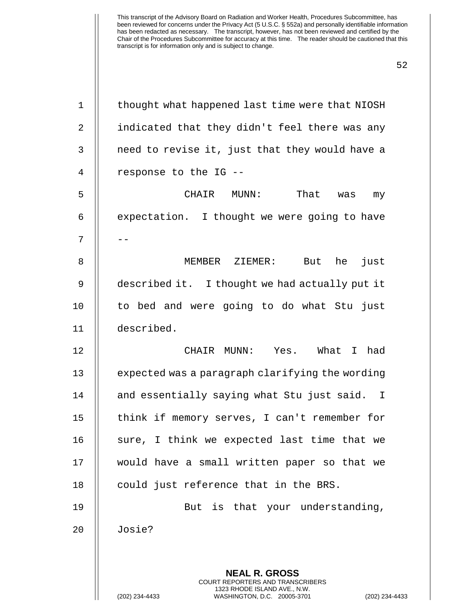| $\mathbf 1$ | thought what happened last time were that NIOSH                                                                                                                    |  |  |  |  |  |
|-------------|--------------------------------------------------------------------------------------------------------------------------------------------------------------------|--|--|--|--|--|
| 2           | indicated that they didn't feel there was any                                                                                                                      |  |  |  |  |  |
| 3           | need to revise it, just that they would have a                                                                                                                     |  |  |  |  |  |
| 4           | response to the IG --                                                                                                                                              |  |  |  |  |  |
| 5           | That<br>CHAIR MUNN:<br>was<br>my                                                                                                                                   |  |  |  |  |  |
| 6           | expectation. I thought we were going to have                                                                                                                       |  |  |  |  |  |
| 7           |                                                                                                                                                                    |  |  |  |  |  |
| 8           | MEMBER ZIEMER:<br>But he<br>just                                                                                                                                   |  |  |  |  |  |
| 9           | described it. I thought we had actually put it                                                                                                                     |  |  |  |  |  |
| 10          | to bed and were going to do what Stu just                                                                                                                          |  |  |  |  |  |
| 11          | described.                                                                                                                                                         |  |  |  |  |  |
| 12          | Yes. What I had<br>CHAIR MUNN:                                                                                                                                     |  |  |  |  |  |
| 13          | expected was a paragraph clarifying the wording                                                                                                                    |  |  |  |  |  |
| 14          | and essentially saying what Stu just said. I                                                                                                                       |  |  |  |  |  |
| 15          | think if memory serves, I can't remember for                                                                                                                       |  |  |  |  |  |
| 16          | sure, I think we expected last time that we                                                                                                                        |  |  |  |  |  |
| 17          | would have a small written paper so that we                                                                                                                        |  |  |  |  |  |
| 18          | could just reference that in the BRS.                                                                                                                              |  |  |  |  |  |
| 19          | But is that your understanding,                                                                                                                                    |  |  |  |  |  |
| 20          | Josie?                                                                                                                                                             |  |  |  |  |  |
|             |                                                                                                                                                                    |  |  |  |  |  |
|             | <b>NEAL R. GROSS</b><br><b>COURT REPORTERS AND TRANSCRIBERS</b><br>1323 RHODE ISLAND AVE., N.W.<br>(202) 234-4433<br>WASHINGTON, D.C. 20005-3701<br>(202) 234-4433 |  |  |  |  |  |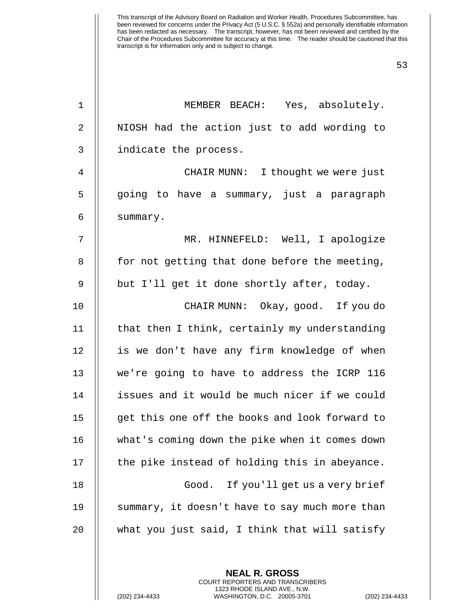| $\mathbf 1$    | MEMBER BEACH: Yes, absolutely.                 |  |  |  |  |  |  |
|----------------|------------------------------------------------|--|--|--|--|--|--|
| $\overline{2}$ | NIOSH had the action just to add wording to    |  |  |  |  |  |  |
| 3              | indicate the process.                          |  |  |  |  |  |  |
| 4              | CHAIR MUNN: I thought we were just             |  |  |  |  |  |  |
| 5              | going to have a summary, just a paragraph      |  |  |  |  |  |  |
| 6              | summary.                                       |  |  |  |  |  |  |
| 7              | MR. HINNEFELD: Well, I apologize               |  |  |  |  |  |  |
| 8              | for not getting that done before the meeting,  |  |  |  |  |  |  |
| 9              | but I'll get it done shortly after, today.     |  |  |  |  |  |  |
| 10             | CHAIR MUNN: Okay, good. If you do              |  |  |  |  |  |  |
| 11             | that then I think, certainly my understanding  |  |  |  |  |  |  |
| 12             | is we don't have any firm knowledge of when    |  |  |  |  |  |  |
| 13             | we're going to have to address the ICRP 116    |  |  |  |  |  |  |
| 14             | issues and it would be much nicer if we could  |  |  |  |  |  |  |
| 15             | get this one off the books and look forward to |  |  |  |  |  |  |
| 16             | what's coming down the pike when it comes down |  |  |  |  |  |  |
| 17             | the pike instead of holding this in abeyance.  |  |  |  |  |  |  |
| 18             | Good.<br>If you'll get us a very brief         |  |  |  |  |  |  |
| 19             | summary, it doesn't have to say much more than |  |  |  |  |  |  |
| 20             | what you just said, I think that will satisfy  |  |  |  |  |  |  |
|                |                                                |  |  |  |  |  |  |

**NEAL R. GROSS** COURT REPORTERS AND TRANSCRIBERS 1323 RHODE ISLAND AVE., N.W.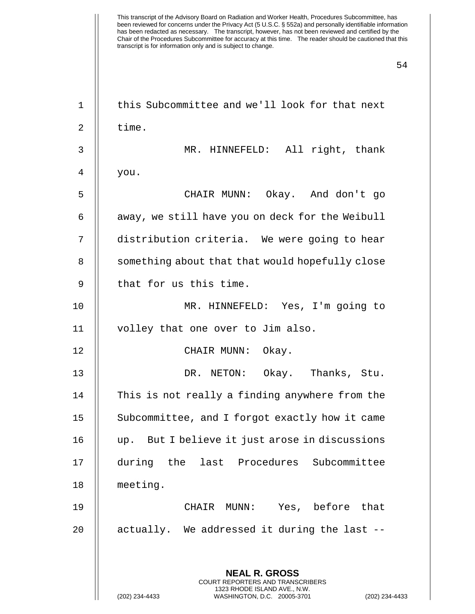| $\mathbf 1$ | this Subcommittee and we'll look for that next                                                                                                            |  |  |  |  |  |  |
|-------------|-----------------------------------------------------------------------------------------------------------------------------------------------------------|--|--|--|--|--|--|
| 2           | time.                                                                                                                                                     |  |  |  |  |  |  |
| 3           | MR. HINNEFELD: All right, thank                                                                                                                           |  |  |  |  |  |  |
| 4           | you.                                                                                                                                                      |  |  |  |  |  |  |
| 5           | CHAIR MUNN: Okay. And don't go                                                                                                                            |  |  |  |  |  |  |
| 6           | away, we still have you on deck for the Weibull                                                                                                           |  |  |  |  |  |  |
| 7           | distribution criteria. We were going to hear                                                                                                              |  |  |  |  |  |  |
| 8           | something about that that would hopefully close                                                                                                           |  |  |  |  |  |  |
| 9           | that for us this time.                                                                                                                                    |  |  |  |  |  |  |
| 10          | MR. HINNEFELD: Yes, I'm going to                                                                                                                          |  |  |  |  |  |  |
| 11          | volley that one over to Jim also.                                                                                                                         |  |  |  |  |  |  |
| 12          | CHAIR MUNN: Okay.                                                                                                                                         |  |  |  |  |  |  |
| 13          | DR. NETON: Okay. Thanks, Stu.                                                                                                                             |  |  |  |  |  |  |
| 14          | This is not really a finding anywhere from the                                                                                                            |  |  |  |  |  |  |
| 15          | Subcommittee, and I forgot exactly how it came                                                                                                            |  |  |  |  |  |  |
| 16          | up. But I believe it just arose in discussions                                                                                                            |  |  |  |  |  |  |
| 17          | during the last Procedures Subcommittee                                                                                                                   |  |  |  |  |  |  |
| 18          | meeting.                                                                                                                                                  |  |  |  |  |  |  |
| 19          | Yes, before that<br>CHAIR MUNN:                                                                                                                           |  |  |  |  |  |  |
| 20          | actually. We addressed it during the last --                                                                                                              |  |  |  |  |  |  |
|             | <b>NEAL R. GROSS</b><br>COURT REPORTERS AND TRANSCRIBERS<br>1323 RHODE ISLAND AVE., N.W.<br>(202) 234-4433<br>WASHINGTON, D.C. 20005-3701<br>$(202)$ 234- |  |  |  |  |  |  |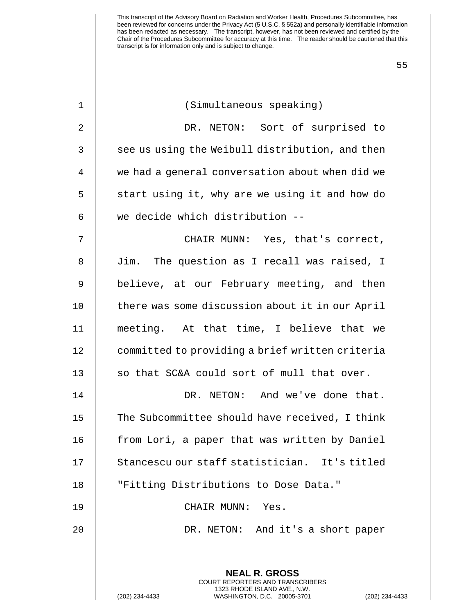| $\mathbf 1$ | (Simultaneous speaking)                                                                         |  |  |  |  |  |  |
|-------------|-------------------------------------------------------------------------------------------------|--|--|--|--|--|--|
| 2           | DR. NETON: Sort of surprised to                                                                 |  |  |  |  |  |  |
| 3           | see us using the Weibull distribution, and then                                                 |  |  |  |  |  |  |
| 4           | we had a general conversation about when did we                                                 |  |  |  |  |  |  |
| 5           | start using it, why are we using it and how do                                                  |  |  |  |  |  |  |
| 6           | we decide which distribution --                                                                 |  |  |  |  |  |  |
| 7           | CHAIR MUNN: Yes, that's correct,                                                                |  |  |  |  |  |  |
| 8           | Jim. The question as I recall was raised, I                                                     |  |  |  |  |  |  |
| 9           | believe, at our February meeting, and then                                                      |  |  |  |  |  |  |
| 10          | there was some discussion about it in our April                                                 |  |  |  |  |  |  |
| 11          | meeting. At that time, I believe that we                                                        |  |  |  |  |  |  |
| 12          | committed to providing a brief written criteria                                                 |  |  |  |  |  |  |
| 13          | so that SC&A could sort of mull that over.                                                      |  |  |  |  |  |  |
| 14          | DR. NETON: And we've done that.                                                                 |  |  |  |  |  |  |
| 15          | The Subcommittee should have received, I think                                                  |  |  |  |  |  |  |
| 16          | from Lori, a paper that was written by Daniel                                                   |  |  |  |  |  |  |
| 17          | Stancescu our staff statistician. It's titled                                                   |  |  |  |  |  |  |
| 18          | "Fitting Distributions to Dose Data."                                                           |  |  |  |  |  |  |
| 19          | CHAIR MUNN:<br>Yes.                                                                             |  |  |  |  |  |  |
| 20          | DR. NETON: And it's a short paper                                                               |  |  |  |  |  |  |
|             |                                                                                                 |  |  |  |  |  |  |
|             | <b>NEAL R. GROSS</b><br>COURT REPORTERS AND TRANSCRIBERS                                        |  |  |  |  |  |  |
|             | 1323 RHODE ISLAND AVE., N.W.<br>(202) 234-4433<br>WASHINGTON, D.C. 20005-3701<br>(202) 234-4433 |  |  |  |  |  |  |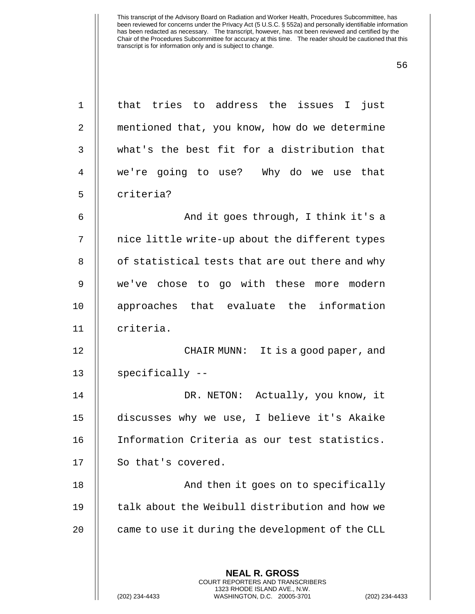| $\mathbf 1$    | that tries to address the issues I just                                                                                                                         |  |  |  |  |  |  |
|----------------|-----------------------------------------------------------------------------------------------------------------------------------------------------------------|--|--|--|--|--|--|
| $\overline{2}$ | mentioned that, you know, how do we determine                                                                                                                   |  |  |  |  |  |  |
| $\mathfrak{Z}$ | what's the best fit for a distribution that                                                                                                                     |  |  |  |  |  |  |
| 4              | we're going to use? Why do we use that                                                                                                                          |  |  |  |  |  |  |
| 5              | criteria?                                                                                                                                                       |  |  |  |  |  |  |
| 6              | And it goes through, I think it's a                                                                                                                             |  |  |  |  |  |  |
| 7              | nice little write-up about the different types                                                                                                                  |  |  |  |  |  |  |
| 8              | of statistical tests that are out there and why                                                                                                                 |  |  |  |  |  |  |
| 9              | we've chose to go with these more modern                                                                                                                        |  |  |  |  |  |  |
| 10             | approaches that evaluate the information                                                                                                                        |  |  |  |  |  |  |
| 11             | criteria.                                                                                                                                                       |  |  |  |  |  |  |
| 12             | CHAIR MUNN: It is a good paper, and                                                                                                                             |  |  |  |  |  |  |
| 13             | specifically --                                                                                                                                                 |  |  |  |  |  |  |
| 14             | DR. NETON: Actually, you know, it                                                                                                                               |  |  |  |  |  |  |
| 15             | discusses why we use, I believe it's Akaike                                                                                                                     |  |  |  |  |  |  |
| 16             | Information Criteria as our test statistics.                                                                                                                    |  |  |  |  |  |  |
| 17             | So that's covered.                                                                                                                                              |  |  |  |  |  |  |
| 18             | And then it goes on to specifically                                                                                                                             |  |  |  |  |  |  |
| 19             | talk about the Weibull distribution and how we                                                                                                                  |  |  |  |  |  |  |
| 20             | came to use it during the development of the CLL                                                                                                                |  |  |  |  |  |  |
|                |                                                                                                                                                                 |  |  |  |  |  |  |
|                | <b>NEAL R. GROSS</b><br><b>COURT REPORTERS AND TRANSCRIBERS</b><br>1323 RHODE ISLAND AVE., N.W.<br>WASHINGTON, D.C. 20005-3701<br>(202) 234-4433<br>$(202)$ 234 |  |  |  |  |  |  |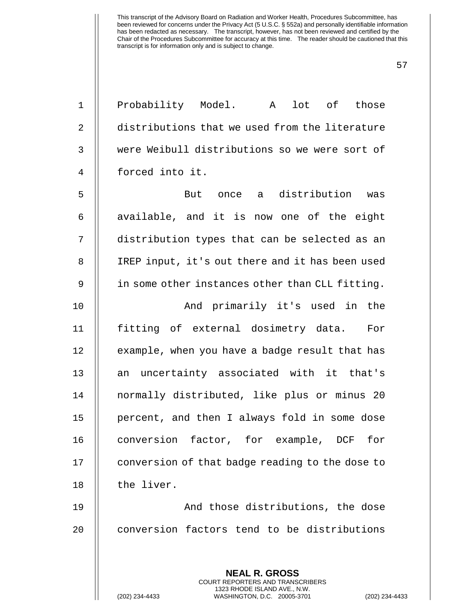| $\mathbf 1$    | Probability Model. A lot of those               |  |  |  |  |  |  |
|----------------|-------------------------------------------------|--|--|--|--|--|--|
| $\overline{2}$ | distributions that we used from the literature  |  |  |  |  |  |  |
| 3              | were Weibull distributions so we were sort of   |  |  |  |  |  |  |
| 4              | forced into it.                                 |  |  |  |  |  |  |
| 5              | But once a distribution was                     |  |  |  |  |  |  |
| 6              | available, and it is now one of the eight       |  |  |  |  |  |  |
| 7              | distribution types that can be selected as an   |  |  |  |  |  |  |
| 8              | IREP input, it's out there and it has been used |  |  |  |  |  |  |
| 9              | in some other instances other than CLL fitting. |  |  |  |  |  |  |
| 10             | And primarily it's used in the                  |  |  |  |  |  |  |
| 11             | fitting of external dosimetry data. For         |  |  |  |  |  |  |
| 12             | example, when you have a badge result that has  |  |  |  |  |  |  |
| 13             | an uncertainty associated with it that's        |  |  |  |  |  |  |
| 14             | normally distributed, like plus or minus 20     |  |  |  |  |  |  |
| 15             | percent, and then I always fold in some dose    |  |  |  |  |  |  |
| 16             | conversion<br>factor, for example, DCF<br>for   |  |  |  |  |  |  |
| 17             | conversion of that badge reading to the dose to |  |  |  |  |  |  |
| 18             | the liver.                                      |  |  |  |  |  |  |
| 19             | And those distributions, the dose               |  |  |  |  |  |  |
| 20             | conversion factors tend to be distributions     |  |  |  |  |  |  |
|                |                                                 |  |  |  |  |  |  |
|                | <b>NEAL R. GROSS</b>                            |  |  |  |  |  |  |

COURT REPORTERS AND TRANSCRIBERS 1323 RHODE ISLAND AVE., N.W.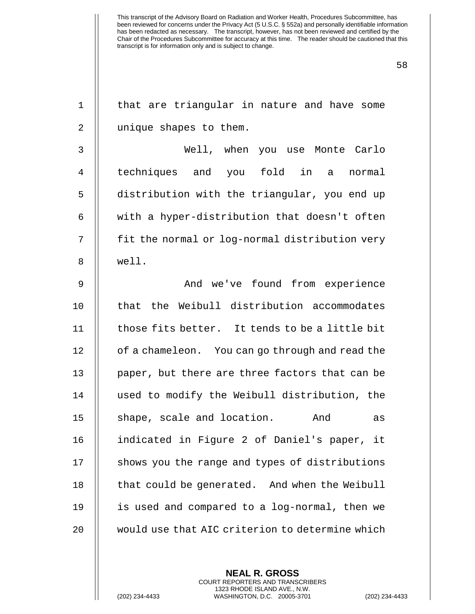| $\mathbf 1$    | that are triangular in nature and have some     |  |  |  |  |  |  |
|----------------|-------------------------------------------------|--|--|--|--|--|--|
| $\overline{2}$ | unique shapes to them.                          |  |  |  |  |  |  |
| 3              | Well, when you use Monte Carlo                  |  |  |  |  |  |  |
| $\overline{4}$ | techniques and you fold in a normal             |  |  |  |  |  |  |
| 5              | distribution with the triangular, you end up    |  |  |  |  |  |  |
| 6              | with a hyper-distribution that doesn't often    |  |  |  |  |  |  |
| 7              | fit the normal or log-normal distribution very  |  |  |  |  |  |  |
| 8              | well.                                           |  |  |  |  |  |  |
| $\mathsf 9$    | And we've found from experience                 |  |  |  |  |  |  |
| 10             | that the Weibull distribution accommodates      |  |  |  |  |  |  |
| 11             | those fits better. It tends to be a little bit  |  |  |  |  |  |  |
| 12             | of a chameleon. You can go through and read the |  |  |  |  |  |  |
| 13             | paper, but there are three factors that can be  |  |  |  |  |  |  |
| 14             | used to modify the Weibull distribution, the    |  |  |  |  |  |  |
| 15             | shape, scale and location.<br>And<br>as         |  |  |  |  |  |  |
| 16             | indicated in Figure 2 of Daniel's paper, it     |  |  |  |  |  |  |
| 17             | shows you the range and types of distributions  |  |  |  |  |  |  |
| 18             | that could be generated. And when the Weibull   |  |  |  |  |  |  |
| 19             | is used and compared to a log-normal, then we   |  |  |  |  |  |  |
| 20             | would use that AIC criterion to determine which |  |  |  |  |  |  |
|                |                                                 |  |  |  |  |  |  |

**NEAL R. GROSS** COURT REPORTERS AND TRANSCRIBERS 1323 RHODE ISLAND AVE., N.W.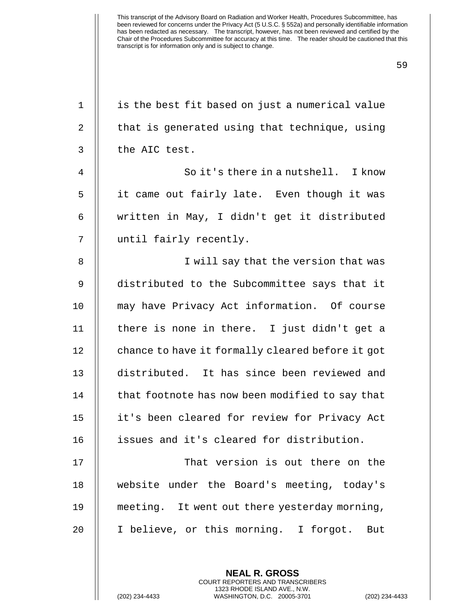| $\mathbf{1}$   | is the best fit based on just a numerical value  |  |  |  |  |  |  |
|----------------|--------------------------------------------------|--|--|--|--|--|--|
| $\overline{2}$ | that is generated using that technique, using    |  |  |  |  |  |  |
| 3              | the AIC test.                                    |  |  |  |  |  |  |
| 4              | So it's there in a nutshell. I know              |  |  |  |  |  |  |
| 5              | it came out fairly late. Even though it was      |  |  |  |  |  |  |
| 6              | written in May, I didn't get it distributed      |  |  |  |  |  |  |
| 7              | until fairly recently.                           |  |  |  |  |  |  |
| 8              | I will say that the version that was             |  |  |  |  |  |  |
| $\mathsf 9$    | distributed to the Subcommittee says that it     |  |  |  |  |  |  |
| 10             | may have Privacy Act information. Of course      |  |  |  |  |  |  |
| 11             | there is none in there. I just didn't get a      |  |  |  |  |  |  |
| 12             | chance to have it formally cleared before it got |  |  |  |  |  |  |
| 13             | distributed. It has since been reviewed and      |  |  |  |  |  |  |
| 14             | that footnote has now been modified to say that  |  |  |  |  |  |  |
| 15             | it's been cleared for review for Privacy Act     |  |  |  |  |  |  |
| 16             | issues and it's cleared for distribution.        |  |  |  |  |  |  |
| 17             | That version is out there on the                 |  |  |  |  |  |  |
| 18             | website under the Board's meeting, today's       |  |  |  |  |  |  |
| 19             | meeting. It went out there yesterday morning,    |  |  |  |  |  |  |
| 20             | I believe, or this morning. I forgot.<br>But     |  |  |  |  |  |  |
|                |                                                  |  |  |  |  |  |  |
|                | <b>NEAL R. GROSS</b>                             |  |  |  |  |  |  |

COURT REPORTERS AND TRANSCRIBERS 1323 RHODE ISLAND AVE., N.W.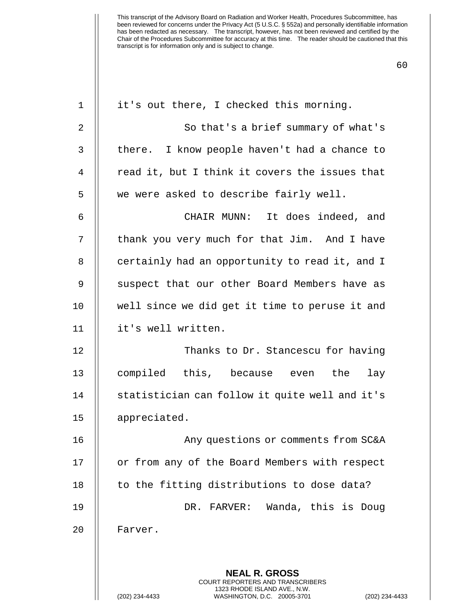| $\mathbf 1$ | it's out there, I checked this morning.                                                         |  |  |  |  |  |  |
|-------------|-------------------------------------------------------------------------------------------------|--|--|--|--|--|--|
| 2           | So that's a brief summary of what's                                                             |  |  |  |  |  |  |
| 3           | there. I know people haven't had a chance to                                                    |  |  |  |  |  |  |
| 4           | read it, but I think it covers the issues that                                                  |  |  |  |  |  |  |
| 5           | we were asked to describe fairly well.                                                          |  |  |  |  |  |  |
| 6           | CHAIR MUNN: It does indeed, and                                                                 |  |  |  |  |  |  |
| 7           | thank you very much for that Jim. And I have                                                    |  |  |  |  |  |  |
| 8           | certainly had an opportunity to read it, and I                                                  |  |  |  |  |  |  |
| 9           | suspect that our other Board Members have as                                                    |  |  |  |  |  |  |
| 10          | well since we did get it time to peruse it and                                                  |  |  |  |  |  |  |
| 11          | it's well written.                                                                              |  |  |  |  |  |  |
| 12          | Thanks to Dr. Stancescu for having                                                              |  |  |  |  |  |  |
| 13          | compiled this, because even<br>the<br>lay                                                       |  |  |  |  |  |  |
| 14          | statistician can follow it quite well and it's                                                  |  |  |  |  |  |  |
| 15          | appreciated.                                                                                    |  |  |  |  |  |  |
| 16          | Any questions or comments from SC&A                                                             |  |  |  |  |  |  |
| 17          | or from any of the Board Members with respect                                                   |  |  |  |  |  |  |
| 18          | to the fitting distributions to dose data?                                                      |  |  |  |  |  |  |
| 19          | DR. FARVER: Wanda, this is Doug                                                                 |  |  |  |  |  |  |
| 20          | Farver.                                                                                         |  |  |  |  |  |  |
|             |                                                                                                 |  |  |  |  |  |  |
|             | <b>NEAL R. GROSS</b><br><b>COURT REPORTERS AND TRANSCRIBERS</b>                                 |  |  |  |  |  |  |
|             | 1323 RHODE ISLAND AVE., N.W.<br>(202) 234-4433<br>WASHINGTON, D.C. 20005-3701<br>(202) 234-4433 |  |  |  |  |  |  |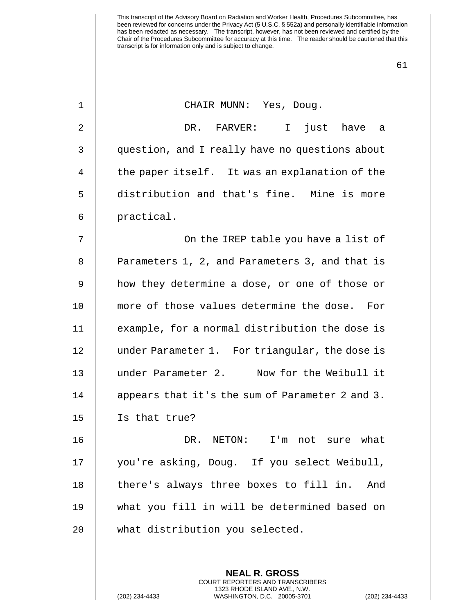61

| $\mathbf 1$ |  |  | CHAIR MUNN: Yes, Doug. |  |  |
|-------------|--|--|------------------------|--|--|
|-------------|--|--|------------------------|--|--|

2 DR. FARVER: I just have a 3 question, and I really have no questions about 4 | the paper itself. It was an explanation of the 5 distribution and that's fine. Mine is more 6 | practical.

7 || On the IREP table you have a list of 8 || Parameters 1, 2, and Parameters 3, and that is 9 || how they determine a dose, or one of those or 10 more of those values determine the dose. For 11 | example, for a normal distribution the dose is 12 under Parameter 1. For triangular, the dose is 13 under Parameter 2. Now for the Weibull it  $14$  | appears that it's the sum of Parameter 2 and 3. 15 Is that true?

 DR. NETON: I'm not sure what you're asking, Doug. If you select Weibull, 18 || there's always three boxes to fill in. And what you fill in will be determined based on what distribution you selected.

> **NEAL R. GROSS** COURT REPORTERS AND TRANSCRIBERS 1323 RHODE ISLAND AVE., N.W.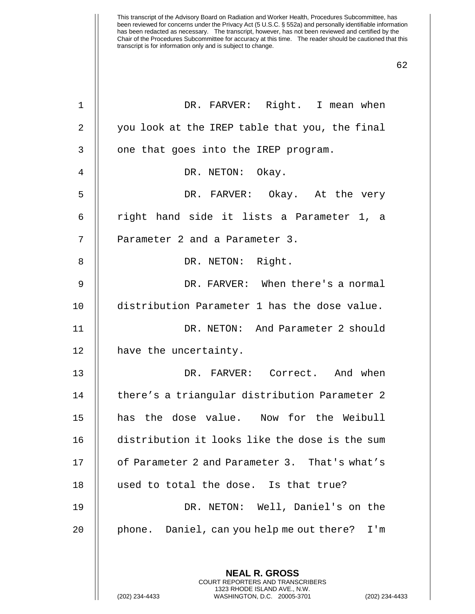| $\mathbf 1$    | DR. FARVER: Right. I mean when                                                                                                                            |
|----------------|-----------------------------------------------------------------------------------------------------------------------------------------------------------|
| $\overline{2}$ | you look at the IREP table that you, the final                                                                                                            |
| 3              | one that goes into the IREP program.                                                                                                                      |
| 4              | DR. NETON: Okay.                                                                                                                                          |
| 5              | DR. FARVER: Okay. At the very                                                                                                                             |
| 6              | right hand side it lists a Parameter 1, a                                                                                                                 |
| 7              | Parameter 2 and a Parameter 3.                                                                                                                            |
| 8              | DR. NETON: Right.                                                                                                                                         |
| 9              | DR. FARVER: When there's a normal                                                                                                                         |
| 10             | distribution Parameter 1 has the dose value.                                                                                                              |
| 11             | DR. NETON: And Parameter 2 should                                                                                                                         |
| 12             | have the uncertainty.                                                                                                                                     |
| 13             | DR. FARVER: Correct. And when                                                                                                                             |
| 14             | there's a triangular distribution Parameter 2                                                                                                             |
| 15             | has the dose value. Now for the Weibull                                                                                                                   |
| 16             | distribution it looks like the dose is the sum                                                                                                            |
| 17             | of Parameter 2 and Parameter 3. That's what's                                                                                                             |
| 18             | used to total the dose. Is that true?                                                                                                                     |
| 19             | DR. NETON: Well, Daniel's on the                                                                                                                          |
| 20             | phone. Daniel, can you help me out there?<br>I'm                                                                                                          |
|                |                                                                                                                                                           |
|                | <b>NEAL R. GROSS</b><br>COURT REPORTERS AND TRANSCRIBERS<br>1323 RHODE ISLAND AVE., N.W.<br>(202) 234-4433<br>WASHINGTON, D.C. 20005-3701<br>$(202)$ 234- |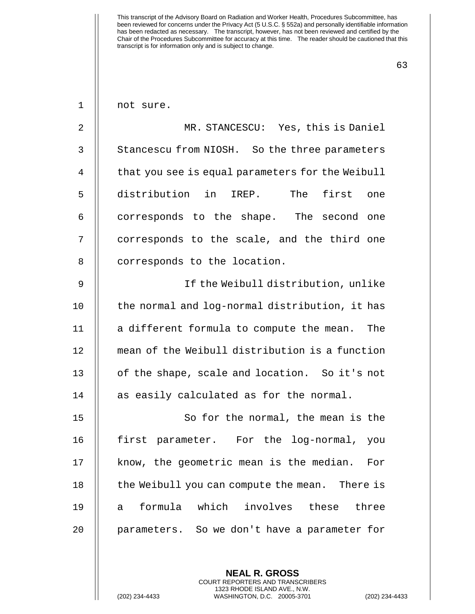63

1 || not sure.

2 || MR. STANCESCU: Yes, this is Daniel 3 | Stancescu from NIOSH. So the three parameters 4 | that you see is equal parameters for the Weibull 5 distribution in IREP. The first one  $6$   $\parallel$  corresponds to the shape. The second one 7 || corresponds to the scale, and the third one 8 | corresponds to the location.

 If the Weibull distribution, unlike 10 || the normal and log-normal distribution, it has  $\parallel$  a different formula to compute the mean. The mean of the Weibull distribution is a function 13 || of the shape, scale and location. So it's not  $\parallel$  as easily calculated as for the normal.

15 || So for the normal, the mean is the 16 first parameter. For the log-normal, you 17 || know, the geometric mean is the median. For 18 || the Weibull you can compute the mean. There is 19 a formula which involves these three 20 || parameters. So we don't have a parameter for

> **NEAL R. GROSS** COURT REPORTERS AND TRANSCRIBERS 1323 RHODE ISLAND AVE., N.W.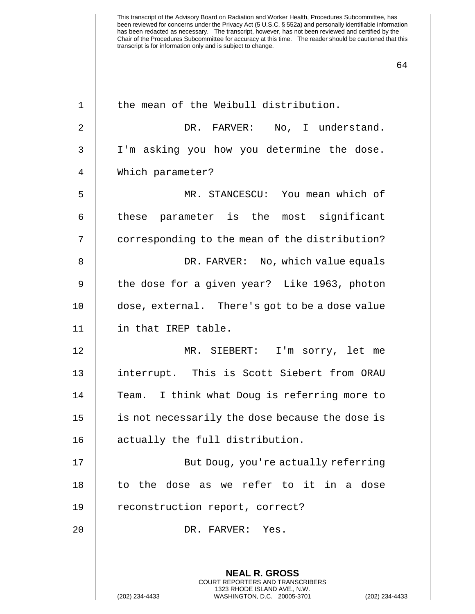| $\mathbf 1$  | the mean of the Weibull distribution.                                                        |
|--------------|----------------------------------------------------------------------------------------------|
| 2            | DR. FARVER: No, I understand.                                                                |
| $\mathsf{3}$ | I'm asking you how you determine the dose.                                                   |
| 4            | Which parameter?                                                                             |
| 5            | MR. STANCESCU: You mean which of                                                             |
| 6            | these parameter is the most significant                                                      |
| 7            | corresponding to the mean of the distribution?                                               |
| 8            | DR. FARVER: No, which value equals                                                           |
| 9            | the dose for a given year? Like 1963, photon                                                 |
| 10           | dose, external. There's got to be a dose value                                               |
| 11           | in that IREP table.                                                                          |
| 12           | MR. SIEBERT: I'm sorry, let me                                                               |
| 13           | interrupt. This is Scott Siebert from ORAU                                                   |
| 14           | Team. I think what Doug is referring more to                                                 |
| 15           | is not necessarily the dose because the dose is                                              |
| 16           | actually the full distribution.                                                              |
| 17           | But Doug, you're actually referring                                                          |
| 18           | to the dose as we refer to it in a dose                                                      |
| 19           | reconstruction report, correct?                                                              |
| 20           | DR. FARVER: Yes.                                                                             |
|              |                                                                                              |
|              | <b>NEAL R. GROSS</b><br><b>COURT REPORTERS AND TRANSCRIBERS</b>                              |
|              | 1323 RHODE ISLAND AVE., N.W.<br>WASHINGTON, D.C. 20005-3701<br>(202) 234-4433<br>$(202)$ 234 |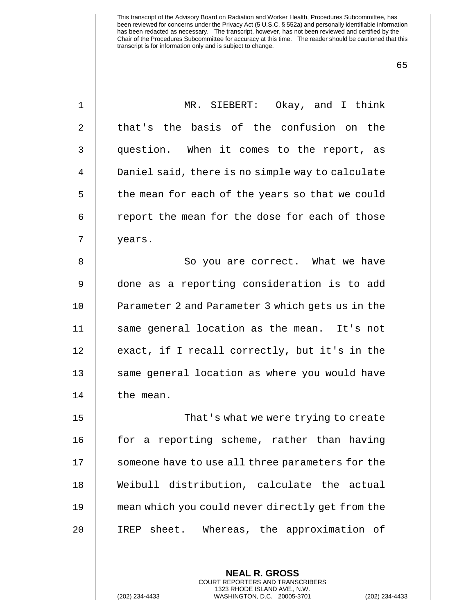| $\mathbf 1$    | MR. SIEBERT: Okay, and I think                   |
|----------------|--------------------------------------------------|
| 2              | that's the basis of the confusion on the         |
| 3              | question. When it comes to the report, as        |
| $\overline{4}$ | Daniel said, there is no simple way to calculate |
| 5              | the mean for each of the years so that we could  |
| 6              | report the mean for the dose for each of those   |
| 7              | years.                                           |
| 8              | So you are correct. What we have                 |
| 9              | done as a reporting consideration is to add      |
| 10             | Parameter 2 and Parameter 3 which gets us in the |
| 11             | same general location as the mean. It's not      |
| 12             | exact, if I recall correctly, but it's in the    |
| 13             | same general location as where you would have    |
| 14             | the mean.                                        |
| 15             | That's what we were trying to create             |
| 16             | for a reporting scheme, rather than having       |
| 17             | someone have to use all three parameters for the |
| 18             | Weibull distribution, calculate the actual       |
| 19             | mean which you could never directly get from the |
| 20             | IREP sheet. Whereas, the approximation of        |
|                |                                                  |

**NEAL R. GROSS** COURT REPORTERS AND TRANSCRIBERS 1323 RHODE ISLAND AVE., N.W.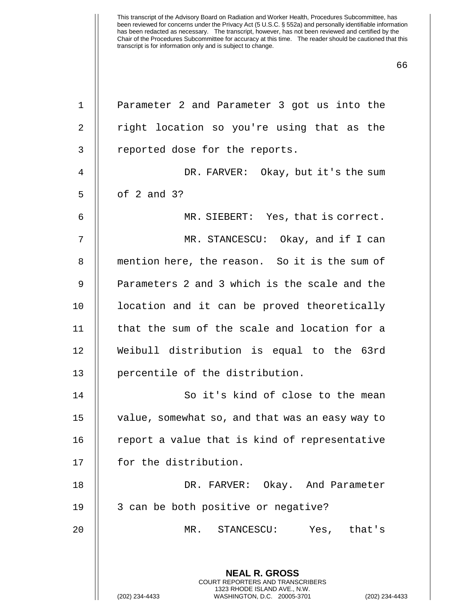| 1  | Parameter 2 and Parameter 3 got us into the                                                                                                                 |
|----|-------------------------------------------------------------------------------------------------------------------------------------------------------------|
| 2  | right location so you're using that as the                                                                                                                  |
| 3  | reported dose for the reports.                                                                                                                              |
| 4  | DR. FARVER: Okay, but it's the sum                                                                                                                          |
| 5  | of $2$ and $3$ ?                                                                                                                                            |
| 6  | MR. SIEBERT: Yes, that is correct.                                                                                                                          |
| 7  | MR. STANCESCU: Okay, and if I can                                                                                                                           |
| 8  | mention here, the reason. So it is the sum of                                                                                                               |
| 9  | Parameters 2 and 3 which is the scale and the                                                                                                               |
| 10 | location and it can be proved theoretically                                                                                                                 |
| 11 | that the sum of the scale and location for a                                                                                                                |
| 12 | Weibull distribution is equal to the 63rd                                                                                                                   |
| 13 | percentile of the distribution.                                                                                                                             |
| 14 | So it's kind of close to the mean                                                                                                                           |
| 15 | value, somewhat so, and that was an easy way to                                                                                                             |
| 16 | report a value that is kind of representative                                                                                                               |
| 17 | for the distribution.                                                                                                                                       |
| 18 | DR. FARVER: Okay. And Parameter                                                                                                                             |
| 19 | 3 can be both positive or negative?                                                                                                                         |
| 20 | MR. STANCESCU:<br>Yes, that's                                                                                                                               |
|    | <b>NEAL R. GROSS</b><br>COURT REPORTERS AND TRANSCRIBERS<br>1323 RHODE ISLAND AVE., N.W.<br>(202) 234-4433<br>WASHINGTON, D.C. 20005-3701<br>(202) 234-4433 |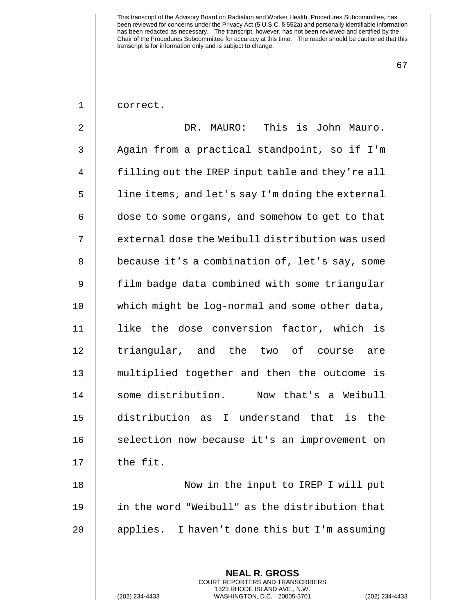67

| correct. |
|----------|
|----------|

2 DR. MAURO: This is John Mauro. 3 | Again from a practical standpoint, so if I'm 4 | filling out the IREP input table and they're all 5 | line items, and let's say I'm doing the external  $6$   $\parallel$  dose to some organs, and somehow to get to that 7 | external dose the Weibull distribution was used 8 | because it's a combination of, let's say, some 9 || film badge data combined with some triangular 10 || which might be log-normal and some other data, 11 || like the dose conversion factor, which is 12 || triangular, and the two of course are 13 multiplied together and then the outcome is 14 some distribution. Now that's a Weibull 15 distribution as I understand that is the 16 | selection now because it's an improvement on  $17$   $\parallel$  the fit.

18 Now in the input to IREP I will put 19 in the word "Weibull" as the distribution that 20 || applies. I haven't done this but I'm assuming

> **NEAL R. GROSS** COURT REPORTERS AND TRANSCRIBERS 1323 RHODE ISLAND AVE., N.W.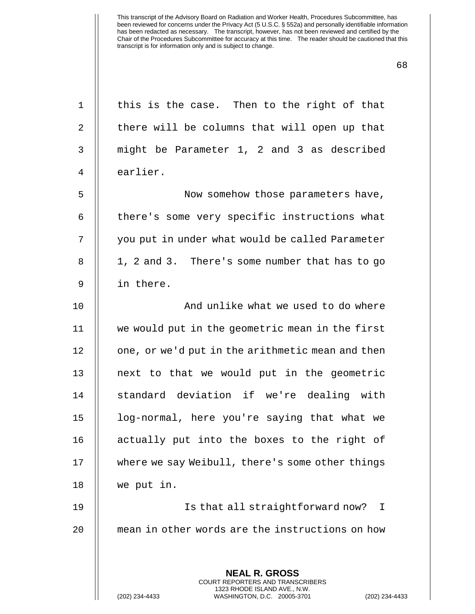| $\mathbf 1$ | this is the case. Then to the right of that                                              |
|-------------|------------------------------------------------------------------------------------------|
| 2           | there will be columns that will open up that                                             |
| 3           | might be Parameter 1, 2 and 3 as described                                               |
| 4           | earlier.                                                                                 |
| 5           | Now somehow those parameters have,                                                       |
| 6           | there's some very specific instructions what                                             |
| 7           | you put in under what would be called Parameter                                          |
| 8           | 1, 2 and 3. There's some number that has to go                                           |
| 9           | in there.                                                                                |
| 10          | And unlike what we used to do where                                                      |
| 11          | we would put in the geometric mean in the first                                          |
| 12          | one, or we'd put in the arithmetic mean and then                                         |
| 13          | next to that we would put in the geometric                                               |
| 14          | standard deviation if we're dealing with                                                 |
| 15          | log-normal, here you're saying that what we                                              |
| 16          | actually put into the boxes to the right of                                              |
| 17          | where we say Weibull, there's some other things                                          |
| 18          | we put in.                                                                               |
| 19          | Is that all straightforward now?<br>I                                                    |
| 20          | mean in other words are the instructions on how                                          |
|             |                                                                                          |
|             | <b>NEAL R. GROSS</b><br>COURT REPORTERS AND TRANSCRIBERS<br>1323 RHODE ISLAND AVE., N.W. |
|             | (202) 234-4433<br>WASHINGTON, D.C. 20005-3701<br>$(202)$ 234                             |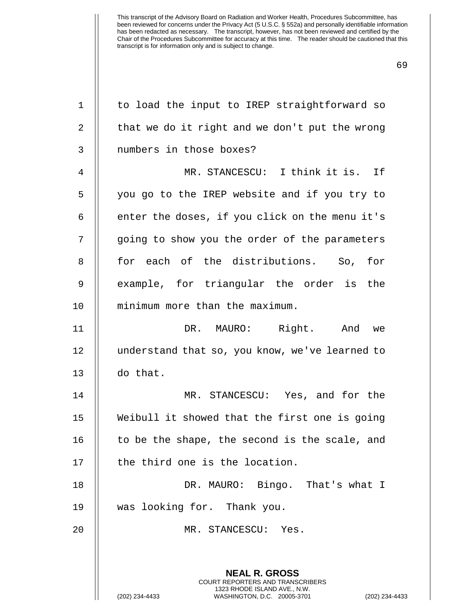| $\mathbf 1$ | to load the input to IREP straightforward so                                                                                                                     |
|-------------|------------------------------------------------------------------------------------------------------------------------------------------------------------------|
| 2           | that we do it right and we don't put the wrong                                                                                                                   |
| 3           | numbers in those boxes?                                                                                                                                          |
| 4           | MR. STANCESCU: I think it is. If                                                                                                                                 |
| 5           | you go to the IREP website and if you try to                                                                                                                     |
| 6           | enter the doses, if you click on the menu it's                                                                                                                   |
| 7           | going to show you the order of the parameters                                                                                                                    |
| 8           | for each of the distributions. So,<br>for                                                                                                                        |
| 9           | example, for triangular the order is the                                                                                                                         |
| 10          | minimum more than the maximum.                                                                                                                                   |
| 11          | DR. MAURO: Right. And<br>we                                                                                                                                      |
| 12          | understand that so, you know, we've learned to                                                                                                                   |
| 13          | do that.                                                                                                                                                         |
| 14          | MR. STANCESCU: Yes, and for the                                                                                                                                  |
| 15          | Weibull it showed that the first one is going                                                                                                                    |
| 16          | to be the shape, the second is the scale, and                                                                                                                    |
| 17          | the third one is the location.                                                                                                                                   |
| 18          | DR. MAURO: Bingo. That's what I                                                                                                                                  |
| 19          | was looking for. Thank you.                                                                                                                                      |
| 20          | MR. STANCESCU: Yes.                                                                                                                                              |
|             |                                                                                                                                                                  |
|             | <b>NEAL R. GROSS</b><br><b>COURT REPORTERS AND TRANSCRIBERS</b><br>1323 RHODE ISLAND AVE., N.W.<br>(202) 234-4433<br>WASHINGTON, D.C. 20005-3701<br>$(202)$ 234- |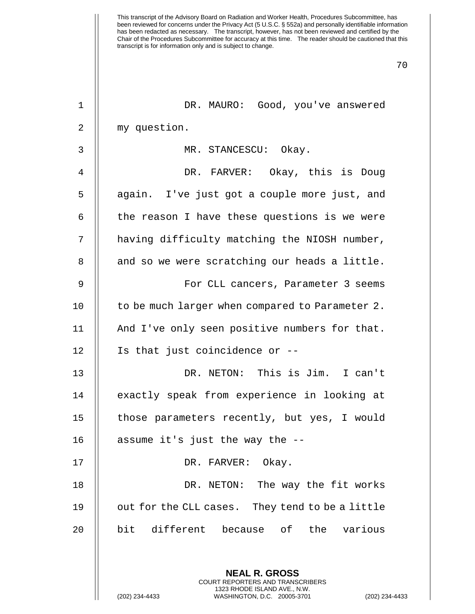| $\mathbf{1}$ | DR. MAURO: Good, you've answered                                                                |
|--------------|-------------------------------------------------------------------------------------------------|
| 2            | my question.                                                                                    |
| 3            | MR. STANCESCU: Okay.                                                                            |
| 4            | DR. FARVER: Okay, this is Doug                                                                  |
| 5            | again. I've just got a couple more just, and                                                    |
| 6            | the reason I have these questions is we were                                                    |
| 7            | having difficulty matching the NIOSH number,                                                    |
| 8            | and so we were scratching our heads a little.                                                   |
| 9            | For CLL cancers, Parameter 3 seems                                                              |
| 10           | to be much larger when compared to Parameter 2.                                                 |
| 11           | And I've only seen positive numbers for that.                                                   |
| 12           | Is that just coincidence or --                                                                  |
| 13           | DR. NETON: This is Jim. I can't                                                                 |
| 14           | exactly speak from experience in looking at                                                     |
| 15           | those parameters recently, but yes, I would                                                     |
| 16           | assume it's just the way the --                                                                 |
| 17           | DR. FARVER:<br>Okay.                                                                            |
| 18           | DR. NETON: The way the fit works                                                                |
| 19           | out for the CLL cases. They tend to be a little                                                 |
| 20           | bit different because of the various                                                            |
|              |                                                                                                 |
|              | <b>NEAL R. GROSS</b><br><b>COURT REPORTERS AND TRANSCRIBERS</b>                                 |
|              | 1323 RHODE ISLAND AVE., N.W.<br>(202) 234-4433<br>WASHINGTON, D.C. 20005-3701<br>(202) 234-4433 |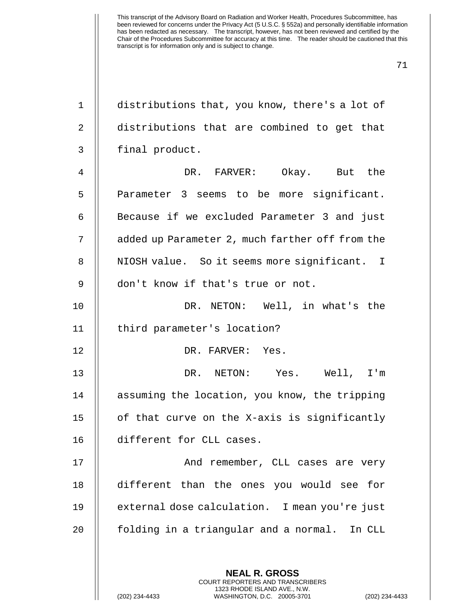| $\mathbf 1$    | distributions that, you know, there's a lot of           |
|----------------|----------------------------------------------------------|
| $\overline{2}$ | distributions that are combined to get that              |
| 3              | final product.                                           |
| 4              | DR. FARVER: Okay. But the                                |
| 5              | Parameter 3 seems to be more significant.                |
| 6              | Because if we excluded Parameter 3 and just              |
| 7              | added up Parameter 2, much farther off from the          |
| 8              | NIOSH value. So it seems more significant. I             |
| 9              | don't know if that's true or not.                        |
| 10             | DR. NETON: Well, in what's the                           |
| 11             | third parameter's location?                              |
| 12             | DR. FARVER: Yes.                                         |
| 13             | DR. NETON: Yes. Well, I'm                                |
| 14             | assuming the location, you know, the tripping            |
| 15             | of that curve on the X-axis is significantly             |
| 16             | different for CLL cases.                                 |
| 17             | And remember, CLL cases are very                         |
| 18             | different than the ones you would see for                |
| 19             | external dose calculation. I mean you're just            |
| 20             | folding in a triangular and a normal. In CLL             |
|                |                                                          |
|                | <b>NEAL R. GROSS</b><br>COURT REPORTERS AND TRANSCRIBERS |

1323 RHODE ISLAND AVE., N.W.

 $\bigg|\bigg|$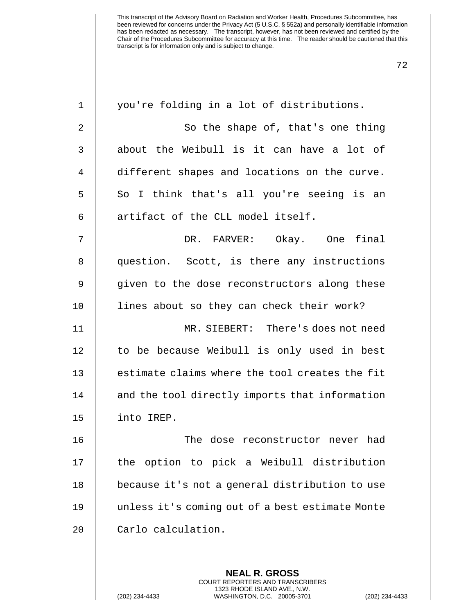| $\mathbf 1$ | you're folding in a lot of distributions.       |
|-------------|-------------------------------------------------|
| 2           | So the shape of, that's one thing               |
| 3           | about the Weibull is it can have a lot of       |
| 4           | different shapes and locations on the curve.    |
| 5           | So I think that's all you're seeing is an       |
| 6           | artifact of the CLL model itself.               |
| 7           | DR. FARVER: Okay. One final                     |
| 8           | question. Scott, is there any instructions      |
| $\mathsf 9$ | given to the dose reconstructors along these    |
| 10          | lines about so they can check their work?       |
| 11          | MR. SIEBERT: There's does not need              |
| 12          | to be because Weibull is only used in best      |
| 13          | estimate claims where the tool creates the fit  |
| 14          | and the tool directly imports that information  |
| 15          | into IREP.                                      |
| 16          | The dose reconstructor never had                |
| 17          | the option to pick a Weibull distribution       |
| 18          | because it's not a general distribution to use  |
| 19          | unless it's coming out of a best estimate Monte |
| 20          | Carlo calculation.                              |
|             |                                                 |
|             | <b>NEAL R. GROSS</b>                            |

COURT REPORTERS AND TRANSCRIBERS 1323 RHODE ISLAND AVE., N.W.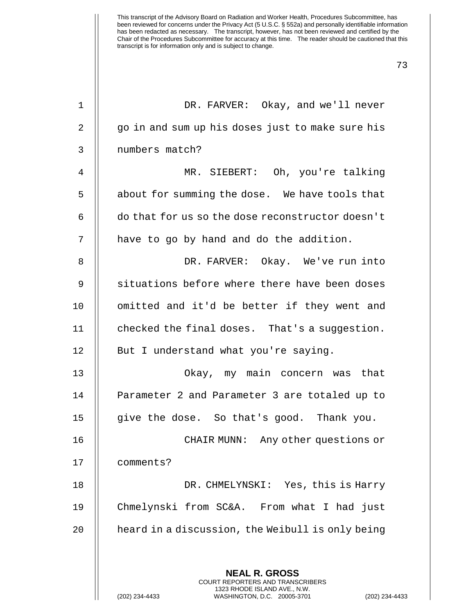73

1 DR. FARVER: Okay, and we'll never 2 || go in and sum up his doses just to make sure his 3 | numbers match? 4 MR. SIEBERT: Oh, you're talking 5 | about for summing the dose. We have tools that 6 do that for us so the dose reconstructor doesn't  $7$   $\parallel$  have to go by hand and do the addition. 8 DR. FARVER: Okay. We've run into 9 || situations before where there have been doses 10 || omitted and it'd be better if they went and 11  $\parallel$  checked the final doses. That's a suggestion. 12 | But I understand what you're saying. 13 Okay, my main concern was that 14 | Parameter 2 and Parameter 3 are totaled up to 15 give the dose. So that's good. Thank you. 16 CHAIR MUNN: Any other questions or 17 comments? 18 DR. CHMELYNSKI: Yes, this is Harry 19 Chmelynski from SC&A. From what I had just 20  $\parallel$  heard in a discussion, the Weibull is only being **NEAL R. GROSS** COURT REPORTERS AND TRANSCRIBERS

1323 RHODE ISLAND AVE., N.W.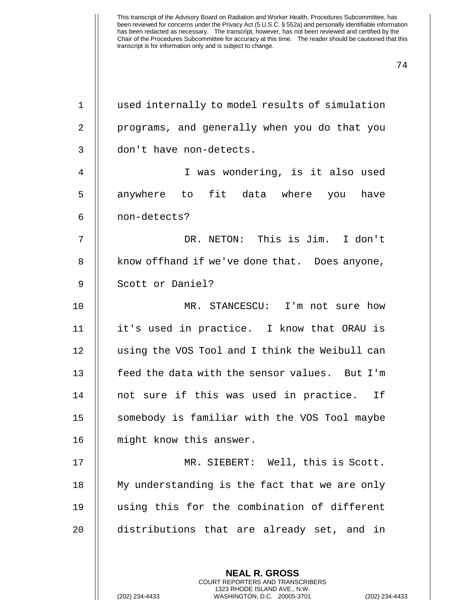| $\mathbf{1}$   | used internally to model results of simulation |
|----------------|------------------------------------------------|
| $\overline{2}$ | programs, and generally when you do that you   |
| 3              | don't have non-detects.                        |
| 4              | I was wondering, is it also used               |
| 5              | anywhere to fit data where you have            |
| 6              | non-detects?                                   |
| 7              | DR. NETON: This is Jim. I don't                |
| 8              | know of fhand if we've done that. Does anyone, |
| 9              | Scott or Daniel?                               |
| 10             | MR. STANCESCU: I'm not sure how                |
| 11             | it's used in practice. I know that ORAU is     |
| 12             | using the VOS Tool and I think the Weibull can |
| 13             | feed the data with the sensor values. But I'm  |
| 14             | not sure if this was used in practice. If      |
| 15             | somebody is familiar with the VOS Tool maybe   |
| 16             | might know this answer.                        |
| 17             | MR. SIEBERT: Well, this is Scott.              |
| 18             | My understanding is the fact that we are only  |
| 19             | using this for the combination of different    |
| 20             | distributions that are already set, and in     |
|                |                                                |
|                | <b>NEAL R. GROSS</b>                           |

COURT REPORTERS AND TRANSCRIBERS 1323 RHODE ISLAND AVE., N.W.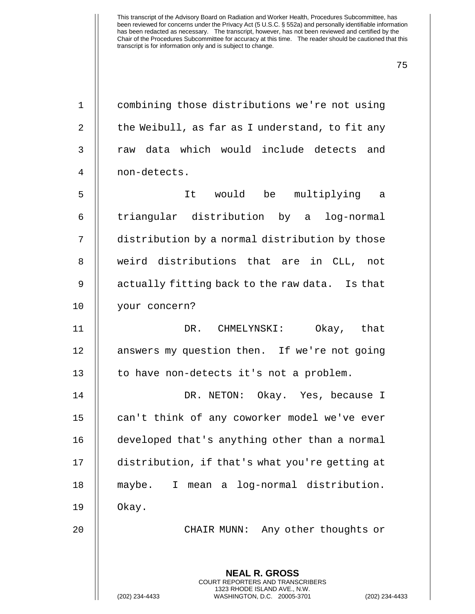| $\mathbf{1}$   | combining those distributions we're not using                                                                                                                 |
|----------------|---------------------------------------------------------------------------------------------------------------------------------------------------------------|
| $\overline{2}$ | the Weibull, as far as I understand, to fit any                                                                                                               |
| 3              | raw data which would include detects and                                                                                                                      |
| 4              | non-detects.                                                                                                                                                  |
| 5              | It would be multiplying a                                                                                                                                     |
| 6              | triangular distribution by a log-normal                                                                                                                       |
| 7              | distribution by a normal distribution by those                                                                                                                |
| 8              | weird distributions that are in CLL, not                                                                                                                      |
| 9              | actually fitting back to the raw data. Is that                                                                                                                |
| 10             | your concern?                                                                                                                                                 |
| 11             | DR. CHMELYNSKI: Okay, that                                                                                                                                    |
| 12             | answers my question then. If we're not going                                                                                                                  |
| 13             | to have non-detects it's not a problem.                                                                                                                       |
| 14             | DR. NETON: Okay. Yes, because I                                                                                                                               |
| 15             | can't think of any coworker model we've ever                                                                                                                  |
| 16             | developed that's anything other than a normal                                                                                                                 |
| 17             | distribution, if that's what you're getting at                                                                                                                |
| 18             | mean a log-normal distribution.<br>maybe.<br>I                                                                                                                |
| 19             | Okay.                                                                                                                                                         |
| 20             | Any other thoughts or<br>CHAIR MUNN:                                                                                                                          |
|                | <b>NEAL R. GROSS</b><br><b>COURT REPORTERS AND TRANSCRIBERS</b><br>1323 RHODE ISLAND AVE., N.W.<br>WASHINGTON, D.C. 20005-3701<br>(202) 234-4433<br>(202) 234 |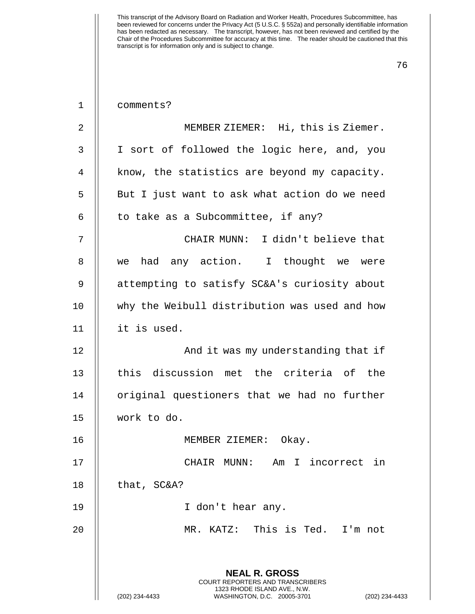| 1              | comments?                                                                                       |
|----------------|-------------------------------------------------------------------------------------------------|
| $\overline{2}$ | MEMBER ZIEMER: Hi, this is Ziemer.                                                              |
| 3              | I sort of followed the logic here, and, you                                                     |
| $\overline{4}$ | know, the statistics are beyond my capacity.                                                    |
| 5              | But I just want to ask what action do we need                                                   |
| 6              | to take as a Subcommittee, if any?                                                              |
| 7              | CHAIR MUNN: I didn't believe that                                                               |
| 8              | we had any action. I thought we were                                                            |
| 9              | attempting to satisfy SC&A's curiosity about                                                    |
| 10             | why the Weibull distribution was used and how                                                   |
| 11             | it is used.                                                                                     |
| 12             | And it was my understanding that if                                                             |
| 13             | this discussion met the criteria of the                                                         |
| 14             | original questioners that we had no further                                                     |
| 15             | work to do.                                                                                     |
| 16             | Okay.<br>MEMBER ZIEMER:                                                                         |
| 17             | CHAIR MUNN: Am I incorrect in                                                                   |
| 18             | that, SC&A?                                                                                     |
| 19             | I don't hear any.                                                                               |
| 20             | MR. KATZ: This is Ted. I'm not                                                                  |
|                |                                                                                                 |
|                | <b>NEAL R. GROSS</b><br><b>COURT REPORTERS AND TRANSCRIBERS</b>                                 |
|                | 1323 RHODE ISLAND AVE., N.W.<br>(202) 234-4433<br>WASHINGTON, D.C. 20005-3701<br>(202) 234-4433 |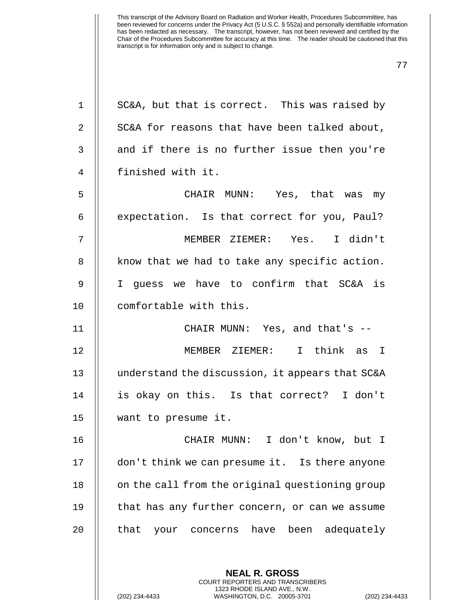| $\mathbf 1$    | SC&A, but that is correct. This was raised by            |
|----------------|----------------------------------------------------------|
| $\overline{2}$ | SC&A for reasons that have been talked about,            |
| $\mathfrak{Z}$ | and if there is no further issue then you're             |
| 4              | finished with it.                                        |
| 5              | CHAIR MUNN: Yes, that was my                             |
| 6              | expectation. Is that correct for you, Paul?              |
| 7              | MEMBER ZIEMER: Yes. I didn't                             |
| 8              | know that we had to take any specific action.            |
| 9              | I guess we have to confirm that SC&A is                  |
| 10             | comfortable with this.                                   |
| 11             | CHAIR MUNN: Yes, and that's --                           |
| 12             | MEMBER ZIEMER: I think as I                              |
| 13             | understand the discussion, it appears that SC&A          |
| 14             | is okay on this. Is that correct? I don't                |
| 15             | want to presume it.                                      |
| 16             | CHAIR MUNN: I don't know, but I                          |
| 17             | don't think we can presume it. Is there anyone           |
| 18             | on the call from the original questioning group          |
| 19             | that has any further concern, or can we assume           |
| 20             | that your concerns have been adequately                  |
|                |                                                          |
|                | <b>NEAL R. GROSS</b><br>COURT REPORTERS AND TRANSCRIBERS |

1323 RHODE ISLAND AVE., N.W.

 $\frac{1}{2}$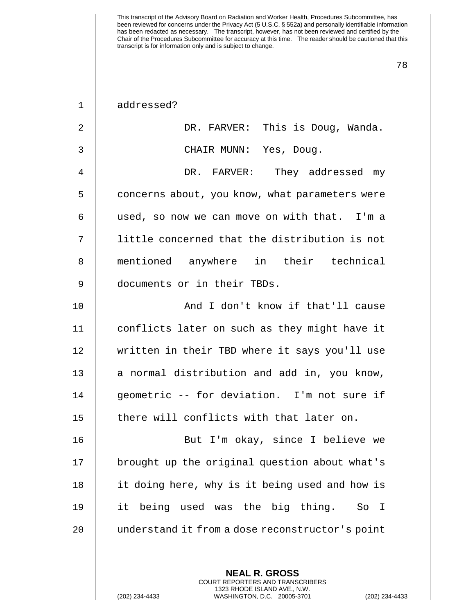|  | addressed? |
|--|------------|
|--|------------|

| $\overline{2}$ | DR. FARVER: This is Doug, Wanda.                       |
|----------------|--------------------------------------------------------|
| $\mathsf 3$    | CHAIR MUNN: Yes, Doug.                                 |
| 4              | DR. FARVER: They addressed my                          |
| 5              | concerns about, you know, what parameters were         |
| 6              | used, so now we can move on with that. I'm a           |
| 7              | little concerned that the distribution is not          |
| 8              | mentioned anywhere in their technical                  |
| 9              | documents or in their TBDs.                            |
| 10             | And I don't know if that'll cause                      |
| 11             | conflicts later on such as they might have it          |
| 12             | written in their TBD where it says you'll use          |
| 13             | a normal distribution and add in, you know,            |
| 14             | geometric -- for deviation. I'm not sure if            |
| 15             | there will conflicts with that later on.               |
| 16             | But I'm okay, since I believe we                       |
| 17             | brought up the original question about what's          |
| 18             | it doing here, why is it being used and how is         |
| 19             | it being used was the big thing.<br>So<br>$\mathbb{I}$ |
| 20             | understand it from a dose reconstructor's point        |

**NEAL R. GROSS** COURT REPORTERS AND TRANSCRIBERS 1323 RHODE ISLAND AVE., N.W.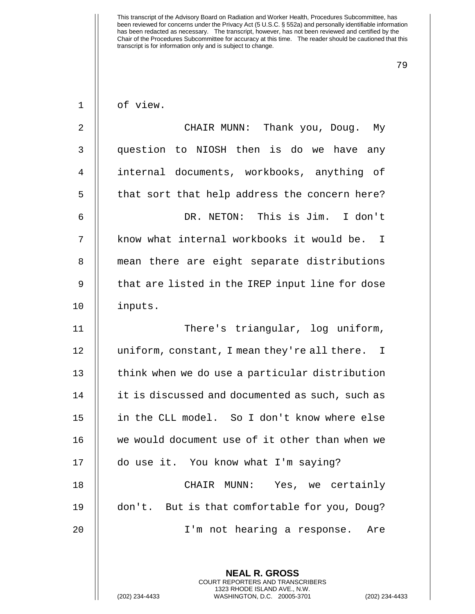| $\mathbf 1$ | of view.                                                 |
|-------------|----------------------------------------------------------|
| 2           | CHAIR MUNN: Thank you, Doug. My                          |
| 3           | question to NIOSH then is do we have any                 |
| 4           | internal documents, workbooks, anything of               |
| 5           | that sort that help address the concern here?            |
| 6           | DR. NETON: This is Jim. I don't                          |
| 7           | know what internal workbooks it would be. I              |
| 8           | mean there are eight separate distributions              |
| $\mathsf 9$ | that are listed in the IREP input line for dose          |
| 10          | inputs.                                                  |
| 11          | There's triangular, log uniform,                         |
| 12          | uniform, constant, I mean they're all there. I           |
| 13          | think when we do use a particular distribution           |
| 14          | it is discussed and documented as such, such as          |
| 15          | in the CLL model. So I don't know where else             |
| 16          | we would document use of it other than when we           |
| 17          | do use it. You know what I'm saying?                     |
| 18          | CHAIR MUNN: Yes, we certainly                            |
| 19          | don't. But is that comfortable for you, Doug?            |
| 20          | I'm not hearing a response. Are                          |
|             |                                                          |
|             | <b>NEAL R. GROSS</b><br>COURT REPORTERS AND TRANSCRIBERS |

1323 RHODE ISLAND AVE., N.W.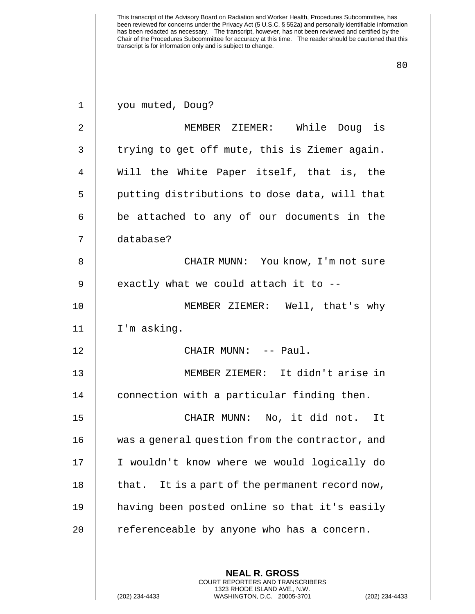| $\mathbf{1}$   | you muted, Doug?                                                                                |
|----------------|-------------------------------------------------------------------------------------------------|
| $\overline{2}$ | MEMBER ZIEMER: While Doug is                                                                    |
| 3              | trying to get off mute, this is Ziemer again.                                                   |
| 4              | Will the White Paper itself, that is, the                                                       |
| 5              | putting distributions to dose data, will that                                                   |
| 6              | be attached to any of our documents in the                                                      |
| 7              | database?                                                                                       |
| 8              | CHAIR MUNN: You know, I'm not sure                                                              |
| 9              | exactly what we could attach it to --                                                           |
| 10             | MEMBER ZIEMER: Well, that's why                                                                 |
| 11             | I'm asking.                                                                                     |
| 12             | CHAIR MUNN: -- Paul.                                                                            |
| 13             | MEMBER ZIEMER: It didn't arise in                                                               |
| 14             | connection with a particular finding then.                                                      |
| 15             | CHAIR MUNN: No, it did not. It                                                                  |
| 16             | was a general question from the contractor, and                                                 |
| 17             | I wouldn't know where we would logically do                                                     |
| 18             | that. It is a part of the permanent record now,                                                 |
| 19             | having been posted online so that it's easily                                                   |
| 20             | referenceable by anyone who has a concern.                                                      |
|                |                                                                                                 |
|                | <b>NEAL R. GROSS</b><br><b>COURT REPORTERS AND TRANSCRIBERS</b>                                 |
|                | 1323 RHODE ISLAND AVE., N.W.<br>(202) 234-4433<br>WASHINGTON, D.C. 20005-3701<br>(202) 234-4433 |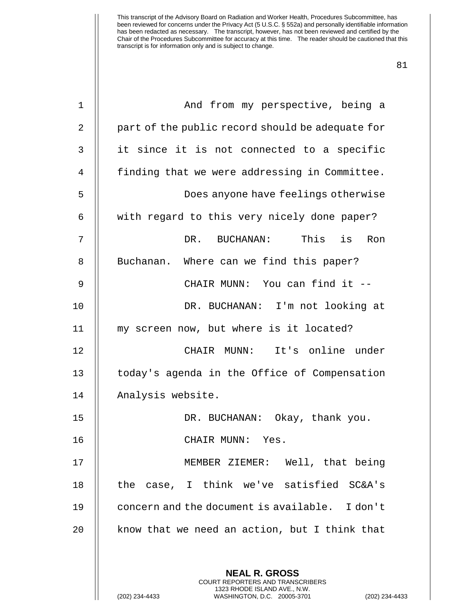| 1  | And from my perspective, being a                                                                                                                                 |
|----|------------------------------------------------------------------------------------------------------------------------------------------------------------------|
| 2  | part of the public record should be adequate for                                                                                                                 |
| 3  | it since it is not connected to a specific                                                                                                                       |
| 4  | finding that we were addressing in Committee.                                                                                                                    |
| 5  | Does anyone have feelings otherwise                                                                                                                              |
| 6  | with regard to this very nicely done paper?                                                                                                                      |
| 7  | This is<br>DR. BUCHANAN:<br>Ron                                                                                                                                  |
| 8  | Buchanan. Where can we find this paper?                                                                                                                          |
| 9  | CHAIR MUNN: You can find it --                                                                                                                                   |
| 10 | DR. BUCHANAN: I'm not looking at                                                                                                                                 |
| 11 | my screen now, but where is it located?                                                                                                                          |
| 12 | CHAIR MUNN: It's online under                                                                                                                                    |
| 13 | today's agenda in the Office of Compensation                                                                                                                     |
| 14 | Analysis website.                                                                                                                                                |
| 15 | DR. BUCHANAN: Okay, thank you.                                                                                                                                   |
| 16 | CHAIR MUNN: Yes.                                                                                                                                                 |
| 17 | MEMBER ZIEMER: Well, that being                                                                                                                                  |
| 18 | the case, I think we've satisfied SC&A's                                                                                                                         |
| 19 | concern and the document is available. I don't                                                                                                                   |
| 20 | know that we need an action, but I think that                                                                                                                    |
|    | <b>NEAL R. GROSS</b><br><b>COURT REPORTERS AND TRANSCRIBERS</b><br>1323 RHODE ISLAND AVE., N.W.<br>WASHINGTON, D.C. 20005-3701<br>(202) 234-4433<br>$(202)$ 234- |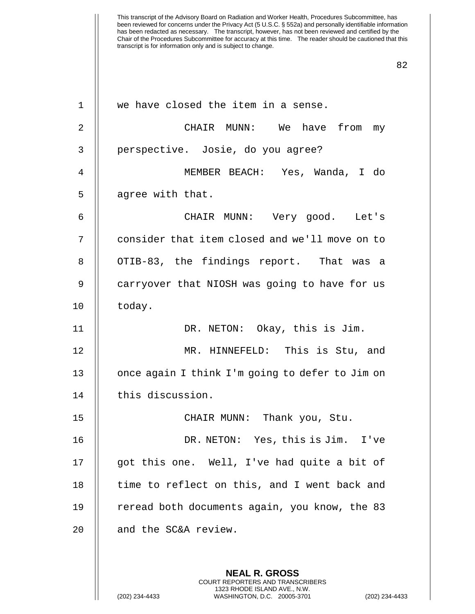| $\mathbf 1$    | we have closed the item in a sense.             |
|----------------|-------------------------------------------------|
| $\overline{2}$ | CHAIR MUNN: We have from my                     |
| 3              | perspective. Josie, do you agree?               |
| $\overline{4}$ | MEMBER BEACH: Yes, Wanda, I do                  |
| 5              | agree with that.                                |
| 6              | CHAIR MUNN: Very good. Let's                    |
| 7              | consider that item closed and we'll move on to  |
| 8              | OTIB-83, the findings report. That was a        |
| 9              | carryover that NIOSH was going to have for us   |
| 10             | today.                                          |
| 11             | DR. NETON: Okay, this is Jim.                   |
| 12             | MR. HINNEFELD: This is Stu, and                 |
| 13             | once again I think I'm going to defer to Jim on |
| 14             | this discussion.                                |
| 15             | CHAIR MUNN: Thank you, Stu.                     |
| 16             | DR. NETON: Yes, this is Jim. I've               |
| 17             | got this one. Well, I've had quite a bit of     |
| 18             | time to reflect on this, and I went back and    |
| 19             | reread both documents again, you know, the 83   |
| 20             | and the SC&A review.                            |
|                |                                                 |
|                | <b>NEAL R. GROSS</b>                            |

COURT REPORTERS AND TRANSCRIBERS 1323 RHODE ISLAND AVE., N.W.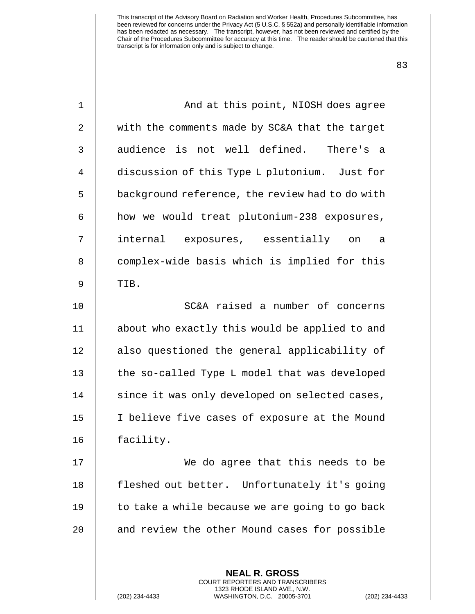| $\mathbf 1$    | And at this point, NIOSH does agree                      |
|----------------|----------------------------------------------------------|
| $\mathbf{2}$   | with the comments made by SC&A that the target           |
| $\mathsf{3}$   | audience is not well defined.<br>There's a               |
| $\overline{4}$ | discussion of this Type L plutonium. Just for            |
| 5              | background reference, the review had to do with          |
| 6              | how we would treat plutonium-238 exposures,              |
| 7              | internal exposures, essentially on<br>- a                |
| $\, 8$         | complex-wide basis which is implied for this             |
| 9              | TIB.                                                     |
| 10             | SC&A raised a number of concerns                         |
| 11             | about who exactly this would be applied to and           |
| 12             | also questioned the general applicability of             |
| 13             | the so-called Type L model that was developed            |
| 14             | since it was only developed on selected cases,           |
| 15             | I believe five cases of exposure at the Mound            |
| 16             | facility.                                                |
| 17             | We do agree that this needs to be                        |
| 18             | fleshed out better. Unfortunately it's going             |
| 19             | to take a while because we are going to go back          |
| 20             | and review the other Mound cases for possible            |
|                |                                                          |
|                | <b>NEAL R. GROSS</b><br>COURT REPORTERS AND TRANSCRIBERS |

1323 RHODE ISLAND AVE., N.W.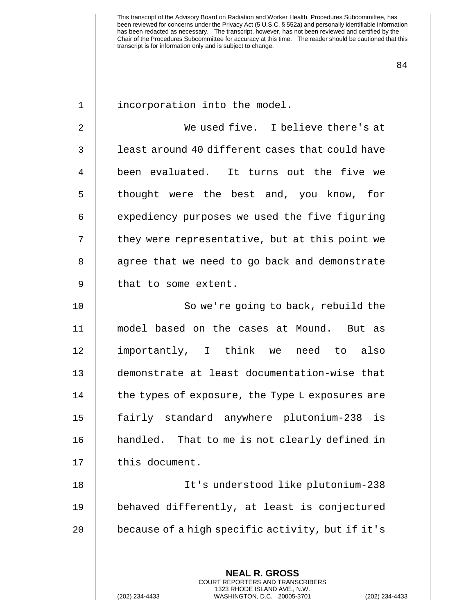| $\mathbf 1$    | incorporation into the model.                    |
|----------------|--------------------------------------------------|
| $\overline{2}$ | We used five. I believe there's at               |
| 3              | least around 40 different cases that could have  |
| 4              | been evaluated. It turns out the five we         |
| 5              | thought were the best and, you know, for         |
| 6              | expediency purposes we used the five figuring    |
| 7              | they were representative, but at this point we   |
| 8              | agree that we need to go back and demonstrate    |
| 9              | that to some extent.                             |
| 10             | So we're going to back, rebuild the              |
| 11             | model based on the cases at Mound. But as        |
| 12             | importantly, I think we need to also             |
| 13             | demonstrate at least documentation-wise that     |
| 14             | the types of exposure, the Type L exposures are  |
| 15             | fairly standard anywhere plutonium-238 is        |
| 16             | handled. That to me is not clearly defined in    |
| 17             | this document.                                   |
| 18             | It's understood like plutonium-238               |
| 19             | behaved differently, at least is conjectured     |
| 20             | because of a high specific activity, but if it's |
|                |                                                  |

**NEAL R. GROSS** COURT REPORTERS AND TRANSCRIBERS 1323 RHODE ISLAND AVE., N.W.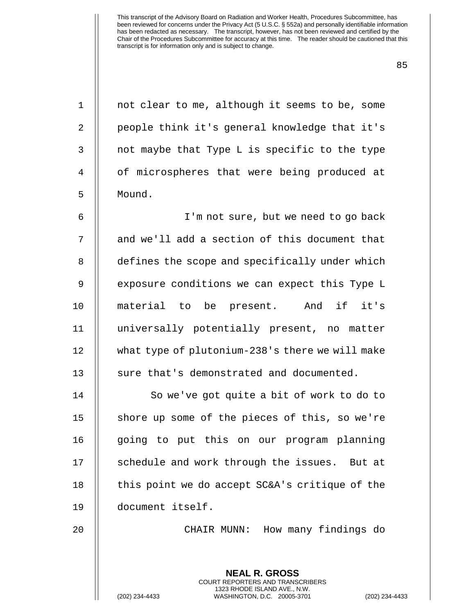| $\mathbf{1}$   | not clear to me, although it seems to be, some  |
|----------------|-------------------------------------------------|
| $\overline{2}$ | people think it's general knowledge that it's   |
| $\mathbf{3}$   | not maybe that Type L is specific to the type   |
| 4              | of microspheres that were being produced at     |
| 5              | Mound.                                          |
| 6              | I'm not sure, but we need to go back            |
| 7              | and we'll add a section of this document that   |
| 8              | defines the scope and specifically under which  |
| 9              | exposure conditions we can expect this Type L   |
| 10             | material to be present. And if it's             |
| 11             | universally potentially present, no matter      |
| 12             | what type of plutonium-238's there we will make |
| 13             | sure that's demonstrated and documented.        |
| 14             | So we've got quite a bit of work to do to       |
| 15             | shore up some of the pieces of this, so we're   |
| 16             | going to put this on our program planning       |
| 17             | schedule and work through the issues. But at    |
| 18             | this point we do accept SC&A's critique of the  |
| 19             | document itself.                                |
| 20             | CHAIR MUNN: How many findings do                |
|                |                                                 |
|                | <b>NEAL R. GROSS</b>                            |

COURT REPORTERS AND TRANSCRIBERS 1323 RHODE ISLAND AVE., N.W.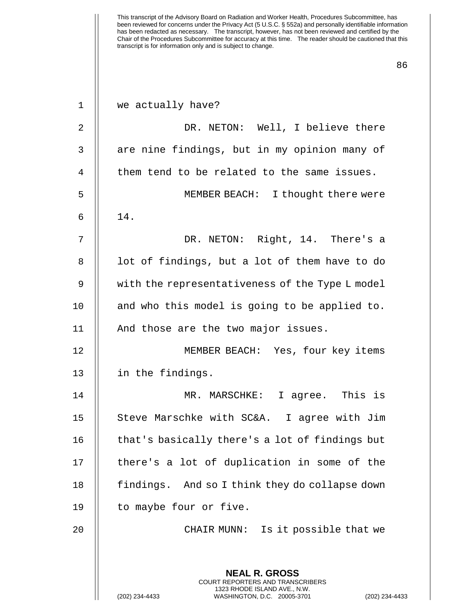| $\mathbf{1}$ | we actually have?                                                                            |
|--------------|----------------------------------------------------------------------------------------------|
| 2            | DR. NETON: Well, I believe there                                                             |
| 3            | are nine findings, but in my opinion many of                                                 |
| 4            | them tend to be related to the same issues.                                                  |
| 5            | MEMBER BEACH: I thought there were                                                           |
| 6            | 14.                                                                                          |
| 7            | DR. NETON: Right, 14. There's a                                                              |
| 8            | lot of findings, but a lot of them have to do                                                |
| 9            | with the representativeness of the Type L model                                              |
| 10           | and who this model is going to be applied to.                                                |
| 11           | And those are the two major issues.                                                          |
| 12           | MEMBER BEACH: Yes, four key items                                                            |
| 13           | in the findings.                                                                             |
| 14           | MR. MARSCHKE: I agree. This is                                                               |
| 15           | Steve Marschke with SC&A. I agree with Jim                                                   |
| 16           | that's basically there's a lot of findings but                                               |
| 17           | there's a lot of duplication in some of the                                                  |
| 18           | findings. And so I think they do collapse down                                               |
| 19           | to maybe four or five.                                                                       |
| 20           | CHAIR MUNN: Is it possible that we                                                           |
|              |                                                                                              |
|              | <b>NEAL R. GROSS</b><br><b>COURT REPORTERS AND TRANSCRIBERS</b>                              |
|              | 1323 RHODE ISLAND AVE., N.W.<br>(202) 234-4433<br>WASHINGTON, D.C. 20005-3701<br>$(202)$ 234 |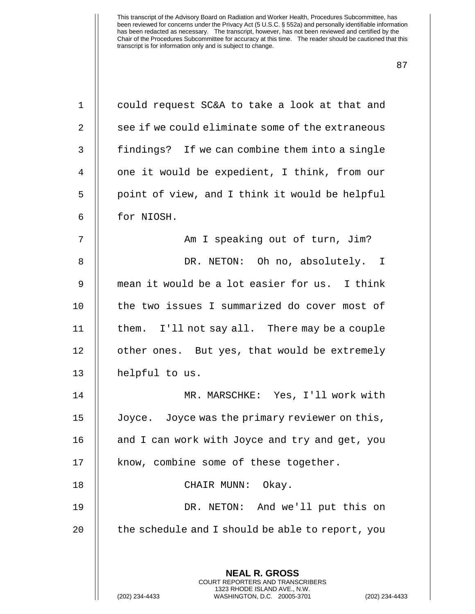| $\mathbf 1$ | could request SC&A to take a look at that and                                                                                                                   |
|-------------|-----------------------------------------------------------------------------------------------------------------------------------------------------------------|
| 2           | see if we could eliminate some of the extraneous                                                                                                                |
| 3           | findings? If we can combine them into a single                                                                                                                  |
| 4           | one it would be expedient, I think, from our                                                                                                                    |
| 5           | point of view, and I think it would be helpful                                                                                                                  |
| 6           | for NIOSH.                                                                                                                                                      |
| 7           | Am I speaking out of turn, Jim?                                                                                                                                 |
| 8           | DR. NETON: Oh no, absolutely. I                                                                                                                                 |
| 9           | mean it would be a lot easier for us. I think                                                                                                                   |
| 10          | the two issues I summarized do cover most of                                                                                                                    |
| 11          | them. I'll not say all. There may be a couple                                                                                                                   |
| 12          | other ones. But yes, that would be extremely                                                                                                                    |
| 13          | helpful to us.                                                                                                                                                  |
| 14          | MR. MARSCHKE: Yes, I'll work with                                                                                                                               |
| 15          | Joyce. Joyce was the primary reviewer on this,                                                                                                                  |
| 16          | and I can work with Joyce and try and get, you                                                                                                                  |
| 17          | know, combine some of these together.                                                                                                                           |
| 18          | CHAIR MUNN:<br>Okay.                                                                                                                                            |
| 19          | DR. NETON: And we'll put this on                                                                                                                                |
| 20          | the schedule and I should be able to report, you                                                                                                                |
|             | <b>NEAL R. GROSS</b><br><b>COURT REPORTERS AND TRANSCRIBERS</b><br>1323 RHODE ISLAND AVE., N.W.<br>(202) 234-4433<br>WASHINGTON, D.C. 20005-3701<br>$(202)$ 234 |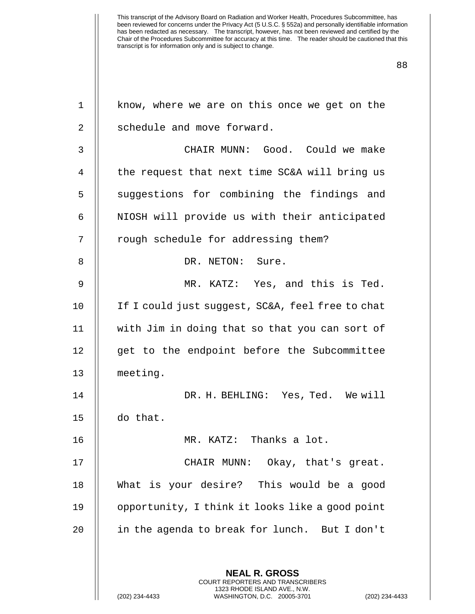| $\mathbf 1$ | know, where we are on this once we get on the                                                                                                                      |
|-------------|--------------------------------------------------------------------------------------------------------------------------------------------------------------------|
| 2           | schedule and move forward.                                                                                                                                         |
| 3           | CHAIR MUNN: Good. Could we make                                                                                                                                    |
| 4           | the request that next time SC&A will bring us                                                                                                                      |
| 5           | suggestions for combining the findings and                                                                                                                         |
| 6           | NIOSH will provide us with their anticipated                                                                                                                       |
| 7           | rough schedule for addressing them?                                                                                                                                |
| 8           | DR. NETON: Sure.                                                                                                                                                   |
| 9           | MR. KATZ: Yes, and this is Ted.                                                                                                                                    |
| 10          | If I could just suggest, SC&A, feel free to chat                                                                                                                   |
| 11          | with Jim in doing that so that you can sort of                                                                                                                     |
| 12          | get to the endpoint before the Subcommittee                                                                                                                        |
| 13          | meeting.                                                                                                                                                           |
| 14          | DR. H. BEHLING: Yes, Ted. We will                                                                                                                                  |
| 15          | do that.                                                                                                                                                           |
| 16          | MR. KATZ: Thanks a lot.                                                                                                                                            |
| 17          | CHAIR MUNN: Okay, that's great.                                                                                                                                    |
| 18          | What is your desire? This would be a good                                                                                                                          |
| 19          | opportunity, I think it looks like a good point                                                                                                                    |
| 20          | in the agenda to break for lunch. But I don't                                                                                                                      |
|             |                                                                                                                                                                    |
|             | <b>NEAL R. GROSS</b><br><b>COURT REPORTERS AND TRANSCRIBERS</b><br>1323 RHODE ISLAND AVE., N.W.<br>WASHINGTON, D.C. 20005-3701<br>(202) 234-4433<br>(202) 234-4433 |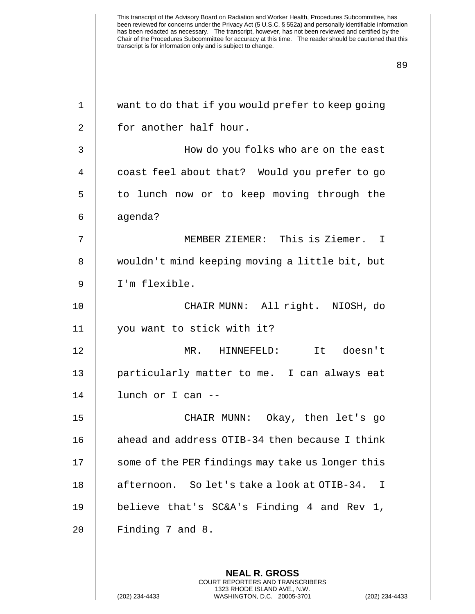| $\mathbf 1$ | want to do that if you would prefer to keep going     |
|-------------|-------------------------------------------------------|
| 2           | for another half hour.                                |
| 3           | How do you folks who are on the east                  |
| 4           | coast feel about that? Would you prefer to go         |
| 5           | to lunch now or to keep moving through the            |
| 6           | agenda?                                               |
| 7           | MEMBER ZIEMER: This is Ziemer. I                      |
| 8           | wouldn't mind keeping moving a little bit, but        |
| 9           | I'm flexible.                                         |
| 10          | CHAIR MUNN: All right. NIOSH, do                      |
| 11          | you want to stick with it?                            |
| 12          | It doesn't<br>$MR$ .<br>HINNEFELD:                    |
| 13          | particularly matter to me. I can always eat           |
| 14          | lunch or I can --                                     |
| 15          | CHAIR MUNN: Okay, then let's go                       |
| 16          | ahead and address OTIB-34 then because I think        |
| 17          | some of the PER findings may take us longer this      |
| 18          | afternoon. So let's take a look at OTIB-34.<br>$\top$ |
| 19          | believe that's SC&A's Finding 4 and Rev 1,            |
| 20          | Finding 7 and 8.                                      |
|             |                                                       |
|             | <b>NEAL R. GROSS</b>                                  |

COURT REPORTERS AND TRANSCRIBERS 1323 RHODE ISLAND AVE., N.W.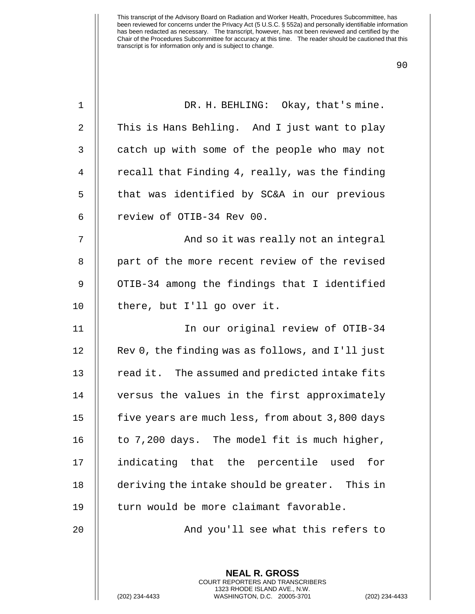| DR. H. BEHLING: Okay, that's mine.               |
|--------------------------------------------------|
| This is Hans Behling. And I just want to play    |
| catch up with some of the people who may not     |
| recall that Finding 4, really, was the finding   |
| that was identified by SC&A in our previous      |
| review of OTIB-34 Rev 00.                        |
| And so it was really not an integral             |
| part of the more recent review of the revised    |
| OTIB-34 among the findings that I identified     |
| there, but I'll go over it.                      |
| In our original review of OTIB-34                |
| Rev 0, the finding was as follows, and I'll just |
| read it. The assumed and predicted intake fits   |
| versus the values in the first approximately     |
| five years are much less, from about 3,800 days  |
| to 7,200 days. The model fit is much higher,     |
| indicating that the percentile used<br>for       |
| deriving the intake should be greater. This in   |
| turn would be more claimant favorable.           |
| And you'll see what this refers to               |
|                                                  |
|                                                  |

**NEAL R. GROSS** COURT REPORTERS AND TRANSCRIBERS 1323 RHODE ISLAND AVE., N.W.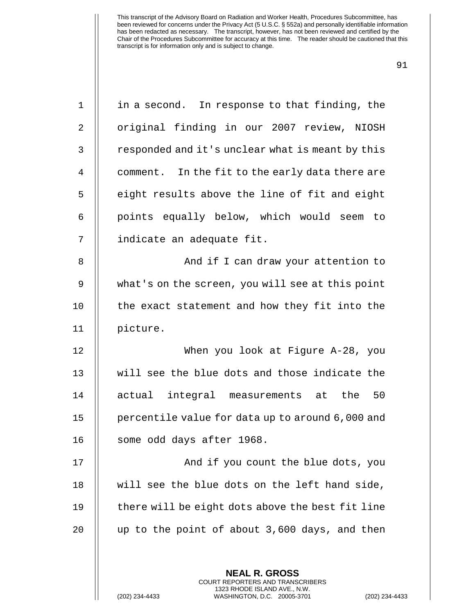| 16<br>17<br>18<br>19<br>20 | And if you count the blue dots, you<br>will see the blue dots on the left hand side,<br>there will be eight dots above the best fit line<br>up to the point of about 3,600 days, and then |
|----------------------------|-------------------------------------------------------------------------------------------------------------------------------------------------------------------------------------------|
|                            |                                                                                                                                                                                           |
|                            |                                                                                                                                                                                           |
|                            |                                                                                                                                                                                           |
|                            |                                                                                                                                                                                           |
|                            | some odd days after 1968.                                                                                                                                                                 |
| 15                         | percentile value for data up to around 6,000 and                                                                                                                                          |
| 14                         | actual integral measurements at the<br>50                                                                                                                                                 |
| 13                         | will see the blue dots and those indicate the                                                                                                                                             |
| 12                         | When you look at Figure A-28, you                                                                                                                                                         |
| 11                         | picture.                                                                                                                                                                                  |
| 10                         | the exact statement and how they fit into the                                                                                                                                             |
| 9                          | what's on the screen, you will see at this point                                                                                                                                          |
| 8                          | And if I can draw your attention to                                                                                                                                                       |
| 7                          | indicate an adequate fit.                                                                                                                                                                 |
| 6                          | points equally below, which would seem to                                                                                                                                                 |
| 5                          | eight results above the line of fit and eight                                                                                                                                             |
| $\overline{4}$             | comment. In the fit to the early data there are                                                                                                                                           |
| 3                          | responded and it's unclear what is meant by this                                                                                                                                          |
| $\overline{2}$             | original finding in our 2007 review, NIOSH                                                                                                                                                |
|                            | in a second. In response to that finding, the                                                                                                                                             |

COURT REPORTERS AND TRANSCRIBERS 1323 RHODE ISLAND AVE., N.W.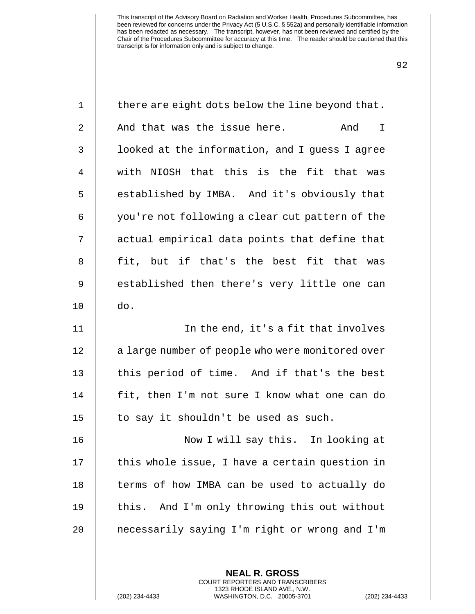| $\mathbf 1$    | there are eight dots below the line beyond that. |
|----------------|--------------------------------------------------|
| 2              | And that was the issue here.<br>And<br>I         |
| 3              | looked at the information, and I guess I agree   |
| $\overline{4}$ | with NIOSH that this is the fit that was         |
| 5              | established by IMBA. And it's obviously that     |
| 6              | you're not following a clear cut pattern of the  |
| 7              | actual empirical data points that define that    |
| 8              | fit, but if that's the best fit that<br>was      |
| 9              | established then there's very little one can     |
| 10             | do.                                              |
| 11             | In the end, it's a fit that involves             |
| 12             | a large number of people who were monitored over |
| 13             | this period of time. And if that's the best      |
| 14             | fit, then I'm not sure I know what one can do    |
| 15             | to say it shouldn't be used as such.             |
| 16             | Now I will say this. In looking at               |
| 17             | this whole issue, I have a certain question in   |
| 18             | terms of how IMBA can be used to actually do     |
| 19             | this. And I'm only throwing this out without     |
| 20             | necessarily saying I'm right or wrong and I'm    |
|                |                                                  |
|                | <b>NEAL R. GROSS</b>                             |

COURT REPORTERS AND TRANSCRIBERS 1323 RHODE ISLAND AVE., N.W.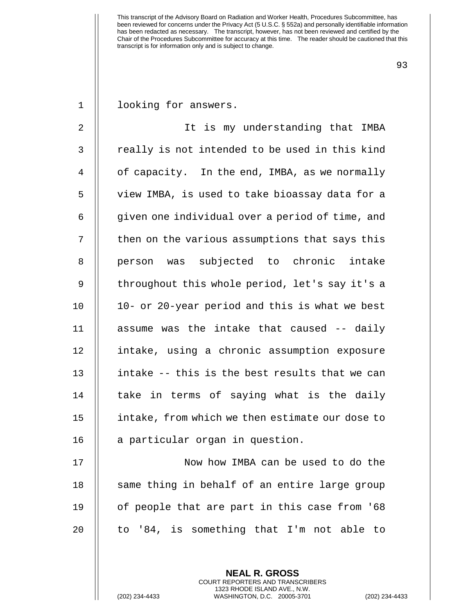93

1 | looking for answers.

2 || It is my understanding that IMBA  $3$   $\parallel$  really is not intended to be used in this kind 4 | of capacity. In the end, IMBA, as we normally 5 view IMBA, is used to take bioassay data for a 6 | given one individual over a period of time, and  $7$   $\parallel$  then on the various assumptions that says this 8 || person was subjected to chronic intake 9 || throughout this whole period, let's say it's a 10 || 10- or 20-year period and this is what we best 11  $\parallel$  assume was the intake that caused -- daily 12 intake, using a chronic assumption exposure 13  $\parallel$  intake -- this is the best results that we can  $14$  || take in terms of saying what is the daily 15 | intake, from which we then estimate our dose to 16 | a particular organ in question.

17 || Now how IMBA can be used to do the 18 || same thing in behalf of an entire large group 19  $\parallel$  of people that are part in this case from '68 20  $\parallel$  to '84, is something that I'm not able to

> **NEAL R. GROSS** COURT REPORTERS AND TRANSCRIBERS 1323 RHODE ISLAND AVE., N.W.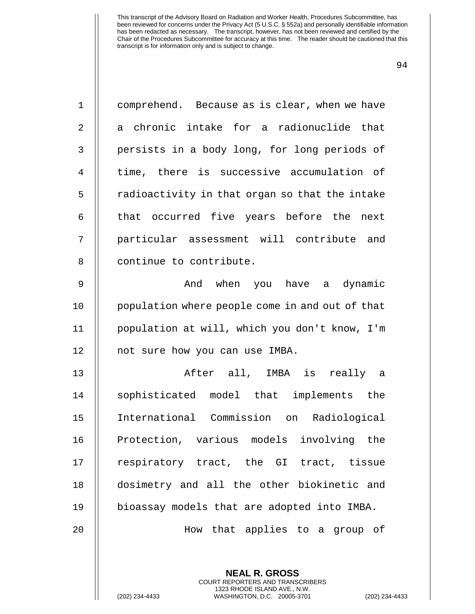| $\mathbf 1$    | comprehend. Because as is clear, when we have   |
|----------------|-------------------------------------------------|
| 2              | a chronic intake for a radionuclide that        |
| 3              | persists in a body long, for long periods of    |
| $\overline{4}$ | time, there is successive accumulation of       |
| 5              | radioactivity in that organ so that the intake  |
| 6              | that occurred five years before the next        |
| 7              | particular assessment will contribute and       |
| 8              | continue to contribute.                         |
| $\mathsf 9$    | And when you have a dynamic                     |
| 10             | population where people come in and out of that |
| 11             | population at will, which you don't know, I'm   |
| 12             | not sure how you can use IMBA.                  |
| 13             | After all, IMBA is really a                     |
| 14             | sophisticated model that implements the         |
| 15             | International Commission on Radiological        |
| 16             | Protection, various models involving the        |
| 17             | respiratory tract, the GI tract, tissue         |
| 18             | dosimetry and all the other biokinetic and      |
| 19             | bioassay models that are adopted into IMBA.     |
| 20             | How that applies to a group of                  |
|                |                                                 |
|                | <b>NEAL R. GROSS</b>                            |

COURT REPORTERS AND TRANSCRIBERS 1323 RHODE ISLAND AVE., N.W.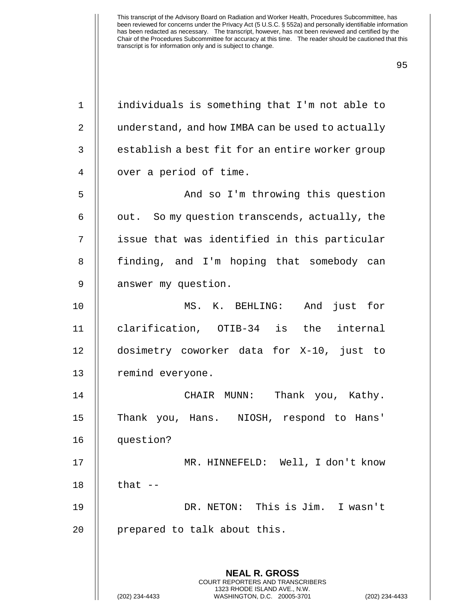| $\mathbf 1$    | individuals is something that I'm not able to                                                   |
|----------------|-------------------------------------------------------------------------------------------------|
| $\overline{2}$ | understand, and how IMBA can be used to actually                                                |
| 3              | establish a best fit for an entire worker group                                                 |
| 4              | over a period of time.                                                                          |
| 5              | And so I'm throwing this question                                                               |
| 6              | out. So my question transcends, actually, the                                                   |
| 7              | issue that was identified in this particular                                                    |
| 8              | finding, and I'm hoping that somebody can                                                       |
| 9              | answer my question.                                                                             |
| 10             | MS. K. BEHLING:<br>And just for                                                                 |
| 11             | clarification, OTIB-34 is the internal                                                          |
| 12             | dosimetry coworker data for X-10, just to                                                       |
| 13             | remind everyone.                                                                                |
| 14             | CHAIR MUNN:<br>Thank you, Kathy.                                                                |
| 15             | Thank you, Hans. NIOSH, respond to Hans'                                                        |
| 16             | question?                                                                                       |
| 17             | MR. HINNEFELD: Well, I don't know                                                               |
| 18             | that $-$                                                                                        |
| 19             | DR. NETON: This is Jim. I wasn't                                                                |
| 20             | prepared to talk about this.                                                                    |
|                |                                                                                                 |
|                | <b>NEAL R. GROSS</b><br><b>COURT REPORTERS AND TRANSCRIBERS</b>                                 |
|                | 1323 RHODE ISLAND AVE., N.W.<br>(202) 234-4433<br>WASHINGTON, D.C. 20005-3701<br>(202) 234-4433 |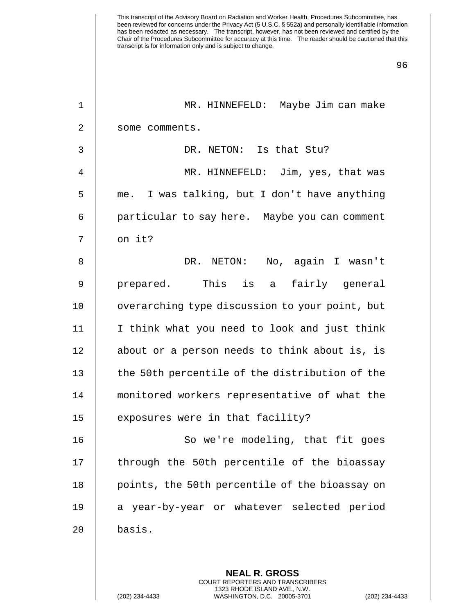|              | <b>NEAL R. GROSS</b>                           |
|--------------|------------------------------------------------|
| 20           | basis.                                         |
| 19           | a year-by-year or whatever selected period     |
| 18           | points, the 50th percentile of the bioassay on |
| 17           | through the 50th percentile of the bioassay    |
| 16           | So we're modeling, that fit goes               |
| 15           | exposures were in that facility?               |
| 14           | monitored workers representative of what the   |
| 13           | the 50th percentile of the distribution of the |
| 12           | about or a person needs to think about is, is  |
|              | I think what you need to look and just think   |
| 11           |                                                |
| 10           | overarching type discussion to your point, but |
| 9            | prepared. This is a<br>fairly general          |
| 8            | DR. NETON: No, again I wasn't                  |
| 7            | on it?                                         |
| 6            | particular to say here. Maybe you can comment  |
| 5            | me. I was talking, but I don't have anything   |
| 4            | MR. HINNEFELD: Jim, yes, that was              |
| 3            | DR. NETON: Is that Stu?                        |
| 2            | some comments.                                 |
| $\mathbf{1}$ | MR. HINNEFELD: Maybe Jim can make              |
|              |                                                |

COURT REPORTERS AND TRANSCRIBERS 1323 RHODE ISLAND AVE., N.W.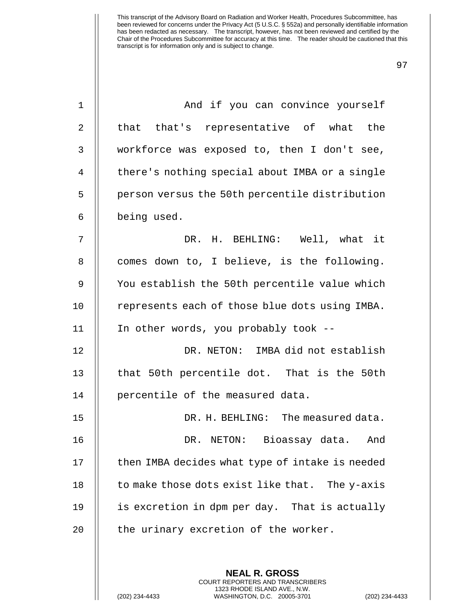| $\mathbf 1$    | And if you can convince yourself                |
|----------------|-------------------------------------------------|
| 2              | that that's representative of what the          |
| 3              | workforce was exposed to, then I don't see,     |
| $\overline{4}$ | there's nothing special about IMBA or a single  |
| 5              | person versus the 50th percentile distribution  |
| 6              | being used.                                     |
| 7              | DR. H. BEHLING: Well, what it                   |
| 8              | comes down to, I believe, is the following.     |
| $\mathsf 9$    | You establish the 50th percentile value which   |
| 10             | represents each of those blue dots using IMBA.  |
| 11             | In other words, you probably took --            |
| 12             | DR. NETON: IMBA did not establish               |
| 13             | that 50th percentile dot. That is the 50th      |
| 14             | percentile of the measured data.                |
| 15             | DR. H. BEHLING: The measured data.              |
| 16             | DR. NETON: Bioassay data. And                   |
| 17             | then IMBA decides what type of intake is needed |
| 18             | to make those dots exist like that. The y-axis  |
| 19             | is excretion in dpm per day. That is actually   |
| 20             | the urinary excretion of the worker.            |
|                |                                                 |

**NEAL R. GROSS** COURT REPORTERS AND TRANSCRIBERS 1323 RHODE ISLAND AVE., N.W.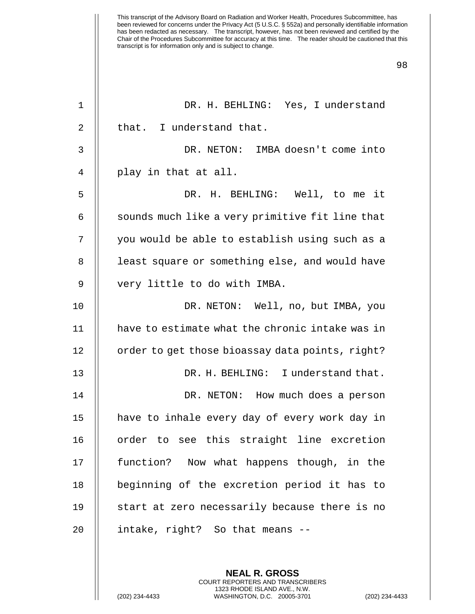| 1  | DR. H. BEHLING: Yes, I understand               |
|----|-------------------------------------------------|
| 2  | that. I understand that.                        |
| 3  | DR. NETON: IMBA doesn't come into               |
| 4  | play in that at all.                            |
| 5  | DR. H. BEHLING: Well, to me it                  |
| 6  | sounds much like a very primitive fit line that |
| 7  | you would be able to establish using such as a  |
| 8  | least square or something else, and would have  |
| 9  | very little to do with IMBA.                    |
| 10 | DR. NETON: Well, no, but IMBA, you              |
| 11 | have to estimate what the chronic intake was in |
| 12 | order to get those bioassay data points, right? |
| 13 | DR. H. BEHLING: I understand that.              |
| 14 | DR. NETON: How much does a person               |
| 15 | have to inhale every day of every work day in   |
| 16 | order to see this straight line excretion       |
| 17 | function? Now what happens though, in the       |
| 18 | beginning of the excretion period it has to     |
| 19 | start at zero necessarily because there is no   |
| 20 | intake, right? So that means --                 |
|    |                                                 |
|    | <b>NEAL R. GROSS</b>                            |

COURT REPORTERS AND TRANSCRIBERS 1323 RHODE ISLAND AVE., N.W.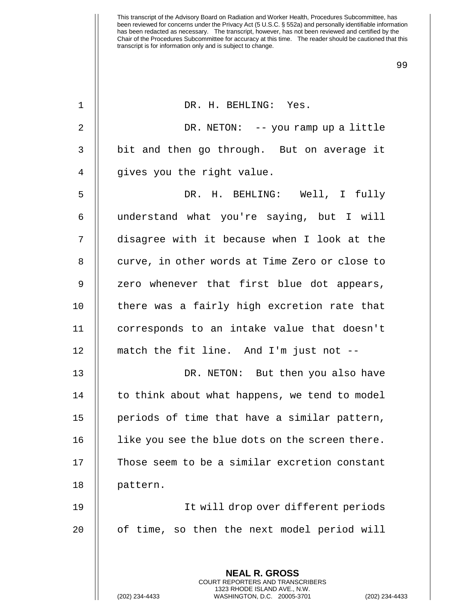| $\mathbf 1$    | DR. H. BEHLING: Yes.                                                                         |
|----------------|----------------------------------------------------------------------------------------------|
| 2              | DR. NETON: -- you ramp up a little                                                           |
| $\mathfrak{Z}$ | bit and then go through. But on average it                                                   |
| $\overline{4}$ | gives you the right value.                                                                   |
| 5              | DR. H. BEHLING: Well, I fully                                                                |
| 6              | understand what you're saying, but I will                                                    |
| 7              | disagree with it because when I look at the                                                  |
| 8              | curve, in other words at Time Zero or close to                                               |
| 9              | zero whenever that first blue dot appears,                                                   |
| 10             | there was a fairly high excretion rate that                                                  |
| 11             | corresponds to an intake value that doesn't                                                  |
| 12             | match the fit line. And I'm just not --                                                      |
| 13             | DR. NETON: But then you also have                                                            |
| 14             | to think about what happens, we tend to model                                                |
| 15             | periods of time that have a similar pattern,                                                 |
| 16             | like you see the blue dots on the screen there.                                              |
| 17             | Those seem to be a similar excretion constant                                                |
| 18             | pattern.                                                                                     |
| 19             | It will drop over different periods                                                          |
| 20             | of time, so then the next model period will                                                  |
|                |                                                                                              |
|                | <b>NEAL R. GROSS</b><br><b>COURT REPORTERS AND TRANSCRIBERS</b>                              |
|                | 1323 RHODE ISLAND AVE., N.W.<br>(202) 234-4433<br>WASHINGTON, D.C. 20005-3701<br>$(202)$ 234 |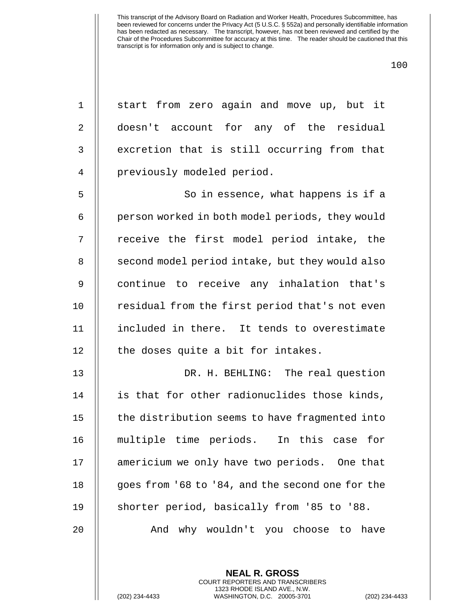100

1 || start from zero again and move up, but it 2 || doesn't account for any of the residual 3 | excretion that is still occurring from that 4 || previously modeled period. 5 || So in essence, what happens is if a 6 | person worked in both model periods, they would 7 || receive the first model period intake, the 8 || second model period intake, but they would also 9 || continue to receive any inhalation that's 10 || residual from the first period that's not even 11 included in there. It tends to overestimate 12 || the doses quite a bit for intakes. 13 DR. H. BEHLING: The real question 14 || is that for other radionuclides those kinds,  $15$   $\parallel$  the distribution seems to have fragmented into 16 multiple time periods. In this case for 17 | americium we only have two periods. One that 18 | goes from '68 to '84, and the second one for the 19 || shorter period, basically from '85 to '88. 20 And why wouldn't you choose to have

> **NEAL R. GROSS** COURT REPORTERS AND TRANSCRIBERS 1323 RHODE ISLAND AVE., N.W.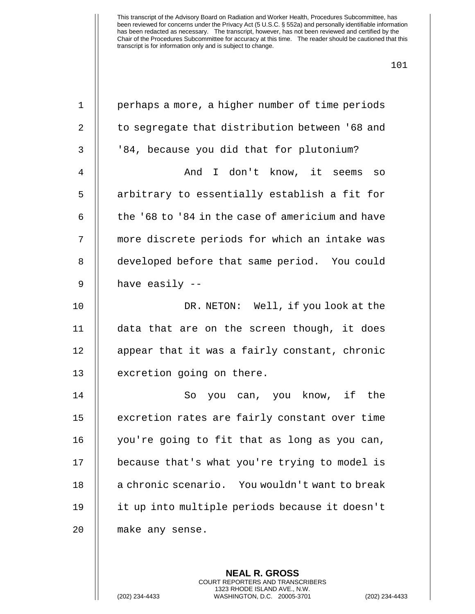| $\mathbf 1$    | perhaps a more, a higher number of time periods  |
|----------------|--------------------------------------------------|
| $\overline{2}$ | to segregate that distribution between '68 and   |
| 3              | '84, because you did that for plutonium?         |
| $\overline{4}$ | And I don't know, it seems so                    |
| 5              | arbitrary to essentially establish a fit for     |
| 6              | the '68 to '84 in the case of americium and have |
| 7              | more discrete periods for which an intake was    |
| 8              | developed before that same period. You could     |
| $\mathsf 9$    | have easily --                                   |
| 10             | DR. NETON: Well, if you look at the              |
| 11             | data that are on the screen though, it does      |
| 12             | appear that it was a fairly constant, chronic    |
| 13             | excretion going on there.                        |
| 14             | So you can, you know, if the                     |
| 15             | excretion rates are fairly constant over time    |
| 16             | you're going to fit that as long as you can,     |
| 17             | because that's what you're trying to model is    |
| 18             | a chronic scenario. You wouldn't want to break   |
| 19             | it up into multiple periods because it doesn't   |
| 20             | make any sense.                                  |
|                |                                                  |

**NEAL R. GROSS** COURT REPORTERS AND TRANSCRIBERS 1323 RHODE ISLAND AVE., N.W.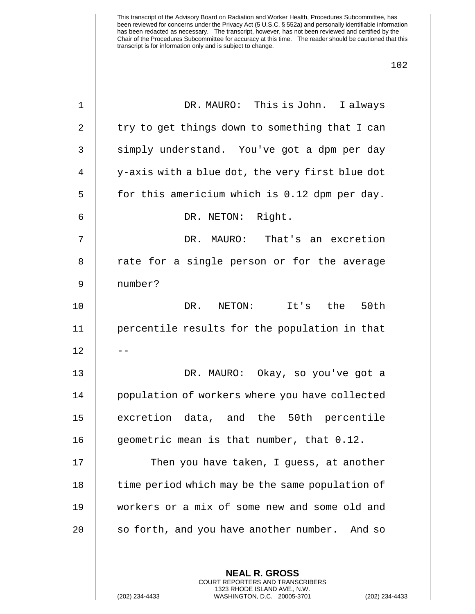| $1\,$          | DR. MAURO: This is John. I always                                                                                                                                 |
|----------------|-------------------------------------------------------------------------------------------------------------------------------------------------------------------|
| $\overline{2}$ | try to get things down to something that I can                                                                                                                    |
| 3              | simply understand. You've got a dpm per day                                                                                                                       |
| $\overline{4}$ | y-axis with a blue dot, the very first blue dot                                                                                                                   |
| 5              | for this americium which is 0.12 dpm per day.                                                                                                                     |
| 6              | DR. NETON: Right.                                                                                                                                                 |
| 7              | DR. MAURO: That's an excretion                                                                                                                                    |
| 8              | rate for a single person or for the average                                                                                                                       |
| $\mathsf 9$    | number?                                                                                                                                                           |
| 10             | It's the<br>50th<br>DR. NETON:                                                                                                                                    |
| 11             | percentile results for the population in that                                                                                                                     |
| 12             |                                                                                                                                                                   |
| 13             | DR. MAURO: Okay, so you've got a                                                                                                                                  |
| 14             | population of workers where you have collected                                                                                                                    |
| 15             | excretion data, and the 50th percentile                                                                                                                           |
| 16             | geometric mean is that number, that 0.12.                                                                                                                         |
| 17             | Then you have taken, I guess, at another                                                                                                                          |
| 18             | time period which may be the same population of                                                                                                                   |
| 19             | workers or a mix of some new and some old and                                                                                                                     |
| 20             | so forth, and you have another number. And so                                                                                                                     |
|                |                                                                                                                                                                   |
|                | <b>NEAL R. GROSS</b><br><b>COURT REPORTERS AND TRANSCRIBERS</b><br>1323 RHODE ISLAND AVE., N.W.<br>(202) 234-4433<br>WASHINGTON, D.C. 20005-3701<br>$(202)$ 234-4 |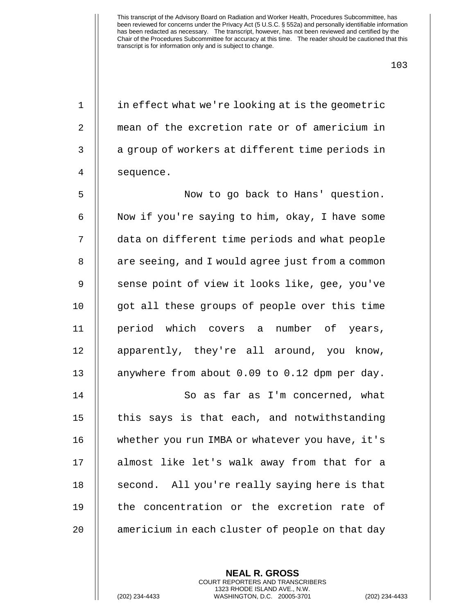103

1 | in effect what we're looking at is the geometric 2 mean of the excretion rate or of americium in 3 || a group of workers at different time periods in 4 || sequence.

5 Now to go back to Hans' question. 6  $\parallel$  Now if you're saying to him, okay, I have some 7 data on different time periods and what people 8 | are seeing, and I would agree just from a common 9 || sense point of view it looks like, gee, you've 10 || got all these groups of people over this time 11 period which covers a number of years, 12 || apparently, they're all around, you know, 13 || anywhere from about 0.09 to 0.12 dpm per day.

14 || So as far as I'm concerned, what  $15$   $\parallel$  this says is that each, and notwithstanding 16 | whether you run IMBA or whatever you have, it's 17 || almost like let's walk away from that for a 18 || second. All you're really saying here is that 19 || the concentration or the excretion rate of 20 || americium in each cluster of people on that day

> **NEAL R. GROSS** COURT REPORTERS AND TRANSCRIBERS 1323 RHODE ISLAND AVE., N.W. (202) 234-4433 WASHINGTON, D.C. 20005-3701 (202) 234-4433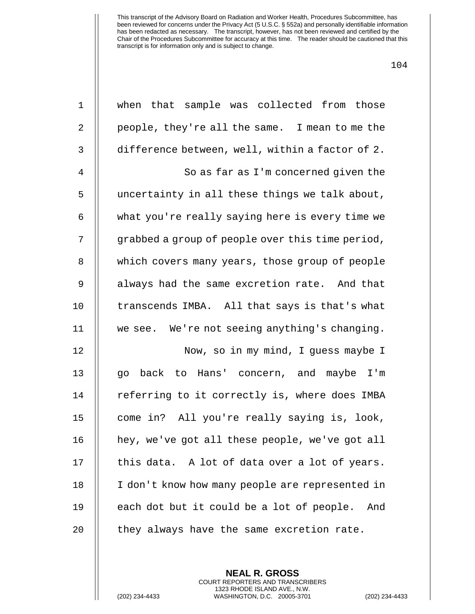| $\mathbf 1$    | when that sample was collected from those        |
|----------------|--------------------------------------------------|
| 2              | people, they're all the same. I mean to me the   |
| 3              | difference between, well, within a factor of 2.  |
| $\overline{4}$ | So as far as I'm concerned given the             |
| 5              | uncertainty in all these things we talk about,   |
| 6              | what you're really saying here is every time we  |
| 7              | grabbed a group of people over this time period, |
| 8              | which covers many years, those group of people   |
| 9              | always had the same excretion rate. And that     |
| 10             | transcends IMBA. All that says is that's what    |
| 11             | we see. We're not seeing anything's changing.    |
| 12             | Now, so in my mind, I guess maybe I              |
| 13             | back to Hans' concern, and maybe I'm<br>go       |
| 14             | referring to it correctly is, where does IMBA    |
| 15             | come in? All you're really saying is, look,      |
| 16             | hey, we've got all these people, we've got all   |
| 17             | this data. A lot of data over a lot of years.    |
| 18             | I don't know how many people are represented in  |
| 19             | each dot but it could be a lot of people.<br>And |
| 20             | they always have the same excretion rate.        |

**NEAL R. GROSS** COURT REPORTERS AND TRANSCRIBERS 1323 RHODE ISLAND AVE., N.W.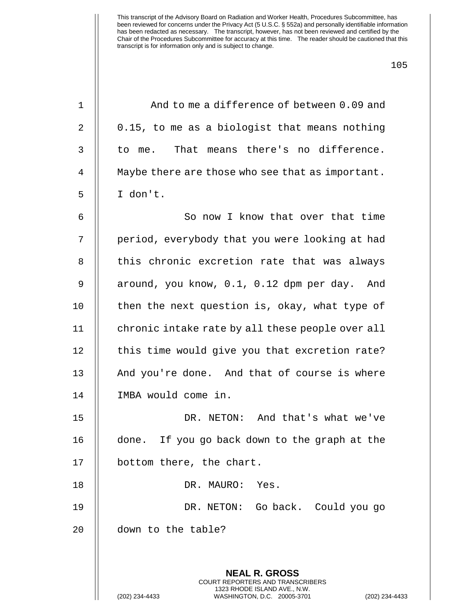| 1  | And to me a difference of between 0.09 and                                                   |
|----|----------------------------------------------------------------------------------------------|
| 2  | 0.15, to me as a biologist that means nothing                                                |
| 3  | to me. That means there's no difference.                                                     |
| 4  | Maybe there are those who see that as important.                                             |
| 5  | I don't.                                                                                     |
| 6  | So now I know that over that time                                                            |
| 7  | period, everybody that you were looking at had                                               |
| 8  | this chronic excretion rate that was always                                                  |
| 9  | around, you know, 0.1, 0.12 dpm per day. And                                                 |
| 10 | then the next question is, okay, what type of                                                |
| 11 | chronic intake rate by all these people over all                                             |
| 12 | this time would give you that excretion rate?                                                |
| 13 | And you're done. And that of course is where                                                 |
| 14 | IMBA would come in.                                                                          |
| 15 | DR. NETON: And that's what we've                                                             |
| 16 | done. If you go back down to the graph at the                                                |
| 17 | bottom there, the chart.                                                                     |
| 18 | DR. MAURO:<br>Yes.                                                                           |
| 19 | DR. NETON: Go back. Could you go                                                             |
| 20 | down to the table?                                                                           |
|    |                                                                                              |
|    | <b>NEAL R. GROSS</b><br>COURT REPORTERS AND TRANSCRIBERS                                     |
|    | 1323 RHODE ISLAND AVE., N.W.<br>(202) 234-4433<br>WASHINGTON, D.C. 20005-3701<br>$(202)$ 234 |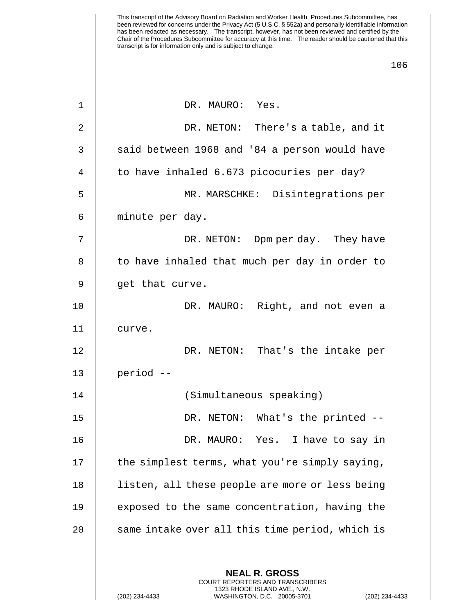| 1              | DR. MAURO: Yes.                                                                                 |
|----------------|-------------------------------------------------------------------------------------------------|
| $\overline{2}$ | DR. NETON: There's a table, and it                                                              |
| 3              | said between 1968 and '84 a person would have                                                   |
| 4              | to have inhaled 6.673 picocuries per day?                                                       |
| 5              | MR. MARSCHKE: Disintegrations per                                                               |
| 6              | minute per day.                                                                                 |
| 7              | DR. NETON: Dpm per day. They have                                                               |
| 8              | to have inhaled that much per day in order to                                                   |
| 9              | get that curve.                                                                                 |
| 10             | DR. MAURO: Right, and not even a                                                                |
| 11             | curve.                                                                                          |
| 12             | DR. NETON: That's the intake per                                                                |
| 13             | period --                                                                                       |
| 14             | (Simultaneous speaking)                                                                         |
| 15             | DR. NETON: What's the printed --                                                                |
| 16             | DR. MAURO: Yes. I have to say in                                                                |
| 17             | the simplest terms, what you're simply saying,                                                  |
| 18             | listen, all these people are more or less being                                                 |
| 19             | exposed to the same concentration, having the                                                   |
| 20             | same intake over all this time period, which is                                                 |
|                |                                                                                                 |
|                | <b>NEAL R. GROSS</b><br>COURT REPORTERS AND TRANSCRIBERS                                        |
|                | 1323 RHODE ISLAND AVE., N.W.<br>(202) 234-4433<br>(202) 234-4433<br>WASHINGTON, D.C. 20005-3701 |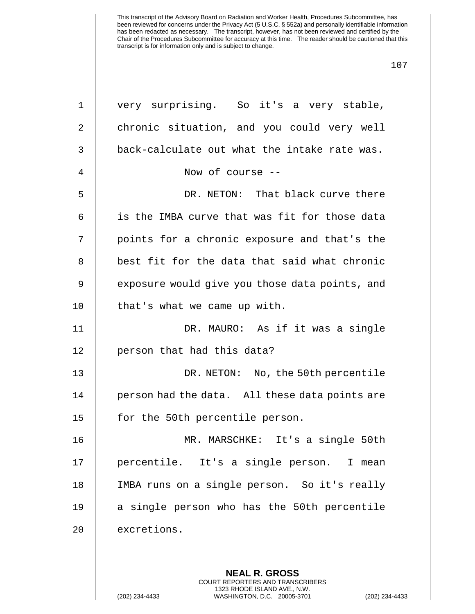| $\mathbf 1$    | very surprising. So it's a very stable,                  |
|----------------|----------------------------------------------------------|
| $\overline{2}$ | chronic situation, and you could very well               |
| $\mathfrak{Z}$ | back-calculate out what the intake rate was.             |
| 4              | Now of course --                                         |
| 5              | DR. NETON: That black curve there                        |
| 6              | is the IMBA curve that was fit for those data            |
| 7              | points for a chronic exposure and that's the             |
| 8              | best fit for the data that said what chronic             |
| 9              | exposure would give you those data points, and           |
| 10             | that's what we came up with.                             |
| 11             | DR. MAURO: As if it was a single                         |
| 12             | person that had this data?                               |
| 13             | DR. NETON: No, the 50th percentile                       |
| 14             | person had the data. All these data points are           |
| 15             | for the 50th percentile person.                          |
| 16             | MR. MARSCHKE:<br>It's a single 50th                      |
| 17             | percentile. It's a single person. I mean                 |
| 18             | IMBA runs on a single person. So it's really             |
| 19             | a single person who has the 50th percentile              |
| 20             | excretions.                                              |
|                |                                                          |
|                | <b>NEAL R. GROSS</b><br>COURT REPORTERS AND TRANSCRIBERS |

1323 RHODE ISLAND AVE., N.W.

 $\mathop{||}$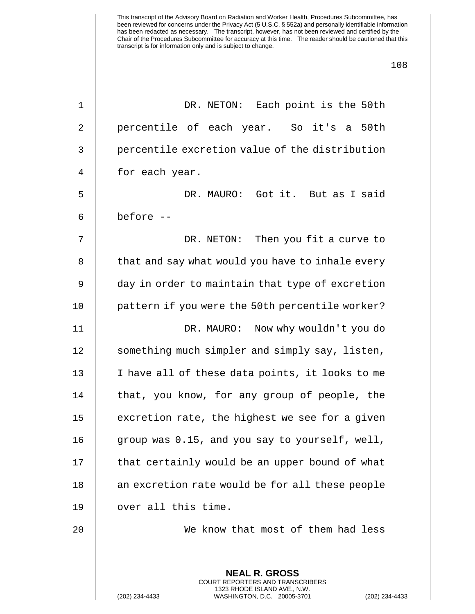| $\mathbf{1}$   | DR. NETON: Each point is the 50th                        |
|----------------|----------------------------------------------------------|
| $\overline{2}$ | percentile of each year. So it's a 50th                  |
| 3              | percentile excretion value of the distribution           |
| 4              | for each year.                                           |
| 5              | DR. MAURO: Got it. But as I said                         |
| 6              | before --                                                |
| 7              | DR. NETON: Then you fit a curve to                       |
| 8              | that and say what would you have to inhale every         |
| 9              | day in order to maintain that type of excretion          |
| 10             | pattern if you were the 50th percentile worker?          |
| 11             | DR. MAURO: Now why wouldn't you do                       |
| 12             | something much simpler and simply say, listen,           |
| 13             | I have all of these data points, it looks to me          |
| 14             | that, you know, for any group of people, the             |
| 15             | excretion rate, the highest we see for a given           |
| 16             | group was 0.15, and you say to yourself, well,           |
| 17             | that certainly would be an upper bound of what           |
| 18             | an excretion rate would be for all these people          |
| 19             | over all this time.                                      |
| 20             | We know that most of them had less                       |
|                |                                                          |
|                | <b>NEAL R. GROSS</b><br>COURT REPORTERS AND TRANSCRIBERS |

1323 RHODE ISLAND AVE., N.W.

 $\mathop{||}$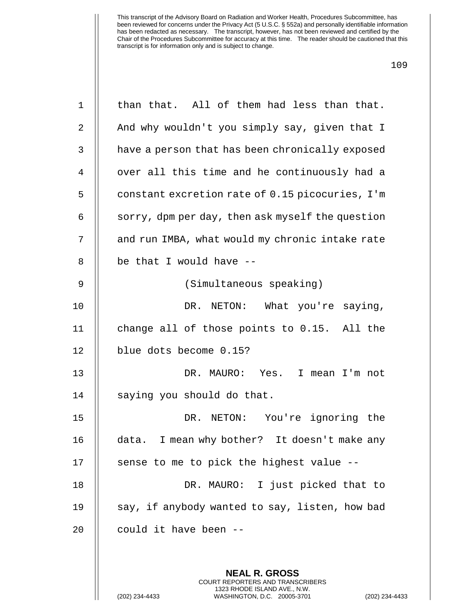| $\mathbf 1$    | than that. All of them had less than that.                                                                                                                        |
|----------------|-------------------------------------------------------------------------------------------------------------------------------------------------------------------|
| $\sqrt{2}$     | And why wouldn't you simply say, given that I                                                                                                                     |
| $\mathsf{3}$   | have a person that has been chronically exposed                                                                                                                   |
| $\overline{4}$ | over all this time and he continuously had a                                                                                                                      |
| 5              | constant excretion rate of 0.15 picocuries, I'm                                                                                                                   |
| 6              | sorry, dpm per day, then ask myself the question                                                                                                                  |
| 7              | and run IMBA, what would my chronic intake rate                                                                                                                   |
| 8              | be that I would have --                                                                                                                                           |
| 9              | (Simultaneous speaking)                                                                                                                                           |
| 10             | DR. NETON: What you're saying,                                                                                                                                    |
| 11             | change all of those points to 0.15. All the                                                                                                                       |
| 12             | blue dots become 0.15?                                                                                                                                            |
| 13             | DR. MAURO: Yes. I mean I'm not                                                                                                                                    |
| 14             | saying you should do that.                                                                                                                                        |
| 15             | DR. NETON: You're ignoring the                                                                                                                                    |
| 16             | I mean why bother? It doesn't make any<br>data.                                                                                                                   |
| 17             | sense to me to pick the highest value --                                                                                                                          |
| 18             | DR. MAURO: I just picked that to                                                                                                                                  |
| 19             | say, if anybody wanted to say, listen, how bad                                                                                                                    |
| 20             | could it have been --                                                                                                                                             |
|                |                                                                                                                                                                   |
|                | <b>NEAL R. GROSS</b><br><b>COURT REPORTERS AND TRANSCRIBERS</b><br>1323 RHODE ISLAND AVE., N.W.<br>(202) 234-4433<br>WASHINGTON, D.C. 20005-3701<br>$(202)$ 234-4 |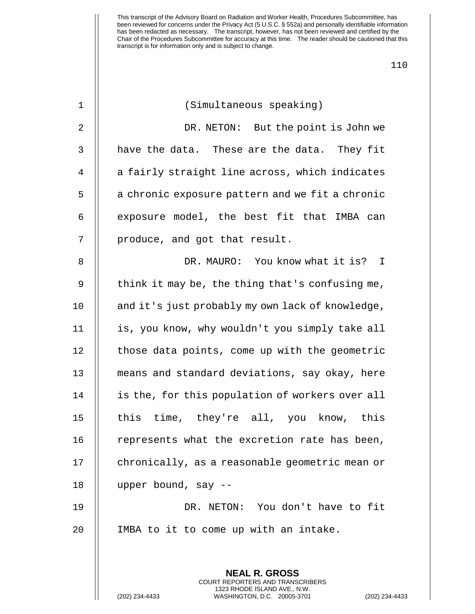| $\mathbf 1$    | (Simultaneous speaking)                                                                                                                                          |
|----------------|------------------------------------------------------------------------------------------------------------------------------------------------------------------|
| $\overline{2}$ | DR. NETON: But the point is John we                                                                                                                              |
| 3              | have the data. These are the data. They fit                                                                                                                      |
| $\overline{4}$ | a fairly straight line across, which indicates                                                                                                                   |
| 5              | a chronic exposure pattern and we fit a chronic                                                                                                                  |
| 6              | exposure model, the best fit that IMBA can                                                                                                                       |
| 7              | produce, and got that result.                                                                                                                                    |
| 8              | DR. MAURO: You know what it is? I                                                                                                                                |
| 9              | think it may be, the thing that's confusing me,                                                                                                                  |
| 10             | and it's just probably my own lack of knowledge,                                                                                                                 |
| 11             | is, you know, why wouldn't you simply take all                                                                                                                   |
| 12             | those data points, come up with the geometric                                                                                                                    |
| 13             | means and standard deviations, say okay, here                                                                                                                    |
| 14             | is the, for this population of workers over all                                                                                                                  |
| 15             | this time, they're all, you know, this                                                                                                                           |
| 16             | represents what the excretion rate has been,                                                                                                                     |
| 17             | chronically, as a reasonable geometric mean or                                                                                                                   |
| 18             | upper bound, say --                                                                                                                                              |
| 19             | DR. NETON: You don't have to fit                                                                                                                                 |
| 20             | IMBA to it to come up with an intake.                                                                                                                            |
|                |                                                                                                                                                                  |
|                | <b>NEAL R. GROSS</b><br><b>COURT REPORTERS AND TRANSCRIBERS</b><br>1323 RHODE ISLAND AVE., N.W.<br>(202) 234-4433<br>WASHINGTON, D.C. 20005-3701<br>$(202)$ 234- |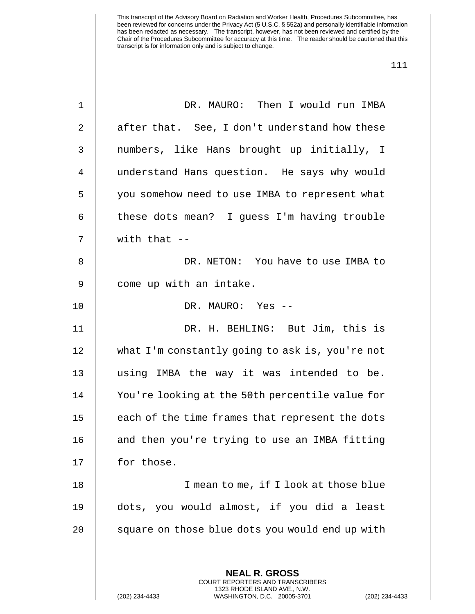| $\mathbf 1$ | DR. MAURO: Then I would run IMBA                                                                                                                                 |
|-------------|------------------------------------------------------------------------------------------------------------------------------------------------------------------|
| 2           | after that. See, I don't understand how these                                                                                                                    |
| 3           | numbers, like Hans brought up initially, I                                                                                                                       |
| 4           | understand Hans question. He says why would                                                                                                                      |
| 5           | you somehow need to use IMBA to represent what                                                                                                                   |
| 6           | these dots mean? I guess I'm having trouble                                                                                                                      |
| 7           | with that $--$                                                                                                                                                   |
| 8           | DR. NETON: You have to use IMBA to                                                                                                                               |
| 9           | come up with an intake.                                                                                                                                          |
| 10          | DR. MAURO: Yes --                                                                                                                                                |
| 11          | DR. H. BEHLING: But Jim, this is                                                                                                                                 |
| 12          | what I'm constantly going to ask is, you're not                                                                                                                  |
| 13          | using IMBA the way it was intended to be.                                                                                                                        |
| 14          | You're looking at the 50th percentile value for                                                                                                                  |
| 15          | each of the time frames that represent the dots                                                                                                                  |
| 16          | and then you're trying to use an IMBA fitting                                                                                                                    |
| 17          | for those.                                                                                                                                                       |
| 18          | I mean to me, if I look at those blue                                                                                                                            |
| 19          | dots, you would almost, if you did a least                                                                                                                       |
| 20          | square on those blue dots you would end up with                                                                                                                  |
|             |                                                                                                                                                                  |
|             | <b>NEAL R. GROSS</b><br><b>COURT REPORTERS AND TRANSCRIBERS</b><br>1323 RHODE ISLAND AVE., N.W.<br>(202) 234-4433<br>WASHINGTON, D.C. 20005-3701<br>$(202)$ 234- |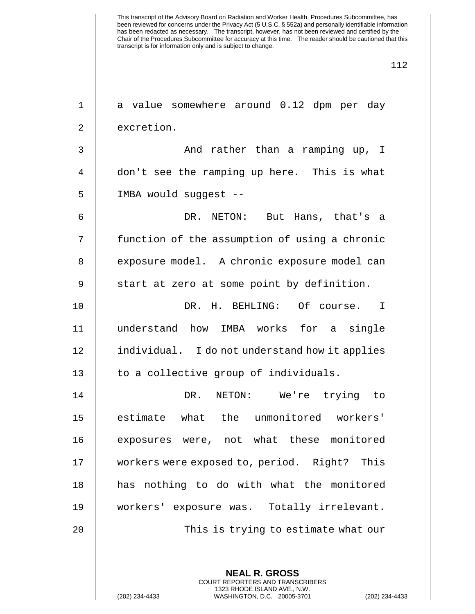| 1  | a value somewhere around 0.12 dpm per day      |
|----|------------------------------------------------|
| 2  | excretion.                                     |
| 3  | And rather than a ramping up, I                |
| 4  | don't see the ramping up here. This is what    |
| 5  | IMBA would suggest --                          |
| 6  | DR. NETON: But Hans, that's a                  |
| 7  | function of the assumption of using a chronic  |
| 8  | exposure model. A chronic exposure model can   |
| 9  | start at zero at some point by definition.     |
| 10 | DR. H. BEHLING: Of course. I                   |
| 11 | understand how IMBA works for a single         |
| 12 | individual. I do not understand how it applies |
| 13 | to a collective group of individuals.          |
| 14 | DR.<br>NETON:<br>We're trying to               |
| 15 | estimate what the unmonitored workers'         |
| 16 | exposures were, not what these monitored       |
| 17 | workers were exposed to, period. Right? This   |
| 18 | has nothing to do with what the monitored      |
| 19 | workers' exposure was. Totally irrelevant.     |
| 20 | This is trying to estimate what our            |
|    |                                                |
|    | <b>NEAL R. GROSS</b>                           |

COURT REPORTERS AND TRANSCRIBERS 1323 RHODE ISLAND AVE., N.W.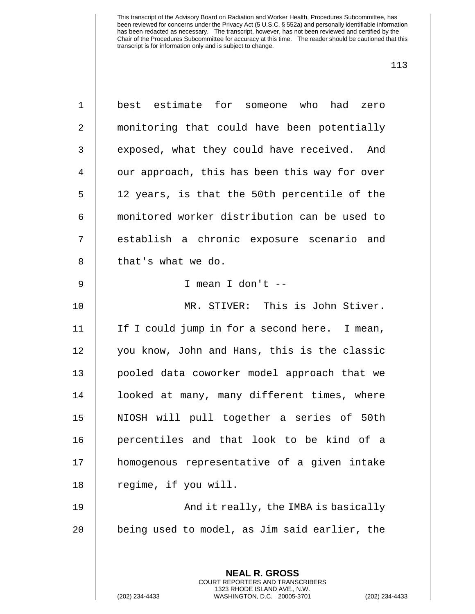| $\mathbf 1$    | best estimate for someone who had<br>zero                |
|----------------|----------------------------------------------------------|
| $\overline{a}$ | monitoring that could have been potentially              |
| 3              | exposed, what they could have received. And              |
| $\overline{4}$ | our approach, this has been this way for over            |
| 5              | 12 years, is that the 50th percentile of the             |
| 6              | monitored worker distribution can be used to             |
| 7              | establish a chronic exposure scenario and                |
| 8              | that's what we do.                                       |
| $\mathsf 9$    | I mean I don't --                                        |
| 10             | MR. STIVER: This is John Stiver.                         |
| 11             | If I could jump in for a second here. I mean,            |
| 12             | you know, John and Hans, this is the classic             |
| 13             | pooled data coworker model approach that we              |
| 14             | looked at many, many different times, where              |
| 15             | NIOSH will pull together a series of 50th                |
| 16             | percentiles and that look to be kind of a                |
| 17             | homogenous representative of a given intake              |
| 18             | regime, if you will.                                     |
| 19             | And it really, the IMBA is basically                     |
| 20             | being used to model, as Jim said earlier, the            |
|                |                                                          |
|                | <b>NEAL R. GROSS</b><br>COURT REPORTERS AND TRANSCRIBERS |

1323 RHODE ISLAND AVE., N.W.

 $\begin{array}{c} \prod \end{array}$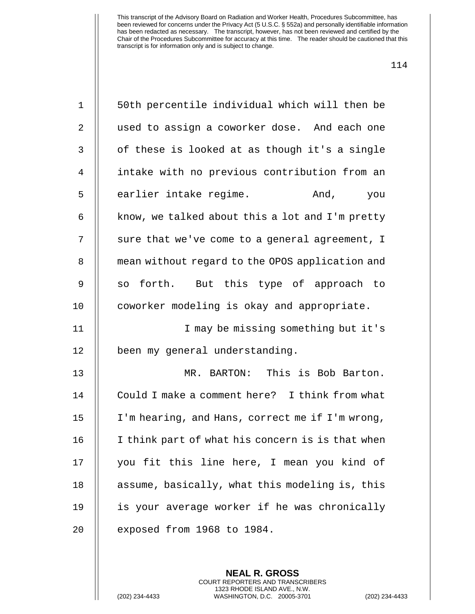| $\mathbf 1$    | 50th percentile individual which will then be    |
|----------------|--------------------------------------------------|
| $\overline{2}$ | used to assign a coworker dose. And each one     |
| 3              | of these is looked at as though it's a single    |
| 4              | intake with no previous contribution from an     |
| 5              | earlier intake regime.<br>And, you               |
| 6              | know, we talked about this a lot and I'm pretty  |
| 7              | sure that we've come to a general agreement, I   |
| 8              | mean without regard to the OPOS application and  |
| 9              | so forth. But this type of approach to           |
| 10             | coworker modeling is okay and appropriate.       |
| 11             | I may be missing something but it's              |
|                |                                                  |
| 12             | been my general understanding.                   |
| 13             | MR. BARTON: This is Bob Barton.                  |
| 14             | Could I make a comment here? I think from what   |
| 15             | I'm hearing, and Hans, correct me if I'm wrong,  |
| 16             | I think part of what his concern is is that when |
| 17             | you fit this line here, I mean you kind of       |
| 18             | assume, basically, what this modeling is, this   |
| 19             | is your average worker if he was chronically     |

**NEAL R. GROSS** COURT REPORTERS AND TRANSCRIBERS 1323 RHODE ISLAND AVE., N.W.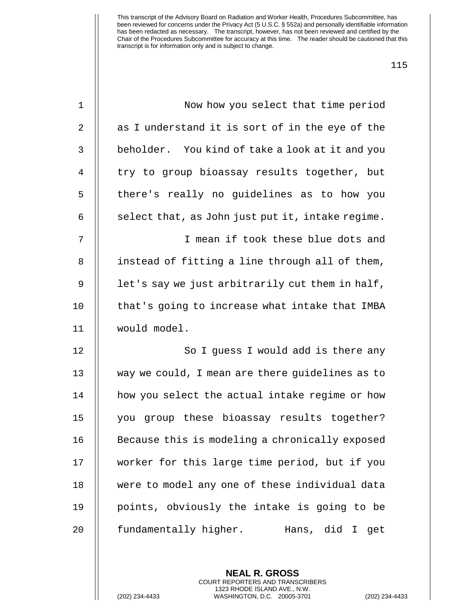| $\mathbf 1$ | Now how you select that time period              |
|-------------|--------------------------------------------------|
| 2           | as I understand it is sort of in the eye of the  |
| 3           | beholder. You kind of take a look at it and you  |
| 4           | try to group bioassay results together, but      |
| 5           | there's really no guidelines as to how you       |
| 6           | select that, as John just put it, intake regime. |
| 7           | I mean if took these blue dots and               |
| 8           | instead of fitting a line through all of them,   |
| 9           | let's say we just arbitrarily cut them in half,  |
| 10          | that's going to increase what intake that IMBA   |
| 11          | would model.                                     |
| 12          | So I guess I would add is there any              |
| 13          | way we could, I mean are there guidelines as to  |
| 14          | how you select the actual intake regime or how   |
| 15          | you group these bioassay results together?       |
| 16          | Because this is modeling a chronically exposed   |
| 17          | worker for this large time period, but if you    |
| 18          | were to model any one of these individual data   |
| 19          | points, obviously the intake is going to be      |
| 20          | fundamentally higher.<br>Hans, did I<br>get      |
|             |                                                  |

**NEAL R. GROSS** COURT REPORTERS AND TRANSCRIBERS 1323 RHODE ISLAND AVE., N.W.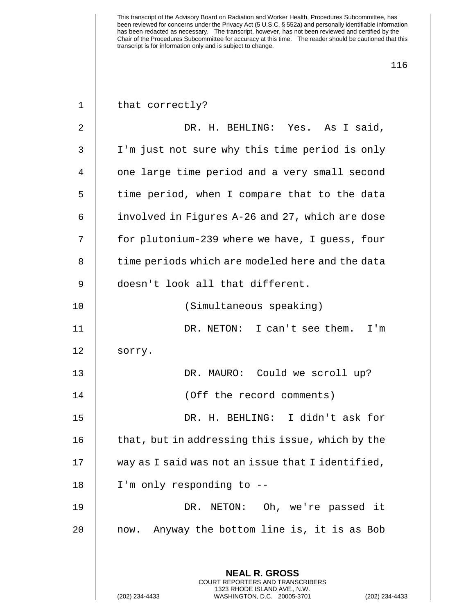| $\mathbf{1}$ | that correctly?                                                                               |
|--------------|-----------------------------------------------------------------------------------------------|
| 2            | DR. H. BEHLING: Yes. As I said,                                                               |
| 3            | I'm just not sure why this time period is only                                                |
| 4            | one large time period and a very small second                                                 |
| 5            | time period, when I compare that to the data                                                  |
| 6            | involved in Figures A-26 and 27, which are dose                                               |
| 7            | for plutonium-239 where we have, I guess, four                                                |
| 8            | time periods which are modeled here and the data                                              |
| 9            | doesn't look all that different.                                                              |
| 10           | (Simultaneous speaking)                                                                       |
| 11           | DR. NETON: I can't see them. I'm                                                              |
| 12           | sorry.                                                                                        |
| 13           | DR. MAURO: Could we scroll up?                                                                |
| 14           | (Off the record comments)                                                                     |
| 15           | DR. H. BEHLING: I didn't ask for                                                              |
| 16           | that, but in addressing this issue, which by the                                              |
| 17           | way as I said was not an issue that I identified,                                             |
| 18           | I'm only responding to --                                                                     |
| 19           | DR. NETON: Oh, we're passed it                                                                |
| 20           | Anyway the bottom line is, it is as Bob<br>now.                                               |
|              |                                                                                               |
|              | <b>NEAL R. GROSS</b><br>COURT REPORTERS AND TRANSCRIBERS                                      |
|              | 1323 RHODE ISLAND AVE., N.W.<br>(202) 234-4433<br>WASHINGTON, D.C. 20005-3701<br>$(202)$ 234- |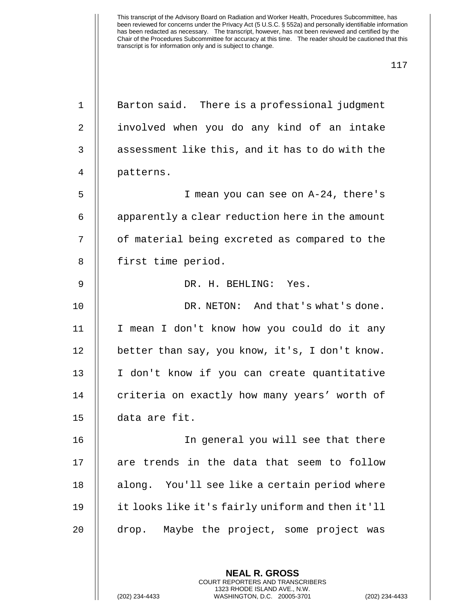| $\mathbf 1$    | Barton said. There is a professional judgment                   |
|----------------|-----------------------------------------------------------------|
| $\overline{2}$ | involved when you do any kind of an intake                      |
| 3              | assessment like this, and it has to do with the                 |
| $\overline{4}$ | patterns.                                                       |
| 5              | I mean you can see on A-24, there's                             |
| 6              | apparently a clear reduction here in the amount                 |
| 7              | of material being excreted as compared to the                   |
| 8              | first time period.                                              |
| 9              | DR. H. BEHLING: Yes.                                            |
| 10             | DR. NETON: And that's what's done.                              |
| 11             | I mean I don't know how you could do it any                     |
| 12             | better than say, you know, it's, I don't know.                  |
| 13             | I don't know if you can create quantitative                     |
| 14             | criteria on exactly how many years' worth of                    |
| 15             | data are fit.                                                   |
| 16             | In general you will see that there                              |
| 17             | are trends in the data that seem to follow                      |
| 18             | along. You'll see like a certain period where                   |
| 19             | it looks like it's fairly uniform and then it'll                |
| 20             | drop. Maybe the project, some project was                       |
|                |                                                                 |
|                | <b>NEAL R. GROSS</b><br><b>COURT REPORTERS AND TRANSCRIBERS</b> |

1323 RHODE ISLAND AVE., N.W.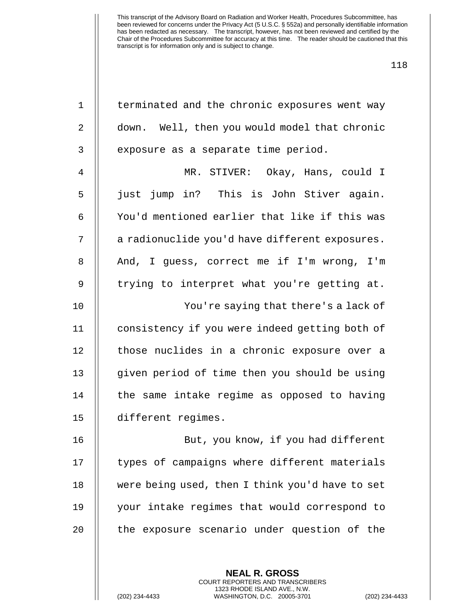| $\mathbf 1$    | terminated and the chronic exposures went way   |
|----------------|-------------------------------------------------|
| 2              | down. Well, then you would model that chronic   |
| 3              | exposure as a separate time period.             |
| $\overline{4}$ | MR. STIVER: Okay, Hans, could I                 |
| 5              | just jump in? This is John Stiver again.        |
| 6              | You'd mentioned earlier that like if this was   |
| 7              | a radionuclide you'd have different exposures.  |
| 8              | And, I guess, correct me if I'm wrong, I'm      |
| $\mathsf 9$    | trying to interpret what you're getting at.     |
| 10             | You're saying that there's a lack of            |
| 11             | consistency if you were indeed getting both of  |
| 12             | those nuclides in a chronic exposure over a     |
| 13             | given period of time then you should be using   |
| 14             | the same intake regime as opposed to having     |
| 15             | different regimes.                              |
| 16             | But, you know, if you had different             |
| 17             | types of campaigns where different materials    |
| 18             | were being used, then I think you'd have to set |
| 19             | your intake regimes that would correspond to    |
| 20             | the exposure scenario under question of the     |
|                |                                                 |
|                | <b>NEAL R. GROSS</b>                            |

COURT REPORTERS AND TRANSCRIBERS 1323 RHODE ISLAND AVE., N.W.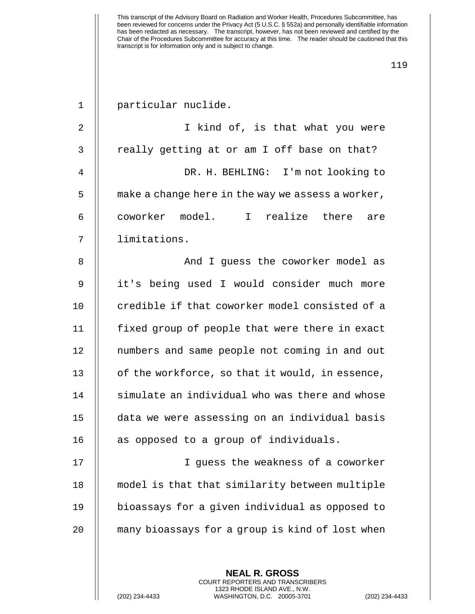| $\mathbf{1}$   | particular nuclide.                               |
|----------------|---------------------------------------------------|
| $\overline{2}$ | I kind of, is that what you were                  |
| 3              | really getting at or am I off base on that?       |
| 4              | DR. H. BEHLING: I'm not looking to                |
| 5              | make a change here in the way we assess a worker, |
| 6              | coworker model. I realize there<br>are            |
| 7              | limitations.                                      |
| 8              | And I guess the coworker model as                 |
| 9              | it's being used I would consider much more        |
| 10             | credible if that coworker model consisted of a    |
| 11             | fixed group of people that were there in exact    |
| 12             | numbers and same people not coming in and out     |
| 13             | of the workforce, so that it would, in essence,   |
| 14             | simulate an individual who was there and whose    |
| 15             | data we were assessing on an individual basis     |
| 16             | as opposed to a group of individuals.             |
| 17             | I quess the weakness of a coworker                |
| 18             | model is that that similarity between multiple    |
| 19             | bioassays for a given individual as opposed to    |
| 20             | many bioassays for a group is kind of lost when   |
|                |                                                   |
|                | <b>NEAL R. GROSS</b>                              |

COURT REPORTERS AND TRANSCRIBERS 1323 RHODE ISLAND AVE., N.W.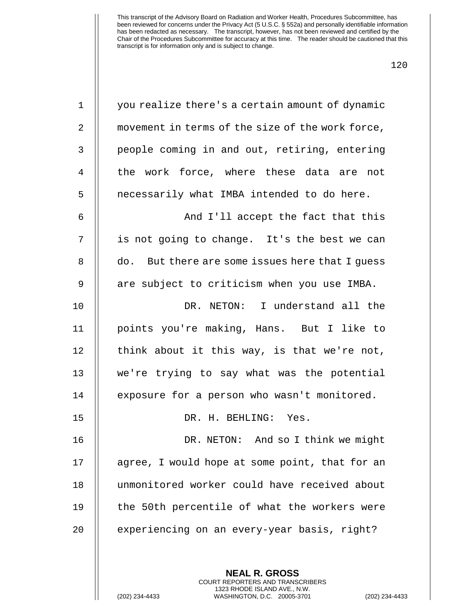| $\mathbf 1$ | you realize there's a certain amount of dynamic  |
|-------------|--------------------------------------------------|
| 2           | movement in terms of the size of the work force, |
| 3           | people coming in and out, retiring, entering     |
| 4           | the work force, where these data are not         |
| 5           | necessarily what IMBA intended to do here.       |
| 6           | And I'll accept the fact that this               |
| 7           | is not going to change. It's the best we can     |
| 8           | do. But there are some issues here that I quess  |
| 9           | are subject to criticism when you use IMBA.      |
| 10          | DR. NETON: I understand all the                  |
| 11          | points you're making, Hans. But I like to        |
| 12          | think about it this way, is that we're not,      |
| 13          | we're trying to say what was the potential       |
| 14          | exposure for a person who wasn't monitored.      |
| 15          | DR. H. BEHLING: Yes.                             |
| 16          | DR. NETON: And so I think we might               |
| 17          | agree, I would hope at some point, that for an   |
| 18          | unmonitored worker could have received about     |
| 19          | the 50th percentile of what the workers were     |
| 20          | experiencing on an every-year basis, right?      |
|             |                                                  |
|             | <b>NEAL R. GROSS</b>                             |

COURT REPORTERS AND TRANSCRIBERS 1323 RHODE ISLAND AVE., N.W.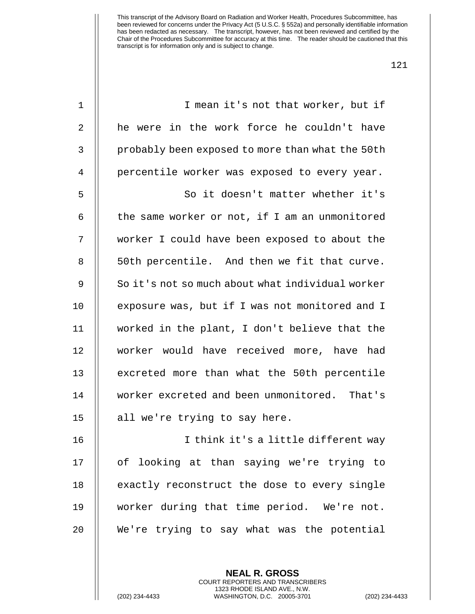| $\mathbf 1$    | I mean it's not that worker, but if              |
|----------------|--------------------------------------------------|
| 2              | he were in the work force he couldn't have       |
| 3              | probably been exposed to more than what the 50th |
| $\overline{4}$ | percentile worker was exposed to every year.     |
| 5              | So it doesn't matter whether it's                |
| 6              | the same worker or not, if I am an unmonitored   |
| 7              | worker I could have been exposed to about the    |
| 8              | 50th percentile. And then we fit that curve.     |
| $\mathsf 9$    | So it's not so much about what individual worker |
| 10             | exposure was, but if I was not monitored and I   |
| 11             | worked in the plant, I don't believe that the    |
| 12             | worker would have received more, have had        |
| 13             | excreted more than what the 50th percentile      |
| 14             | worker excreted and been unmonitored. That's     |
| 15             | all we're trying to say here.                    |
| 16             | I think it's a little different way              |
| 17             | of looking at than saying we're trying to        |
| 18             | exactly reconstruct the dose to every single     |
| 19             | worker during that time period. We're not.       |
| 20             | We're trying to say what was the potential       |
|                |                                                  |

**NEAL R. GROSS** COURT REPORTERS AND TRANSCRIBERS 1323 RHODE ISLAND AVE., N.W.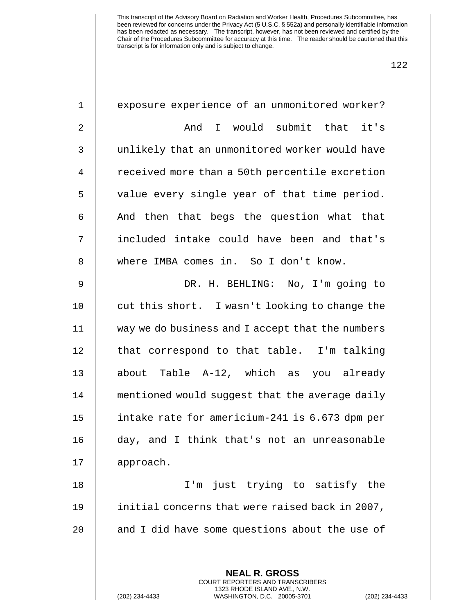| $1\,$          | exposure experience of an unmonitored worker?            |
|----------------|----------------------------------------------------------|
| $\sqrt{2}$     | And I would submit that it's                             |
| $\mathsf 3$    | unlikely that an unmonitored worker would have           |
| $\overline{4}$ | received more than a 50th percentile excretion           |
| 5              | value every single year of that time period.             |
| 6              | And then that begs the question what that                |
| 7              | included intake could have been and that's               |
| 8              | where IMBA comes in. So I don't know.                    |
| $\mathsf 9$    | DR. H. BEHLING: No, I'm going to                         |
| 10             | cut this short. I wasn't looking to change the           |
| 11             | way we do business and I accept that the numbers         |
| 12             | that correspond to that table. I'm talking               |
| 13             | about Table A-12, which as you already                   |
| 14             | mentioned would suggest that the average daily           |
| 15             | intake rate for americium-241 is 6.673 dpm per           |
| 16             | day, and I think that's not an unreasonable              |
| 17             | approach.                                                |
| 18             | I'm just trying to satisfy the                           |
| 19             | initial concerns that were raised back in 2007,          |
| 20             | and I did have some questions about the use of           |
|                |                                                          |
|                | <b>NEAL R. GROSS</b><br>COURT REPORTERS AND TRANSCRIBERS |

1323 RHODE ISLAND AVE., N.W.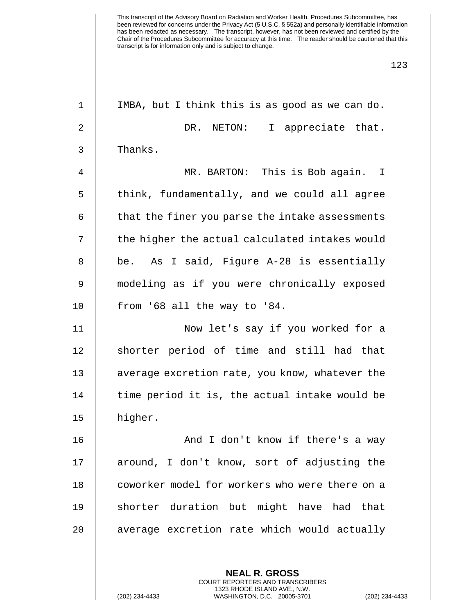| $\mathbf 1$    | IMBA, but I think this is as good as we can do. |
|----------------|-------------------------------------------------|
| $\overline{2}$ | DR. NETON:<br>I appreciate that.                |
| 3              | Thanks.                                         |
| 4              | MR. BARTON: This is Bob again. I                |
| 5              | think, fundamentally, and we could all agree    |
| 6              | that the finer you parse the intake assessments |
| 7              | the higher the actual calculated intakes would  |
| 8              | be. As I said, Figure A-28 is essentially       |
| 9              | modeling as if you were chronically exposed     |
| 10             | from '68 all the way to '84.                    |
| 11             | Now let's say if you worked for a               |
| 12             | shorter period of time and still had that       |
| 13             | average excretion rate, you know, whatever the  |
| 14             | time period it is, the actual intake would be   |
| 15             | higher.                                         |
| 16             | And I don't know if there's a way               |
| 17             | around, I don't know, sort of adjusting the     |
| 18             | coworker model for workers who were there on a  |
| 19             | shorter duration but might have had that        |
| 20             | average excretion rate which would actually     |
|                |                                                 |
|                |                                                 |

**NEAL R. GROSS** COURT REPORTERS AND TRANSCRIBERS 1323 RHODE ISLAND AVE., N.W.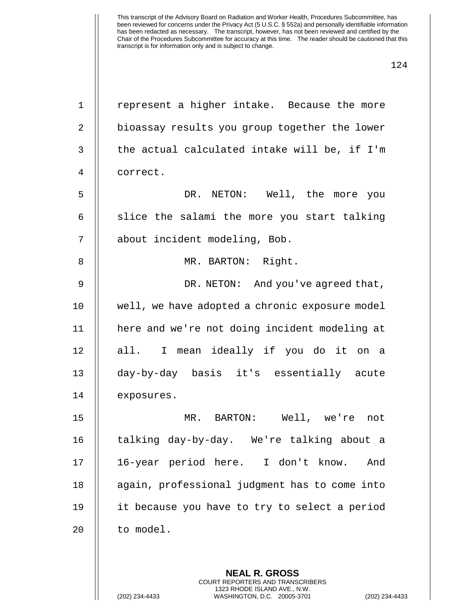| $\mathbf 1$    | represent a higher intake. Because the more                                                                                                                     |
|----------------|-----------------------------------------------------------------------------------------------------------------------------------------------------------------|
| 2              | bioassay results you group together the lower                                                                                                                   |
| 3              | the actual calculated intake will be, if I'm                                                                                                                    |
| $\overline{4}$ | correct.                                                                                                                                                        |
| 5              | DR. NETON: Well, the more you                                                                                                                                   |
| 6              | slice the salami the more you start talking                                                                                                                     |
| 7              | about incident modeling, Bob.                                                                                                                                   |
| 8              | MR. BARTON: Right.                                                                                                                                              |
| $\mathsf 9$    | DR. NETON: And you've agreed that,                                                                                                                              |
| 10             | well, we have adopted a chronic exposure model                                                                                                                  |
| 11             | here and we're not doing incident modeling at                                                                                                                   |
| 12             | all. I mean ideally if you do it on a                                                                                                                           |
| 13             | day-by-day basis it's essentially acute                                                                                                                         |
| 14             | exposures.                                                                                                                                                      |
| 15             | MR. BARTON: Well, we're<br>not                                                                                                                                  |
| 16             | talking day-by-day. We're talking about a                                                                                                                       |
| 17             | 16-year period here. I don't know.<br>And                                                                                                                       |
| 18             | again, professional judgment has to come into                                                                                                                   |
| 19             | it because you have to try to select a period                                                                                                                   |
| 20             | to model.                                                                                                                                                       |
|                |                                                                                                                                                                 |
|                | <b>NEAL R. GROSS</b><br><b>COURT REPORTERS AND TRANSCRIBERS</b><br>1323 RHODE ISLAND AVE., N.W.<br>(202) 234-4433<br>WASHINGTON, D.C. 20005-3701<br>$(202)$ 234 |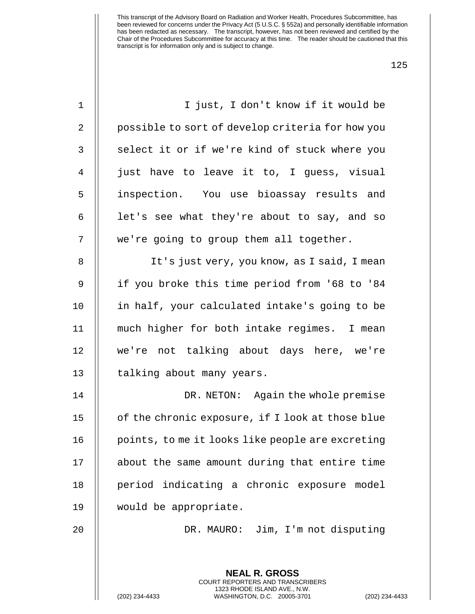| $1\,$          | I just, I don't know if it would be                      |
|----------------|----------------------------------------------------------|
| 2              | possible to sort of develop criteria for how you         |
| 3              | select it or if we're kind of stuck where you            |
| $\overline{4}$ | just have to leave it to, I guess, visual                |
| 5              | inspection. You use bioassay results and                 |
| 6              | let's see what they're about to say, and so              |
| 7              | we're going to group them all together.                  |
| $\,8\,$        | It's just very, you know, as I said, I mean              |
| $\mathsf 9$    | if you broke this time period from '68 to '84            |
| 10             | in half, your calculated intake's going to be            |
| 11             | much higher for both intake regimes. I mean              |
| 12             | we're not talking about days here, we're                 |
| 13             | talking about many years.                                |
| 14             | DR. NETON: Again the whole premise                       |
| 15             | of the chronic exposure, if I look at those blue         |
| 16             | points, to me it looks like people are excreting         |
| 17             | about the same amount during that entire time            |
| 18             | period indicating a chronic exposure model               |
| 19             | would be appropriate.                                    |
| 20             | DR. MAURO: Jim, I'm not disputing                        |
|                |                                                          |
|                | <b>NEAL R. GROSS</b><br>COURT REPORTERS AND TRANSCRIBERS |

1323 RHODE ISLAND AVE., N.W.

 $\mathsf{I}$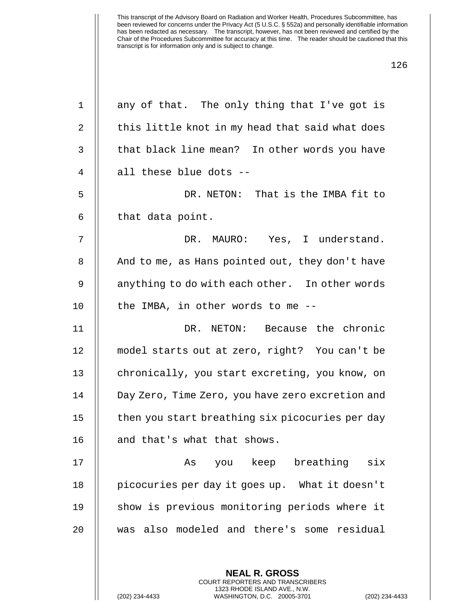| $\mathbf 1$    | any of that. The only thing that I've got is     |
|----------------|--------------------------------------------------|
| $\overline{a}$ | this little knot in my head that said what does  |
| 3              | that black line mean? In other words you have    |
| 4              | all these blue dots --                           |
| 5              | DR. NETON: That is the IMBA fit to               |
| 6              | that data point.                                 |
| 7              | DR. MAURO: Yes, I understand.                    |
| 8              | And to me, as Hans pointed out, they don't have  |
| 9              | anything to do with each other. In other words   |
| 10             | the IMBA, in other words to me --                |
| 11             | DR. NETON: Because the chronic                   |
| 12             | model starts out at zero, right? You can't be    |
| 13             | chronically, you start excreting, you know, on   |
| 14             | Day Zero, Time Zero, you have zero excretion and |
| 15             | then you start breathing six picocuries per day  |
| 16             | and that's what that shows.                      |
| 17             | you keep breathing six<br>As                     |
| 18             | picocuries per day it goes up. What it doesn't   |
| 19             | show is previous monitoring periods where it     |
| 20             | was also modeled and there's some residual       |
|                |                                                  |
|                | <b>NEAL R. GROSS</b>                             |

COURT REPORTERS AND TRANSCRIBERS 1323 RHODE ISLAND AVE., N.W.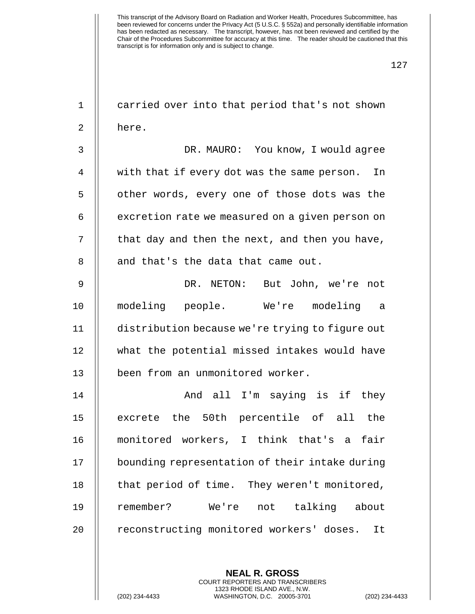| $\mathbf 1$ | carried over into that period that's not shown  |
|-------------|-------------------------------------------------|
| 2           | here.                                           |
| 3           | DR. MAURO: You know, I would agree              |
| 4           | with that if every dot was the same person. In  |
| 5           | other words, every one of those dots was the    |
| 6           | excretion rate we measured on a given person on |
| 7           | that day and then the next, and then you have,  |
| 8           | and that's the data that came out.              |
| $\mathsf 9$ | DR. NETON: But John, we're not                  |
| 10          | modeling people. We're modeling a               |
| 11          | distribution because we're trying to figure out |
| 12          | what the potential missed intakes would have    |
| 13          | been from an unmonitored worker.                |
| 14          | And all I'm saying is if they                   |
| 15          | excrete the 50th percentile of all the          |
| 16          | monitored workers, I think that's a<br>fair     |
| 17          | bounding representation of their intake during  |
| 18          | that period of time. They weren't monitored,    |
| 19          | remember?<br>We're<br>not talking about         |
| 20          | reconstructing monitored workers' doses.<br>It  |
|             |                                                 |
|             |                                                 |

**NEAL R. GROSS** COURT REPORTERS AND TRANSCRIBERS 1323 RHODE ISLAND AVE., N.W.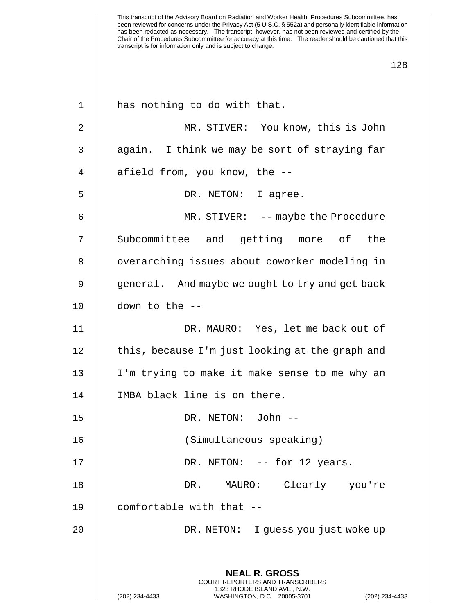| $\mathbf 1$    | has nothing to do with that.                                                                                                                                |
|----------------|-------------------------------------------------------------------------------------------------------------------------------------------------------------|
| 2              | MR. STIVER: You know, this is John                                                                                                                          |
| 3              | again. I think we may be sort of straying far                                                                                                               |
| $\overline{4}$ | afield from, you know, the --                                                                                                                               |
| 5              | DR. NETON: I agree.                                                                                                                                         |
| 6              | MR. STIVER: -- maybe the Procedure                                                                                                                          |
| 7              | Subcommittee and getting more of the                                                                                                                        |
| 8              | overarching issues about coworker modeling in                                                                                                               |
| 9              | general. And maybe we ought to try and get back                                                                                                             |
| 10             | down to the --                                                                                                                                              |
| 11             | DR. MAURO: Yes, let me back out of                                                                                                                          |
| 12             | this, because I'm just looking at the graph and                                                                                                             |
| 13             | I'm trying to make it make sense to me why an                                                                                                               |
| 14             | IMBA black line is on there.                                                                                                                                |
| 15             | DR. NETON: John --                                                                                                                                          |
| 16             | (Simultaneous speaking)                                                                                                                                     |
| 17             | DR. NETON: -- for 12 years.                                                                                                                                 |
| 18             | MAURO: Clearly you're<br>DR.                                                                                                                                |
| 19             | comfortable with that --                                                                                                                                    |
| 20             | DR. NETON: I quess you just woke up                                                                                                                         |
|                | <b>NEAL R. GROSS</b><br>COURT REPORTERS AND TRANSCRIBERS<br>1323 RHODE ISLAND AVE., N.W.<br>(202) 234-4433<br>WASHINGTON, D.C. 20005-3701<br>(202) 234-4433 |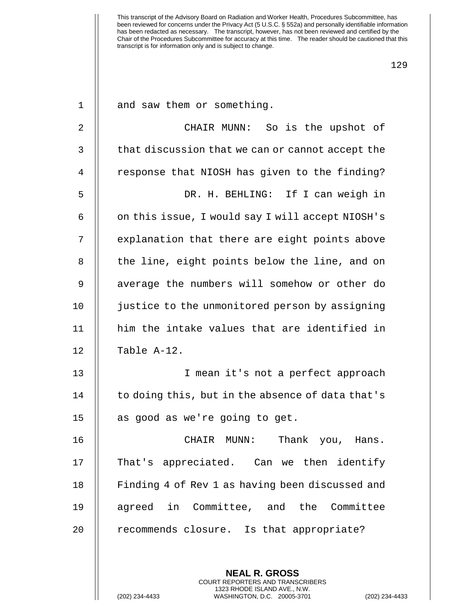| $\mathbf 1$    | and saw them or something.                       |
|----------------|--------------------------------------------------|
| $\overline{2}$ | CHAIR MUNN: So is the upshot of                  |
| 3              | that discussion that we can or cannot accept the |
| 4              | response that NIOSH has given to the finding?    |
| 5              | DR. H. BEHLING: If I can weigh in                |
| 6              | on this issue, I would say I will accept NIOSH's |
| 7              | explanation that there are eight points above    |
| 8              | the line, eight points below the line, and on    |
| 9              | average the numbers will somehow or other do     |
| 10             | justice to the unmonitored person by assigning   |
| 11             | him the intake values that are identified in     |
| 12             | Table A-12.                                      |
| 13             | I mean it's not a perfect approach               |
| 14             | to doing this, but in the absence of data that's |
| 15             | as good as we're going to get.                   |
| 16             | Thank you, Hans.<br>CHAIR MUNN:                  |
| 17             | That's appreciated. Can we then identify         |
| 18             | Finding 4 of Rev 1 as having been discussed and  |
| 19             | agreed in Committee, and the Committee           |
| 20             | recommends closure. Is that appropriate?         |
|                |                                                  |
|                | <b>NEAL R. GROSS</b>                             |

COURT REPORTERS AND TRANSCRIBERS 1323 RHODE ISLAND AVE., N.W.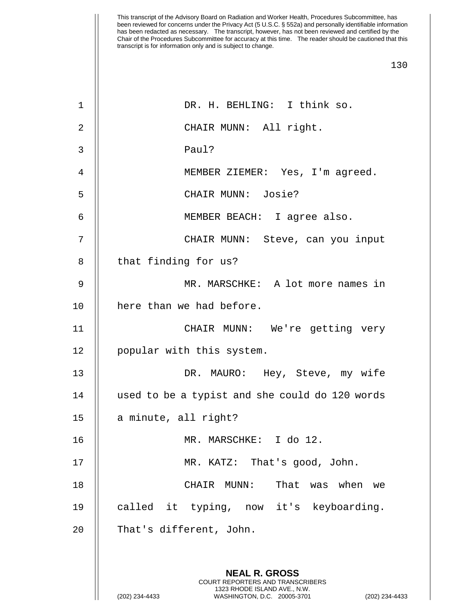| 1  | DR. H. BEHLING: I think so.                                                                                                         |
|----|-------------------------------------------------------------------------------------------------------------------------------------|
| 2  | CHAIR MUNN: All right.                                                                                                              |
| 3  | Paul?                                                                                                                               |
| 4  | MEMBER ZIEMER: Yes, I'm agreed.                                                                                                     |
| 5  | CHAIR MUNN: Josie?                                                                                                                  |
| 6  | MEMBER BEACH: I agree also.                                                                                                         |
| 7  | CHAIR MUNN: Steve, can you input                                                                                                    |
| 8  | that finding for us?                                                                                                                |
| 9  | MR. MARSCHKE: A lot more names in                                                                                                   |
| 10 | here than we had before.                                                                                                            |
| 11 | CHAIR MUNN: We're getting very                                                                                                      |
| 12 | popular with this system.                                                                                                           |
| 13 | DR. MAURO: Hey, Steve, my wife                                                                                                      |
| 14 | used to be a typist and she could do 120 words                                                                                      |
| 15 | a minute, all right?                                                                                                                |
| 16 | MR. MARSCHKE: I do 12.                                                                                                              |
| 17 | That's good, John.<br>MR. KATZ:                                                                                                     |
| 18 | That<br>when<br>CHAIR<br>$MUNN$ :<br>was<br>we                                                                                      |
| 19 | called it typing, now it's keyboarding.                                                                                             |
| 20 | That's different, John.                                                                                                             |
|    |                                                                                                                                     |
|    | <b>NEAL R. GROSS</b>                                                                                                                |
|    | COURT REPORTERS AND TRANSCRIBERS<br>1323 RHODE ISLAND AVE., N.W.<br>(202) 234-4433<br>WASHINGTON, D.C. 20005-3701<br>(202) 234-4433 |
|    |                                                                                                                                     |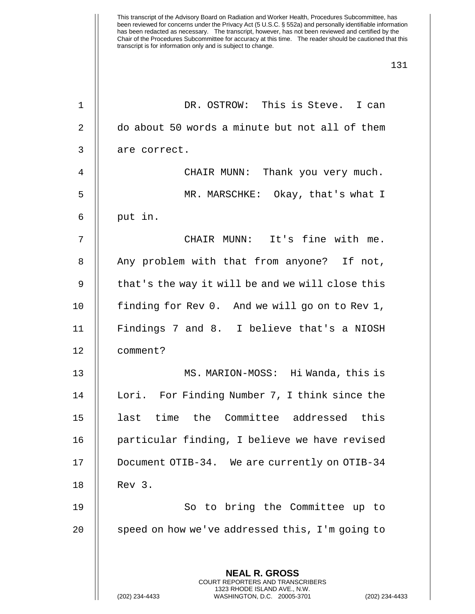This transcript of the Advisory Board on Radiation and Worker Health, Procedures Subcommittee, has been reviewed for concerns under the Privacy Act (5 U.S.C. § 552a) and personally identifiable information has been redacted as necessary. The transcript, however, has not been reviewed and certified by the Chair of the Procedures Subcommittee for accuracy at this time. The reader should be cautioned that this transcript is for information only and is subject to change. 131 1 DR. OSTROW: This is Steve. I can 2 | do about 50 words a minute but not all of them 3 | are correct. 4 CHAIR MUNN: Thank you very much. 5 MR. MARSCHKE: Okay, that's what I  $6 \parallel$  put in. 7 CHAIR MUNN: It's fine with me. 8 || Any problem with that from anyone? If not, 9 || that's the way it will be and we will close this 10 | finding for Rev 0. And we will go on to Rev 1, 11 Findings 7 and 8. I believe that's a NIOSH 12 comment? 13 MS. MARION-MOSS: Hi Wanda, this is 14 | Lori. For Finding Number 7, I think since the 15 || last time the Committee addressed this 16 || particular finding, I believe we have revised

17 Document OTIB-34. We are currently on OTIB-34 18 Rev 3.

19 || So to bring the Committee up to 20  $\parallel$  speed on how we've addressed this, I'm going to

> **NEAL R. GROSS** COURT REPORTERS AND TRANSCRIBERS 1323 RHODE ISLAND AVE., N.W.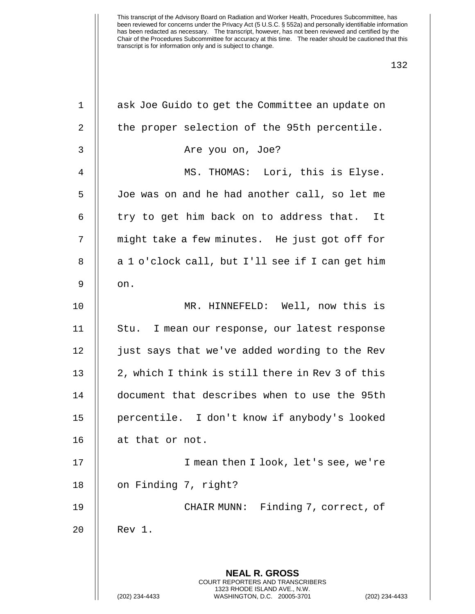| $\mathbf 1$    | ask Joe Guido to get the Committee an update on                                                 |
|----------------|-------------------------------------------------------------------------------------------------|
| $\overline{2}$ | the proper selection of the 95th percentile.                                                    |
| 3              | Are you on, Joe?                                                                                |
| 4              | MS. THOMAS: Lori, this is Elyse.                                                                |
| 5              | Joe was on and he had another call, so let me                                                   |
| 6              | try to get him back on to address that. It                                                      |
| 7              | might take a few minutes. He just got off for                                                   |
| 8              | a 1 o'clock call, but I'll see if I can get him                                                 |
| 9              | on.                                                                                             |
| 10             | MR. HINNEFELD: Well, now this is                                                                |
| 11             | Stu. I mean our response, our latest response                                                   |
| 12             | just says that we've added wording to the Rev                                                   |
| 13             | 2, which I think is still there in Rev 3 of this                                                |
| 14             | document that describes when to use the 95th                                                    |
| 15             | percentile. I don't know if anybody's looked                                                    |
| 16             | at that or not.                                                                                 |
| 17             | I mean then I look, let's see, we're                                                            |
| 18             | on Finding 7, right?                                                                            |
| 19             | Finding 7, correct, of<br>CHAIR MUNN:                                                           |
| 20             | Rev 1.                                                                                          |
|                |                                                                                                 |
|                | <b>NEAL R. GROSS</b><br><b>COURT REPORTERS AND TRANSCRIBERS</b><br>1323 RHODE ISLAND AVE., N.W. |
|                | (202) 234-4433<br>WASHINGTON, D.C. 20005-3701<br>(202) 234-4433                                 |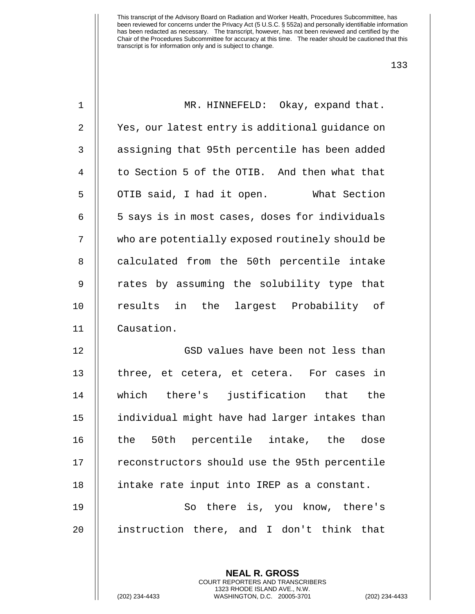| $\mathbf 1$    | MR. HINNEFELD:<br>Okay, expand that.                     |
|----------------|----------------------------------------------------------|
| $\sqrt{2}$     | Yes, our latest entry is additional guidance on          |
| $\mathsf 3$    | assigning that 95th percentile has been added            |
| $\overline{4}$ | to Section 5 of the OTIB. And then what that             |
| 5              | OTIB said, I had it open. What Section                   |
| 6              | 5 says is in most cases, doses for individuals           |
| 7              | who are potentially exposed routinely should be          |
| $\, 8$         | calculated from the 50th percentile intake               |
| $\mathsf 9$    | rates by assuming the solubility type that               |
| 10             | results in the<br>largest Probability of                 |
| 11             | Causation.                                               |
| 12             | GSD values have been not less than                       |
| 13             | three, et cetera, et cetera. For cases in                |
| 14             | which there's justification that the                     |
| 15             | individual might have had larger intakes than            |
| 16             | 50th percentile intake, the dose<br>the                  |
| 17             | reconstructors should use the 95th percentile            |
| 18             | intake rate input into IREP as a constant.               |
| 19             | So there is, you know, there's                           |
| 20             | instruction there, and I don't think that                |
|                |                                                          |
|                | <b>NEAL R. GROSS</b><br>COURT REPORTERS AND TRANSCRIBERS |

1323 RHODE ISLAND AVE., N.W.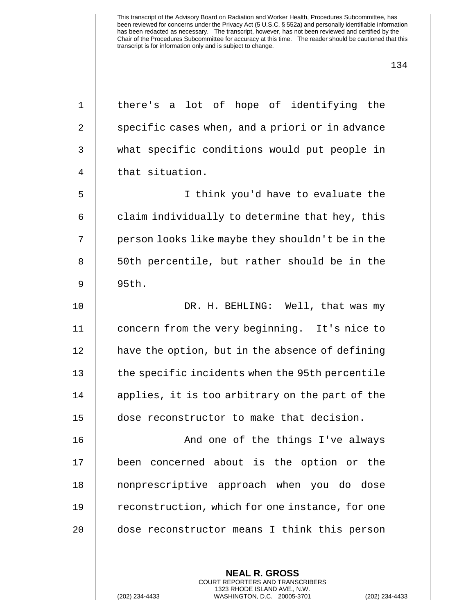| 1  | there's a lot of hope of identifying the                                                                                                                 |
|----|----------------------------------------------------------------------------------------------------------------------------------------------------------|
| 2  | specific cases when, and a priori or in advance                                                                                                          |
| 3  | what specific conditions would put people in                                                                                                             |
| 4  | that situation.                                                                                                                                          |
| 5  | I think you'd have to evaluate the                                                                                                                       |
| 6  | claim individually to determine that hey, this                                                                                                           |
| 7  | person looks like maybe they shouldn't be in the                                                                                                         |
| 8  | 50th percentile, but rather should be in the                                                                                                             |
| 9  | 95th.                                                                                                                                                    |
| 10 | DR. H. BEHLING: Well, that was my                                                                                                                        |
| 11 | concern from the very beginning. It's nice to                                                                                                            |
| 12 | have the option, but in the absence of defining                                                                                                          |
| 13 | the specific incidents when the 95th percentile                                                                                                          |
| 14 | applies, it is too arbitrary on the part of the                                                                                                          |
| 15 | dose reconstructor to make that decision.                                                                                                                |
| 16 | And one of the things I've always                                                                                                                        |
| 17 | been concerned about is the option or the                                                                                                                |
| 18 | nonprescriptive approach when you do dose                                                                                                                |
| 19 | reconstruction, which for one instance, for one                                                                                                          |
| 20 | dose reconstructor means I think this person                                                                                                             |
|    | <b>NEAL R. GROSS</b><br>COURT REPORTERS AND TRANSCRIBERS<br>1323 RHODE ISLAND AVE., N.W.<br>(202) 234-4433<br>WASHINGTON, D.C. 20005-3701<br>$(202)$ 234 |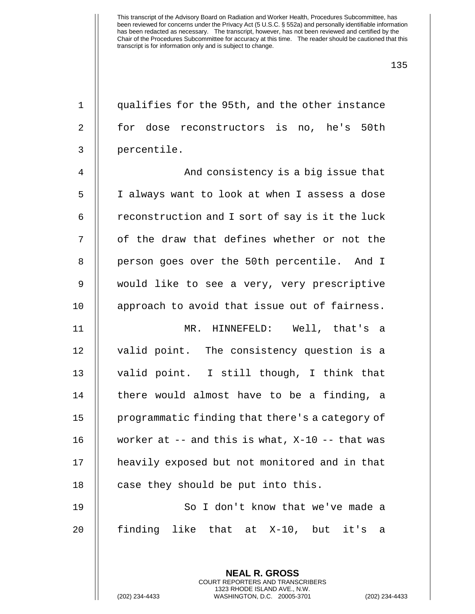1 qualifies for the 95th, and the other instance 2 || for dose reconstructors is no, he's 50th 3 percentile.

4 And consistency is a big issue that 5 | I always want to look at when I assess a dose  $6$  | reconstruction and I sort of say is it the luck 7 || of the draw that defines whether or not the 8 || person goes over the 50th percentile. And I 9 || would like to see a very, very prescriptive 10 || approach to avoid that issue out of fairness. 11 MR. HINNEFELD: Well, that's a 12 || valid point. The consistency question is a 13 valid point. I still though, I think that  $14$  || there would almost have to be a finding, a 15 | programmatic finding that there's a category of 16 worker at -- and this is what, X-10 -- that was

17 | heavily exposed but not monitored and in that 18  $\parallel$  case they should be put into this.

19 || So I don't know that we've made a 20 || finding like that at X-10, but it's a

> **NEAL R. GROSS** COURT REPORTERS AND TRANSCRIBERS 1323 RHODE ISLAND AVE., N.W.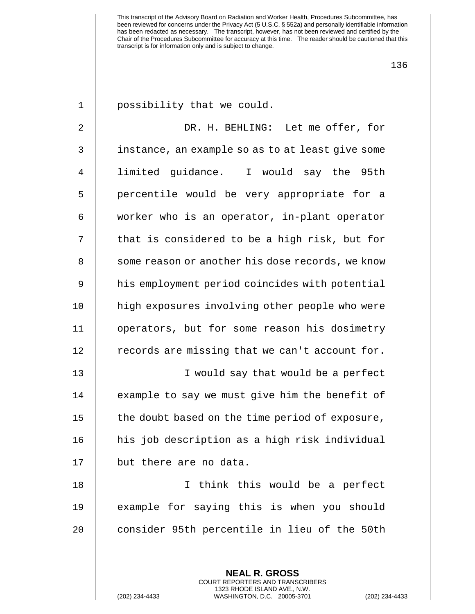| $\mathbf 1$    | possibility that we could.                                                                   |
|----------------|----------------------------------------------------------------------------------------------|
| $\overline{2}$ | DR. H. BEHLING: Let me offer, for                                                            |
| 3              | instance, an example so as to at least give some                                             |
| 4              | limited guidance. I would say the 95th                                                       |
| 5              | percentile would be very appropriate for a                                                   |
| 6              | worker who is an operator, in-plant operator                                                 |
| 7              | that is considered to be a high risk, but for                                                |
| 8              | some reason or another his dose records, we know                                             |
| 9              | his employment period coincides with potential                                               |
| 10             | high exposures involving other people who were                                               |
| 11             | operators, but for some reason his dosimetry                                                 |
| 12             | records are missing that we can't account for.                                               |
| 13             | I would say that would be a perfect                                                          |
| 14             | example to say we must give him the benefit of                                               |
| 15             | the doubt based on the time period of exposure,                                              |
| 16             | his job description as a high risk individual                                                |
| 17             | but there are no data.                                                                       |
| 18             | I think this would be a perfect                                                              |
| 19             | example for saying this is when you should                                                   |
| 20             | consider 95th percentile in lieu of the 50th                                                 |
|                |                                                                                              |
|                | <b>NEAL R. GROSS</b><br><b>COURT REPORTERS AND TRANSCRIBERS</b>                              |
|                | 1323 RHODE ISLAND AVE., N.W.<br>(202) 234-4433<br>WASHINGTON, D.C. 20005-3701<br>$(202)$ 234 |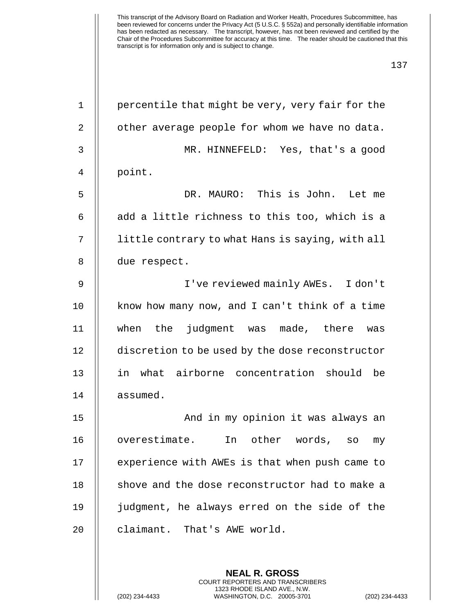| $\mathbf 1$ | percentile that might be very, very fair for the |
|-------------|--------------------------------------------------|
| 2           | other average people for whom we have no data.   |
| 3           | MR. HINNEFELD: Yes, that's a good                |
| 4           | point.                                           |
| 5           | DR. MAURO: This is John. Let me                  |
| 6           | add a little richness to this too, which is a    |
| 7           | little contrary to what Hans is saying, with all |
| 8           | due respect.                                     |
| 9           | I've reviewed mainly AWEs. I don't               |
| 10          | know how many now, and I can't think of a time   |
| 11          | when the judgment was made, there<br>was         |
| 12          | discretion to be used by the dose reconstructor  |
| 13          | in what airborne concentration should<br>be      |
| 14          | assumed.                                         |
| 15          | And in my opinion it was always an               |
| 16          | overestimate. In other words, so my              |
| 17          | experience with AWEs is that when push came to   |
| 18          | shove and the dose reconstructor had to make a   |
| 19          | judgment, he always erred on the side of the     |
| 20          | claimant. That's AWE world.                      |
|             |                                                  |
|             | <b>NEAL R. GROSS</b>                             |

COURT REPORTERS AND TRANSCRIBERS 1323 RHODE ISLAND AVE., N.W.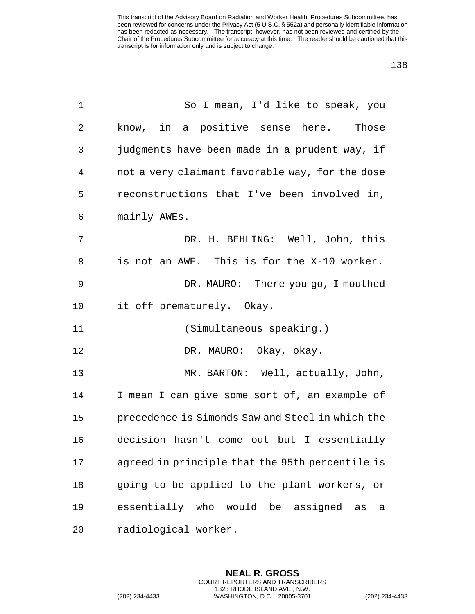| 1  | So I mean, I'd like to speak, you                |
|----|--------------------------------------------------|
| 2  | know, in a positive sense here.<br>Those         |
| 3  | judgments have been made in a prudent way, if    |
| 4  | not a very claimant favorable way, for the dose  |
| 5  | reconstructions that I've been involved in,      |
| 6  | mainly AWEs.                                     |
| 7  | DR. H. BEHLING: Well, John, this                 |
| 8  | is not an AWE. This is for the X-10 worker.      |
| 9  | DR. MAURO: There you go, I mouthed               |
| 10 | it off prematurely. Okay.                        |
| 11 | (Simultaneous speaking.)                         |
| 12 | DR. MAURO: Okay, okay.                           |
| 13 | MR. BARTON: Well, actually, John,                |
| 14 | I mean I can give some sort of, an example of    |
| 15 | precedence is Simonds Saw and Steel in which the |
| 16 | decision hasn't come out but I essentially       |
| 17 | agreed in principle that the 95th percentile is  |
| 18 | going to be applied to the plant workers, or     |
| 19 | essentially who would be assigned<br>as<br>a     |
| 20 | radiological worker.                             |
|    |                                                  |

**NEAL R. GROSS** COURT REPORTERS AND TRANSCRIBERS 1323 RHODE ISLAND AVE., N.W.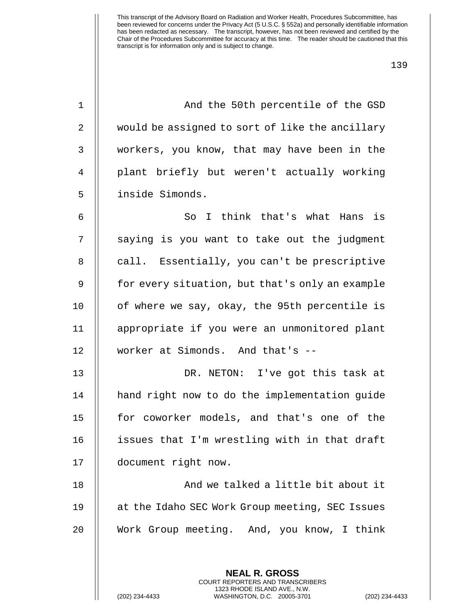139

1 || And the 50th percentile of the GSD 2 | would be assigned to sort of like the ancillary 3 || workers, you know, that may have been in the 4 plant briefly but weren't actually working 5 inside Simonds. 6 So I think that's what Hans is 7 || saying is you want to take out the judgment 8 || call. Essentially, you can't be prescriptive 9 || for every situation, but that's only an example 10  $\parallel$  of where we say, okay, the 95th percentile is 11 appropriate if you were an unmonitored plant 12 worker at Simonds. And that's -- 13 DR. NETON: I've got this task at 14 || hand right now to do the implementation guide 15 || for coworker models, and that's one of the

16 | issues that I'm wrestling with in that draft 17 document right now.

18 And we talked a little bit about it 19 at the Idaho SEC Work Group meeting, SEC Issues 20 Work Group meeting. And, you know, I think

> **NEAL R. GROSS** COURT REPORTERS AND TRANSCRIBERS 1323 RHODE ISLAND AVE., N.W.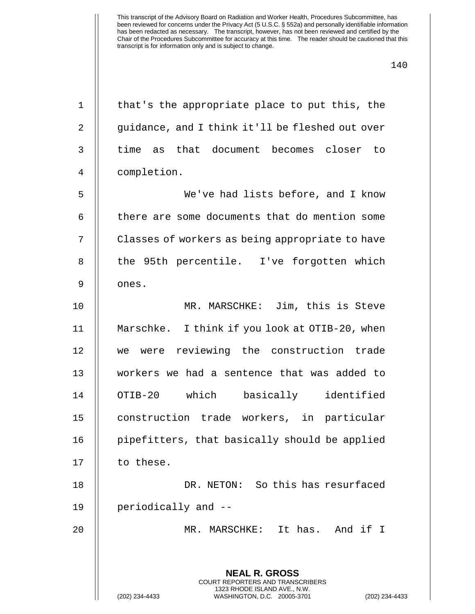| $\mathbf 1$ | that's the appropriate place to put this, the                                                   |
|-------------|-------------------------------------------------------------------------------------------------|
| 2           | guidance, and I think it'll be fleshed out over                                                 |
| $\mathsf 3$ | time as that document becomes closer to                                                         |
| 4           | completion.                                                                                     |
| 5           | We've had lists before, and I know                                                              |
| 6           | there are some documents that do mention some                                                   |
| 7           | Classes of workers as being appropriate to have                                                 |
| 8           | the 95th percentile. I've forgotten which                                                       |
| 9           | ones.                                                                                           |
| 10          | MR. MARSCHKE: Jim, this is Steve                                                                |
| 11          | Marschke. I think if you look at OTIB-20, when                                                  |
| 12          | we were reviewing the construction trade                                                        |
| 13          | workers we had a sentence that was added to                                                     |
| 14          | OTIB-20 which basically identified                                                              |
| 15          | construction trade workers, in particular                                                       |
| 16          | pipefitters, that basically should be applied                                                   |
| 17          | to these.                                                                                       |
| 18          | DR. NETON: So this has resurfaced                                                               |
| 19          | periodically and --                                                                             |
| 20          | MR. MARSCHKE:<br>It has. And if I                                                               |
|             |                                                                                                 |
|             | <b>NEAL R. GROSS</b><br><b>COURT REPORTERS AND TRANSCRIBERS</b>                                 |
|             | 1323 RHODE ISLAND AVE., N.W.<br>(202) 234-4433<br>WASHINGTON, D.C. 20005-3701<br>(202) 234-4433 |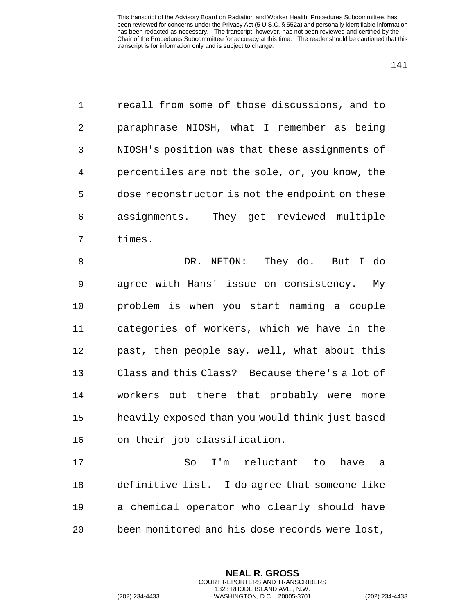| $\mathbf 1$    | recall from some of those discussions, and to   |
|----------------|-------------------------------------------------|
| $\overline{a}$ | paraphrase NIOSH, what I remember as being      |
| 3              | NIOSH's position was that these assignments of  |
| $\overline{4}$ | percentiles are not the sole, or, you know, the |
| 5              | dose reconstructor is not the endpoint on these |
| 6              | assignments. They get reviewed multiple         |
| 7              | times.                                          |
| 8              | DR. NETON: They do. But I do                    |
| $\mathsf 9$    | agree with Hans' issue on consistency. My       |
| 10             | problem is when you start naming a couple       |
| 11             | categories of workers, which we have in the     |
| 12             | past, then people say, well, what about this    |
| 13             | Class and this Class? Because there's a lot of  |
| 14             | workers out there that probably were more       |
| 15             | heavily exposed than you would think just based |
| 16             | on their job classification.                    |
| 17             | I'm reluctant to<br>So<br>have<br>a             |
| 18             | definitive list. I do agree that someone like   |
| 19             | a chemical operator who clearly should have     |
| 20             | been monitored and his dose records were lost,  |
|                |                                                 |
|                | <b>NEAL R. GROSS</b>                            |

COURT REPORTERS AND TRANSCRIBERS 1323 RHODE ISLAND AVE., N.W.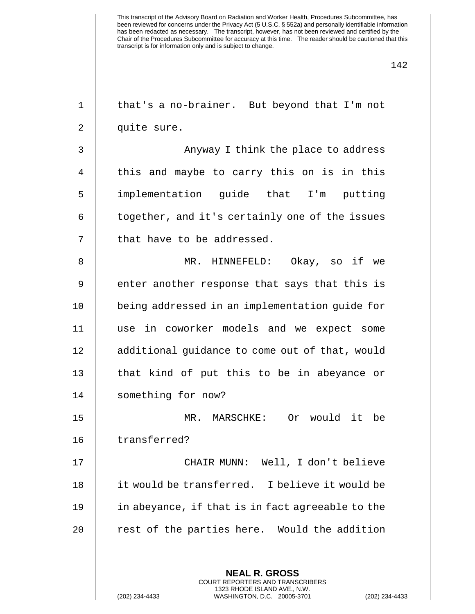| $\mathbf 1$ | that's a no-brainer. But beyond that I'm not     |
|-------------|--------------------------------------------------|
| 2           | quite sure.                                      |
| 3           | Anyway I think the place to address              |
| 4           | this and maybe to carry this on is in this       |
| 5           | implementation guide that I'm putting            |
| 6           | together, and it's certainly one of the issues   |
| 7           | that have to be addressed.                       |
| 8           | MR. HINNEFELD: Okay, so if we                    |
| 9           | enter another response that says that this is    |
| 10          | being addressed in an implementation guide for   |
| 11          | use in coworker models and we expect some        |
| 12          | additional guidance to come out of that, would   |
| 13          | that kind of put this to be in abeyance or       |
| 14          | something for now?                               |
| 15          | Or would it be<br>MR. MARSCHKE:                  |
| 16          | transferred?                                     |
| 17          | CHAIR MUNN: Well, I don't believe                |
| 18          | it would be transferred. I believe it would be   |
| 19          | in abeyance, if that is in fact agreeable to the |
| 20          | rest of the parties here. Would the addition     |
|             |                                                  |
|             | <b>NEAL R. GROSS</b>                             |

COURT REPORTERS AND TRANSCRIBERS 1323 RHODE ISLAND AVE., N.W.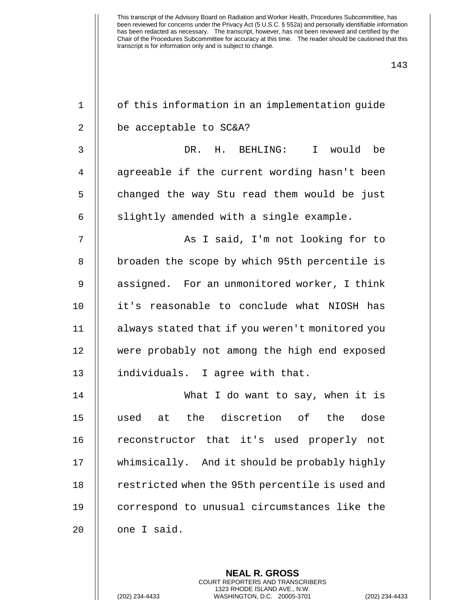| $\mathbf 1$    | of this information in an implementation guide  |
|----------------|-------------------------------------------------|
| $\overline{2}$ | be acceptable to SC&A?                          |
| 3              | I would be<br>DR. H. BEHLING:                   |
| 4              | agreeable if the current wording hasn't been    |
| 5              | changed the way Stu read them would be just     |
| 6              | slightly amended with a single example.         |
| 7              | As I said, I'm not looking for to               |
| 8              | broaden the scope by which 95th percentile is   |
| $\mathsf 9$    | assigned. For an unmonitored worker, I think    |
| 10             | it's reasonable to conclude what NIOSH has      |
| 11             | always stated that if you weren't monitored you |
| 12             | were probably not among the high end exposed    |
| 13             | individuals. I agree with that.                 |
| 14             | What I do want to say, when it is               |
| 15             | at the discretion of the dose<br>used           |
| 16             | reconstructor that it's used properly not       |
| 17             | whimsically. And it should be probably highly   |
| 18             | restricted when the 95th percentile is used and |
| 19             | correspond to unusual circumstances like the    |
| 20             | one I said.                                     |
|                |                                                 |

**NEAL R. GROSS** COURT REPORTERS AND TRANSCRIBERS 1323 RHODE ISLAND AVE., N.W.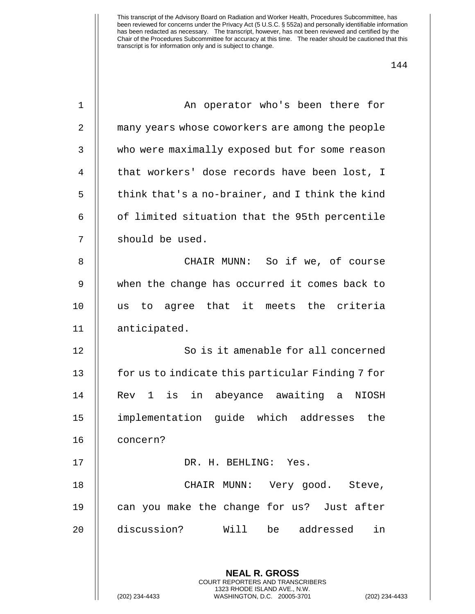|--|

| 1  | An operator who's been there for                                                                |
|----|-------------------------------------------------------------------------------------------------|
| 2  | many years whose coworkers are among the people                                                 |
| 3  | who were maximally exposed but for some reason                                                  |
| 4  | that workers' dose records have been lost, I                                                    |
| 5  | think that's a no-brainer, and I think the kind                                                 |
| 6  | of limited situation that the 95th percentile                                                   |
| 7  | should be used.                                                                                 |
| 8  | CHAIR MUNN: So if we, of course                                                                 |
| 9  | when the change has occurred it comes back to                                                   |
| 10 | to agree that it meets the criteria<br>us                                                       |
| 11 | anticipated.                                                                                    |
| 12 | So is it amenable for all concerned                                                             |
| 13 | for us to indicate this particular Finding 7 for                                                |
| 14 | Rev 1 is in abeyance awaiting a<br>NIOSH                                                        |
| 15 | implementation guide which addresses the                                                        |
| 16 | concern?                                                                                        |
| 17 | DR. H. BEHLING: Yes.                                                                            |
| 18 | CHAIR MUNN: Very good. Steve,                                                                   |
| 19 | can you make the change for us? Just after                                                      |
| 20 | discussion?<br>Will<br>be addressed<br>in                                                       |
|    |                                                                                                 |
|    | <b>NEAL R. GROSS</b><br><b>COURT REPORTERS AND TRANSCRIBERS</b>                                 |
|    | 1323 RHODE ISLAND AVE., N.W.<br>(202) 234-4433<br>WASHINGTON, D.C. 20005-3701<br>(202) 234-4433 |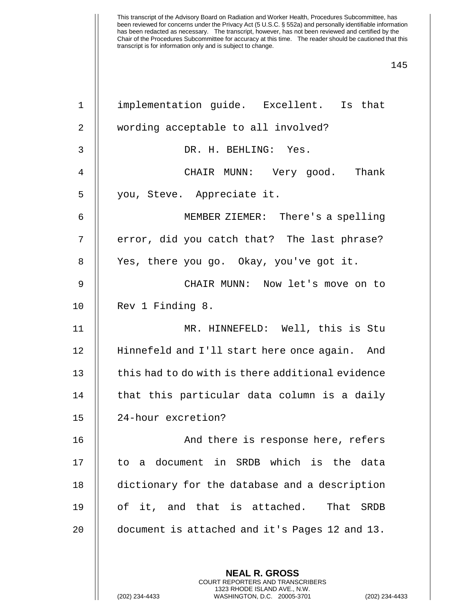| $\mathbf 1$    | implementation guide. Excellent. Is that                                                                                                                   |
|----------------|------------------------------------------------------------------------------------------------------------------------------------------------------------|
| $\overline{2}$ | wording acceptable to all involved?                                                                                                                        |
| $\mathbf{3}$   | DR. H. BEHLING: Yes.                                                                                                                                       |
| $\overline{4}$ | CHAIR MUNN: Very good. Thank                                                                                                                               |
| 5              | you, Steve. Appreciate it.                                                                                                                                 |
| 6              | MEMBER ZIEMER: There's a spelling                                                                                                                          |
| 7              | error, did you catch that? The last phrase?                                                                                                                |
| 8              | Yes, there you go. Okay, you've got it.                                                                                                                    |
| $\mathsf 9$    | CHAIR MUNN: Now let's move on to                                                                                                                           |
| 10             | Rev 1 Finding 8.                                                                                                                                           |
| 11             | MR. HINNEFELD: Well, this is Stu                                                                                                                           |
| 12             | Hinnefeld and I'll start here once again. And                                                                                                              |
| 13             | this had to do with is there additional evidence                                                                                                           |
| 14             | that this particular data column is a daily                                                                                                                |
| 15             | 24-hour excretion?                                                                                                                                         |
| 16             | And there is response here, refers                                                                                                                         |
| 17             | to a document in SRDB which is the data                                                                                                                    |
| 18             | dictionary for the database and a description                                                                                                              |
| 19             | of it, and that is attached. That SRDB                                                                                                                     |
| 20             | document is attached and it's Pages 12 and 13.                                                                                                             |
|                |                                                                                                                                                            |
|                | <b>NEAL R. GROSS</b><br>COURT REPORTERS AND TRANSCRIBERS<br>1323 RHODE ISLAND AVE., N.W.<br>(202) 234-4433<br>WASHINGTON, D.C. 20005-3701<br>$(202)$ 234-4 |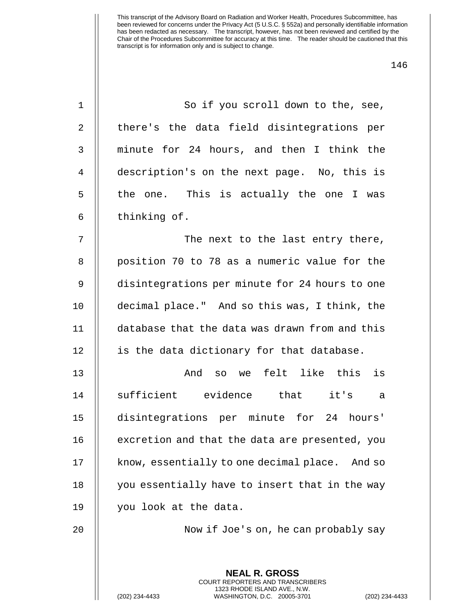| 1              | So if you scroll down to the, see,                                                                                                                                 |
|----------------|--------------------------------------------------------------------------------------------------------------------------------------------------------------------|
| $\overline{2}$ | there's the data field disintegrations per                                                                                                                         |
| 3              | minute for 24 hours, and then I think the                                                                                                                          |
| $\overline{4}$ | description's on the next page. No, this is                                                                                                                        |
| 5              | the one. This is actually the one I was                                                                                                                            |
| 6              | thinking of.                                                                                                                                                       |
| 7              | The next to the last entry there,                                                                                                                                  |
| 8              | position 70 to 78 as a numeric value for the                                                                                                                       |
| 9              | disintegrations per minute for 24 hours to one                                                                                                                     |
| 10             | decimal place." And so this was, I think, the                                                                                                                      |
| 11             | database that the data was drawn from and this                                                                                                                     |
| 12             | is the data dictionary for that database.                                                                                                                          |
| 13             | so we felt like this<br>is<br>And                                                                                                                                  |
| 14             | sufficient evidence that it's<br>a                                                                                                                                 |
| 15             | disintegrations per minute for 24 hours'                                                                                                                           |
| 16             | excretion and that the data are presented, you                                                                                                                     |
| 17             | know, essentially to one decimal place. And so                                                                                                                     |
| 18             | you essentially have to insert that in the way                                                                                                                     |
| 19             | you look at the data.                                                                                                                                              |
| 20             | Now if Joe's on, he can probably say                                                                                                                               |
|                |                                                                                                                                                                    |
|                | <b>NEAL R. GROSS</b><br><b>COURT REPORTERS AND TRANSCRIBERS</b><br>1323 RHODE ISLAND AVE., N.W.<br>(202) 234-4433<br>WASHINGTON, D.C. 20005-3701<br>(202) 234-4433 |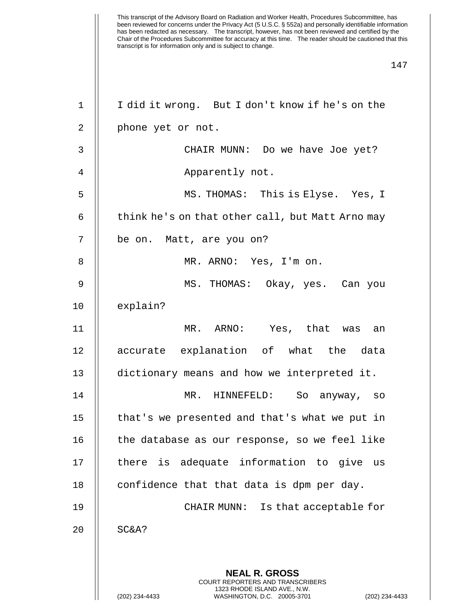| 1              | I did it wrong. But I don't know if he's on the                                                 |
|----------------|-------------------------------------------------------------------------------------------------|
| 2              | phone yet or not.                                                                               |
| 3              | CHAIR MUNN: Do we have Joe yet?                                                                 |
| $\overline{4}$ | Apparently not.                                                                                 |
| 5              | MS. THOMAS: This is Elyse. Yes, I                                                               |
| 6              | think he's on that other call, but Matt Arno may                                                |
| 7              | be on. Matt, are you on?                                                                        |
| 8              | MR. ARNO: Yes, I'm on.                                                                          |
| 9              | MS. THOMAS: Okay, yes. Can you                                                                  |
| 10             | explain?                                                                                        |
| 11             | MR. ARNO: Yes, that was an                                                                      |
| 12             | accurate explanation of what the data                                                           |
| 13             | dictionary means and how we interpreted it.                                                     |
| 14             | MR. HINNEFELD: So anyway, so                                                                    |
| 15             | that's we presented and that's what we put in                                                   |
| 16             | the database as our response, so we feel like                                                   |
| 17             | there is adequate information to give<br>us                                                     |
| 18             | confidence that that data is dpm per day.                                                       |
| 19             | Is that acceptable for<br>CHAIR MUNN:                                                           |
| 20             | SC&A?                                                                                           |
|                | <b>NEAL R. GROSS</b><br><b>COURT REPORTERS AND TRANSCRIBERS</b>                                 |
|                | 1323 RHODE ISLAND AVE., N.W.<br>(202) 234-4433<br>WASHINGTON, D.C. 20005-3701<br>(202) 234-4433 |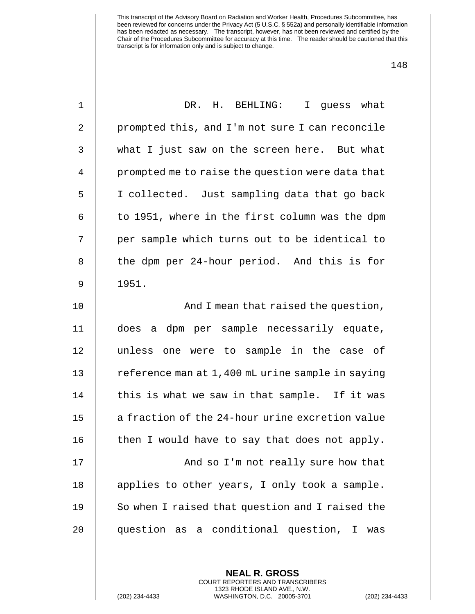| $\mathbf 1$    | DR. H. BEHLING:<br>I quess what                  |
|----------------|--------------------------------------------------|
| 2              | prompted this, and I'm not sure I can reconcile  |
| 3              | what I just saw on the screen here. But what     |
| $\overline{4}$ | prompted me to raise the question were data that |
| 5              | I collected. Just sampling data that go back     |
| 6              | to 1951, where in the first column was the dpm   |
| 7              | per sample which turns out to be identical to    |
| 8              | the dpm per 24-hour period. And this is for      |
| $\mathsf 9$    | 1951.                                            |
| 10             | And I mean that raised the question,             |
| 11             | does a dpm per sample necessarily equate,        |
| 12             | unless one were to sample in the case of         |
| 13             | reference man at 1,400 mL urine sample in saying |
| 14             | this is what we saw in that sample. If it was    |
| 15             | a fraction of the 24-hour urine excretion value  |
| 16             | then I would have to say that does not apply.    |
| 17             | And so I'm not really sure how that              |
| 18             | applies to other years, I only took a sample.    |
| 19             | So when I raised that question and I raised the  |
| 20             | question as a conditional question, I<br>was     |
|                |                                                  |

**NEAL R. GROSS** COURT REPORTERS AND TRANSCRIBERS 1323 RHODE ISLAND AVE., N.W.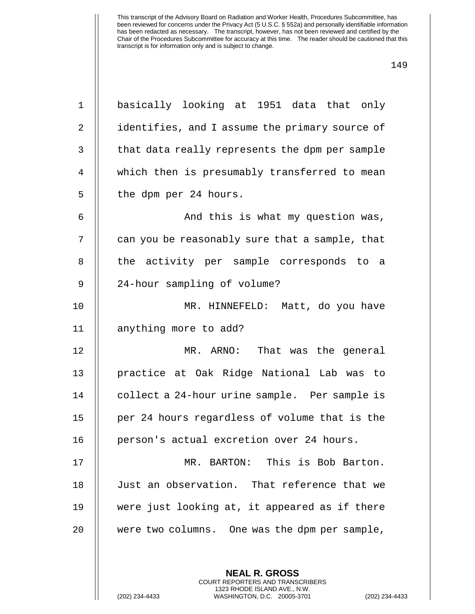| $\mathbf 1$ | basically looking at 1951 data that only       |
|-------------|------------------------------------------------|
| 2           | identifies, and I assume the primary source of |
| 3           | that data really represents the dpm per sample |
| 4           | which then is presumably transferred to mean   |
| 5           | the dpm per 24 hours.                          |
| 6           | And this is what my question was,              |
| 7           | can you be reasonably sure that a sample, that |
| 8           | the activity per sample corresponds to a       |
| $\mathsf 9$ | 24-hour sampling of volume?                    |
| 10          | MR. HINNEFELD: Matt, do you have               |
| 11          | anything more to add?                          |
| 12          | MR. ARNO: That was the general                 |
| 13          | practice at Oak Ridge National Lab was to      |
| 14          | collect a 24-hour urine sample. Per sample is  |
| 15          | per 24 hours regardless of volume that is the  |
| 16          | person's actual excretion over 24 hours.       |
| 17          | MR. BARTON: This is Bob Barton.                |
| 18          | Just an observation. That reference that we    |
| 19          | were just looking at, it appeared as if there  |
| 20          | were two columns. One was the dpm per sample,  |
|             |                                                |
|             | <b>NEAL R. GROSS</b>                           |

COURT REPORTERS AND TRANSCRIBERS 1323 RHODE ISLAND AVE., N.W.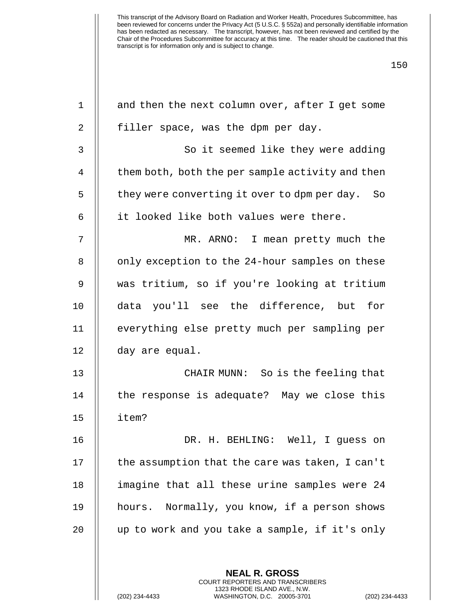| $\mathbf 1$    | and then the next column over, after I get some                                                                                                           |
|----------------|-----------------------------------------------------------------------------------------------------------------------------------------------------------|
| 2              | filler space, was the dpm per day.                                                                                                                        |
| 3              | So it seemed like they were adding                                                                                                                        |
| $\overline{4}$ | them both, both the per sample activity and then                                                                                                          |
| 5              | they were converting it over to dpm per day.<br>So                                                                                                        |
| 6              | it looked like both values were there.                                                                                                                    |
| 7              | MR. ARNO: I mean pretty much the                                                                                                                          |
| 8              | only exception to the 24-hour samples on these                                                                                                            |
| 9              | was tritium, so if you're looking at tritium                                                                                                              |
| 10             | data you'll see the difference, but<br>for                                                                                                                |
| 11             | everything else pretty much per sampling per                                                                                                              |
| 12             | day are equal.                                                                                                                                            |
| 13             | CHAIR MUNN: So is the feeling that                                                                                                                        |
| 14             | the response is adequate? May we close this                                                                                                               |
| 15             | item?                                                                                                                                                     |
| 16             | H. BEHLING: Well, I guess on<br>DR.                                                                                                                       |
| 17             | the assumption that the care was taken, I can't                                                                                                           |
| 18             | imagine that all these urine samples were 24                                                                                                              |
| 19             | hours. Normally, you know, if a person shows                                                                                                              |
| 20             | up to work and you take a sample, if it's only                                                                                                            |
|                |                                                                                                                                                           |
|                | <b>NEAL R. GROSS</b><br>COURT REPORTERS AND TRANSCRIBERS<br>1323 RHODE ISLAND AVE., N.W.<br>(202) 234-4433<br>WASHINGTON, D.C. 20005-3701<br>$(202)$ 234- |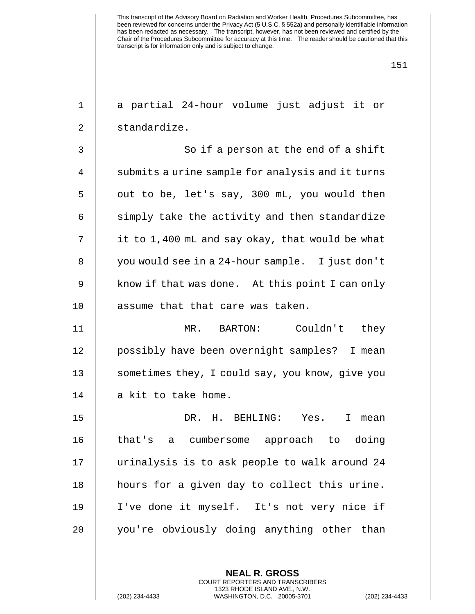| $\mathbf 1$ | a partial 24-hour volume just adjust it or       |
|-------------|--------------------------------------------------|
| 2           | standardize.                                     |
| 3           | So if a person at the end of a shift             |
| 4           | submits a urine sample for analysis and it turns |
| 5           | out to be, let's say, 300 mL, you would then     |
| 6           | simply take the activity and then standardize    |
| 7           | it to 1,400 mL and say okay, that would be what  |
| 8           | you would see in a 24-hour sample. I just don't  |
| 9           | know if that was done. At this point I can only  |
| 10          | assume that that care was taken.                 |
| 11          | MR. BARTON: Couldn't they                        |
| 12          | possibly have been overnight samples? I mean     |
| 13          | sometimes they, I could say, you know, give you  |
| 14          | a kit to take home.                              |
| 15          | DR.<br>H. BEHLING: Yes.<br>I<br>mean             |
| 16          | that's a cumbersome approach to doing            |
| 17          | urinalysis is to ask people to walk around 24    |
| 18          | hours for a given day to collect this urine.     |
| 19          | I've done it myself. It's not very nice if       |
| 20          | you're obviously doing anything other than       |
|             |                                                  |

**NEAL R. GROSS** COURT REPORTERS AND TRANSCRIBERS 1323 RHODE ISLAND AVE., N.W.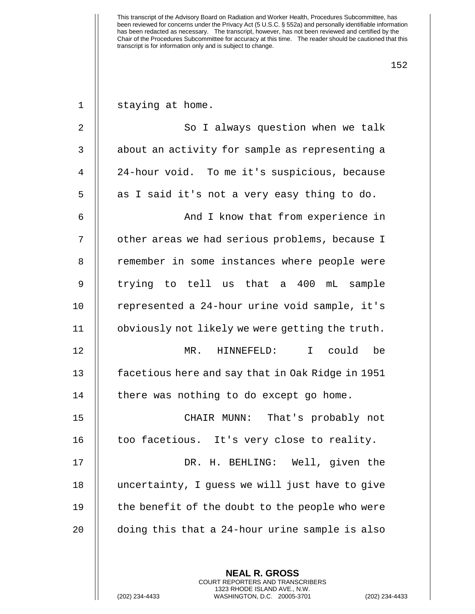| $\mathbf 1$ | staying at home.                                         |
|-------------|----------------------------------------------------------|
| 2           | So I always question when we talk                        |
| 3           | about an activity for sample as representing a           |
| 4           | 24-hour void. To me it's suspicious, because             |
| 5           | as I said it's not a very easy thing to do.              |
| 6           | And I know that from experience in                       |
| 7           | other areas we had serious problems, because I           |
| 8           | remember in some instances where people were             |
| 9           | trying to tell us that a 400 mL sample                   |
| 10          | represented a 24-hour urine void sample, it's            |
| 11          | obviously not likely we were getting the truth.          |
| 12          | I could<br>$MR$ .<br>HINNEFELD:<br>be                    |
| 13          | facetious here and say that in Oak Ridge in 1951         |
| 14          | there was nothing to do except go home.                  |
| 15          | That's probably not<br>CHAIR MUNN:                       |
| 16          | too facetious. It's very close to reality.               |
| 17          | DR. H. BEHLING: Well, given the                          |
| 18          | uncertainty, I guess we will just have to give           |
| 19          | the benefit of the doubt to the people who were          |
| 20          | doing this that a 24-hour urine sample is also           |
|             |                                                          |
|             | <b>NEAL R. GROSS</b><br>COURT REPORTERS AND TRANSCRIBERS |

1323 RHODE ISLAND AVE., N.W.

 $\mathsf{I}$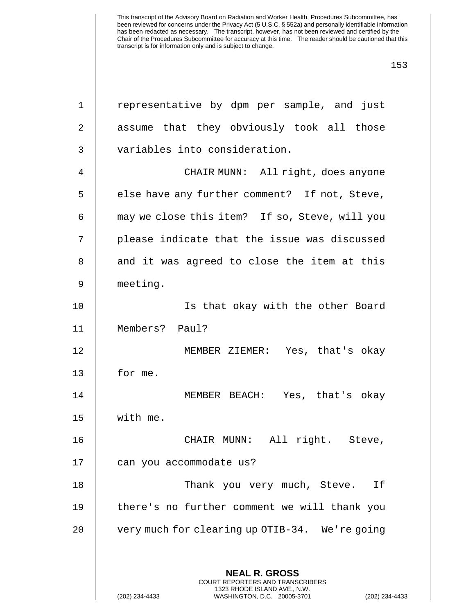| $\mathbf 1$ | representative by dpm per sample, and just                                                     |
|-------------|------------------------------------------------------------------------------------------------|
| 2           | assume that they obviously took all those                                                      |
| 3           | variables into consideration.                                                                  |
| 4           | CHAIR MUNN: All right, does anyone                                                             |
| 5           | else have any further comment? If not, Steve,                                                  |
| 6           | may we close this item? If so, Steve, will you                                                 |
| 7           | please indicate that the issue was discussed                                                   |
| 8           | and it was agreed to close the item at this                                                    |
| 9           | meeting.                                                                                       |
| 10          | Is that okay with the other Board                                                              |
| 11          | Members? Paul?                                                                                 |
| 12          | MEMBER ZIEMER: Yes, that's okay                                                                |
| 13          | for me.                                                                                        |
| 14          | MEMBER BEACH: Yes, that's okay                                                                 |
| 15          | with me.                                                                                       |
| 16          | CHAIR MUNN: All right. Steve,                                                                  |
| 17          | can you accommodate us?                                                                        |
| 18          | Thank you very much, Steve.<br>Ιf                                                              |
| 19          | there's no further comment we will thank you                                                   |
| 20          | very much for clearing up OTIB-34. We're going                                                 |
|             |                                                                                                |
|             | <b>NEAL R. GROSS</b><br><b>COURT REPORTERS AND TRANSCRIBERS</b>                                |
|             | 1323 RHODE ISLAND AVE., N.W.<br>(202) 234-4433<br>WASHINGTON, D.C. 20005-3701<br>$(202)$ 234-4 |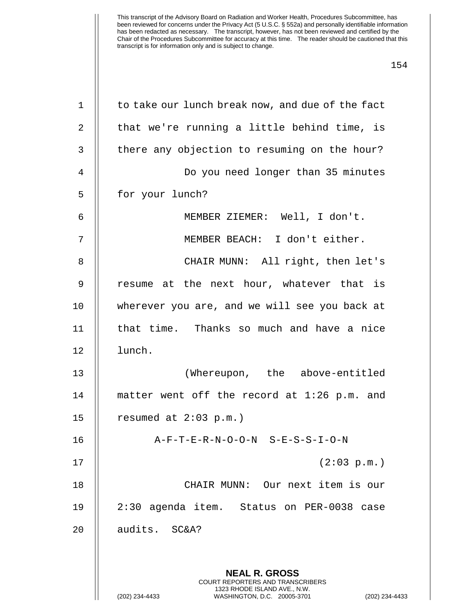| $\mathbf 1$    | to take our lunch break now, and due of the fact                                                                                                                   |
|----------------|--------------------------------------------------------------------------------------------------------------------------------------------------------------------|
| 2              | that we're running a little behind time, is                                                                                                                        |
| 3              | there any objection to resuming on the hour?                                                                                                                       |
| $\overline{4}$ | Do you need longer than 35 minutes                                                                                                                                 |
| 5              | for your lunch?                                                                                                                                                    |
| 6              | MEMBER ZIEMER: Well, I don't.                                                                                                                                      |
| 7              | MEMBER BEACH: I don't either.                                                                                                                                      |
| 8              | CHAIR MUNN: All right, then let's                                                                                                                                  |
| 9              | resume at the next hour, whatever that is                                                                                                                          |
| 10             | wherever you are, and we will see you back at                                                                                                                      |
| 11             | that time. Thanks so much and have a nice                                                                                                                          |
| 12             | lunch.                                                                                                                                                             |
| 13             | (Whereupon, the above-entitled                                                                                                                                     |
| 14             | matter went off the record at 1:26 p.m. and                                                                                                                        |
| 15             | resumed at $2:03$ p.m.)                                                                                                                                            |
| 16             | A-F-T-E-R-N-O-O-N S-E-S-S-I-O-N                                                                                                                                    |
| 17             | (2:03 p.m.)                                                                                                                                                        |
| 18             | CHAIR MUNN: Our next item is our                                                                                                                                   |
| 19             | 2:30 agenda item. Status on PER-0038 case                                                                                                                          |
| 20             | audits. SC&A?                                                                                                                                                      |
|                | <b>NEAL R. GROSS</b><br><b>COURT REPORTERS AND TRANSCRIBERS</b><br>1323 RHODE ISLAND AVE., N.W.<br>(202) 234-4433<br>WASHINGTON, D.C. 20005-3701<br>(202) 234-4433 |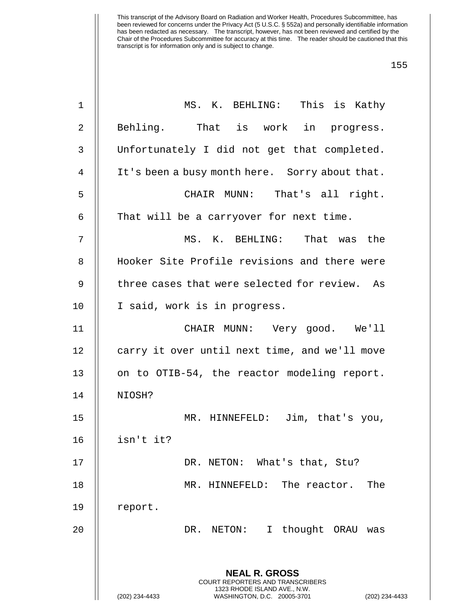| 1              | MS. K. BEHLING: This is Kathy                                                                                                                                      |
|----------------|--------------------------------------------------------------------------------------------------------------------------------------------------------------------|
| $\overline{2}$ | Behling. That is work in progress.                                                                                                                                 |
| 3              | Unfortunately I did not get that completed.                                                                                                                        |
| $\overline{4}$ | It's been a busy month here. Sorry about that.                                                                                                                     |
| 5              | CHAIR MUNN: That's all right.                                                                                                                                      |
| 6              | That will be a carryover for next time.                                                                                                                            |
| 7              | MS. K. BEHLING: That was the                                                                                                                                       |
| 8              | Hooker Site Profile revisions and there were                                                                                                                       |
| 9              | three cases that were selected for review. As                                                                                                                      |
| 10             | I said, work is in progress.                                                                                                                                       |
| 11             | CHAIR MUNN: Very good. We'll                                                                                                                                       |
| 12             | carry it over until next time, and we'll move                                                                                                                      |
| 13             | on to OTIB-54, the reactor modeling report.                                                                                                                        |
| 14             | NIOSH?                                                                                                                                                             |
| 15             | MR. HINNEFELD: Jim, that's you,                                                                                                                                    |
| 16             | isn't it?                                                                                                                                                          |
| 17             | DR. NETON: What's that, Stu?                                                                                                                                       |
| 18             | MR. HINNEFELD: The reactor.<br>The                                                                                                                                 |
| 19             | report.                                                                                                                                                            |
| 20             | thought ORAU<br>DR. NETON:<br>$\mathbf{I}$<br>was                                                                                                                  |
|                |                                                                                                                                                                    |
|                | <b>NEAL R. GROSS</b><br><b>COURT REPORTERS AND TRANSCRIBERS</b><br>1323 RHODE ISLAND AVE., N.W.<br>(202) 234-4433<br>WASHINGTON, D.C. 20005-3701<br>(202) 234-4433 |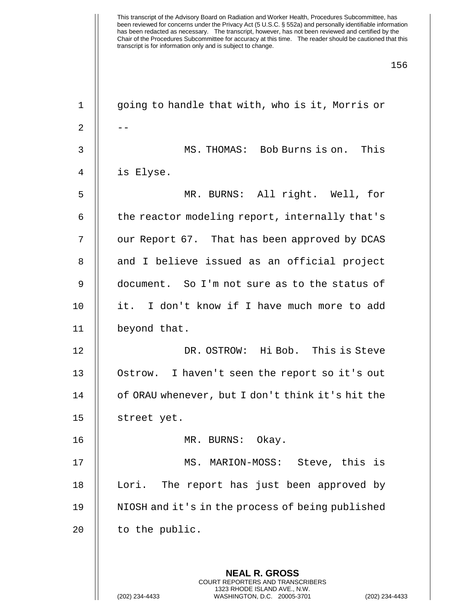| $\mathbf 1$ | going to handle that with, who is it, Morris or                                                 |
|-------------|-------------------------------------------------------------------------------------------------|
| 2           |                                                                                                 |
| 3           | MS. THOMAS: Bob Burns is on. This                                                               |
| 4           | is Elyse.                                                                                       |
| 5           | MR. BURNS: All right. Well, for                                                                 |
| 6           | the reactor modeling report, internally that's                                                  |
| 7           | our Report 67. That has been approved by DCAS                                                   |
| 8           | and I believe issued as an official project                                                     |
| 9           | document. So I'm not sure as to the status of                                                   |
| 10          | it. I don't know if I have much more to add                                                     |
| 11          | beyond that.                                                                                    |
| 12          | DR. OSTROW: Hi Bob. This is Steve                                                               |
| 13          | Ostrow. I haven't seen the report so it's out                                                   |
| 14          | of ORAU whenever, but I don't think it's hit the                                                |
| 15          | street yet.                                                                                     |
| 16          | MR. BURNS: Okay.                                                                                |
| 17          | MS. MARION-MOSS: Steve, this is                                                                 |
| 18          | The report has just been approved by<br>Lori.                                                   |
| 19          | NIOSH and it's in the process of being published                                                |
| 20          | to the public.                                                                                  |
|             |                                                                                                 |
|             | <b>NEAL R. GROSS</b><br><b>COURT REPORTERS AND TRANSCRIBERS</b>                                 |
|             | 1323 RHODE ISLAND AVE., N.W.<br>(202) 234-4433<br>WASHINGTON, D.C. 20005-3701<br>(202) 234-4433 |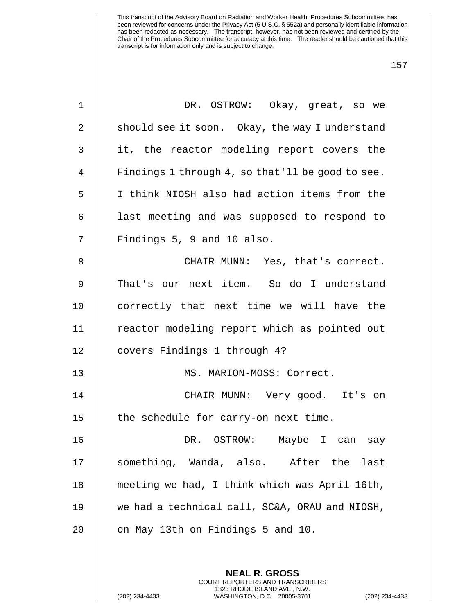| $\mathbf 1$    | DR. OSTROW: Okay, great, so we                   |
|----------------|--------------------------------------------------|
| $\overline{2}$ | should see it soon. Okay, the way I understand   |
| 3              | it, the reactor modeling report covers the       |
| 4              | Findings 1 through 4, so that'll be good to see. |
| 5              | I think NIOSH also had action items from the     |
| 6              | last meeting and was supposed to respond to      |
| 7              | Findings 5, 9 and 10 also.                       |
| 8              | CHAIR MUNN: Yes, that's correct.                 |
| 9              | That's our next item. So do I understand         |
| 10             | correctly that next time we will have the        |
| 11             | reactor modeling report which as pointed out     |
| 12             | covers Findings 1 through 4?                     |
| 13             | MS. MARION-MOSS: Correct.                        |
| 14             | CHAIR MUNN: Very good. It's on                   |
| 15             | the schedule for carry-on next time.             |
| 16             | DR. OSTROW:   Maybe I can say                    |
| 17             | something, Wanda, also. After the<br>last        |
| 18             | meeting we had, I think which was April 16th,    |
| 19             | we had a technical call, SC&A, ORAU and NIOSH,   |
| 20             | on May 13th on Findings 5 and 10.                |
|                |                                                  |
|                | <b>NEAL R. GROSS</b>                             |

COURT REPORTERS AND TRANSCRIBERS 1323 RHODE ISLAND AVE., N.W.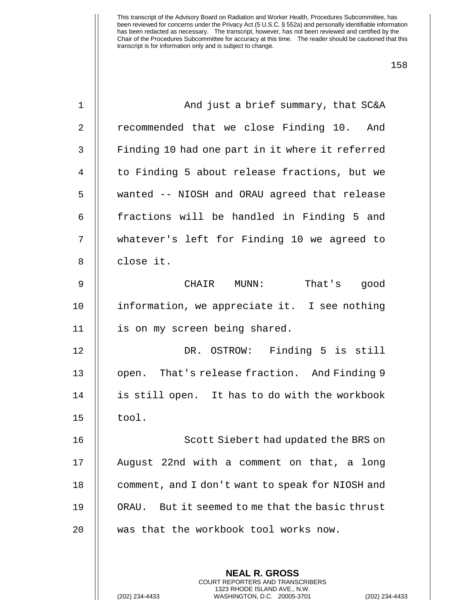| $\mathbf 1$    | And just a brief summary, that SC&A              |
|----------------|--------------------------------------------------|
| $\overline{2}$ | recommended that we close Finding 10. And        |
| 3              | Finding 10 had one part in it where it referred  |
| 4              | to Finding 5 about release fractions, but we     |
| 5              | wanted -- NIOSH and ORAU agreed that release     |
| 6              | fractions will be handled in Finding 5 and       |
| 7              | whatever's left for Finding 10 we agreed to      |
| 8              | close it.                                        |
| $\mathsf 9$    | CHAIR MUNN:<br>That's good                       |
| 10             | information, we appreciate it. I see nothing     |
| 11             | is on my screen being shared.                    |
| 12             | DR. OSTROW: Finding 5 is still                   |
| 13             | open. That's release fraction. And Finding 9     |
| 14             | is still open. It has to do with the workbook    |
| 15             | tool.                                            |
| 16             | Scott Siebert had updated the BRS on             |
| 17             | August 22nd with a comment on that, a long       |
| 18             | comment, and I don't want to speak for NIOSH and |
| 19             | ORAU. But it seemed to me that the basic thrust  |
| 20             | was that the workbook tool works now.            |
|                |                                                  |
|                | <b>NEAL R. GROSS</b>                             |

COURT REPORTERS AND TRANSCRIBERS 1323 RHODE ISLAND AVE., N.W.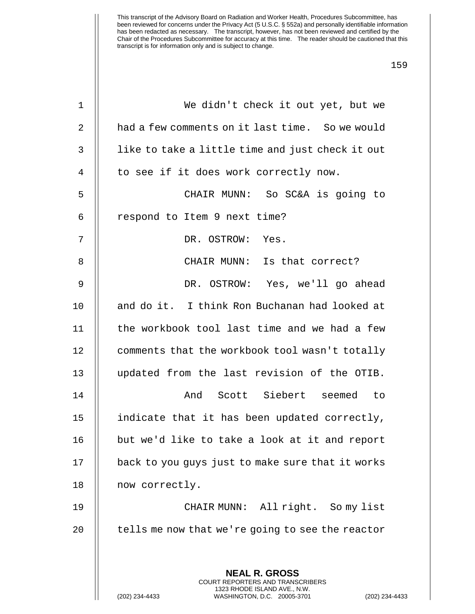| $\mathbf 1$ | We didn't check it out yet, but we                                                              |
|-------------|-------------------------------------------------------------------------------------------------|
| 2           | had a few comments on it last time. So we would                                                 |
| 3           | like to take a little time and just check it out                                                |
| 4           | to see if it does work correctly now.                                                           |
| 5           | CHAIR MUNN: So SC&A is going to                                                                 |
| 6           | respond to Item 9 next time?                                                                    |
| 7           | DR. OSTROW: Yes.                                                                                |
| 8           | CHAIR MUNN: Is that correct?                                                                    |
| 9           | DR. OSTROW: Yes, we'll go ahead                                                                 |
| 10          | and do it. I think Ron Buchanan had looked at                                                   |
| 11          | the workbook tool last time and we had a few                                                    |
| 12          | comments that the workbook tool wasn't totally                                                  |
| 13          | updated from the last revision of the OTIB.                                                     |
| 14          | And Scott Siebert seemed to                                                                     |
| 15          | indicate that it has been updated correctly,                                                    |
| 16          | but we'd like to take a look at it and report                                                   |
| 17          | back to you guys just to make sure that it works                                                |
| 18          | now correctly.                                                                                  |
| 19          | CHAIR MUNN: All right. So my list                                                               |
| 20          | tells me now that we're going to see the reactor                                                |
|             |                                                                                                 |
|             | <b>NEAL R. GROSS</b><br>COURT REPORTERS AND TRANSCRIBERS                                        |
|             | 1323 RHODE ISLAND AVE., N.W.<br>(202) 234-4433<br>WASHINGTON, D.C. 20005-3701<br>(202) 234-4433 |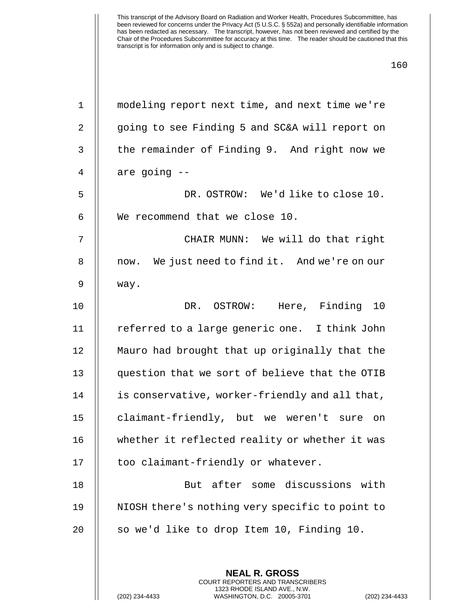| $\mathbf 1$ | modeling report next time, and next time we're  |
|-------------|-------------------------------------------------|
| 2           | going to see Finding 5 and SC&A will report on  |
| 3           | the remainder of Finding 9. And right now we    |
| 4           | are going --                                    |
| 5           | DR. OSTROW: We'd like to close 10.              |
| 6           | We recommend that we close 10.                  |
| 7           | CHAIR MUNN: We will do that right               |
| 8           | now. We just need to find it. And we're on our  |
| 9           | way.                                            |
| 10          | DR. OSTROW: Here, Finding 10                    |
| 11          | referred to a large generic one. I think John   |
| 12          | Mauro had brought that up originally that the   |
| 13          | question that we sort of believe that the OTIB  |
| 14          | is conservative, worker-friendly and all that,  |
| 15          | claimant-friendly, but we weren't sure<br>on    |
| 16          | whether it reflected reality or whether it was  |
| 17          | too claimant-friendly or whatever.              |
| 18          | But after some discussions with                 |
| 19          | NIOSH there's nothing very specific to point to |
| 20          | so we'd like to drop Item 10, Finding 10.       |
|             |                                                 |
|             | <b>NEAL R. GROSS</b>                            |

COURT REPORTERS AND TRANSCRIBERS 1323 RHODE ISLAND AVE., N.W.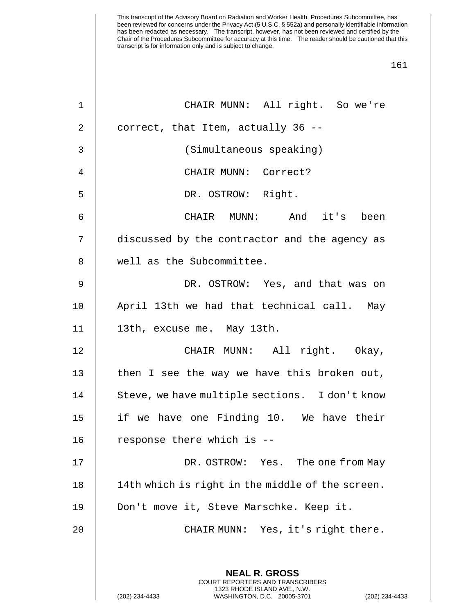| $\mathbf 1$    | CHAIR MUNN: All right. So we're                                                                                                                            |
|----------------|------------------------------------------------------------------------------------------------------------------------------------------------------------|
| $\overline{2}$ | correct, that Item, actually 36 --                                                                                                                         |
| $\mathsf{3}$   | (Simultaneous speaking)                                                                                                                                    |
| $\overline{4}$ | CHAIR MUNN: Correct?                                                                                                                                       |
| 5              | DR. OSTROW: Right.                                                                                                                                         |
| $\epsilon$     | CHAIR MUNN: And it's been                                                                                                                                  |
| 7              | discussed by the contractor and the agency as                                                                                                              |
| 8              | well as the Subcommittee.                                                                                                                                  |
| $\mathsf 9$    | DR. OSTROW: Yes, and that was on                                                                                                                           |
| 10             | April 13th we had that technical call. May                                                                                                                 |
| 11             | 13th, excuse me. May 13th.                                                                                                                                 |
| 12             | CHAIR MUNN: All right. Okay,                                                                                                                               |
| 13             | then I see the way we have this broken out,                                                                                                                |
| 14             | Steve, we have multiple sections. I don't know                                                                                                             |
| 15             | if we have one Finding 10. We have their                                                                                                                   |
| 16             | response there which is --                                                                                                                                 |
| 17             | DR. OSTROW: Yes. The one from May                                                                                                                          |
| 18             | 14th which is right in the middle of the screen.                                                                                                           |
| 19             | Don't move it, Steve Marschke. Keep it.                                                                                                                    |
| 20             | CHAIR MUNN: Yes, it's right there.                                                                                                                         |
|                |                                                                                                                                                            |
|                | <b>NEAL R. GROSS</b><br>COURT REPORTERS AND TRANSCRIBERS<br>1323 RHODE ISLAND AVE., N.W.<br>WASHINGTON, D.C. 20005-3701<br>(202) 234-4433<br>$(202)$ 234-4 |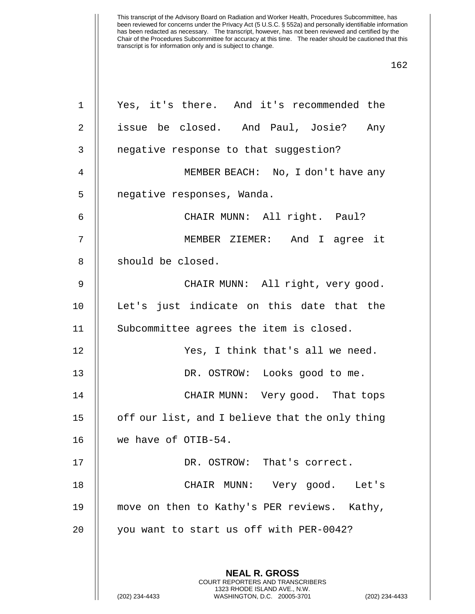| $\mathbf 1$    | Yes, it's there. And it's recommended the                                                                                                  |
|----------------|--------------------------------------------------------------------------------------------------------------------------------------------|
| $\overline{2}$ | issue be closed. And Paul, Josie? Any                                                                                                      |
| 3              | negative response to that suggestion?                                                                                                      |
| 4              | MEMBER BEACH: No, I don't have any                                                                                                         |
| 5              | negative responses, Wanda.                                                                                                                 |
| 6              | CHAIR MUNN: All right. Paul?                                                                                                               |
| 7              | MEMBER ZIEMER: And I agree it                                                                                                              |
| 8              | should be closed.                                                                                                                          |
| $\mathsf 9$    | CHAIR MUNN: All right, very good.                                                                                                          |
| 10             | Let's just indicate on this date that the                                                                                                  |
| 11             | Subcommittee agrees the item is closed.                                                                                                    |
| 12             | Yes, I think that's all we need.                                                                                                           |
| 13             | DR. OSTROW: Looks good to me.                                                                                                              |
| 14             | CHAIR MUNN: Very good. That tops                                                                                                           |
| 15             | off our list, and I believe that the only thing                                                                                            |
| 16             | we have of OTIB-54.                                                                                                                        |
| 17             | DR. OSTROW: That's correct.                                                                                                                |
| 18             | CHAIR MUNN: Very good. Let's                                                                                                               |
| 19             | move on then to Kathy's PER reviews. Kathy,                                                                                                |
| 20             | you want to start us off with PER-0042?                                                                                                    |
|                |                                                                                                                                            |
|                | <b>NEAL R. GROSS</b>                                                                                                                       |
|                | <b>COURT REPORTERS AND TRANSCRIBERS</b><br>1323 RHODE ISLAND AVE., N.W.<br>(202) 234-4433<br>WASHINGTON, D.C. 20005-3701<br>(202) 234-4433 |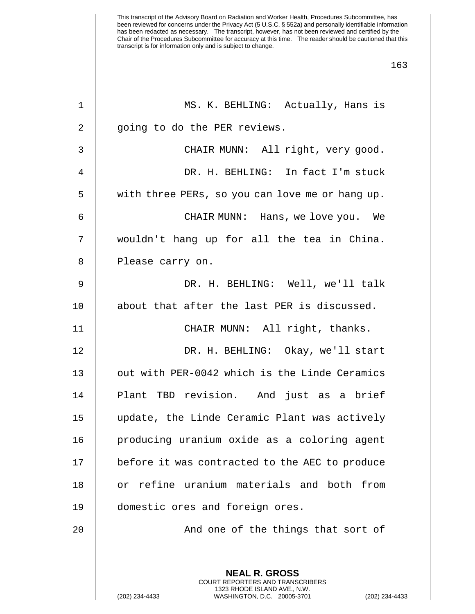| $\mathbf 1$    | MS. K. BEHLING: Actually, Hans is                                                             |
|----------------|-----------------------------------------------------------------------------------------------|
| $\overline{2}$ | going to do the PER reviews.                                                                  |
| 3              | CHAIR MUNN: All right, very good.                                                             |
| 4              | DR. H. BEHLING: In fact I'm stuck                                                             |
| 5              | with three PERs, so you can love me or hang up.                                               |
| 6              | CHAIR MUNN: Hans, we love you. We                                                             |
| 7              | wouldn't hang up for all the tea in China.                                                    |
| 8              | Please carry on.                                                                              |
| $\mathsf 9$    | DR. H. BEHLING: Well, we'll talk                                                              |
| 10             | about that after the last PER is discussed.                                                   |
| 11             | CHAIR MUNN: All right, thanks.                                                                |
| 12             | DR. H. BEHLING: Okay, we'll start                                                             |
| 13             | out with PER-0042 which is the Linde Ceramics                                                 |
| 14             | Plant TBD revision. And just as a brief                                                       |
| 15             | update, the Linde Ceramic Plant was actively                                                  |
| 16             | producing uranium oxide as a coloring agent                                                   |
| 17             | before it was contracted to the AEC to produce                                                |
| 18             | or refine uranium materials and both from                                                     |
| 19             | domestic ores and foreign ores.                                                               |
| 20             | And one of the things that sort of                                                            |
|                | <b>NEAL R. GROSS</b><br>COURT REPORTERS AND TRANSCRIBERS                                      |
|                | 1323 RHODE ISLAND AVE., N.W.<br>(202) 234-4433<br>WASHINGTON, D.C. 20005-3701<br>$(202)$ 234- |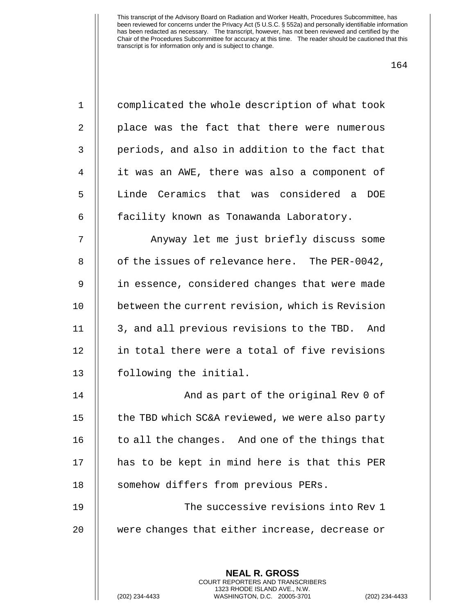| × | ۰. |
|---|----|
|---|----|

| $\mathbf 1$    | complicated the whole description of what took           |
|----------------|----------------------------------------------------------|
| $\overline{2}$ | place was the fact that there were numerous              |
| 3              | periods, and also in addition to the fact that           |
| $\overline{4}$ | it was an AWE, there was also a component of             |
| 5              | Linde Ceramics that was considered a<br>DOE              |
| 6              | facility known as Tonawanda Laboratory.                  |
| 7              | Anyway let me just briefly discuss some                  |
| 8              | of the issues of relevance here. The PER-0042,           |
| $\mathsf 9$    | in essence, considered changes that were made            |
| 10             | between the current revision, which is Revision          |
| 11             | 3, and all previous revisions to the TBD. And            |
| 12             | in total there were a total of five revisions            |
| 13             | following the initial.                                   |
| 14             | And as part of the original Rev 0 of                     |
| 15             | the TBD which SC&A reviewed, we were also party          |
| 16             | to all the changes. And one of the things that           |
| 17             | has to be kept in mind here is that this PER             |
| 18             | somehow differs from previous PERs.                      |
| 19             | The successive revisions into Rev 1                      |
| 20             | were changes that either increase, decrease or           |
|                |                                                          |
|                | <b>NEAL R. GROSS</b><br>COURT REPORTERS AND TRANSCRIBERS |

1323 RHODE ISLAND AVE., N.W.

 $\frac{1}{2}$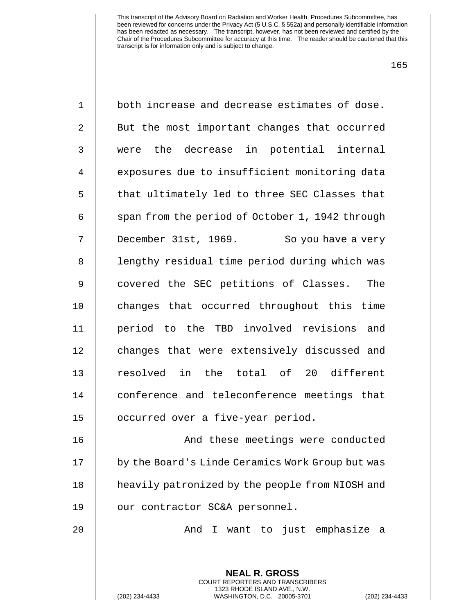| $\mathbf 1$    | both increase and decrease estimates of dose.                                              |
|----------------|--------------------------------------------------------------------------------------------|
| $\mathbf{2}$   | But the most important changes that occurred                                               |
| $\mathfrak{Z}$ | were the decrease in potential internal                                                    |
| $\overline{4}$ | exposures due to insufficient monitoring data                                              |
| 5              | that ultimately led to three SEC Classes that                                              |
| 6              | span from the period of October 1, 1942 through                                            |
| 7              | December 31st, 1969. So you have a very                                                    |
| $\,8\,$        | lengthy residual time period during which was                                              |
| $\mathsf 9$    | covered the SEC petitions of Classes. The                                                  |
| 10             | changes that occurred throughout this time                                                 |
| 11             | period to the TBD involved revisions and                                                   |
| 12             | changes that were extensively discussed and                                                |
| 13             | resolved in the total of 20 different                                                      |
| 14             | conference and teleconference meetings that                                                |
| 15             | occurred over a five-year period.                                                          |
| 16             | And these meetings were conducted                                                          |
| 17             | by the Board's Linde Ceramics Work Group but was                                           |
| 18             | heavily patronized by the people from NIOSH and                                            |
| 19             | our contractor SC&A personnel.                                                             |
| 20             | I want to just emphasize<br>And<br>- a                                                     |
|                |                                                                                            |
|                | <b>NEAL R. GROSS</b><br><b>COURT REPORTERS AND TRANSCRIBERS</b>                            |
|                | 1323 RHODE ISLAND AVE., N.W.<br>WASHINGTON, D.C. 20005-3701<br>(202) 234-4433<br>(202) 234 |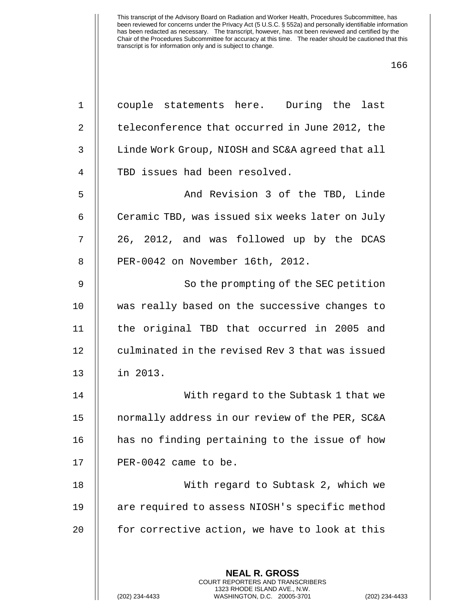| $\mathbf 1$     | couple statements here. During the last                                                         |
|-----------------|-------------------------------------------------------------------------------------------------|
| $\overline{a}$  | teleconference that occurred in June 2012, the                                                  |
| 3               | Linde Work Group, NIOSH and SC&A agreed that all                                                |
| $\overline{4}$  | TBD issues had been resolved.                                                                   |
| 5               | And Revision 3 of the TBD, Linde                                                                |
| 6               | Ceramic TBD, was issued six weeks later on July                                                 |
| 7               | 26, 2012, and was followed up by the DCAS                                                       |
| 8               | PER-0042 on November 16th, 2012.                                                                |
| 9               | So the prompting of the SEC petition                                                            |
| 10 <sub>1</sub> | was really based on the successive changes to                                                   |
| 11              | the original TBD that occurred in 2005 and                                                      |
| 12              | culminated in the revised Rev 3 that was issued                                                 |
| 13              | in 2013.                                                                                        |
| 14              | With regard to the Subtask 1 that we                                                            |
| 15              | normally address in our review of the PER, SC&A                                                 |
| 16              | has no finding pertaining to the issue of how                                                   |
| 17              | PER-0042 came to be.                                                                            |
| 18              | With regard to Subtask 2, which we                                                              |
| 19              | are required to assess NIOSH's specific method                                                  |
| 20              | for corrective action, we have to look at this                                                  |
|                 |                                                                                                 |
|                 | <b>NEAL R. GROSS</b><br><b>COURT REPORTERS AND TRANSCRIBERS</b>                                 |
|                 | 1323 RHODE ISLAND AVE., N.W.<br>(202) 234-4433<br>WASHINGTON, D.C. 20005-3701<br>(202) 234-4433 |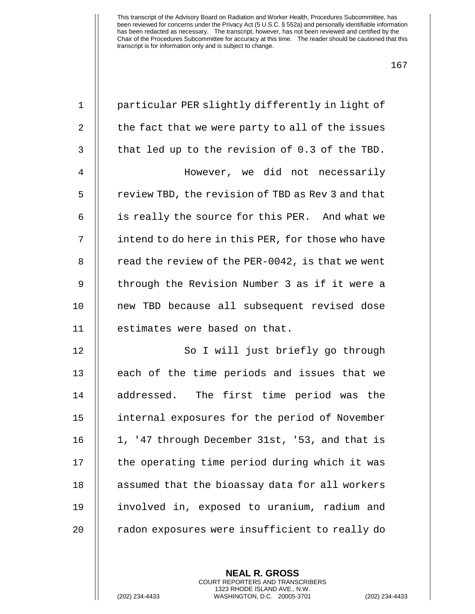| $\mathbf 1$    | particular PER slightly differently in light of   |
|----------------|---------------------------------------------------|
| $\overline{2}$ | the fact that we were party to all of the issues  |
| 3              | that led up to the revision of 0.3 of the TBD.    |
| 4              | However, we did not necessarily                   |
| 5              | review TBD, the revision of TBD as Rev 3 and that |
| 6              | is really the source for this PER. And what we    |
| 7              | intend to do here in this PER, for those who have |
| 8              | read the review of the PER-0042, is that we went  |
| 9              | through the Revision Number 3 as if it were a     |
| 10             | new TBD because all subsequent revised dose       |
| 11             | estimates were based on that.                     |
| 12             | So I will just briefly go through                 |
| 13             | each of the time periods and issues that we       |
| 14             | addressed. The first time period was the          |
| 15             | internal exposures for the period of November     |
| 16             | 1, '47 through December 31st, '53, and that is    |
| 17             | the operating time period during which it was     |
| 18             | assumed that the bioassay data for all workers    |
| 19             | involved in, exposed to uranium, radium and       |
| 20             | radon exposures were insufficient to really do    |
|                |                                                   |

**NEAL R. GROSS** COURT REPORTERS AND TRANSCRIBERS 1323 RHODE ISLAND AVE., N.W.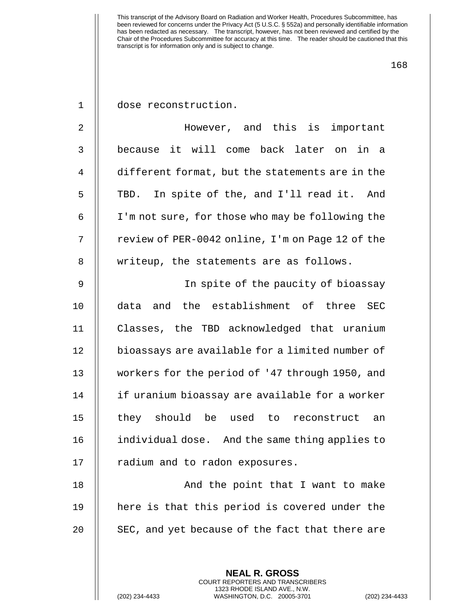168

1 dose reconstruction.

2 However, and this is important 3 because it will come back later on in a 4 different format, but the statements are in the 5 || TBD. In spite of the, and I'll read it. And 6 I'm not sure, for those who may be following the 7 | review of PER-0042 online, I'm on Page 12 of the 8 | writeup, the statements are as follows.

9 In spite of the paucity of bioassay 10 data and the establishment of three SEC 11 Classes, the TBD acknowledged that uranium 12 | bioassays are available for a limited number of 13 workers for the period of '47 through 1950, and 14 || if uranium bioassay are available for a worker 15 || they should be used to reconstruct an 16 individual dose. And the same thing applies to 17 || radium and to radon exposures.

18 || And the point that I want to make 19 here is that this period is covered under the 20  $\parallel$  SEC, and yet because of the fact that there are

> **NEAL R. GROSS** COURT REPORTERS AND TRANSCRIBERS 1323 RHODE ISLAND AVE., N.W.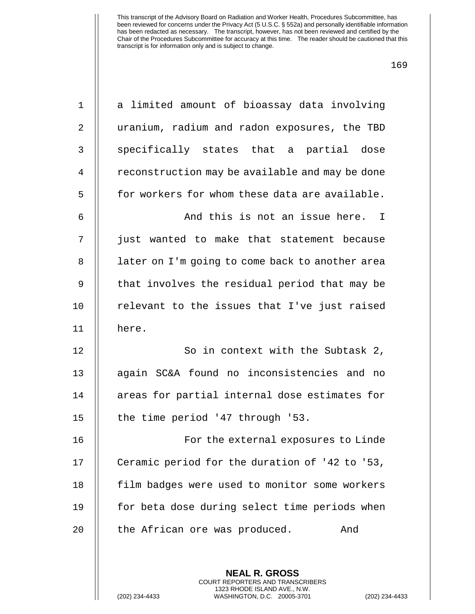| $\mathbf 1$ | a limited amount of bioassay data involving                                                                                                                     |
|-------------|-----------------------------------------------------------------------------------------------------------------------------------------------------------------|
| 2           | uranium, radium and radon exposures, the TBD                                                                                                                    |
| 3           | specifically states that a partial dose                                                                                                                         |
| 4           | reconstruction may be available and may be done                                                                                                                 |
| 5           | for workers for whom these data are available.                                                                                                                  |
| 6           | And this is not an issue here. I                                                                                                                                |
| 7           | just wanted to make that statement because                                                                                                                      |
| 8           | later on I'm going to come back to another area                                                                                                                 |
| $\mathsf 9$ | that involves the residual period that may be                                                                                                                   |
| 10          | relevant to the issues that I've just raised                                                                                                                    |
| 11          | here.                                                                                                                                                           |
| 12          | So in context with the Subtask 2,                                                                                                                               |
| 13          | again SC&A found no inconsistencies and no                                                                                                                      |
| 14          | areas for partial internal dose estimates for                                                                                                                   |
| 15          | the time period '47 through '53.                                                                                                                                |
| 16          | For the external exposures to Linde                                                                                                                             |
| 17          | Ceramic period for the duration of '42 to '53,                                                                                                                  |
| 18          | film badges were used to monitor some workers                                                                                                                   |
| 19          | for beta dose during select time periods when                                                                                                                   |
| 20          | the African ore was produced.<br>And                                                                                                                            |
|             |                                                                                                                                                                 |
|             | <b>NEAL R. GROSS</b><br><b>COURT REPORTERS AND TRANSCRIBERS</b><br>1323 RHODE ISLAND AVE., N.W.<br>(202) 234-4433<br>WASHINGTON, D.C. 20005-3701<br>$(202)$ 234 |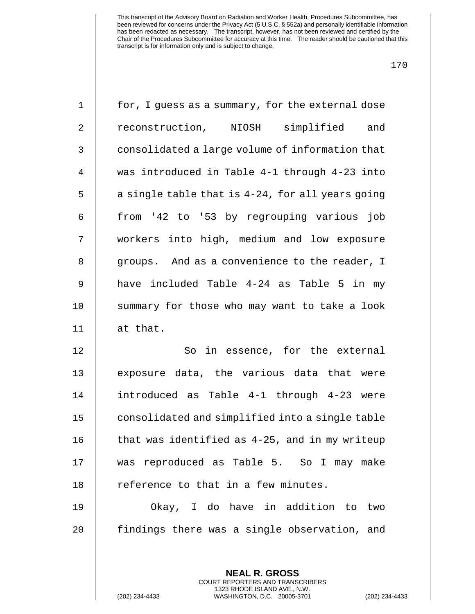| $\mathbf 1$    | for, I guess as a summary, for the external dose |
|----------------|--------------------------------------------------|
| 2              | reconstruction, NIOSH simplified and             |
| 3              | consolidated a large volume of information that  |
| $\overline{4}$ | was introduced in Table 4-1 through 4-23 into    |
| 5              | a single table that is 4-24, for all years going |
| 6              | from '42 to '53 by regrouping various job        |
| 7              | workers into high, medium and low exposure       |
| 8              | groups. And as a convenience to the reader, I    |
| 9              | have included Table 4-24 as Table 5 in my        |
| 10             | summary for those who may want to take a look    |
| 11             | at that.                                         |
| 12             | in essence, for the external<br>So               |
| 13             | exposure data, the various data that were        |
| 14             | introduced as Table 4-1 through 4-23 were        |
| 15             | consolidated and simplified into a single table  |
| 16             | that was identified as 4-25, and in my writeup   |
| 17             | was reproduced as Table 5. So I may make         |
| 18             | reference to that in a few minutes.              |
| 19             | Okay, I do have in addition to two               |
| 20             | findings there was a single observation, and     |
|                |                                                  |
|                | <b>NEAL R. GROSS</b>                             |

COURT REPORTERS AND TRANSCRIBERS 1323 RHODE ISLAND AVE., N.W.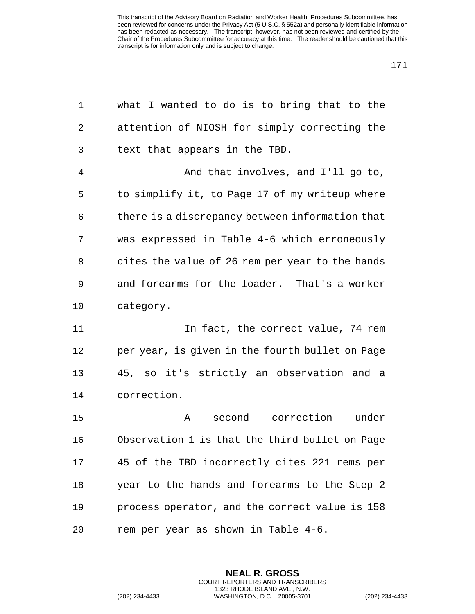| $\mathbf 1$    | what I wanted to do is to bring that to the     |
|----------------|-------------------------------------------------|
| $\sqrt{2}$     | attention of NIOSH for simply correcting the    |
| $\mathsf{3}$   | text that appears in the TBD.                   |
| $\overline{4}$ | And that involves, and I'll go to,              |
| 5              | to simplify it, to Page 17 of my writeup where  |
| 6              | there is a discrepancy between information that |
| 7              | was expressed in Table 4-6 which erroneously    |
| 8              | cites the value of 26 rem per year to the hands |
| 9              | and forearms for the loader. That's a worker    |
| 10             | category.                                       |
| 11             | In fact, the correct value, 74 rem              |
| 12             | per year, is given in the fourth bullet on Page |
| 13             | 45, so it's strictly an observation and a       |
| 14             | correction.                                     |
| 15             | second correction<br>under<br>Α                 |
| 16             | Observation 1 is that the third bullet on Page  |
| 17             | 45 of the TBD incorrectly cites 221 rems per    |
| 18             | year to the hands and forearms to the Step 2    |
| 19             | process operator, and the correct value is 158  |
| 20             | rem per year as shown in Table 4-6.             |
|                |                                                 |
|                | <b>NEAL R. GROSS</b>                            |

COURT REPORTERS AND TRANSCRIBERS 1323 RHODE ISLAND AVE., N.W.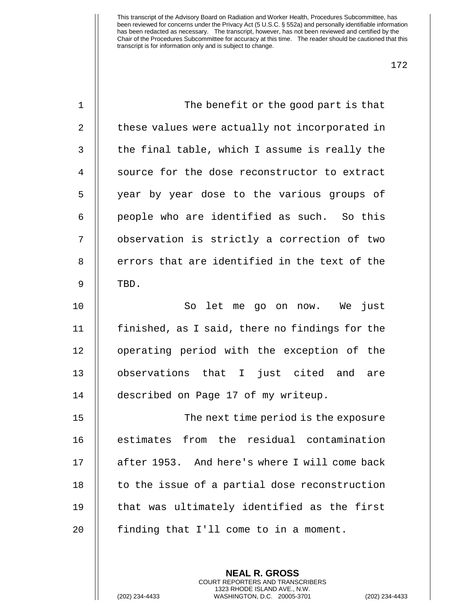| $\mathbf 1$ | The benefit or the good part is that           |
|-------------|------------------------------------------------|
| 2           | these values were actually not incorporated in |
| 3           | the final table, which I assume is really the  |
| 4           | source for the dose reconstructor to extract   |
| 5           | year by year dose to the various groups of     |
| 6           | people who are identified as such. So this     |
| 7           | observation is strictly a correction of two    |
| 8           | errors that are identified in the text of the  |
| 9           | TBD.                                           |
| 10          | just<br>So<br>let me go on now. We             |
| 11          | finished, as I said, there no findings for the |
| 12          | operating period with the exception of the     |
| 13          | observations that I just cited and<br>are      |
| 14          | described on Page 17 of my writeup.            |
| 15          | The next time period is the exposure           |
| 16          | estimates from the residual contamination      |
| 17          | after 1953. And here's where I will come back  |
| 18          | to the issue of a partial dose reconstruction  |
| 19          | that was ultimately identified as the first    |
| 20          | finding that I'll come to in a moment.         |
|             |                                                |

**NEAL R. GROSS** COURT REPORTERS AND TRANSCRIBERS 1323 RHODE ISLAND AVE., N.W.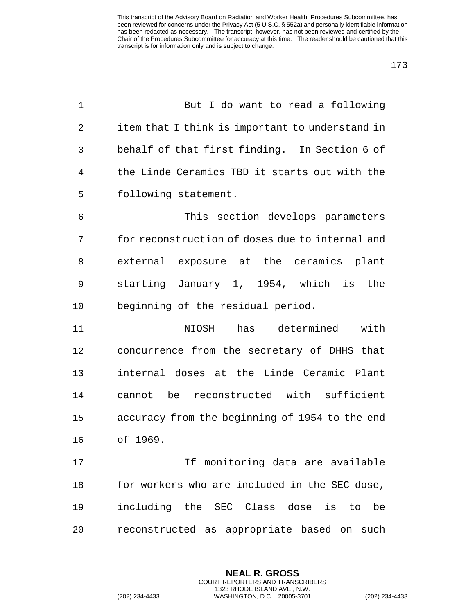| 1  | But I do want to read a following                                                            |
|----|----------------------------------------------------------------------------------------------|
| 2  | item that I think is important to understand in                                              |
| 3  | behalf of that first finding. In Section 6 of                                                |
| 4  | the Linde Ceramics TBD it starts out with the                                                |
| 5  | following statement.                                                                         |
| 6  | This section develops parameters                                                             |
| 7  | for reconstruction of doses due to internal and                                              |
| 8  | external exposure at the ceramics plant                                                      |
| 9  | starting January 1, 1954, which is the                                                       |
| 10 | beginning of the residual period.                                                            |
| 11 | NIOSH has determined with                                                                    |
| 12 | concurrence from the secretary of DHHS that                                                  |
| 13 | internal doses at the Linde Ceramic Plant                                                    |
| 14 | cannot be reconstructed with sufficient                                                      |
| 15 | accuracy from the beginning of 1954 to the end                                               |
| 16 | of 1969.                                                                                     |
| 17 | If monitoring data are available                                                             |
| 18 | for workers who are included in the SEC dose,                                                |
| 19 | including the SEC Class dose is to<br>be                                                     |
| 20 | reconstructed as appropriate based on such                                                   |
|    |                                                                                              |
|    | <b>NEAL R. GROSS</b><br>COURT REPORTERS AND TRANSCRIBERS                                     |
|    | 1323 RHODE ISLAND AVE., N.W.<br>(202) 234-4433<br>WASHINGTON, D.C. 20005-3701<br>$(202)$ 234 |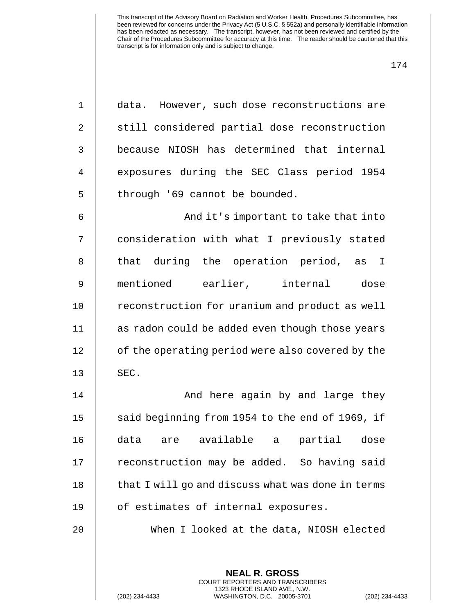| $\mathbf 1$    | data. However, such dose reconstructions are                                                                                                             |
|----------------|----------------------------------------------------------------------------------------------------------------------------------------------------------|
| $\overline{2}$ | still considered partial dose reconstruction                                                                                                             |
| $\mathsf{3}$   | because NIOSH has determined that internal                                                                                                               |
| $\overline{4}$ | exposures during the SEC Class period 1954                                                                                                               |
| 5              | through '69 cannot be bounded.                                                                                                                           |
| 6              | And it's important to take that into                                                                                                                     |
| 7              | consideration with what I previously stated                                                                                                              |
| 8              | that during the operation period, as I                                                                                                                   |
| $\mathsf 9$    | mentioned earlier, internal dose                                                                                                                         |
| 10             | reconstruction for uranium and product as well                                                                                                           |
| 11             | as radon could be added even though those years                                                                                                          |
| 12             | of the operating period were also covered by the                                                                                                         |
| 13             | SEC.                                                                                                                                                     |
| 14             | And here again by and large they                                                                                                                         |
| 15             | said beginning from 1954 to the end of 1969, if                                                                                                          |
| 16             | data are available a partial<br>dose                                                                                                                     |
| 17             | reconstruction may be added. So having said                                                                                                              |
| 18             | that I will go and discuss what was done in terms                                                                                                        |
| 19             | of estimates of internal exposures.                                                                                                                      |
| 20             | When I looked at the data, NIOSH elected                                                                                                                 |
|                |                                                                                                                                                          |
|                | <b>NEAL R. GROSS</b><br>COURT REPORTERS AND TRANSCRIBERS<br>1323 RHODE ISLAND AVE., N.W.<br>(202) 234-4433<br>WASHINGTON, D.C. 20005-3701<br>$(202)$ 234 |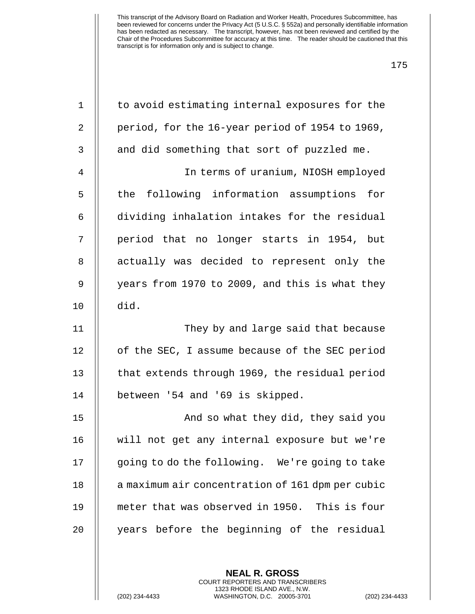| $\mathbf 1$    | to avoid estimating internal exposures for the   |
|----------------|--------------------------------------------------|
| 2              | period, for the 16-year period of 1954 to 1969,  |
| 3              | and did something that sort of puzzled me.       |
| $\overline{4}$ | In terms of uranium, NIOSH employed              |
| 5              | the following information assumptions for        |
| 6              | dividing inhalation intakes for the residual     |
| 7              | period that no longer starts in 1954, but        |
| 8              | actually was decided to represent only the       |
| $\mathsf 9$    | years from 1970 to 2009, and this is what they   |
| 10             | did.                                             |
| 11             | They by and large said that because              |
| 12             | of the SEC, I assume because of the SEC period   |
| 13             | that extends through 1969, the residual period   |
| 14             | between '54 and '69 is skipped.                  |
| 15             | And so what they did, they said you              |
| 16             | will not get any internal exposure but we're     |
| 17             | going to do the following. We're going to take   |
| $18\,$         | a maximum air concentration of 161 dpm per cubic |
| 19             | meter that was observed in 1950. This is four    |
| 20             | years before the beginning of the residual       |
|                |                                                  |

**NEAL R. GROSS** COURT REPORTERS AND TRANSCRIBERS 1323 RHODE ISLAND AVE., N.W.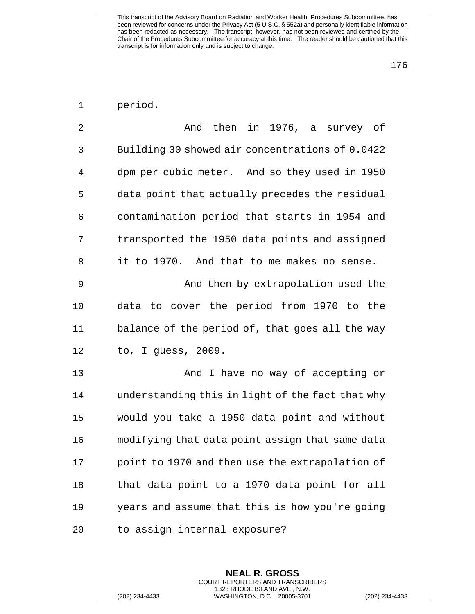period.

| $\overline{2}$ | And then in 1976, a survey of                    |
|----------------|--------------------------------------------------|
| 3              | Building 30 showed air concentrations of 0.0422  |
| 4              | dpm per cubic meter. And so they used in 1950    |
| 5              | data point that actually precedes the residual   |
| 6              | contamination period that starts in 1954 and     |
| 7              | transported the 1950 data points and assigned    |
| 8              | it to 1970. And that to me makes no sense.       |
| 9              | And then by extrapolation used the               |
| 10             | data to cover the period from 1970 to the        |
| 11             | balance of the period of, that goes all the way  |
| 12             | to, I guess, 2009.                               |
| 13             | And I have no way of accepting or                |
| 14             | understanding this in light of the fact that why |
| 15             | would you take a 1950 data point and without     |
| 16             | modifying that data point assign that same data  |
| 17             | point to 1970 and then use the extrapolation of  |
| 18             | that data point to a 1970 data point for all     |
| 19             | years and assume that this is how you're going   |
| 20             | to assign internal exposure?                     |

**NEAL R. GROSS** COURT REPORTERS AND TRANSCRIBERS 1323 RHODE ISLAND AVE., N.W.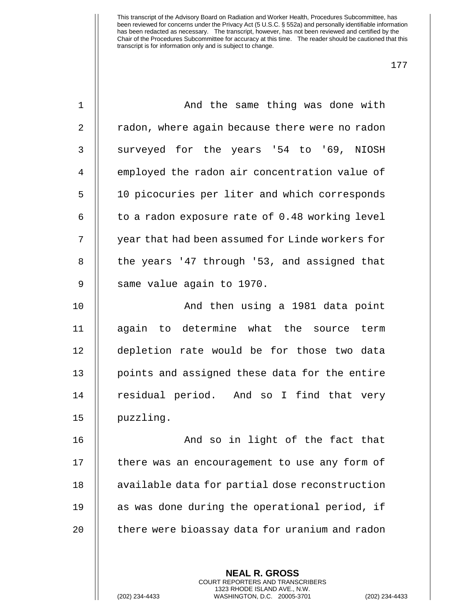| And the same thing was done with                 |
|--------------------------------------------------|
| radon, where again because there were no radon   |
| surveyed for the years '54 to '69, NIOSH         |
| employed the radon air concentration value of    |
| 10 picocuries per liter and which corresponds    |
| to a radon exposure rate of 0.48 working level   |
| year that had been assumed for Linde workers for |
| the years '47 through '53, and assigned that     |
| same value again to 1970.                        |
| And then using a 1981 data point                 |
| again to determine what the source term          |
| depletion rate would be for those two data       |
| points and assigned these data for the entire    |
| residual period. And so I find that very         |
| puzzling.                                        |
| And so in light of the fact that                 |
| there was an encouragement to use any form of    |
| available data for partial dose reconstruction   |
| as was done during the operational period, if    |
| there were bioassay data for uranium and radon   |
|                                                  |
|                                                  |

**NEAL R. GROSS** COURT REPORTERS AND TRANSCRIBERS 1323 RHODE ISLAND AVE., N.W.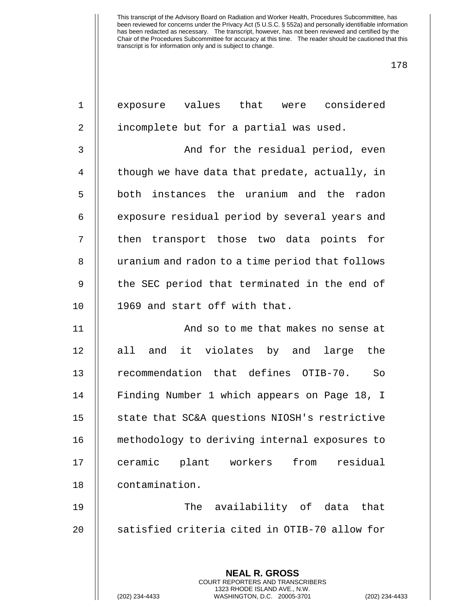| 1  | exposure values that were considered                                                                                                                             |
|----|------------------------------------------------------------------------------------------------------------------------------------------------------------------|
| 2  | incomplete but for a partial was used.                                                                                                                           |
| 3  | And for the residual period, even                                                                                                                                |
| 4  | though we have data that predate, actually, in                                                                                                                   |
| 5  | both instances the uranium and the radon                                                                                                                         |
| 6  | exposure residual period by several years and                                                                                                                    |
| 7  | then transport those two data points for                                                                                                                         |
| 8  | uranium and radon to a time period that follows                                                                                                                  |
| 9  | the SEC period that terminated in the end of                                                                                                                     |
| 10 | 1969 and start off with that.                                                                                                                                    |
| 11 | And so to me that makes no sense at                                                                                                                              |
| 12 | and it violates by and large<br>all<br>the                                                                                                                       |
| 13 | recommendation that defines OTIB-70.<br>So                                                                                                                       |
| 14 | Finding Number 1 which appears on Page 18, I                                                                                                                     |
| 15 | state that SC&A questions NIOSH's restrictive                                                                                                                    |
| 16 | methodology to deriving internal exposures to                                                                                                                    |
| 17 | plant workers from<br>residual<br>ceramic                                                                                                                        |
| 18 | contamination.                                                                                                                                                   |
| 19 | availability of data that<br>The                                                                                                                                 |
| 20 | satisfied criteria cited in OTIB-70 allow for                                                                                                                    |
|    | <b>NEAL R. GROSS</b><br><b>COURT REPORTERS AND TRANSCRIBERS</b><br>1323 RHODE ISLAND AVE., N.W.<br>(202) 234-4433<br>WASHINGTON, D.C. 20005-3701<br>$(202)$ 234- |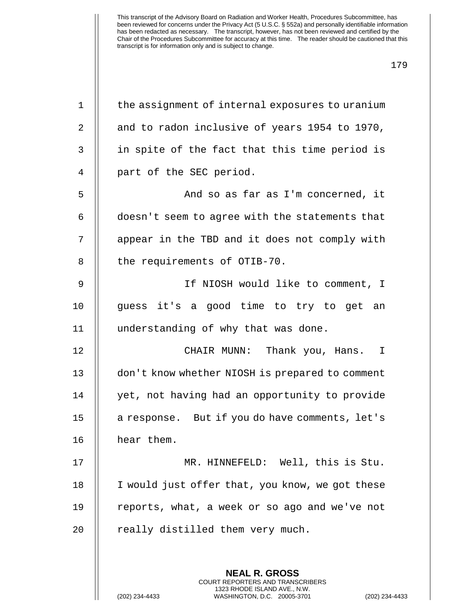| $\mathbf{1}$ | the assignment of internal exposures to uranium                                               |
|--------------|-----------------------------------------------------------------------------------------------|
| 2            | and to radon inclusive of years 1954 to 1970,                                                 |
| 3            | in spite of the fact that this time period is                                                 |
| 4            | part of the SEC period.                                                                       |
| 5            | And so as far as I'm concerned, it                                                            |
| 6            | doesn't seem to agree with the statements that                                                |
| 7            | appear in the TBD and it does not comply with                                                 |
| 8            | the requirements of OTIB-70.                                                                  |
| 9            | If NIOSH would like to comment, I                                                             |
| 10           | guess it's a good time to try to get an                                                       |
| 11           | understanding of why that was done.                                                           |
| 12           | CHAIR MUNN: Thank you, Hans. I                                                                |
| 13           | don't know whether NIOSH is prepared to comment                                               |
| 14           | yet, not having had an opportunity to provide                                                 |
| 15           | a response. But if you do have comments, let's                                                |
| 16           | hear them.                                                                                    |
| 17           | MR. HINNEFELD: Well, this is Stu.                                                             |
| 18           | I would just offer that, you know, we got these                                               |
| 19           | reports, what, a week or so ago and we've not                                                 |
| 20           | really distilled them very much.                                                              |
|              |                                                                                               |
|              | <b>NEAL R. GROSS</b><br><b>COURT REPORTERS AND TRANSCRIBERS</b>                               |
|              | 1323 RHODE ISLAND AVE., N.W.<br>(202) 234-4433<br>WASHINGTON, D.C. 20005-3701<br>$(202)$ 234- |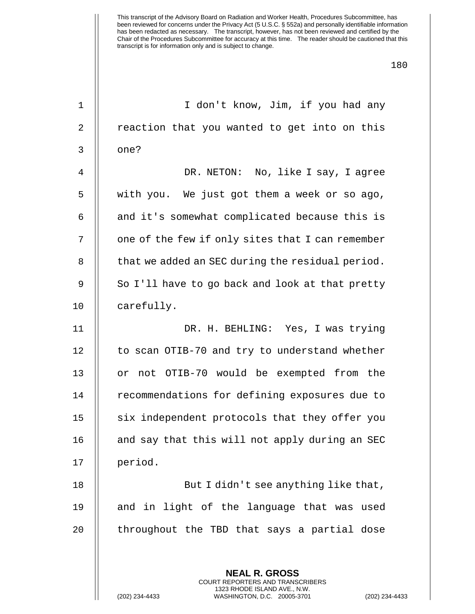| $\mathbf 1$    | I don't know, Jim, if you had any                                                            |
|----------------|----------------------------------------------------------------------------------------------|
| $\overline{2}$ | reaction that you wanted to get into on this                                                 |
| 3              | one?                                                                                         |
| 4              | DR. NETON: No, like I say, I agree                                                           |
| 5              | with you. We just got them a week or so ago,                                                 |
| 6              | and it's somewhat complicated because this is                                                |
| 7              | one of the few if only sites that I can remember                                             |
| 8              | that we added an SEC during the residual period.                                             |
| 9              | So I'll have to go back and look at that pretty                                              |
| 10             | carefully.                                                                                   |
| 11             | DR. H. BEHLING: Yes, I was trying                                                            |
| 12             | to scan OTIB-70 and try to understand whether                                                |
| 13             | or not OTIB-70 would be exempted from the                                                    |
| 14             | recommendations for defining exposures due to                                                |
| 15             | six independent protocols that they offer you                                                |
| 16             | and say that this will not apply during an SEC                                               |
| 17             | period.                                                                                      |
| 18             | But I didn't see anything like that,                                                         |
| 19             | and in light of the language that was used                                                   |
| 20             | throughout the TBD that says a partial dose                                                  |
|                |                                                                                              |
|                | <b>NEAL R. GROSS</b><br>COURT REPORTERS AND TRANSCRIBERS                                     |
|                | 1323 RHODE ISLAND AVE., N.W.<br>(202) 234-4433<br>WASHINGTON, D.C. 20005-3701<br>$(202)$ 234 |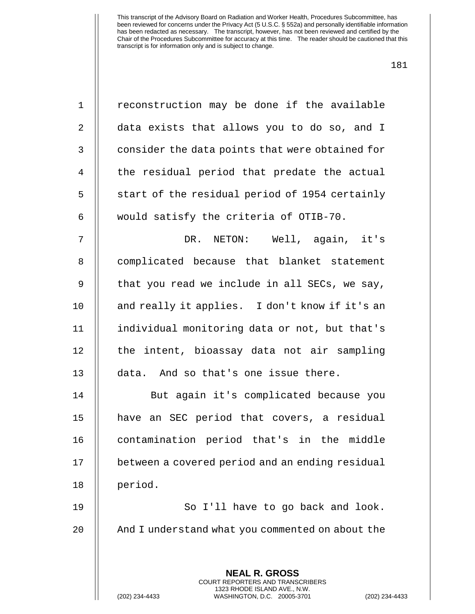| $\mathbf 1$    | reconstruction may be done if the available                                                                                                              |
|----------------|----------------------------------------------------------------------------------------------------------------------------------------------------------|
| 2              | data exists that allows you to do so, and I                                                                                                              |
| 3              | consider the data points that were obtained for                                                                                                          |
| $\overline{4}$ | the residual period that predate the actual                                                                                                              |
| 5              | start of the residual period of 1954 certainly                                                                                                           |
| 6              | would satisfy the criteria of OTIB-70.                                                                                                                   |
| 7              | DR. NETON: Well, again, it's                                                                                                                             |
| 8              | complicated because that blanket statement                                                                                                               |
| $\mathsf 9$    | that you read we include in all SECs, we say,                                                                                                            |
| 10             | and really it applies. I don't know if it's an                                                                                                           |
| 11             | individual monitoring data or not, but that's                                                                                                            |
| 12             | the intent, bioassay data not air sampling                                                                                                               |
| 13             | data. And so that's one issue there.                                                                                                                     |
| 14             | But again it's complicated because you                                                                                                                   |
| 15             | have an SEC period that covers, a residual                                                                                                               |
| 16             | contamination period that's in the middle                                                                                                                |
| 17             | between a covered period and an ending residual                                                                                                          |
| 18             | period.                                                                                                                                                  |
| 19             | So I'll have to go back and look.                                                                                                                        |
| 20             | And I understand what you commented on about the                                                                                                         |
|                |                                                                                                                                                          |
|                | <b>NEAL R. GROSS</b><br>COURT REPORTERS AND TRANSCRIBERS<br>1323 RHODE ISLAND AVE., N.W.<br>(202) 234-4433<br>WASHINGTON, D.C. 20005-3701<br>$(202)$ 234 |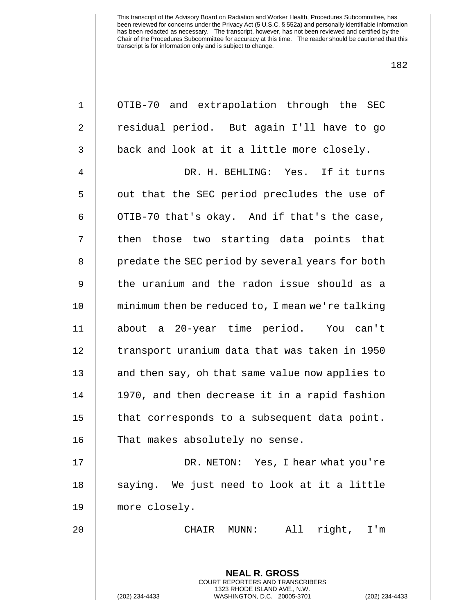| $\mathbf 1$ | OTIB-70 and extrapolation through the SEC                                                                                                                   |
|-------------|-------------------------------------------------------------------------------------------------------------------------------------------------------------|
| 2           | residual period. But again I'll have to go                                                                                                                  |
| 3           | back and look at it a little more closely.                                                                                                                  |
| 4           | DR. H. BEHLING: Yes. If it turns                                                                                                                            |
| 5           | out that the SEC period precludes the use of                                                                                                                |
| 6           | OTIB-70 that's okay. And if that's the case,                                                                                                                |
| 7           | then those two starting data points that                                                                                                                    |
| 8           | predate the SEC period by several years for both                                                                                                            |
| 9           | the uranium and the radon issue should as a                                                                                                                 |
| 10          | minimum then be reduced to, I mean we're talking                                                                                                            |
| 11          | about a 20-year time period. You can't                                                                                                                      |
| 12          | transport uranium data that was taken in 1950                                                                                                               |
| 13          | and then say, oh that same value now applies to                                                                                                             |
| 14          | 1970, and then decrease it in a rapid fashion                                                                                                               |
| 15          | that corresponds to a subsequent data point.                                                                                                                |
| 16          | That makes absolutely no sense.                                                                                                                             |
| 17          | DR. NETON: Yes, I hear what you're                                                                                                                          |
| 18          | saying. We just need to look at it a little                                                                                                                 |
| 19          | more closely.                                                                                                                                               |
| 20          | All<br>right, I'm<br>CHAIR<br>$MUNN$ :                                                                                                                      |
|             | <b>NEAL R. GROSS</b><br>COURT REPORTERS AND TRANSCRIBERS<br>1323 RHODE ISLAND AVE., N.W.<br>(202) 234-4433<br>WASHINGTON, D.C. 20005-3701<br>(202) 234-4433 |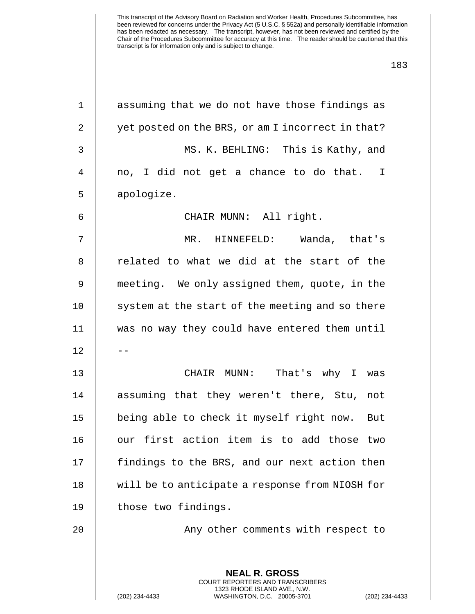| $\mathbf 1$    | assuming that we do not have those findings as                                                  |
|----------------|-------------------------------------------------------------------------------------------------|
| 2              | yet posted on the BRS, or am I incorrect in that?                                               |
| 3              | MS. K. BEHLING: This is Kathy, and                                                              |
| $\overline{4}$ | no, I did not get a chance to do that. I                                                        |
| 5              | apologize.                                                                                      |
| 6              | CHAIR MUNN: All right.                                                                          |
| 7              | MR. HINNEFELD:<br>Wanda, that's                                                                 |
| 8              | related to what we did at the start of the                                                      |
| 9              | meeting. We only assigned them, quote, in the                                                   |
| 10             | system at the start of the meeting and so there                                                 |
| 11             | was no way they could have entered them until                                                   |
| 12             |                                                                                                 |
| 13             | CHAIR MUNN:<br>That's why I was                                                                 |
| 14             | assuming that they weren't there, Stu,<br>not                                                   |
| 15             | being able to check it myself right now.<br>But                                                 |
| 16             | our first action item is to add those two                                                       |
| 17             | findings to the BRS, and our next action then                                                   |
| 18             | will be to anticipate a response from NIOSH for                                                 |
| 19             | those two findings.                                                                             |
| 20             | Any other comments with respect to                                                              |
|                |                                                                                                 |
|                | <b>NEAL R. GROSS</b><br>COURT REPORTERS AND TRANSCRIBERS                                        |
|                | 1323 RHODE ISLAND AVE., N.W.<br>(202) 234-4433<br>WASHINGTON, D.C. 20005-3701<br>(202) 234-4433 |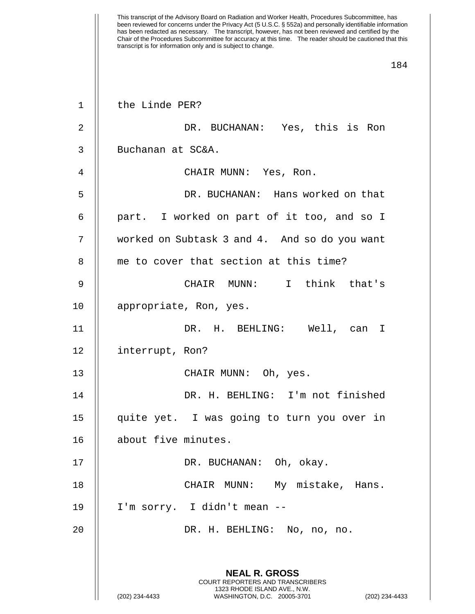1 | the Linde PER? 2 || DR. BUCHANAN: Yes, this is Ron 3 | Buchanan at SC&A. 4 CHAIR MUNN: Yes, Ron. 5 DR. BUCHANAN: Hans worked on that 6 part. I worked on part of it too, and so I 7 worked on Subtask 3 and 4. And so do you want 8 || me to cover that section at this time? 9 CHAIR MUNN: I think that's 10 | appropriate, Ron, yes. 11 DR. H. BEHLING: Well, can I 12 | interrupt, Ron? 13 || CHAIR MUNN: Oh, yes. 14 DR. H. BEHLING: I'm not finished 15 quite yet. I was going to turn you over in 16 | about five minutes. 17 || DR. BUCHANAN: Oh, okay. 18 CHAIR MUNN: My mistake, Hans. 19 I'm sorry. I didn't mean -- 20 DR. H. BEHLING: No, no, no. **NEAL R. GROSS**

> COURT REPORTERS AND TRANSCRIBERS 1323 RHODE ISLAND AVE., N.W.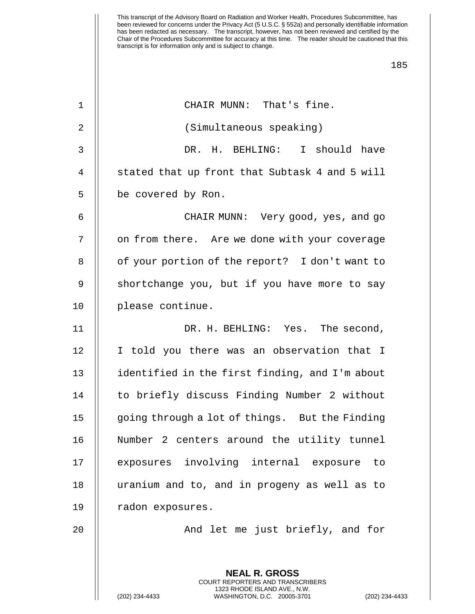| $\mathbf 1$ | CHAIR MUNN: That's fine.                                                                     |
|-------------|----------------------------------------------------------------------------------------------|
| 2           | (Simultaneous speaking)                                                                      |
| 3           | DR. H. BEHLING: I should have                                                                |
| 4           | stated that up front that Subtask 4 and 5 will                                               |
| 5           | be covered by Ron.                                                                           |
| 6           | CHAIR MUNN: Very good, yes, and go                                                           |
| 7           | on from there. Are we done with your coverage                                                |
| 8           | of your portion of the report? I don't want to                                               |
| 9           | shortchange you, but if you have more to say                                                 |
| 10          | please continue.                                                                             |
| 11          | DR. H. BEHLING: Yes. The second,                                                             |
| 12          | I told you there was an observation that I                                                   |
| 13          | identified in the first finding, and I'm about                                               |
| 14          | to briefly discuss Finding Number 2 without                                                  |
| 15          | going through a lot of things. But the Finding                                               |
| 16          | Number 2 centers around the utility tunnel                                                   |
| 17          | exposures involving internal exposure to                                                     |
| 18          | uranium and to, and in progeny as well as to                                                 |
| 19          | radon exposures.                                                                             |
| 20          | And let me just briefly, and for                                                             |
|             |                                                                                              |
|             | <b>NEAL R. GROSS</b><br><b>COURT REPORTERS AND TRANSCRIBERS</b>                              |
|             | 1323 RHODE ISLAND AVE., N.W.<br>(202) 234-4433<br>WASHINGTON, D.C. 20005-3701<br>$(202)$ 234 |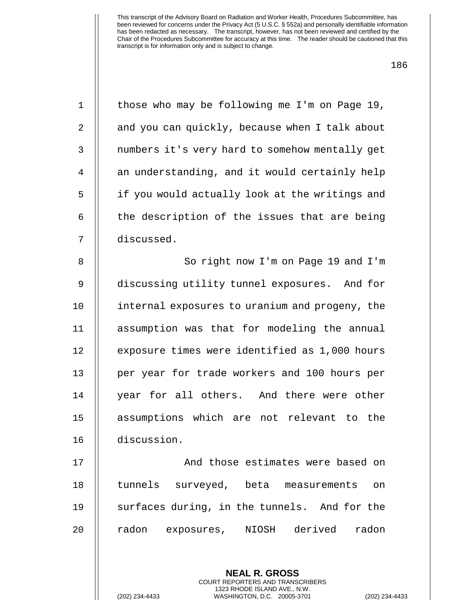| $\mathbf 1$ | those who may be following me I'm on Page 19,  |
|-------------|------------------------------------------------|
| 2           | and you can quickly, because when I talk about |
| 3           | numbers it's very hard to somehow mentally get |
| 4           | an understanding, and it would certainly help  |
| 5           | if you would actually look at the writings and |
| 6           | the description of the issues that are being   |
| 7           | discussed.                                     |
| 8           | So right now I'm on Page 19 and I'm            |
| 9           | discussing utility tunnel exposures. And for   |
| 10          | internal exposures to uranium and progeny, the |
| 11          | assumption was that for modeling the annual    |
| 12          | exposure times were identified as 1,000 hours  |
| 13          | per year for trade workers and 100 hours per   |
| 14          | year for all others. And there were other      |
| 15          | assumptions which are not relevant to the      |
| 16          | discussion.                                    |
| 17          | And those estimates were based on              |
| 18          | tunnels surveyed, beta measurements<br>on      |
| 19          | surfaces during, in the tunnels. And for the   |
| 20          | radon exposures, NIOSH derived radon           |
|             |                                                |
|             | <b>NEAL R. GROSS</b>                           |
|             | COURT REPORTERS AND TRANSCRIBERS               |

1323 RHODE ISLAND AVE., N.W.

 $\bigg|\bigg|$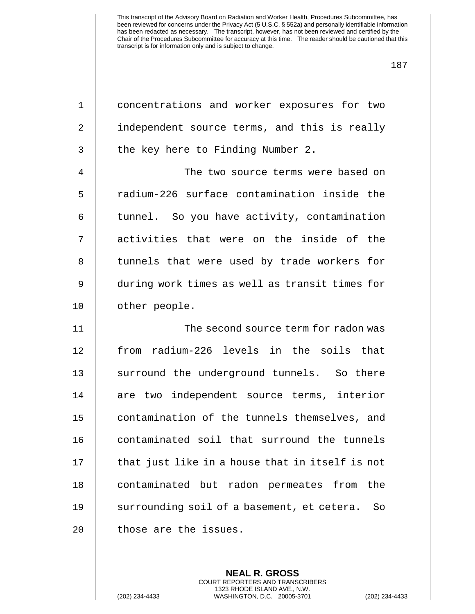| $\mathbf 1$    | concentrations and worker exposures for two      |
|----------------|--------------------------------------------------|
|                |                                                  |
| $\overline{2}$ | independent source terms, and this is really     |
| 3              | the key here to Finding Number 2.                |
| $\overline{4}$ | The two source terms were based on               |
| 5              | radium-226 surface contamination inside the      |
| 6              | tunnel. So you have activity, contamination      |
| 7              | activities that were on the inside of the        |
| 8              | tunnels that were used by trade workers for      |
| $\mathsf 9$    | during work times as well as transit times for   |
| 10             | other people.                                    |
|                |                                                  |
| 11             | The second source term for radon was             |
| 12             | from radium-226 levels in the soils that         |
| 13             | surround the underground tunnels. So there       |
| 14             | are two independent source terms, interior       |
| 15             | contamination of the tunnels themselves, and     |
| 16             | contaminated soil that surround the tunnels      |
| 17             | that just like in a house that in itself is not  |
| 18             | contaminated but radon permeates from<br>the     |
| 19             | surrounding soil of a basement, et cetera.<br>So |

**NEAL R. GROSS** COURT REPORTERS AND TRANSCRIBERS 1323 RHODE ISLAND AVE., N.W.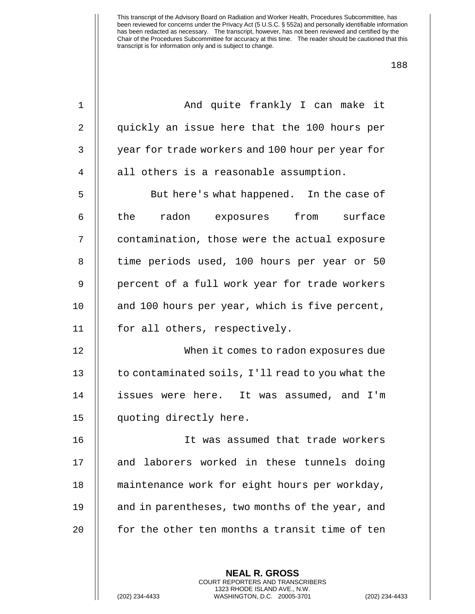| $\mathbf 1$ | And quite frankly I can make it                  |
|-------------|--------------------------------------------------|
| 2           | quickly an issue here that the 100 hours per     |
| 3           | year for trade workers and 100 hour per year for |
| 4           | all others is a reasonable assumption.           |
| 5           | But here's what happened. In the case of         |
| 6           | the radon exposures from surface                 |
| 7           | contamination, those were the actual exposure    |
| 8           | time periods used, 100 hours per year or 50      |
| 9           | percent of a full work year for trade workers    |
| 10          | and 100 hours per year, which is five percent,   |
| 11          | for all others, respectively.                    |
| 12          | When it comes to radon exposures due             |
| 13          | to contaminated soils, I'll read to you what the |
| 14          | issues were here. It was assumed, and I'm        |
| 15          | quoting directly here.                           |
| 16          | It was assumed that trade workers                |
| 17          | and laborers worked in these tunnels doing       |
| 18          | maintenance work for eight hours per workday,    |
| 19          | and in parentheses, two months of the year, and  |
| 20          | for the other ten months a transit time of ten   |
|             |                                                  |
|             | <b>NEAL R. GROSS</b>                             |

1323 RHODE ISLAND AVE., N.W.

 $\bigg|\bigg|$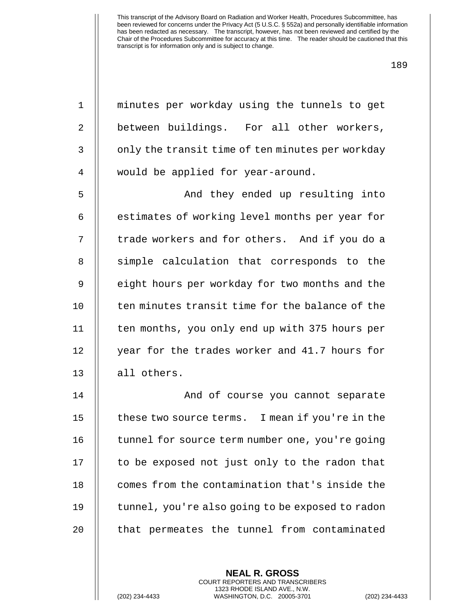| 1  | minutes per workday using the tunnels to get     |
|----|--------------------------------------------------|
| 2  | between buildings. For all other workers,        |
| 3  | only the transit time of ten minutes per workday |
| 4  | would be applied for year-around.                |
| 5  | And they ended up resulting into                 |
| 6  | estimates of working level months per year for   |
| 7  | trade workers and for others. And if you do a    |
| 8  | simple calculation that corresponds to the       |
| 9  | eight hours per workday for two months and the   |
| 10 | ten minutes transit time for the balance of the  |
| 11 | ten months, you only end up with 375 hours per   |
| 12 | year for the trades worker and 41.7 hours for    |
| 13 | all others.                                      |
| 14 | And of course you cannot separate                |
| 15 | these two source terms. I mean if you're in the  |
| 16 | tunnel for source term number one, you're going  |
| 17 | to be exposed not just only to the radon that    |
| 18 | comes from the contamination that's inside the   |
| 19 | tunnel, you're also going to be exposed to radon |
| 20 | that permeates the tunnel from contaminated      |
|    |                                                  |
|    |                                                  |

**NEAL R. GROSS** COURT REPORTERS AND TRANSCRIBERS 1323 RHODE ISLAND AVE., N.W.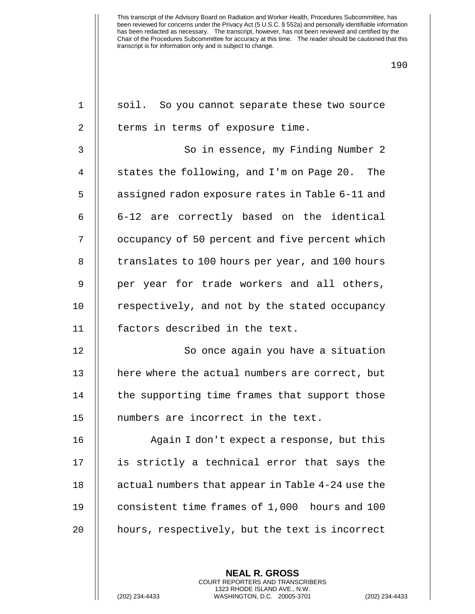| $\mathbf 1$    | soil. So you cannot separate these two source    |
|----------------|--------------------------------------------------|
| $\overline{2}$ | terms in terms of exposure time.                 |
| 3              | So in essence, my Finding Number 2               |
| $\overline{4}$ | states the following, and I'm on Page 20. The    |
| 5              | assigned radon exposure rates in Table 6-11 and  |
| 6              | 6-12 are correctly based on the identical        |
| 7              | occupancy of 50 percent and five percent which   |
| 8              | translates to 100 hours per year, and 100 hours  |
| 9              | per year for trade workers and all others,       |
| 10             | respectively, and not by the stated occupancy    |
| 11             | factors described in the text.                   |
| 12             | So once again you have a situation               |
| 13             | here where the actual numbers are correct, but   |
| 14             | the supporting time frames that support those    |
| 15             | numbers are incorrect in the text.               |
| 16             | Again I don't expect a response, but this        |
| 17             | is strictly a technical error that says the      |
| 18             | actual numbers that appear in Table 4-24 use the |
| 19             | consistent time frames of 1,000 hours and 100    |
| 20             | hours, respectively, but the text is incorrect   |
|                |                                                  |

**NEAL R. GROSS** COURT REPORTERS AND TRANSCRIBERS 1323 RHODE ISLAND AVE., N.W.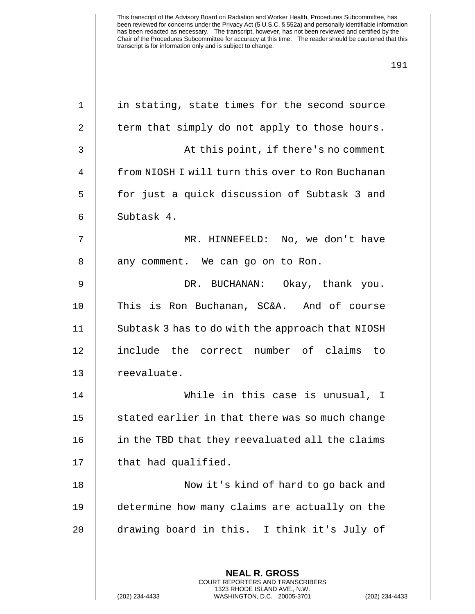| $\mathbf 1$    | in stating, state times for the second source                                                 |
|----------------|-----------------------------------------------------------------------------------------------|
| 2              | term that simply do not apply to those hours.                                                 |
| $\mathbf{3}$   | At this point, if there's no comment                                                          |
| $\overline{4}$ | from NIOSH I will turn this over to Ron Buchanan                                              |
| 5              | for just a quick discussion of Subtask 3 and                                                  |
| 6              | Subtask 4.                                                                                    |
| 7              | MR. HINNEFELD: No, we don't have                                                              |
| 8              | any comment. We can go on to Ron.                                                             |
| $\mathsf 9$    | DR. BUCHANAN: Okay, thank you.                                                                |
| 10             | This is Ron Buchanan, SC&A. And of course                                                     |
| 11             | Subtask 3 has to do with the approach that NIOSH                                              |
| 12             | include the correct number of claims<br>to                                                    |
| 13             | reevaluate.                                                                                   |
| 14             | While in this case is unusual, I                                                              |
| 15             | stated earlier in that there was so much change                                               |
| 16             | in the TBD that they reevaluated all the claims                                               |
| 17             | that had qualified.                                                                           |
| 18             | Now it's kind of hard to go back and                                                          |
| 19             | determine how many claims are actually on the                                                 |
| 20             | drawing board in this. I think it's July of                                                   |
|                |                                                                                               |
|                | <b>NEAL R. GROSS</b><br><b>COURT REPORTERS AND TRANSCRIBERS</b>                               |
|                | 1323 RHODE ISLAND AVE., N.W.<br>(202) 234-4433<br>WASHINGTON, D.C. 20005-3701<br>$(202)$ 234- |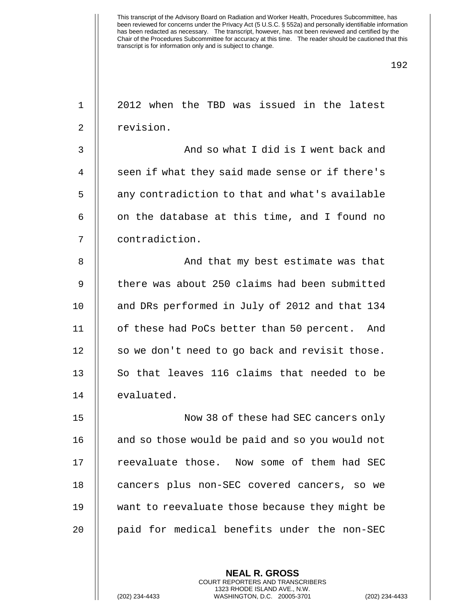1 || 2012 when the TBD was issued in the latest 2 | revision. 3 || And so what I did is I went back and 4 || seen if what they said made sense or if there's 5 | any contradiction to that and what's available 6  $\parallel$  on the database at this time, and I found no 7 contradiction. 8 And that my best estimate was that 9  $\parallel$  there was about 250 claims had been submitted 10 || and DRs performed in July of 2012 and that 134 11 | of these had PoCs better than 50 percent. And  $12$  | so we don't need to go back and revisit those. 13  $\parallel$  So that leaves 116 claims that needed to be 14 | evaluated. 15 Now 38 of these had SEC cancers only 16 | and so those would be paid and so you would not 17 || reevaluate those. Now some of them had SEC 18 || cancers plus non-SEC covered cancers, so we 19 want to reevaluate those because they might be 20 || paid for medical benefits under the non-SEC

> **NEAL R. GROSS** COURT REPORTERS AND TRANSCRIBERS 1323 RHODE ISLAND AVE., N.W.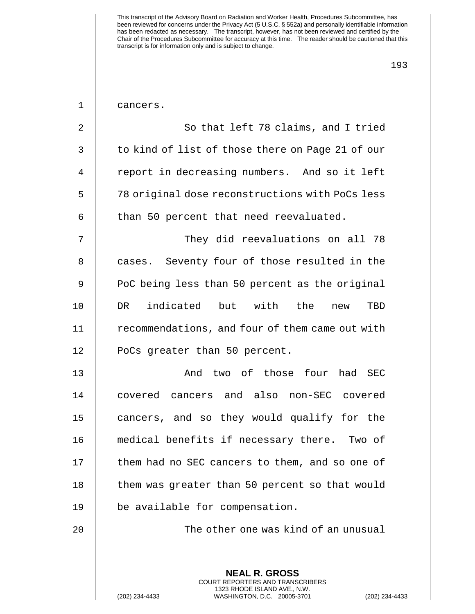| $\mathbf 1$ | cancers.                                                                                                                                                        |
|-------------|-----------------------------------------------------------------------------------------------------------------------------------------------------------------|
| 2           | So that left 78 claims, and I tried                                                                                                                             |
| 3           | to kind of list of those there on Page 21 of our                                                                                                                |
| 4           | report in decreasing numbers. And so it left                                                                                                                    |
| 5           | 78 original dose reconstructions with PoCs less                                                                                                                 |
| 6           | than 50 percent that need reevaluated.                                                                                                                          |
| 7           | They did reevaluations on all 78                                                                                                                                |
| 8           | cases. Seventy four of those resulted in the                                                                                                                    |
| 9           | PoC being less than 50 percent as the original                                                                                                                  |
| 10          | DR indicated but with the<br>TBD<br>new                                                                                                                         |
| 11          | recommendations, and four of them came out with                                                                                                                 |
| 12          | PoCs greater than 50 percent.                                                                                                                                   |
| 13          | And two of those four had SEC                                                                                                                                   |
| 14          | covered cancers and also non-SEC covered                                                                                                                        |
| 15          | cancers, and so they would qualify for the                                                                                                                      |
| 16          | medical benefits if necessary there. Two of                                                                                                                     |
| 17          | them had no SEC cancers to them, and so one of                                                                                                                  |
| 18          | them was greater than 50 percent so that would                                                                                                                  |
| 19          | be available for compensation.                                                                                                                                  |
| 20          | The other one was kind of an unusual                                                                                                                            |
|             |                                                                                                                                                                 |
|             | <b>NEAL R. GROSS</b><br><b>COURT REPORTERS AND TRANSCRIBERS</b><br>1323 RHODE ISLAND AVE., N.W.<br>(202) 234-4433<br>WASHINGTON, D.C. 20005-3701<br>$(202)$ 234 |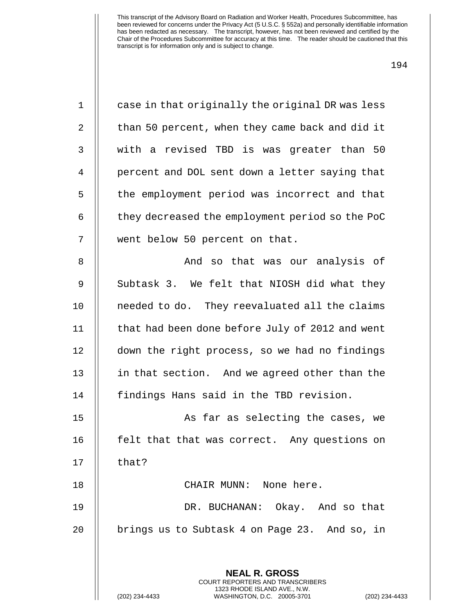| $\mathbf 1$ | case in that originally the original DR was less                                                                                                         |
|-------------|----------------------------------------------------------------------------------------------------------------------------------------------------------|
| 2           | than 50 percent, when they came back and did it                                                                                                          |
| 3           | with a revised TBD is was greater than 50                                                                                                                |
| 4           | percent and DOL sent down a letter saying that                                                                                                           |
| 5           | the employment period was incorrect and that                                                                                                             |
| 6           | they decreased the employment period so the PoC                                                                                                          |
| 7           | went below 50 percent on that.                                                                                                                           |
| 8           | And so that was our analysis of                                                                                                                          |
| 9           | Subtask 3. We felt that NIOSH did what they                                                                                                              |
| 10          | needed to do. They reevaluated all the claims                                                                                                            |
| 11          | that had been done before July of 2012 and went                                                                                                          |
| 12          | down the right process, so we had no findings                                                                                                            |
| 13          | in that section. And we agreed other than the                                                                                                            |
| 14          | findings Hans said in the TBD revision.                                                                                                                  |
| 15          | As far as selecting the cases, we                                                                                                                        |
| 16          | felt that that was correct. Any questions on                                                                                                             |
| 17          | that?                                                                                                                                                    |
| 18          | CHAIR MUNN: None here.                                                                                                                                   |
| 19          | DR. BUCHANAN: Okay. And so that                                                                                                                          |
| 20          | brings us to Subtask 4 on Page 23. And so, in                                                                                                            |
|             |                                                                                                                                                          |
|             | <b>NEAL R. GROSS</b><br>COURT REPORTERS AND TRANSCRIBERS<br>1323 RHODE ISLAND AVE., N.W.<br>(202) 234-4433<br>WASHINGTON, D.C. 20005-3701<br>$(202)$ 234 |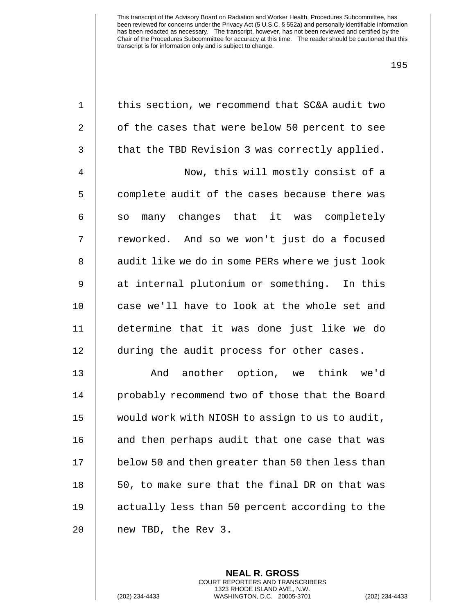| $1\,$        | this section, we recommend that SC&A audit two   |
|--------------|--------------------------------------------------|
| 2            | of the cases that were below 50 percent to see   |
| $\mathsf{3}$ | that the TBD Revision 3 was correctly applied.   |
| 4            | Now, this will mostly consist of a               |
| 5            | complete audit of the cases because there was    |
| 6            | many changes that it was completely<br>SO        |
| 7            | reworked. And so we won't just do a focused      |
| 8            | audit like we do in some PERs where we just look |
| 9            | at internal plutonium or something. In this      |
| 10           | case we'll have to look at the whole set and     |
| 11           | determine that it was done just like we do       |
| 12           | during the audit process for other cases.        |
| 13           | And another option, we think we'd                |
| 14           | probably recommend two of those that the Board   |
| 15           | would work with NIOSH to assign to us to audit,  |
| 16           | and then perhaps audit that one case that was    |
| 17           | below 50 and then greater than 50 then less than |
| 18           | 50, to make sure that the final DR on that was   |
| 19           | actually less than 50 percent according to the   |
| 20           | new TBD, the Rev 3.                              |
|              |                                                  |

**NEAL R. GROSS** COURT REPORTERS AND TRANSCRIBERS 1323 RHODE ISLAND AVE., N.W.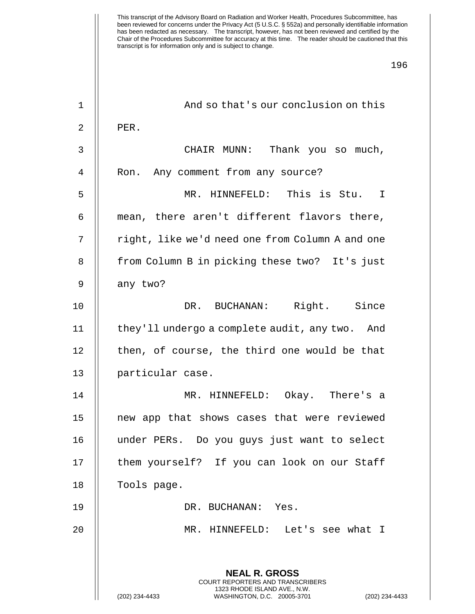| $\mathbf 1$    | And so that's our conclusion on this                                                            |
|----------------|-------------------------------------------------------------------------------------------------|
| $\overline{2}$ | PER.                                                                                            |
| 3              | CHAIR MUNN: Thank you so much,                                                                  |
| $\overline{4}$ | Ron. Any comment from any source?                                                               |
| 5              | MR. HINNEFELD: This is Stu. I                                                                   |
| 6              | mean, there aren't different flavors there,                                                     |
| 7              | right, like we'd need one from Column A and one                                                 |
| 8              | from Column B in picking these two? It's just                                                   |
| 9              | any two?                                                                                        |
| 10             | DR. BUCHANAN: Right. Since                                                                      |
| 11             | they'll undergo a complete audit, any two. And                                                  |
| 12             | then, of course, the third one would be that                                                    |
| 13             | particular case.                                                                                |
| 14             | MR. HINNEFELD: Okay. There's a                                                                  |
| 15             | new app that shows cases that were reviewed                                                     |
| 16             | under PERs. Do you guys just want to select                                                     |
| 17             | them yourself? If you can look on our Staff                                                     |
| 18             | Tools page.                                                                                     |
| 19             | DR. BUCHANAN: Yes.                                                                              |
| 20             | MR. HINNEFELD: Let's see what I                                                                 |
|                |                                                                                                 |
|                | <b>NEAL R. GROSS</b><br>COURT REPORTERS AND TRANSCRIBERS                                        |
|                | 1323 RHODE ISLAND AVE., N.W.<br>(202) 234-4433<br>WASHINGTON, D.C. 20005-3701<br>(202) 234-4433 |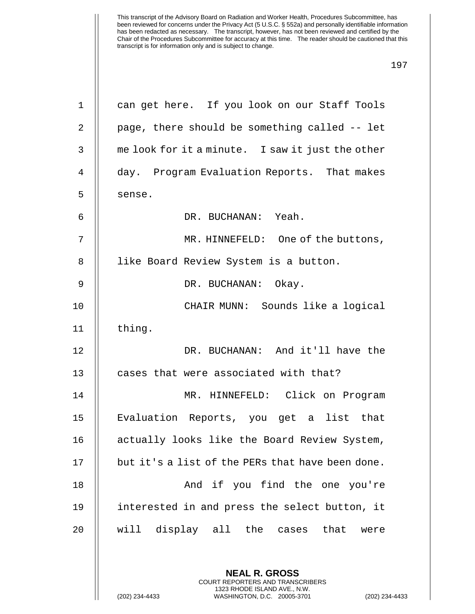| $\mathbf 1$    | can get here. If you look on our Staff Tools             |
|----------------|----------------------------------------------------------|
| $\overline{2}$ | page, there should be something called -- let            |
| 3              | me look for it a minute. I saw it just the other         |
| 4              | day. Program Evaluation Reports. That makes              |
| 5              | sense.                                                   |
| 6              | DR. BUCHANAN: Yeah.                                      |
| 7              | MR. HINNEFELD: One of the buttons,                       |
| 8              | like Board Review System is a button.                    |
| $\mathsf 9$    | DR. BUCHANAN: Okay.                                      |
| 10             | CHAIR MUNN: Sounds like a logical                        |
| 11             | thing.                                                   |
| 12             | DR. BUCHANAN: And it'll have the                         |
| 13             | cases that were associated with that?                    |
| 14             | MR. HINNEFELD: Click on Program                          |
| 15             | Evaluation Reports, you get a list that                  |
| 16             | actually looks like the Board Review System,             |
| 17             | but it's a list of the PERs that have been done.         |
| 18             | And if you find the one you're                           |
| 19             | interested in and press the select button, it            |
| 20             | will display all the cases that<br>were                  |
|                |                                                          |
|                | <b>NEAL R. GROSS</b><br>COURT REPORTERS AND TRANSCRIBERS |

1323 RHODE ISLAND AVE., N.W.

 $\bigg|\bigg|$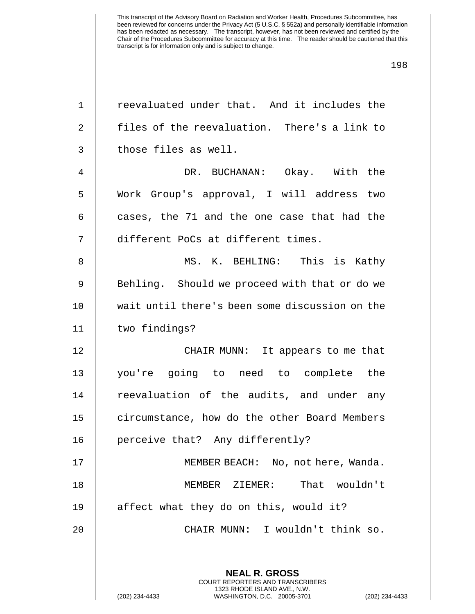| $\mathbf 1$ | reevaluated under that. And it includes the                                                                                                                |
|-------------|------------------------------------------------------------------------------------------------------------------------------------------------------------|
| 2           | files of the reevaluation. There's a link to                                                                                                               |
| 3           | those files as well.                                                                                                                                       |
| 4           | DR. BUCHANAN: Okay. With the                                                                                                                               |
| 5           | Work Group's approval, I will address two                                                                                                                  |
| 6           | cases, the 71 and the one case that had the                                                                                                                |
| 7           | different PoCs at different times.                                                                                                                         |
| $\,8\,$     | MS. K. BEHLING: This is Kathy                                                                                                                              |
| $\mathsf 9$ | Behling. Should we proceed with that or do we                                                                                                              |
| 10          | wait until there's been some discussion on the                                                                                                             |
| 11          | two findings?                                                                                                                                              |
| 12          | CHAIR MUNN: It appears to me that                                                                                                                          |
| 13          | you're going to need to complete the                                                                                                                       |
| 14          | reevaluation of the audits, and under any                                                                                                                  |
| 15          | circumstance, how do the other Board Members                                                                                                               |
| 16          | perceive that? Any differently?                                                                                                                            |
| 17          | MEMBER BEACH: No, not here, Wanda.                                                                                                                         |
| 18          | That wouldn't<br>MEMBER ZIEMER:                                                                                                                            |
| 19          | affect what they do on this, would it?                                                                                                                     |
| 20          | CHAIR MUNN: I wouldn't think so.                                                                                                                           |
|             | <b>NEAL R. GROSS</b><br>COURT REPORTERS AND TRANSCRIBERS<br>1323 RHODE ISLAND AVE., N.W.<br>(202) 234-4433<br>WASHINGTON, D.C. 20005-3701<br>$(202)$ 234-4 |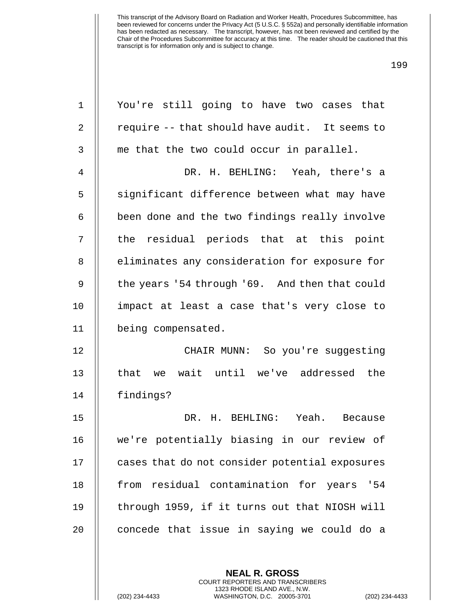| $\mathbf 1$    | You're still going to have two cases that      |
|----------------|------------------------------------------------|
| 2              | require -- that should have audit. It seems to |
| 3              | me that the two could occur in parallel.       |
| $\overline{4}$ | DR. H. BEHLING: Yeah, there's a                |
| 5              | significant difference between what may have   |
| 6              | been done and the two findings really involve  |
| 7              | the residual periods that at this point        |
| 8              | eliminates any consideration for exposure for  |
| 9              | the years '54 through '69. And then that could |
| 10             | impact at least a case that's very close to    |
| 11             | being compensated.                             |
| 12             | CHAIR MUNN: So you're suggesting               |
| 13             | that we wait until we've addressed the         |
| 14             | findings?                                      |
| 15             | DR. H. BEHLING: Yeah. Because                  |
| 16             | we're potentially biasing in our review of     |
| 17             | cases that do not consider potential exposures |
| 18             | from residual contamination for years '54      |
| 19             | through 1959, if it turns out that NIOSH will  |
| 20             | concede that issue in saying we could do a     |
|                |                                                |
|                |                                                |

**NEAL R. GROSS** COURT REPORTERS AND TRANSCRIBERS 1323 RHODE ISLAND AVE., N.W.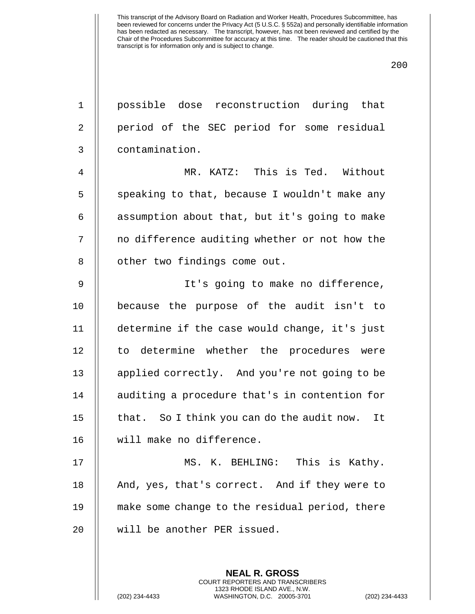1 possible dose reconstruction during that 2 | period of the SEC period for some residual 3 contamination.

4 MR. KATZ: This is Ted. Without  $5$  || speaking to that, because I wouldn't make any  $6$  | assumption about that, but it's going to make 7 || no difference auditing whether or not how the 8 | other two findings come out.

 It's going to make no difference, because the purpose of the audit isn't to determine if the case would change, it's just 12 || to determine whether the procedures were 13 || applied correctly. And you're not going to be 14 || auditing a procedure that's in contention for  $\parallel$  that. So I think you can do the audit now. It will make no difference.

 MS. K. BEHLING: This is Kathy. 18 || And, yes, that's correct. And if they were to make some change to the residual period, there will be another PER issued.

> **NEAL R. GROSS** COURT REPORTERS AND TRANSCRIBERS 1323 RHODE ISLAND AVE., N.W.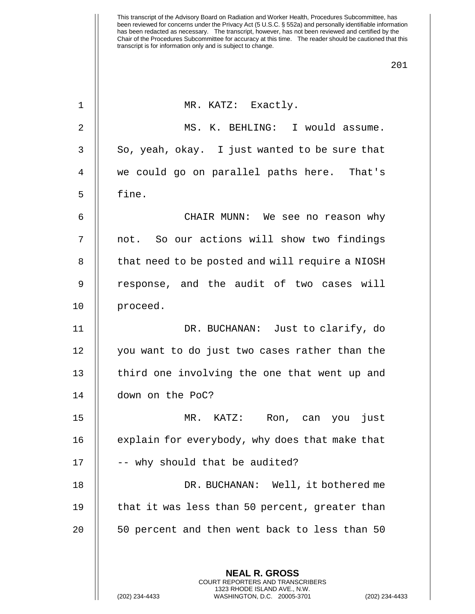| 1            | MR. KATZ: Exactly.                                       |
|--------------|----------------------------------------------------------|
| 2            | MS. K. BEHLING: I would assume.                          |
| $\mathsf{3}$ | So, yeah, okay. I just wanted to be sure that            |
| 4            | we could go on parallel paths here. That's               |
| 5            | fine.                                                    |
| 6            | CHAIR MUNN: We see no reason why                         |
| 7            | not. So our actions will show two findings               |
| 8            | that need to be posted and will require a NIOSH          |
| 9            | response, and the audit of two cases will                |
| 10           | proceed.                                                 |
| 11           | DR. BUCHANAN: Just to clarify, do                        |
| 12           | you want to do just two cases rather than the            |
| 13           | third one involving the one that went up and             |
| 14           | down on the PoC?                                         |
| 15           | MR. KATZ:<br>just<br>Ron, can you                        |
| 16           | explain for everybody, why does that make that           |
| 17           | -- why should that be audited?                           |
| 18           | DR. BUCHANAN: Well, it bothered me                       |
| 19           | that it was less than 50 percent, greater than           |
| 20           | 50 percent and then went back to less than 50            |
|              |                                                          |
|              | <b>NEAL R. GROSS</b><br>COURT REPORTERS AND TRANSCRIBERS |

1323 RHODE ISLAND AVE., N.W.

 $\bigg|\bigg|$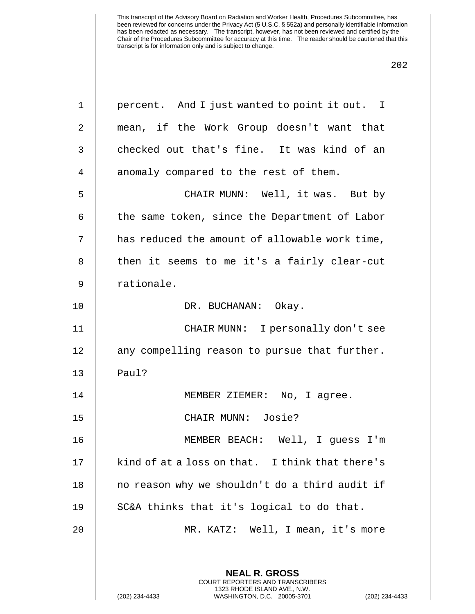| $\mathbf 1$ | percent. And I just wanted to point it out. I                                                                                                                    |
|-------------|------------------------------------------------------------------------------------------------------------------------------------------------------------------|
| 2           | mean, if the Work Group doesn't want that                                                                                                                        |
| 3           | checked out that's fine. It was kind of an                                                                                                                       |
| 4           | anomaly compared to the rest of them.                                                                                                                            |
| 5           | CHAIR MUNN: Well, it was. But by                                                                                                                                 |
| 6           | the same token, since the Department of Labor                                                                                                                    |
| 7           | has reduced the amount of allowable work time,                                                                                                                   |
| 8           | then it seems to me it's a fairly clear-cut                                                                                                                      |
| 9           | rationale.                                                                                                                                                       |
| 10          | DR. BUCHANAN: Okay.                                                                                                                                              |
| 11          | CHAIR MUNN: I personally don't see                                                                                                                               |
| 12          | any compelling reason to pursue that further.                                                                                                                    |
| 13          | Paul?                                                                                                                                                            |
| 14          | MEMBER ZIEMER: No, I agree.                                                                                                                                      |
| 15          | CHAIR MUNN: Josie?                                                                                                                                               |
| 16          | MEMBER BEACH:<br>Well, I guess I'm                                                                                                                               |
| 17          | kind of at a loss on that. I think that there's                                                                                                                  |
| 18          | no reason why we shouldn't do a third audit if                                                                                                                   |
| 19          | SC&A thinks that it's logical to do that.                                                                                                                        |
| 20          | MR. KATZ: Well, I mean, it's more                                                                                                                                |
|             | <b>NEAL R. GROSS</b><br><b>COURT REPORTERS AND TRANSCRIBERS</b><br>1323 RHODE ISLAND AVE., N.W.<br>(202) 234-4433<br>WASHINGTON, D.C. 20005-3701<br>$(202)$ 234- |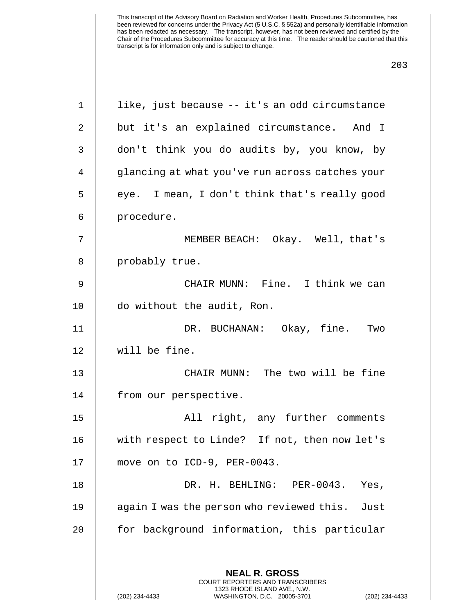| $\mathbf 1$    | like, just because -- it's an odd circumstance                                                                                                                     |
|----------------|--------------------------------------------------------------------------------------------------------------------------------------------------------------------|
| $\overline{a}$ | but it's an explained circumstance. And I                                                                                                                          |
| 3              | don't think you do audits by, you know, by                                                                                                                         |
| 4              | glancing at what you've run across catches your                                                                                                                    |
| 5              | eye. I mean, I don't think that's really good                                                                                                                      |
| 6              | procedure.                                                                                                                                                         |
| 7              | MEMBER BEACH: Okay. Well, that's                                                                                                                                   |
| 8              | probably true.                                                                                                                                                     |
| $\mathsf 9$    | CHAIR MUNN: Fine. I think we can                                                                                                                                   |
| 10             | do without the audit, Ron.                                                                                                                                         |
| 11             | DR. BUCHANAN: Okay, fine.<br>Two                                                                                                                                   |
| 12             | will be fine.                                                                                                                                                      |
| 13             | CHAIR MUNN: The two will be fine                                                                                                                                   |
| 14             | from our perspective.                                                                                                                                              |
| 15             | All right, any further comments                                                                                                                                    |
| 16             | with respect to Linde? If not, then now let's                                                                                                                      |
| 17             | move on to ICD-9, PER-0043.                                                                                                                                        |
| 18             | DR. H. BEHLING: PER-0043. Yes,                                                                                                                                     |
| 19             | again I was the person who reviewed this. Just                                                                                                                     |
| 20             | for background information, this particular                                                                                                                        |
|                |                                                                                                                                                                    |
|                | <b>NEAL R. GROSS</b><br><b>COURT REPORTERS AND TRANSCRIBERS</b><br>1323 RHODE ISLAND AVE., N.W.<br>(202) 234-4433<br>WASHINGTON, D.C. 20005-3701<br>(202) 234-4433 |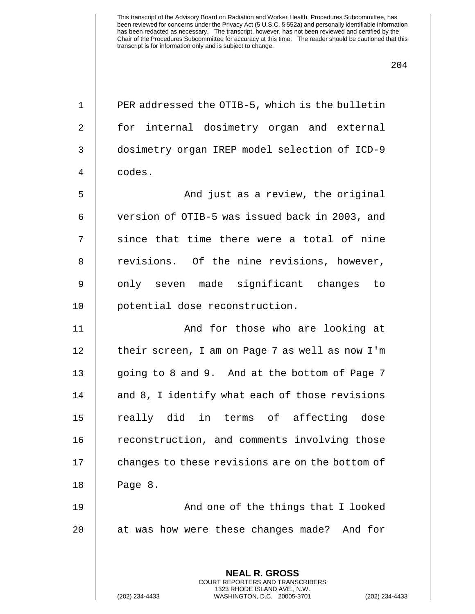| $\mathbf 1$ | PER addressed the OTIB-5, which is the bulletin          |
|-------------|----------------------------------------------------------|
| 2           | for internal dosimetry organ and external                |
| 3           | dosimetry organ IREP model selection of ICD-9            |
| 4           | codes.                                                   |
| 5           | And just as a review, the original                       |
| 6           | version of OTIB-5 was issued back in 2003, and           |
| 7           | since that time there were a total of nine               |
| 8           | revisions. Of the nine revisions, however,               |
| 9           | only seven made significant changes to                   |
| 10          | potential dose reconstruction.                           |
| 11          | And for those who are looking at                         |
| 12          | their screen, I am on Page 7 as well as now I'm          |
| 13          | going to 8 and 9. And at the bottom of Page 7            |
| 14          | and 8, I identify what each of those revisions           |
| 15          | really did in terms of affecting dose                    |
| 16          | reconstruction, and comments involving those             |
| 17          | changes to these revisions are on the bottom of          |
| 18          | Page 8.                                                  |
| 19          | And one of the things that I looked                      |
| 20          | at was how were these changes made? And for              |
|             |                                                          |
|             | <b>NEAL R. GROSS</b><br>COURT REPORTERS AND TRANSCRIBERS |

1323 RHODE ISLAND AVE., N.W.

 $\mathop{||}$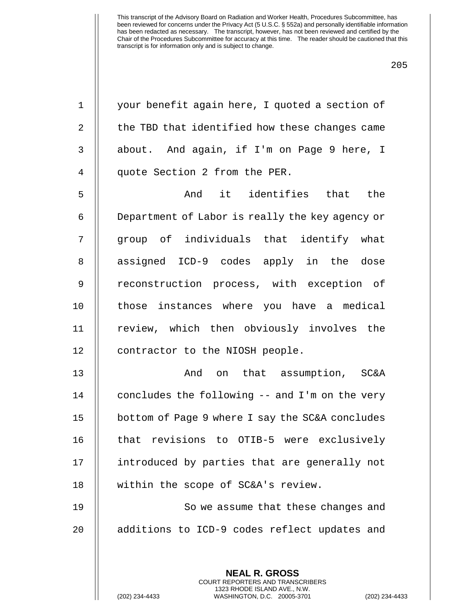| $\mathbf 1$    | your benefit again here, I quoted a section of           |
|----------------|----------------------------------------------------------|
| $\overline{2}$ | the TBD that identified how these changes came           |
| 3              | about. And again, if I'm on Page 9 here, I               |
| 4              | quote Section 2 from the PER.                            |
| 5              | And it identifies that the                               |
| 6              | Department of Labor is really the key agency or          |
| 7              | group of individuals that identify what                  |
| 8              | assigned ICD-9 codes apply in the dose                   |
| $\mathsf 9$    | reconstruction process, with exception of                |
| 10             | those instances where you have a medical                 |
| 11             | review, which then obviously involves the                |
| 12             | contractor to the NIOSH people.                          |
| 13             | And on that assumption, SC&A                             |
| 14             | concludes the following -- and I'm on the very           |
| 15             | bottom of Page 9 where I say the SC&A concludes          |
| 16             | that revisions to OTIB-5 were exclusively                |
| 17             | introduced by parties that are generally not             |
| 18             | within the scope of SC&A's review.                       |
| 19             | So we assume that these changes and                      |
| 20             | additions to ICD-9 codes reflect updates and             |
|                |                                                          |
|                | <b>NEAL R. GROSS</b><br>COURT REPORTERS AND TRANSCRIBERS |

1323 RHODE ISLAND AVE., N.W.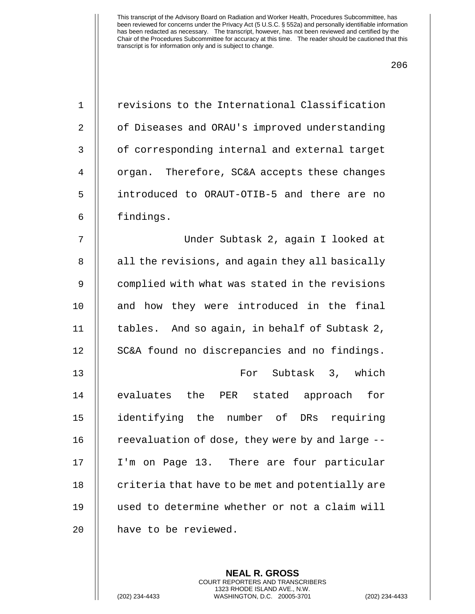| $\mathbf 1$    | revisions to the International Classification    |
|----------------|--------------------------------------------------|
| $\overline{2}$ | of Diseases and ORAU's improved understanding    |
| 3              | of corresponding internal and external target    |
| 4              | organ. Therefore, SC&A accepts these changes     |
| 5              | introduced to ORAUT-OTIB-5 and there are no      |
| 6              | findings.                                        |
| 7              | Under Subtask 2, again I looked at               |
| 8              | all the revisions, and again they all basically  |
| 9              | complied with what was stated in the revisions   |
| 10             | and how they were introduced in the final        |
| 11             | tables. And so again, in behalf of Subtask 2,    |
| 12             | SC&A found no discrepancies and no findings.     |
| 13             | For Subtask 3, which                             |
| 14             | evaluates the PER stated approach for            |
| 15             | identifying the number of<br>DRs requiring       |
| 16             | reevaluation of dose, they were by and large --  |
| 17             | I'm on Page 13. There are four particular        |
| 18             | criteria that have to be met and potentially are |
| 19             | used to determine whether or not a claim will    |
| 20             | have to be reviewed.                             |

**NEAL R. GROSS** COURT REPORTERS AND TRANSCRIBERS 1323 RHODE ISLAND AVE., N.W.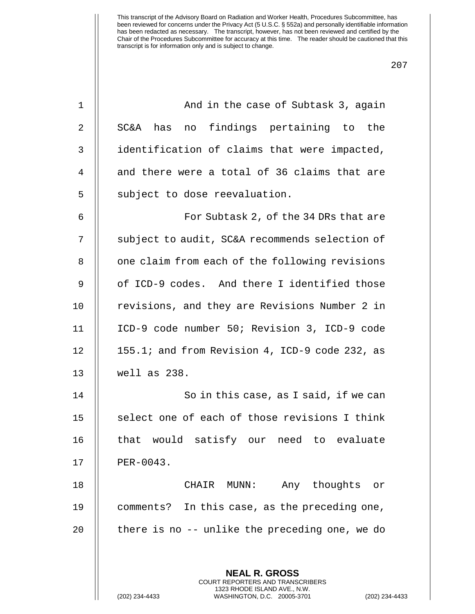| $\mathbf 1$ | And in the case of Subtask 3, again                                                                                                                             |
|-------------|-----------------------------------------------------------------------------------------------------------------------------------------------------------------|
| 2           | no findings pertaining to the<br>SC&A has                                                                                                                       |
| 3           | identification of claims that were impacted,                                                                                                                    |
| 4           | and there were a total of 36 claims that are                                                                                                                    |
| 5           | subject to dose reevaluation.                                                                                                                                   |
| 6           | For Subtask 2, of the 34 DRs that are                                                                                                                           |
| 7           | subject to audit, SC&A recommends selection of                                                                                                                  |
| 8           | one claim from each of the following revisions                                                                                                                  |
| 9           | of ICD-9 codes. And there I identified those                                                                                                                    |
| 10          | revisions, and they are Revisions Number 2 in                                                                                                                   |
| 11          | ICD-9 code number 50; Revision 3, ICD-9 code                                                                                                                    |
| 12          | 155.1; and from Revision 4, ICD-9 code 232, as                                                                                                                  |
| 13          | well as 238.                                                                                                                                                    |
| 14          | So in this case, as I said, if we can                                                                                                                           |
| 15          | select one of each of those revisions I think                                                                                                                   |
| 16          | that would satisfy our need to evaluate                                                                                                                         |
| 17          | PER-0043.                                                                                                                                                       |
| 18          | CHAIR MUNN:<br>Any thoughts or                                                                                                                                  |
| 19          | comments? In this case, as the preceding one,                                                                                                                   |
| 20          | there is no -- unlike the preceding one, we do                                                                                                                  |
|             | <b>NEAL R. GROSS</b><br><b>COURT REPORTERS AND TRANSCRIBERS</b><br>1323 RHODE ISLAND AVE., N.W.<br>(202) 234-4433<br>WASHINGTON, D.C. 20005-3701<br>$(202)$ 234 |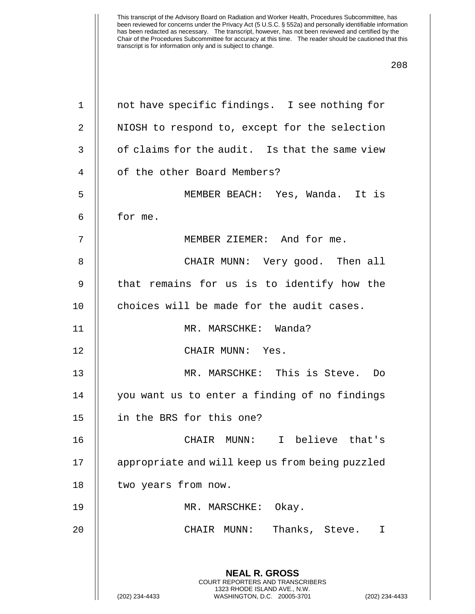| 1            | not have specific findings. I see nothing for                                                   |
|--------------|-------------------------------------------------------------------------------------------------|
| 2            | NIOSH to respond to, except for the selection                                                   |
| $\mathsf{3}$ | of claims for the audit. Is that the same view                                                  |
| 4            | of the other Board Members?                                                                     |
| 5            | MEMBER BEACH: Yes, Wanda. It is                                                                 |
| 6            | for me.                                                                                         |
| 7            | MEMBER ZIEMER: And for me.                                                                      |
| 8            | CHAIR MUNN: Very good. Then all                                                                 |
| 9            | that remains for us is to identify how the                                                      |
| 10           | choices will be made for the audit cases.                                                       |
| 11           | MR. MARSCHKE: Wanda?                                                                            |
| 12           | CHAIR MUNN: Yes.                                                                                |
| 13           | MR. MARSCHKE: This is Steve. Do                                                                 |
| 14           | you want us to enter a finding of no findings                                                   |
| 15           | in the BRS for this one?                                                                        |
| 16           | CHAIR MUNN: I believe that's                                                                    |
| 17           | appropriate and will keep us from being puzzled                                                 |
| 18           | two years from now.                                                                             |
| 19           | MR. MARSCHKE: Okay.                                                                             |
| 20           | Thanks, Steve.<br>CHAIR MUNN:<br>$\mathbf I$                                                    |
|              |                                                                                                 |
|              | <b>NEAL R. GROSS</b><br><b>COURT REPORTERS AND TRANSCRIBERS</b>                                 |
|              | 1323 RHODE ISLAND AVE., N.W.<br>WASHINGTON, D.C. 20005-3701<br>(202) 234-4433<br>(202) 234-4433 |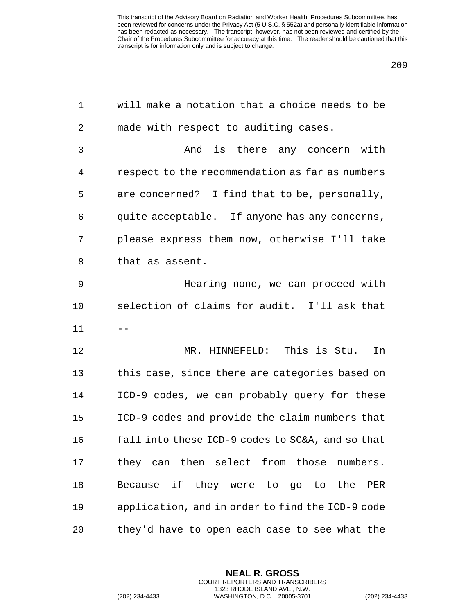| $\mathbf 1$    | will make a notation that a choice needs to be   |
|----------------|--------------------------------------------------|
| $\overline{2}$ | made with respect to auditing cases.             |
| 3              | And is there any concern with                    |
| $\overline{4}$ | respect to the recommendation as far as numbers  |
| 5              | are concerned? I find that to be, personally,    |
| 6              | quite acceptable. If anyone has any concerns,    |
| 7              | please express them now, otherwise I'll take     |
| 8              | that as assent.                                  |
| 9              | Hearing none, we can proceed with                |
| 10             | selection of claims for audit. I'll ask that     |
| 11             |                                                  |
| 12             | MR. HINNEFELD: This is Stu.<br>In                |
| 13             | this case, since there are categories based on   |
| 14             | ICD-9 codes, we can probably query for these     |
| 15             | ICD-9 codes and provide the claim numbers that   |
| 16             | fall into these ICD-9 codes to SC&A, and so that |
| 17             | they can then select from those numbers.         |
| 18             | Because if they were to go to the PER            |
| 19             | application, and in order to find the ICD-9 code |
| 20             | they'd have to open each case to see what the    |
|                |                                                  |

**NEAL R. GROSS** COURT REPORTERS AND TRANSCRIBERS 1323 RHODE ISLAND AVE., N.W.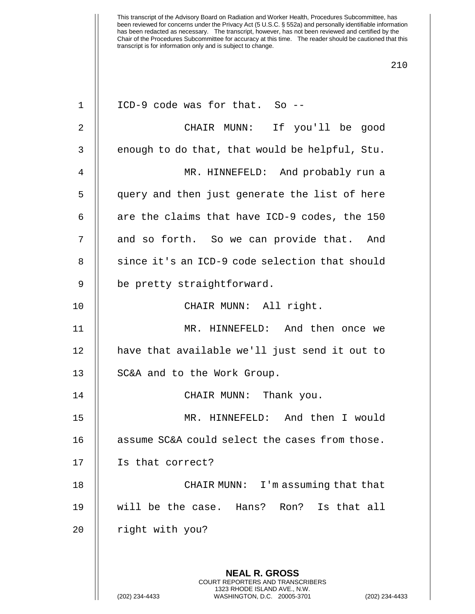| $\mathbf 1$    | ICD-9 code was for that. So --                                                                                                                                     |
|----------------|--------------------------------------------------------------------------------------------------------------------------------------------------------------------|
| $\overline{2}$ | CHAIR MUNN: If you'll be good                                                                                                                                      |
| 3              | enough to do that, that would be helpful, Stu.                                                                                                                     |
| 4              | MR. HINNEFELD: And probably run a                                                                                                                                  |
| 5              | query and then just generate the list of here                                                                                                                      |
| 6              | are the claims that have ICD-9 codes, the 150                                                                                                                      |
| 7              | and so forth. So we can provide that. And                                                                                                                          |
| $\,8\,$        | since it's an ICD-9 code selection that should                                                                                                                     |
| 9              | be pretty straightforward.                                                                                                                                         |
| 10             | CHAIR MUNN: All right.                                                                                                                                             |
| 11             | MR. HINNEFELD: And then once we                                                                                                                                    |
| 12             | have that available we'll just send it out to                                                                                                                      |
| 13             | SC&A and to the Work Group.                                                                                                                                        |
| 14             | CHAIR MUNN: Thank you.                                                                                                                                             |
| 15             | MR. HINNEFELD: And then I would                                                                                                                                    |
| 16             | assume SC&A could select the cases from those.                                                                                                                     |
| 17             | Is that correct?                                                                                                                                                   |
| 18             | I'm assuming that that<br>CHAIR MUNN:                                                                                                                              |
| 19             | will be the case. Hans?<br>Is that all<br>Ron?                                                                                                                     |
| 20             | right with you?                                                                                                                                                    |
|                |                                                                                                                                                                    |
|                | <b>NEAL R. GROSS</b><br><b>COURT REPORTERS AND TRANSCRIBERS</b><br>1323 RHODE ISLAND AVE., N.W.<br>(202) 234-4433<br>WASHINGTON, D.C. 20005-3701<br>(202) 234-4433 |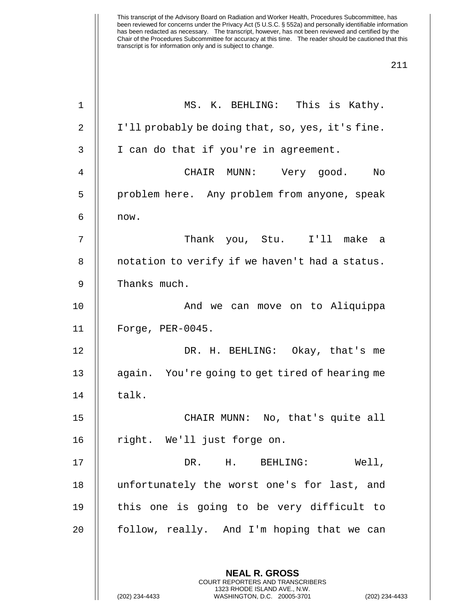| 1  | MS. K. BEHLING: This is Kathy.                                                                                                                              |
|----|-------------------------------------------------------------------------------------------------------------------------------------------------------------|
| 2  | I'll probably be doing that, so, yes, it's fine.                                                                                                            |
| 3  | I can do that if you're in agreement.                                                                                                                       |
| 4  | CHAIR MUNN: Very good.<br>No                                                                                                                                |
| 5  | problem here. Any problem from anyone, speak                                                                                                                |
| 6  | now.                                                                                                                                                        |
| 7  | Thank you, Stu. I'll make a                                                                                                                                 |
| 8  | notation to verify if we haven't had a status.                                                                                                              |
| 9  | Thanks much.                                                                                                                                                |
| 10 | And we can move on to Aliquippa                                                                                                                             |
| 11 | Forge, PER-0045.                                                                                                                                            |
| 12 | DR. H. BEHLING: Okay, that's me                                                                                                                             |
| 13 | again. You're going to get tired of hearing me                                                                                                              |
| 14 | talk.                                                                                                                                                       |
| 15 | CHAIR MUNN: No, that's quite all                                                                                                                            |
| 16 | right. We'll just forge on.                                                                                                                                 |
| 17 | DR. H.<br>Well,<br>BEHLING:                                                                                                                                 |
| 18 | unfortunately the worst one's for last, and                                                                                                                 |
| 19 | this one is going to be very difficult to                                                                                                                   |
| 20 | follow, really. And I'm hoping that we can                                                                                                                  |
|    |                                                                                                                                                             |
|    | <b>NEAL R. GROSS</b><br>COURT REPORTERS AND TRANSCRIBERS<br>1323 RHODE ISLAND AVE., N.W.<br>(202) 234-4433<br>WASHINGTON, D.C. 20005-3701<br>(202) 234-4433 |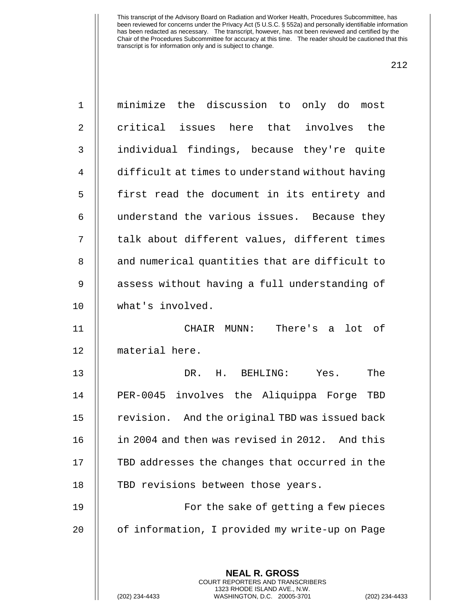| $1\,$        | minimize the discussion to only do most                                                                                                                          |
|--------------|------------------------------------------------------------------------------------------------------------------------------------------------------------------|
| 2            | critical issues here that involves the                                                                                                                           |
| $\mathsf{3}$ | individual findings, because they're quite                                                                                                                       |
| 4            | difficult at times to understand without having                                                                                                                  |
| 5            | first read the document in its entirety and                                                                                                                      |
| 6            | understand the various issues. Because they                                                                                                                      |
| 7            | talk about different values, different times                                                                                                                     |
| 8            | and numerical quantities that are difficult to                                                                                                                   |
| 9            | assess without having a full understanding of                                                                                                                    |
| 10           | what's involved.                                                                                                                                                 |
| 11           | There's a<br>lot of<br>CHAIR MUNN:                                                                                                                               |
| 12           | material here.                                                                                                                                                   |
| 13           | The<br>DR. H. BEHLING: Yes.                                                                                                                                      |
| 14           | PER-0045 involves the Aliquippa Forge TBD                                                                                                                        |
| 15           | revision. And the original TBD was issued back                                                                                                                   |
| 16           | in 2004 and then was revised in 2012. And this                                                                                                                   |
| 17           | TBD addresses the changes that occurred in the                                                                                                                   |
| 18           | TBD revisions between those years.                                                                                                                               |
| 19           | For the sake of getting a few pieces                                                                                                                             |
| 20           | of information, I provided my write-up on Page                                                                                                                   |
|              |                                                                                                                                                                  |
|              | <b>NEAL R. GROSS</b><br><b>COURT REPORTERS AND TRANSCRIBERS</b><br>1323 RHODE ISLAND AVE., N.W.<br>WASHINGTON, D.C. 20005-3701<br>(202) 234-4433<br>$(202)$ 234- |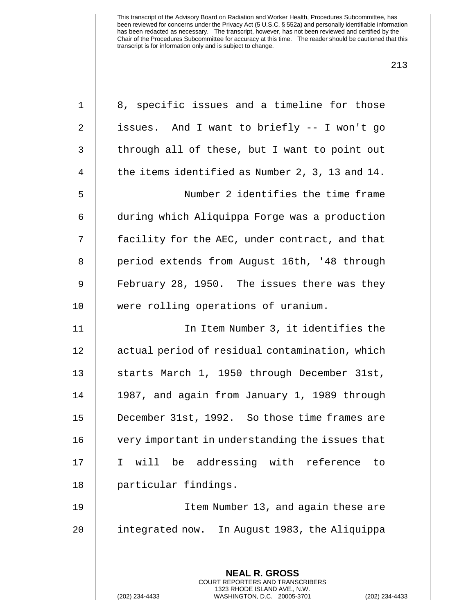| $\mathbf 1$    | 8, specific issues and a timeline for those                                                                                                                     |
|----------------|-----------------------------------------------------------------------------------------------------------------------------------------------------------------|
| 2              | issues. And I want to briefly -- I won't go                                                                                                                     |
| 3              | through all of these, but I want to point out                                                                                                                   |
| $\overline{4}$ | the items identified as Number 2, 3, 13 and 14.                                                                                                                 |
| 5              | Number 2 identifies the time frame                                                                                                                              |
| 6              | during which Aliquippa Forge was a production                                                                                                                   |
| 7              | facility for the AEC, under contract, and that                                                                                                                  |
| $\,8\,$        | period extends from August 16th, '48 through                                                                                                                    |
| 9              | February 28, 1950. The issues there was they                                                                                                                    |
| 10             | were rolling operations of uranium.                                                                                                                             |
| 11             | In Item Number 3, it identifies the                                                                                                                             |
| 12             | actual period of residual contamination, which                                                                                                                  |
| 13             | starts March 1, 1950 through December 31st,                                                                                                                     |
| 14             | 1987, and again from January 1, 1989 through                                                                                                                    |
| 15             | December 31st, 1992. So those time frames are                                                                                                                   |
| 16             | very important in understanding the issues that                                                                                                                 |
| 17             | will be addressing with reference<br>I.<br>to                                                                                                                   |
| 18             | particular findings.                                                                                                                                            |
| 19             | Item Number 13, and again these are                                                                                                                             |
| 20             | integrated now. In August 1983, the Aliquippa                                                                                                                   |
|                |                                                                                                                                                                 |
|                | <b>NEAL R. GROSS</b><br><b>COURT REPORTERS AND TRANSCRIBERS</b><br>1323 RHODE ISLAND AVE., N.W.<br>WASHINGTON, D.C. 20005-3701<br>(202) 234-4433<br>$(202)$ 234 |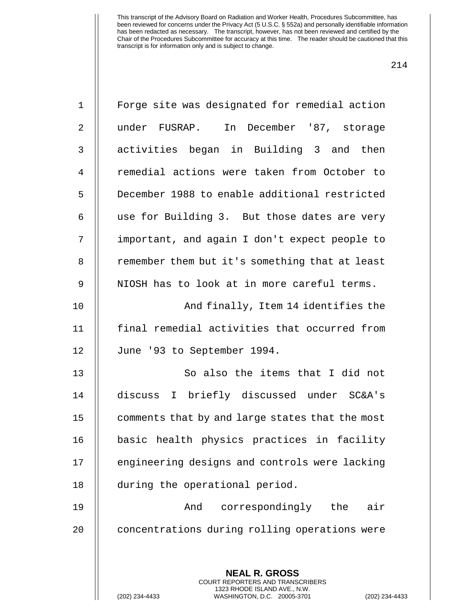| $\mathbf 1$    | Forge site was designated for remedial action                                                                                                             |
|----------------|-----------------------------------------------------------------------------------------------------------------------------------------------------------|
| 2              | under FUSRAP. In December '87, storage                                                                                                                    |
| 3              | activities began in Building 3 and then                                                                                                                   |
| $\overline{4}$ | remedial actions were taken from October to                                                                                                               |
| 5              | December 1988 to enable additional restricted                                                                                                             |
| 6              | use for Building 3. But those dates are very                                                                                                              |
| 7              | important, and again I don't expect people to                                                                                                             |
| $\,8\,$        | remember them but it's something that at least                                                                                                            |
| 9              | NIOSH has to look at in more careful terms.                                                                                                               |
| 10             | And finally, Item 14 identifies the                                                                                                                       |
| 11             | final remedial activities that occurred from                                                                                                              |
| 12             | June '93 to September 1994.                                                                                                                               |
| 13             | So also the items that I did not                                                                                                                          |
| 14             | discuss I briefly discussed under SC&A's                                                                                                                  |
| 15             | comments that by and large states that the most                                                                                                           |
| 16             | basic health physics practices in facility                                                                                                                |
| 17             | engineering designs and controls were lacking                                                                                                             |
| 18             | during the operational period.                                                                                                                            |
| 19             | correspondingly the<br>And<br>air                                                                                                                         |
| 20             | concentrations during rolling operations were                                                                                                             |
|                |                                                                                                                                                           |
|                | <b>NEAL R. GROSS</b><br>COURT REPORTERS AND TRANSCRIBERS<br>1323 RHODE ISLAND AVE., N.W.<br>(202) 234-4433<br>WASHINGTON, D.C. 20005-3701<br>$(202)$ 234- |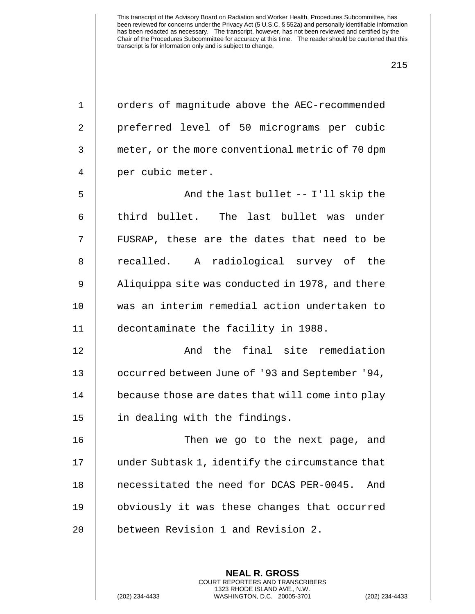| $\mathbf{1}$   | orders of magnitude above the AEC-recommended    |
|----------------|--------------------------------------------------|
| $\overline{2}$ | preferred level of 50 micrograms per cubic       |
| 3              | meter, or the more conventional metric of 70 dpm |
| 4              | per cubic meter.                                 |
| 5              | And the last bullet -- I'll skip the             |
| 6              | third bullet. The last bullet was under          |
| 7              | FUSRAP, these are the dates that need to be      |
| 8              | recalled. A radiological survey of the           |
| 9              | Aliquippa site was conducted in 1978, and there  |
| 10             | was an interim remedial action undertaken to     |
| 11             | decontaminate the facility in 1988.              |
| 12             | And the final site remediation                   |
| 13             | occurred between June of '93 and September '94,  |
| 14             | because those are dates that will come into play |
| 15             | in dealing with the findings.                    |
| 16             | Then we go to the next page, and                 |
| 17             | under Subtask 1, identify the circumstance that  |
| 18             | necessitated the need for DCAS PER-0045.<br>And  |
| 19             | obviously it was these changes that occurred     |
| 20             | between Revision 1 and Revision 2.               |
|                |                                                  |

**NEAL R. GROSS** COURT REPORTERS AND TRANSCRIBERS 1323 RHODE ISLAND AVE., N.W.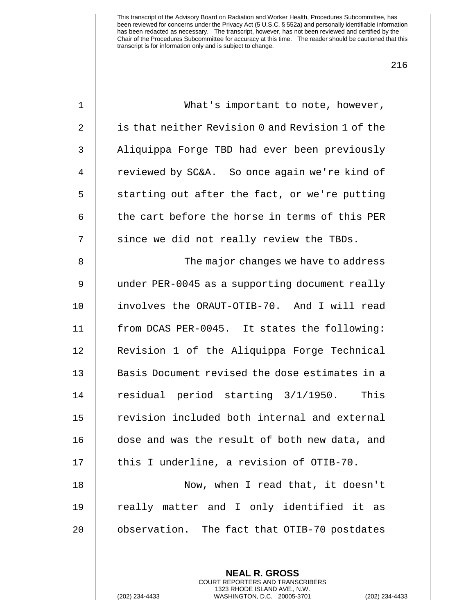| $\mathbf 1$    | What's important to note, however,               |
|----------------|--------------------------------------------------|
| $\overline{2}$ | is that neither Revision 0 and Revision 1 of the |
| 3              | Aliquippa Forge TBD had ever been previously     |
| $\overline{4}$ | reviewed by SC&A. So once again we're kind of    |
| 5              | starting out after the fact, or we're putting    |
| 6              | the cart before the horse in terms of this PER   |
| 7              | since we did not really review the TBDs.         |
| 8              | The major changes we have to address             |
| 9              | under PER-0045 as a supporting document really   |
| 10             | involves the ORAUT-OTIB-70. And I will read      |
| 11             | from DCAS PER-0045. It states the following:     |
| 12             | Revision 1 of the Aliquippa Forge Technical      |
| 13             | Basis Document revised the dose estimates in a   |
| 14             | residual period starting 3/1/1950. This          |
| 15             | revision included both internal and external     |
| 16             | dose and was the result of both new data, and    |
| 17             | this I underline, a revision of OTIB-70.         |
| 18             | Now, when I read that, it doesn't                |
| 19             | really matter and I only identified it as        |
| 20             | observation. The fact that OTIB-70 postdates     |
|                |                                                  |

**NEAL R. GROSS** COURT REPORTERS AND TRANSCRIBERS 1323 RHODE ISLAND AVE., N.W.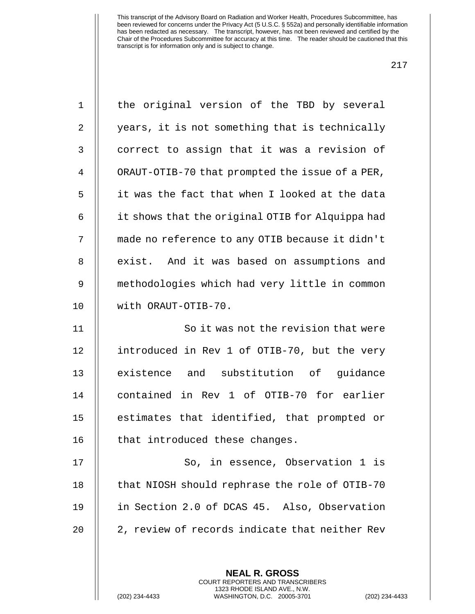| $\mathbf 1$    | the original version of the TBD by several       |  |  |  |  |
|----------------|--------------------------------------------------|--|--|--|--|
| $\overline{2}$ | years, it is not something that is technically   |  |  |  |  |
| $\mathsf{3}$   | correct to assign that it was a revision of      |  |  |  |  |
| 4              | ORAUT-OTIB-70 that prompted the issue of a PER,  |  |  |  |  |
| 5              | it was the fact that when I looked at the data   |  |  |  |  |
| 6              | it shows that the original OTIB for Alquippa had |  |  |  |  |
| 7              | made no reference to any OTIB because it didn't  |  |  |  |  |
| 8              | exist. And it was based on assumptions and       |  |  |  |  |
| 9              | methodologies which had very little in common    |  |  |  |  |
| 10             | with ORAUT-OTIB-70.                              |  |  |  |  |
| 11             | So it was not the revision that were             |  |  |  |  |
| 12             | introduced in Rev 1 of OTIB-70, but the very     |  |  |  |  |
| 13             | existence and substitution of guidance           |  |  |  |  |
| 14             | contained in Rev 1 of OTIB-70 for earlier        |  |  |  |  |
| 15             | estimates that identified, that prompted or      |  |  |  |  |
| 16             | that introduced these changes.                   |  |  |  |  |
| 17             | So, in essence, Observation 1 is                 |  |  |  |  |
| 18             | that NIOSH should rephrase the role of OTIB-70   |  |  |  |  |
| 19             | in Section 2.0 of DCAS 45. Also, Observation     |  |  |  |  |
| 20             | 2, review of records indicate that neither Rev   |  |  |  |  |
|                |                                                  |  |  |  |  |
|                | <b>NEAL R. GROSS</b>                             |  |  |  |  |

COURT REPORTERS AND TRANSCRIBERS 1323 RHODE ISLAND AVE., N.W.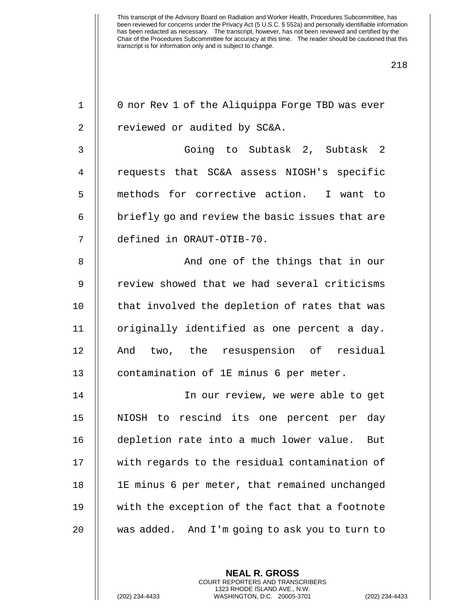| $\mathbf 1$    | 0 nor Rev 1 of the Aliquippa Forge TBD was ever |  |  |  |  |
|----------------|-------------------------------------------------|--|--|--|--|
| $\overline{2}$ | reviewed or audited by SC&A.                    |  |  |  |  |
| 3              | Going to Subtask 2, Subtask 2                   |  |  |  |  |
| $\overline{4}$ | requests that SC&A assess NIOSH's specific      |  |  |  |  |
| 5              | methods for corrective action. I want to        |  |  |  |  |
| 6              | briefly go and review the basic issues that are |  |  |  |  |
| 7              | defined in ORAUT-OTIB-70.                       |  |  |  |  |
| 8              | And one of the things that in our               |  |  |  |  |
| $\mathsf 9$    | review showed that we had several criticisms    |  |  |  |  |
| 10             | that involved the depletion of rates that was   |  |  |  |  |
| 11             | originally identified as one percent a day.     |  |  |  |  |
| 12             | And two, the resuspension of residual           |  |  |  |  |
| 13             | contamination of 1E minus 6 per meter.          |  |  |  |  |
| 14             | In our review, we were able to get              |  |  |  |  |
| 15             | NIOSH to rescind its one percent per day        |  |  |  |  |
| 16             | depletion rate into a much lower value. But     |  |  |  |  |
| 17             | with regards to the residual contamination of   |  |  |  |  |
| 18             | 1E minus 6 per meter, that remained unchanged   |  |  |  |  |
| 19             | with the exception of the fact that a footnote  |  |  |  |  |
| 20             | was added. And I'm going to ask you to turn to  |  |  |  |  |
|                |                                                 |  |  |  |  |

**NEAL R. GROSS** COURT REPORTERS AND TRANSCRIBERS 1323 RHODE ISLAND AVE., N.W.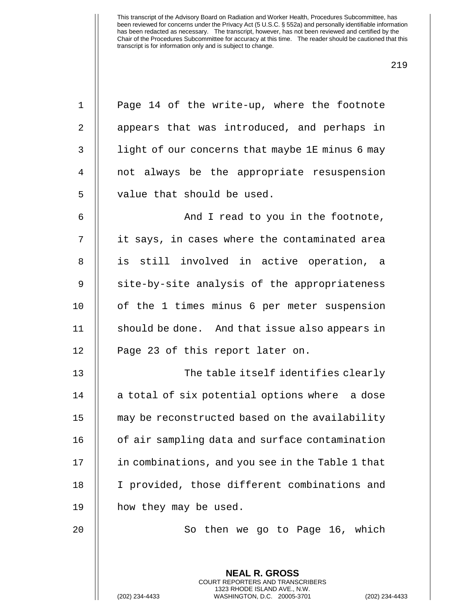| $\mathbf 1$ | Page 14 of the write-up, where the footnote                                                                                                              |  |  |  |  |
|-------------|----------------------------------------------------------------------------------------------------------------------------------------------------------|--|--|--|--|
| 2           | appears that was introduced, and perhaps in                                                                                                              |  |  |  |  |
| 3           | light of our concerns that maybe 1E minus 6 may                                                                                                          |  |  |  |  |
| 4           | not always be the appropriate resuspension                                                                                                               |  |  |  |  |
| 5           | value that should be used.                                                                                                                               |  |  |  |  |
| 6           | And I read to you in the footnote,                                                                                                                       |  |  |  |  |
| 7           | it says, in cases where the contaminated area                                                                                                            |  |  |  |  |
| 8           | is still involved in active operation, a                                                                                                                 |  |  |  |  |
| 9           | site-by-site analysis of the appropriateness                                                                                                             |  |  |  |  |
| 10          | of the 1 times minus 6 per meter suspension                                                                                                              |  |  |  |  |
| 11          | should be done. And that issue also appears in                                                                                                           |  |  |  |  |
| 12          | Page 23 of this report later on.                                                                                                                         |  |  |  |  |
| 13          | The table itself identifies clearly                                                                                                                      |  |  |  |  |
| 14          | a total of six potential options where a dose                                                                                                            |  |  |  |  |
| 15          | may be reconstructed based on the availability                                                                                                           |  |  |  |  |
| 16          | of air sampling data and surface contamination                                                                                                           |  |  |  |  |
| 17          | in combinations, and you see in the Table 1 that                                                                                                         |  |  |  |  |
| 18          | I provided, those different combinations and                                                                                                             |  |  |  |  |
| 19          | how they may be used.                                                                                                                                    |  |  |  |  |
| 20          | So then we go to Page 16, which                                                                                                                          |  |  |  |  |
|             |                                                                                                                                                          |  |  |  |  |
|             | <b>NEAL R. GROSS</b><br>COURT REPORTERS AND TRANSCRIBERS<br>1323 RHODE ISLAND AVE., N.W.<br>(202) 234-4433<br>WASHINGTON, D.C. 20005-3701<br>$(202)$ 234 |  |  |  |  |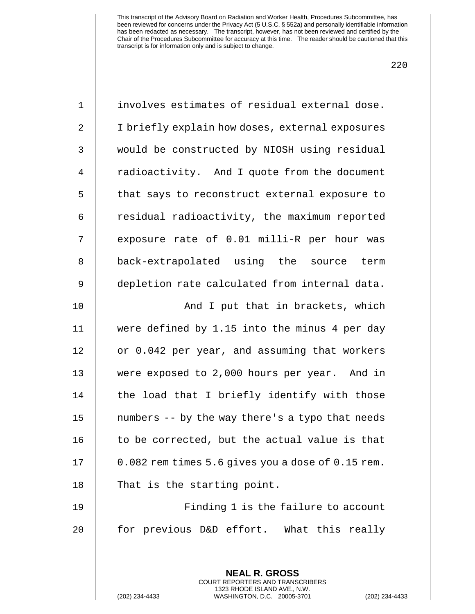| $\mathbf 1$ | involves estimates of residual external dose.            |  |  |  |  |
|-------------|----------------------------------------------------------|--|--|--|--|
| 2           | I briefly explain how doses, external exposures          |  |  |  |  |
| 3           | would be constructed by NIOSH using residual             |  |  |  |  |
| 4           | radioactivity. And I quote from the document             |  |  |  |  |
| 5           | that says to reconstruct external exposure to            |  |  |  |  |
| 6           | residual radioactivity, the maximum reported             |  |  |  |  |
| 7           | exposure rate of 0.01 milli-R per hour was               |  |  |  |  |
| 8           | back-extrapolated using the source term                  |  |  |  |  |
| 9           | depletion rate calculated from internal data.            |  |  |  |  |
| 10          | And I put that in brackets, which                        |  |  |  |  |
| 11          | were defined by 1.15 into the minus 4 per day            |  |  |  |  |
| 12          | or 0.042 per year, and assuming that workers             |  |  |  |  |
| 13          | were exposed to 2,000 hours per year. And in             |  |  |  |  |
| 14          | the load that I briefly identify with those              |  |  |  |  |
| 15          | numbers -- by the way there's a typo that needs          |  |  |  |  |
| 16          | to be corrected, but the actual value is that            |  |  |  |  |
| 17          | 0.082 rem times 5.6 gives you a dose of 0.15 rem.        |  |  |  |  |
| 18          | That is the starting point.                              |  |  |  |  |
| 19          | Finding 1 is the failure to account                      |  |  |  |  |
| 20          | for previous D&D effort. What this really                |  |  |  |  |
|             |                                                          |  |  |  |  |
|             | <b>NEAL R. GROSS</b><br>COURT REPORTERS AND TRANSCRIBERS |  |  |  |  |

1323 RHODE ISLAND AVE., N.W.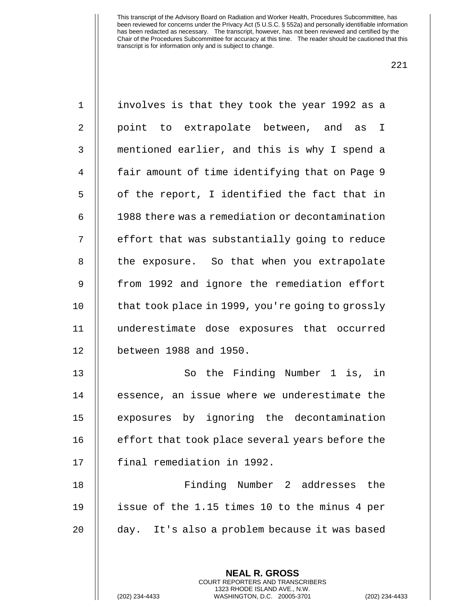| $\mathbf 1$  | involves is that they took the year 1992 as a            |  |  |  |  |
|--------------|----------------------------------------------------------|--|--|--|--|
| $\mathbf{2}$ | point to extrapolate between, and as<br>I                |  |  |  |  |
| 3            | mentioned earlier, and this is why I spend a             |  |  |  |  |
| 4            | fair amount of time identifying that on Page 9           |  |  |  |  |
| 5            | of the report, I identified the fact that in             |  |  |  |  |
| 6            | 1988 there was a remediation or decontamination          |  |  |  |  |
| 7            | effort that was substantially going to reduce            |  |  |  |  |
| 8            | the exposure. So that when you extrapolate               |  |  |  |  |
| 9            | from 1992 and ignore the remediation effort              |  |  |  |  |
| 10           | that took place in 1999, you're going to grossly         |  |  |  |  |
| 11           | underestimate dose exposures that occurred               |  |  |  |  |
| 12           | between 1988 and 1950.                                   |  |  |  |  |
| 13           | So the Finding Number 1 is, in                           |  |  |  |  |
| 14           | essence, an issue where we underestimate the             |  |  |  |  |
| 15           | exposures by ignoring the decontamination                |  |  |  |  |
| 16           | effort that took place several years before the          |  |  |  |  |
| 17           | final remediation in 1992.                               |  |  |  |  |
| 18           | Finding Number 2 addresses<br>the                        |  |  |  |  |
| 19           | issue of the 1.15 times 10 to the minus 4 per            |  |  |  |  |
| 20           | day. It's also a problem because it was based            |  |  |  |  |
|              |                                                          |  |  |  |  |
|              | <b>NEAL R. GROSS</b><br>COURT REPORTERS AND TRANSCRIBERS |  |  |  |  |

1323 RHODE ISLAND AVE., N.W.

 $\mathsf{I}$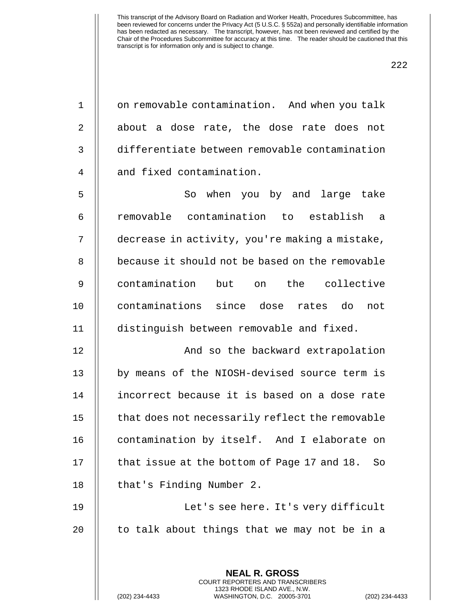222

1 | on removable contamination. And when you talk  $2 \parallel$  about a dose rate, the dose rate does not 3 differentiate between removable contamination 4 || and fixed contamination.

5 || So when you by and large take 6 removable contamination to establish a 7 decrease in activity, you're making a mistake, 8 || because it should not be based on the removable 9 contamination but on the collective 10 || contaminations since dose rates do not 11 distinguish between removable and fixed.

12 || And so the backward extrapolation 13 || by means of the NIOSH-devised source term is 14 incorrect because it is based on a dose rate  $15$   $\parallel$  that does not necessarily reflect the removable 16 | contamination by itself. And I elaborate on 17  $\parallel$  that issue at the bottom of Page 17 and 18. So 18 | that's Finding Number 2.

19 Let's see here. It's very difficult 20  $\parallel$  to talk about things that we may not be in a

> **NEAL R. GROSS** COURT REPORTERS AND TRANSCRIBERS 1323 RHODE ISLAND AVE., N.W.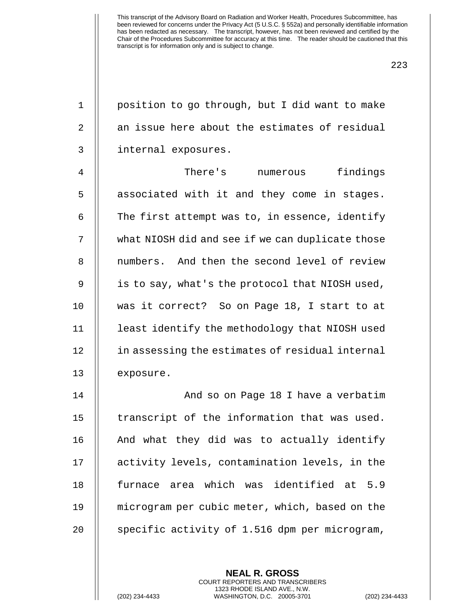1 | position to go through, but I did want to make  $2 \parallel$  an issue here about the estimates of residual 3 | internal exposures.

4 There's numerous findings  $5$   $\parallel$  associated with it and they come in stages. 6  $\parallel$  The first attempt was to, in essence, identify 7 | what NIOSH did and see if we can duplicate those 8 || numbers. And then the second level of review 9 | is to say, what's the protocol that NIOSH used, 10 was it correct? So on Page 18, I start to at 11 least identify the methodology that NIOSH used 12 | in assessing the estimates of residual internal 13 | exposure.

14 || And so on Page 18 I have a verbatim || transcript of the information that was used. | And what they did was to actually identify activity levels, contamination levels, in the 18 || furnace area which was identified at 5.9 microgram per cubic meter, which, based on the  $\parallel$  specific activity of 1.516 dpm per microgram,

> **NEAL R. GROSS** COURT REPORTERS AND TRANSCRIBERS 1323 RHODE ISLAND AVE., N.W.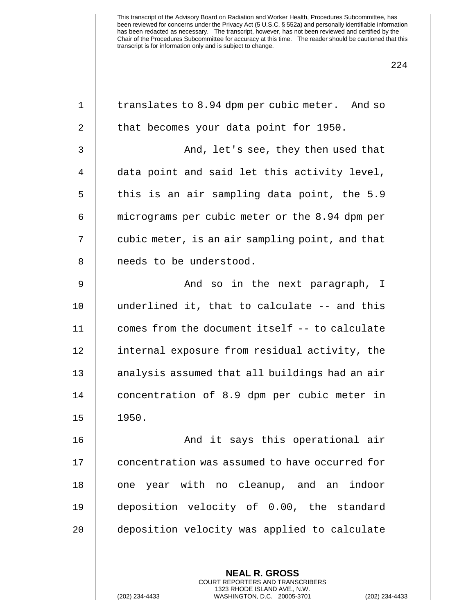| $\mathbf 1$    | translates to 8.94 dpm per cubic meter. And so           |  |  |  |  |
|----------------|----------------------------------------------------------|--|--|--|--|
| 2              | that becomes your data point for 1950.                   |  |  |  |  |
| 3              | And, let's see, they then used that                      |  |  |  |  |
| $\overline{4}$ | data point and said let this activity level,             |  |  |  |  |
| 5              | this is an air sampling data point, the 5.9              |  |  |  |  |
| 6              | micrograms per cubic meter or the 8.94 dpm per           |  |  |  |  |
| 7              | cubic meter, is an air sampling point, and that          |  |  |  |  |
| 8              | needs to be understood.                                  |  |  |  |  |
| $\mathsf 9$    | And so in the next paragraph, I                          |  |  |  |  |
| 10             | underlined it, that to calculate -- and this             |  |  |  |  |
| 11             | comes from the document itself -- to calculate           |  |  |  |  |
| 12             | internal exposure from residual activity, the            |  |  |  |  |
| 13             | analysis assumed that all buildings had an air           |  |  |  |  |
| 14             | concentration of 8.9 dpm per cubic meter in              |  |  |  |  |
| 15             | 1950.                                                    |  |  |  |  |
| 16             | And it says this operational air                         |  |  |  |  |
| 17             | concentration was assumed to have occurred for           |  |  |  |  |
| 18             | one year with no cleanup, and an indoor                  |  |  |  |  |
| 19             | deposition velocity of 0.00, the standard                |  |  |  |  |
| 20             | deposition velocity was applied to calculate             |  |  |  |  |
|                |                                                          |  |  |  |  |
|                | <b>NEAL R. GROSS</b><br>COURT REPORTERS AND TRANSCRIBERS |  |  |  |  |

1323 RHODE ISLAND AVE., N.W.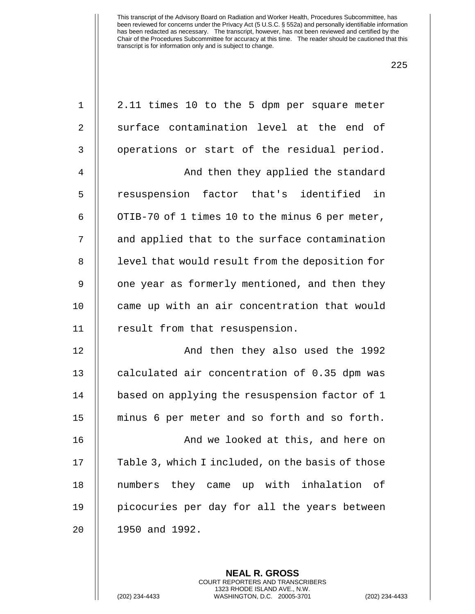| $\mathbf 1$    | 2.11 times 10 to the 5 dpm per square meter      |  |  |  |  |  |
|----------------|--------------------------------------------------|--|--|--|--|--|
| 2              | surface contamination level at the end of        |  |  |  |  |  |
| 3              | operations or start of the residual period.      |  |  |  |  |  |
| $\overline{4}$ | And then they applied the standard               |  |  |  |  |  |
| 5              | resuspension factor that's identified in         |  |  |  |  |  |
| 6              | OTIB-70 of 1 times 10 to the minus 6 per meter,  |  |  |  |  |  |
| 7              | and applied that to the surface contamination    |  |  |  |  |  |
| $\, 8$         | level that would result from the deposition for  |  |  |  |  |  |
| $\mathsf 9$    | one year as formerly mentioned, and then they    |  |  |  |  |  |
| 10             | came up with an air concentration that would     |  |  |  |  |  |
| 11             | result from that resuspension.                   |  |  |  |  |  |
| 12             | And then they also used the 1992                 |  |  |  |  |  |
| 13             | calculated air concentration of 0.35 dpm was     |  |  |  |  |  |
| 14             | based on applying the resuspension factor of 1   |  |  |  |  |  |
| 15             | minus 6 per meter and so forth and so forth.     |  |  |  |  |  |
| 16             | And we looked at this, and here on               |  |  |  |  |  |
| 17             | Table 3, which I included, on the basis of those |  |  |  |  |  |
| 18             | numbers they came up with inhalation of          |  |  |  |  |  |
| 19             | picocuries per day for all the years between     |  |  |  |  |  |
| 20             | 1950 and 1992.                                   |  |  |  |  |  |
|                |                                                  |  |  |  |  |  |

**NEAL R. GROSS** COURT REPORTERS AND TRANSCRIBERS 1323 RHODE ISLAND AVE., N.W.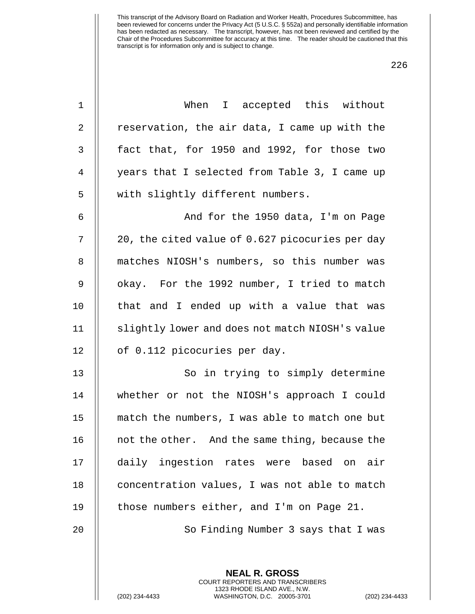| $\mathbf 1$    | When I accepted this without                    |  |  |  |  |  |
|----------------|-------------------------------------------------|--|--|--|--|--|
| $\mathbf{2}$   | reservation, the air data, I came up with the   |  |  |  |  |  |
| 3              | fact that, for 1950 and 1992, for those two     |  |  |  |  |  |
| $\overline{4}$ | years that I selected from Table 3, I came up   |  |  |  |  |  |
| 5              | with slightly different numbers.                |  |  |  |  |  |
| 6              | And for the 1950 data, I'm on Page              |  |  |  |  |  |
| 7              | 20, the cited value of 0.627 picocuries per day |  |  |  |  |  |
| $\, 8$         | matches NIOSH's numbers, so this number was     |  |  |  |  |  |
| 9              | okay. For the 1992 number, I tried to match     |  |  |  |  |  |
| 10             | that and I ended up with a value that was       |  |  |  |  |  |
| 11             | slightly lower and does not match NIOSH's value |  |  |  |  |  |
| 12             | of 0.112 picocuries per day.                    |  |  |  |  |  |
| 13             | So in trying to simply determine                |  |  |  |  |  |
| 14             | whether or not the NIOSH's approach I could     |  |  |  |  |  |
| 15             | match the numbers, I was able to match one but  |  |  |  |  |  |
| 16             | not the other. And the same thing, because the  |  |  |  |  |  |
| 17             | daily ingestion rates were based on<br>air      |  |  |  |  |  |
| 18             | concentration values, I was not able to match   |  |  |  |  |  |
| 19             | those numbers either, and I'm on Page 21.       |  |  |  |  |  |
| 20             | So Finding Number 3 says that I was             |  |  |  |  |  |
|                |                                                 |  |  |  |  |  |
|                | <b>NEAL R. GROSS</b>                            |  |  |  |  |  |

COURT REPORTERS AND TRANSCRIBERS 1323 RHODE ISLAND AVE., N.W.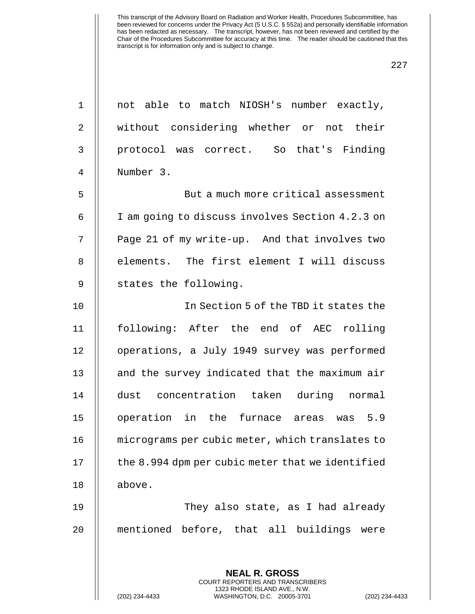| $\mathbf 1$    | not able to match NIOSH's number exactly,        |  |  |  |  |
|----------------|--------------------------------------------------|--|--|--|--|
| $\overline{2}$ | without considering whether or not their         |  |  |  |  |
| 3              | protocol was correct. So that's Finding          |  |  |  |  |
| $\overline{4}$ | Number 3.                                        |  |  |  |  |
| 5              | But a much more critical assessment              |  |  |  |  |
| 6              | I am going to discuss involves Section 4.2.3 on  |  |  |  |  |
| 7              | Page 21 of my write-up. And that involves two    |  |  |  |  |
| 8              | elements. The first element I will discuss       |  |  |  |  |
| $\mathsf 9$    | states the following.                            |  |  |  |  |
| 10             | In Section 5 of the TBD it states the            |  |  |  |  |
| 11             | following: After the end of AEC rolling          |  |  |  |  |
| 12             | operations, a July 1949 survey was performed     |  |  |  |  |
| 13             | and the survey indicated that the maximum air    |  |  |  |  |
| 14             | dust concentration taken during normal           |  |  |  |  |
| 15             | operation in the furnace areas<br>was $5.9$      |  |  |  |  |
| 16             | micrograms per cubic meter, which translates to  |  |  |  |  |
| 17             | the 8.994 dpm per cubic meter that we identified |  |  |  |  |
| 18             | above.                                           |  |  |  |  |
| 19             | They also state, as I had already                |  |  |  |  |
| 20             | mentioned before, that all buildings were        |  |  |  |  |
|                |                                                  |  |  |  |  |
|                | <b>NEAL R. GROSS</b>                             |  |  |  |  |

COURT REPORTERS AND TRANSCRIBERS 1323 RHODE ISLAND AVE., N.W.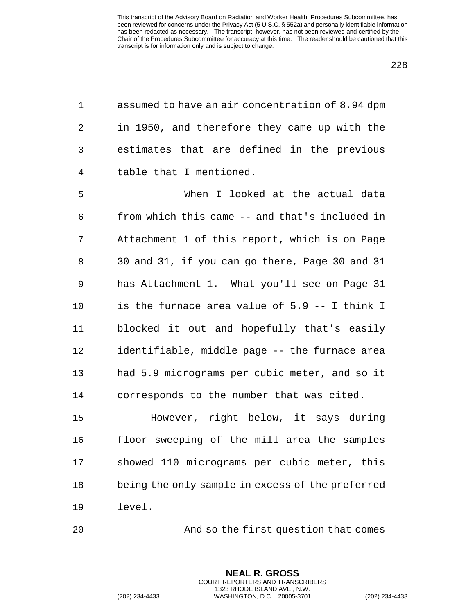| assumed to have an air concentration of 8.94 dpm                                                                                                         |  |  |  |  |
|----------------------------------------------------------------------------------------------------------------------------------------------------------|--|--|--|--|
| in 1950, and therefore they came up with the                                                                                                             |  |  |  |  |
| estimates that are defined in the previous                                                                                                               |  |  |  |  |
| table that I mentioned.                                                                                                                                  |  |  |  |  |
| When I looked at the actual data                                                                                                                         |  |  |  |  |
| from which this came -- and that's included in                                                                                                           |  |  |  |  |
| Attachment 1 of this report, which is on Page                                                                                                            |  |  |  |  |
| 30 and 31, if you can go there, Page 30 and 31                                                                                                           |  |  |  |  |
| has Attachment 1. What you'll see on Page 31                                                                                                             |  |  |  |  |
| is the furnace area value of 5.9 -- I think I                                                                                                            |  |  |  |  |
| blocked it out and hopefully that's easily                                                                                                               |  |  |  |  |
| identifiable, middle page -- the furnace area                                                                                                            |  |  |  |  |
| had 5.9 micrograms per cubic meter, and so it                                                                                                            |  |  |  |  |
| corresponds to the number that was cited.                                                                                                                |  |  |  |  |
| However, right below, it says during                                                                                                                     |  |  |  |  |
| floor sweeping of the mill area the samples                                                                                                              |  |  |  |  |
| showed 110 micrograms per cubic meter, this                                                                                                              |  |  |  |  |
| being the only sample in excess of the preferred                                                                                                         |  |  |  |  |
| level.                                                                                                                                                   |  |  |  |  |
| And so the first question that comes                                                                                                                     |  |  |  |  |
|                                                                                                                                                          |  |  |  |  |
| <b>NEAL R. GROSS</b><br>COURT REPORTERS AND TRANSCRIBERS<br>1323 RHODE ISLAND AVE., N.W.<br>(202) 234-4433<br>WASHINGTON, D.C. 20005-3701<br>$(202)$ 234 |  |  |  |  |
|                                                                                                                                                          |  |  |  |  |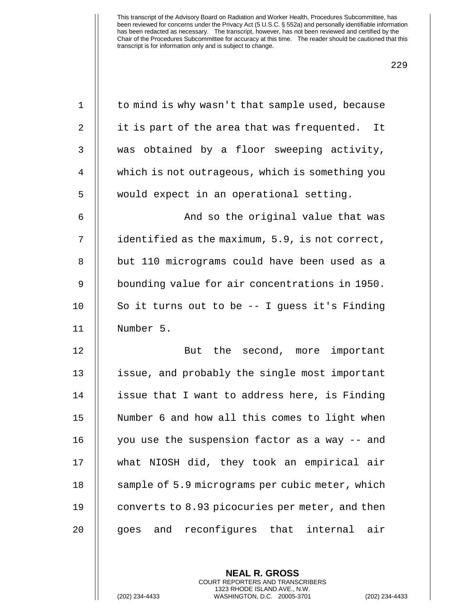| $\mathbf 1$    | to mind is why wasn't that sample used, because |
|----------------|-------------------------------------------------|
| 2              | it is part of the area that was frequented. It  |
| 3              | was obtained by a floor sweeping activity,      |
| $\overline{4}$ | which is not outrageous, which is something you |
| 5              | would expect in an operational setting.         |
| 6              | And so the original value that was              |
| 7              | identified as the maximum, 5.9, is not correct, |
| 8              | but 110 micrograms could have been used as a    |
| 9              | bounding value for air concentrations in 1950.  |
| 10             | So it turns out to be -- I guess it's Finding   |
| 11             | Number 5.                                       |
| 12             | But the second, more important                  |
| 13             | issue, and probably the single most important   |
| 14             | issue that I want to address here, is Finding   |
| 15             | Number 6 and how all this comes to light when   |
| 16             | you use the suspension factor as a way -- and   |
| 17             | what NIOSH did, they took an empirical air      |
| 18             | sample of 5.9 micrograms per cubic meter, which |
| 19             | converts to 8.93 picocuries per meter, and then |
| 20             | goes and reconfigures that internal<br>air      |
|                |                                                 |

**NEAL R. GROSS** COURT REPORTERS AND TRANSCRIBERS 1323 RHODE ISLAND AVE., N.W.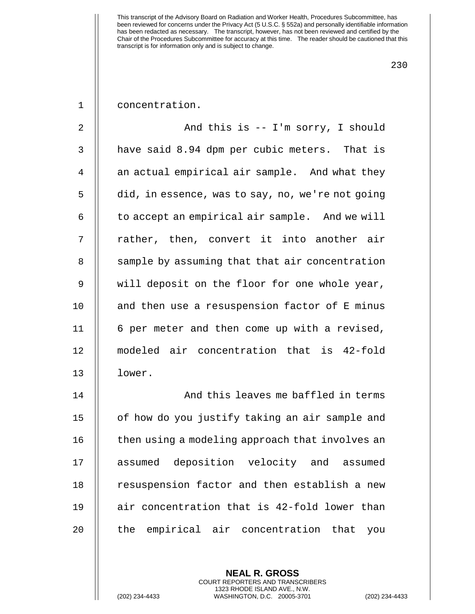230

1 concentration.

2 And this is -- I'm sorry, I should 3 | have said 8.94 dpm per cubic meters. That is 4 || an actual empirical air sample. And what they 5 | did, in essence, was to say, no, we're not going  $6$   $\parallel$  to accept an empirical air sample. And we will 7 || rather, then, convert it into another air 8 | sample by assuming that that air concentration 9 will deposit on the floor for one whole year, 10  $\parallel$  and then use a resuspension factor of E minus 11 || 6 per meter and then come up with a revised, 12 modeled air concentration that is 42-fold 13 lower.

14 || And this leaves me baffled in terms 15 | of how do you justify taking an air sample and  $16$   $\parallel$  then using a modeling approach that involves an 17 || assumed deposition velocity and assumed 18 || resuspension factor and then establish a new  $19$  || air concentration that is 42-fold lower than 20 || the empirical air concentration that you

> **NEAL R. GROSS** COURT REPORTERS AND TRANSCRIBERS 1323 RHODE ISLAND AVE., N.W.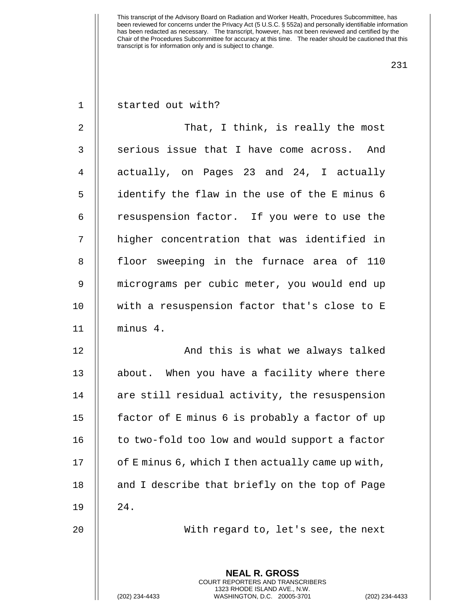231

| $1$ |  | started out with? |  |  |
|-----|--|-------------------|--|--|
|-----|--|-------------------|--|--|

2 That, I think, is really the most  $3$   $\parallel$  serious issue that I have come across. And 4 || actually, on Pages 23 and 24, I actually 5 identify the flaw in the use of the E minus 6 6 | resuspension factor. If you were to use the 7 || higher concentration that was identified in 8 || floor sweeping in the furnace area of 110 9 micrograms per cubic meter, you would end up 10 || with a resuspension factor that's close to E 11 minus 4.

12 || And this is what we always talked 13 || about. When you have a facility where there 14 || are still residual activity, the resuspension 15 | factor of E minus 6 is probably a factor of up  $16$  | to two-fold too low and would support a factor 17  $\parallel$  of E minus 6, which I then actually came up with, 18 || and I describe that briefly on the top of Page 19 24.

20 With regard to, let's see, the next

**NEAL R. GROSS** COURT REPORTERS AND TRANSCRIBERS 1323 RHODE ISLAND AVE., N.W.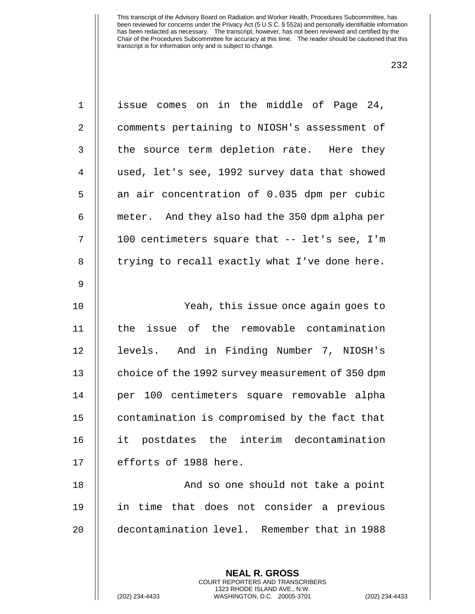| $\mathbf 1$    | issue comes on in the middle of Page 24,                 |
|----------------|----------------------------------------------------------|
| 2              | comments pertaining to NIOSH's assessment of             |
| $\mathsf{3}$   | the source term depletion rate. Here they                |
| $\overline{4}$ | used, let's see, 1992 survey data that showed            |
| 5              | an air concentration of 0.035 dpm per cubic              |
| 6              | meter. And they also had the 350 dpm alpha per           |
| 7              | 100 centimeters square that -- let's see, I'm            |
| $\, 8$         | trying to recall exactly what I've done here.            |
| $\mathsf 9$    |                                                          |
| 10             | Yeah, this issue once again goes to                      |
| 11             | the issue of the removable contamination                 |
| 12             | levels. And in Finding Number 7, NIOSH's                 |
| 13             | choice of the 1992 survey measurement of 350 dpm         |
| 14             | per 100 centimeters square removable alpha               |
| 15             | contamination is compromised by the fact that            |
| 16             | it postdates the interim decontamination                 |
| 17             | efforts of 1988 here.                                    |
| 18             | And so one should not take a point                       |
| 19             | in time that does not consider a previous                |
| 20             | decontamination level. Remember that in 1988             |
|                |                                                          |
|                | <b>NEAL R. GROSS</b><br>COURT REPORTERS AND TRANSCRIBERS |

1323 RHODE ISLAND AVE., N.W.

 $\bigg|\bigg|$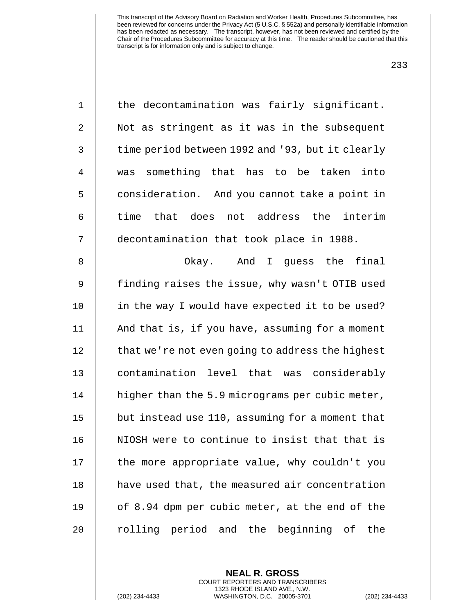| $\mathbf 1$ | the decontamination was fairly significant.      |
|-------------|--------------------------------------------------|
| 2           | Not as stringent as it was in the subsequent     |
| 3           | time period between 1992 and '93, but it clearly |
| 4           | was something that has to be taken<br>into       |
| 5           | consideration. And you cannot take a point in    |
| 6           | time that does not address the interim           |
| 7           | decontamination that took place in 1988.         |
| 8           | Okay. And I guess the final                      |
| 9           | finding raises the issue, why wasn't OTIB used   |
| 10          | in the way I would have expected it to be used?  |
| 11          | And that is, if you have, assuming for a moment  |
| 12          | that we're not even going to address the highest |
| 13          | contamination level that was considerably        |
| 14          | higher than the 5.9 micrograms per cubic meter,  |
| 15          | but instead use 110, assuming for a moment that  |
| 16          | NIOSH were to continue to insist that that is    |
| 17          | the more appropriate value, why couldn't you     |
| 18          | have used that, the measured air concentration   |
| 19          | of 8.94 dpm per cubic meter, at the end of the   |
| 20          | rolling period and the beginning of<br>the       |

**NEAL R. GROSS** COURT REPORTERS AND TRANSCRIBERS 1323 RHODE ISLAND AVE., N.W.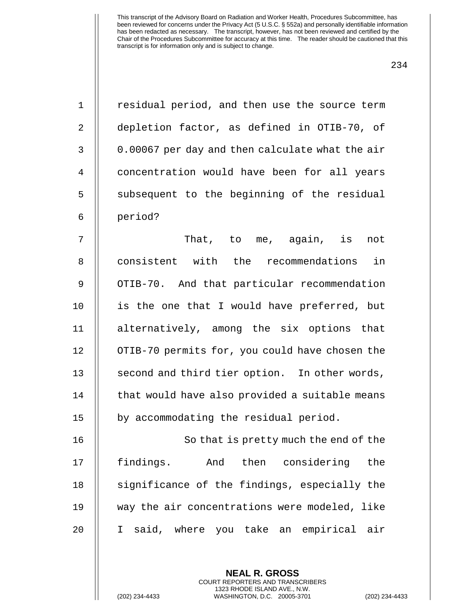| $\mathbf 1$  | residual period, and then use the source term   |
|--------------|-------------------------------------------------|
| 2            | depletion factor, as defined in OTIB-70, of     |
| $\mathbf{3}$ | 0.00067 per day and then calculate what the air |
| 4            | concentration would have been for all years     |
| 5            | subsequent to the beginning of the residual     |
| 6            | period?                                         |
| 7            | That, to me, again, is<br>not                   |
| 8            | consistent with the recommendations<br>in       |
| $\mathsf 9$  | OTIB-70. And that particular recommendation     |
| 10           | is the one that I would have preferred, but     |
| 11           | alternatively, among the six options that       |
| 12           | OTIB-70 permits for, you could have chosen the  |
| 13           | second and third tier option. In other words,   |
| 14           | that would have also provided a suitable means  |
| 15           | by accommodating the residual period.           |
| 16           | So that is pretty much the end of the           |
| 17           | findings.<br>And then considering<br>the        |
| 18           | significance of the findings, especially the    |
| 19           | way the air concentrations were modeled, like   |
| 20           | I said, where you take an empirical air         |
|              |                                                 |
|              | <b>NEAL R. GROSS</b>                            |

COURT REPORTERS AND TRANSCRIBERS 1323 RHODE ISLAND AVE., N.W.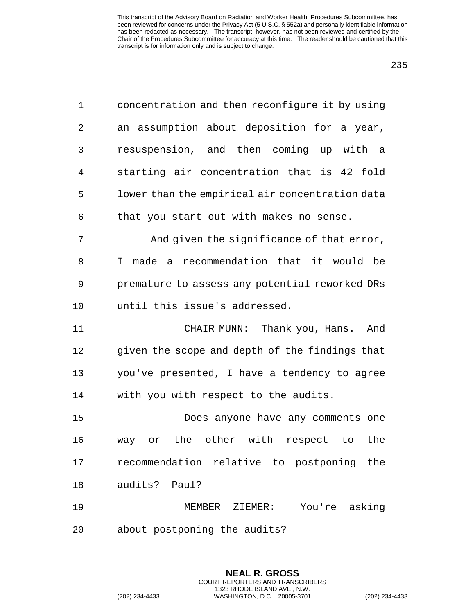| × | v<br>۰. |
|---|---------|
|---|---------|

| $\mathbf{1}$ | concentration and then reconfigure it by using                                               |
|--------------|----------------------------------------------------------------------------------------------|
| 2            | an assumption about deposition for a year,                                                   |
| 3            | resuspension, and then coming up with a                                                      |
| 4            | starting air concentration that is 42 fold                                                   |
| 5            | lower than the empirical air concentration data                                              |
| 6            | that you start out with makes no sense.                                                      |
| 7            | And given the significance of that error,                                                    |
| 8            | I made a recommendation that it would be                                                     |
| 9            | premature to assess any potential reworked DRs                                               |
| 10           | until this issue's addressed.                                                                |
| 11           | CHAIR MUNN: Thank you, Hans. And                                                             |
| 12           | given the scope and depth of the findings that                                               |
| 13           | you've presented, I have a tendency to agree                                                 |
| 14           | with you with respect to the audits.                                                         |
| 15           | Does anyone have any comments one                                                            |
| 16           | other with<br>respect to<br>the<br>the<br>way or                                             |
| 17           | recommendation relative to postponing<br>the                                                 |
| 18           | audits? Paul?                                                                                |
| 19           | You're asking<br>MEMBER ZIEMER:                                                              |
| 20           | about postponing the audits?                                                                 |
|              |                                                                                              |
|              | <b>NEAL R. GROSS</b><br><b>COURT REPORTERS AND TRANSCRIBERS</b>                              |
|              | 1323 RHODE ISLAND AVE., N.W.<br>(202) 234-4433<br>WASHINGTON, D.C. 20005-3701<br>$(202)$ 234 |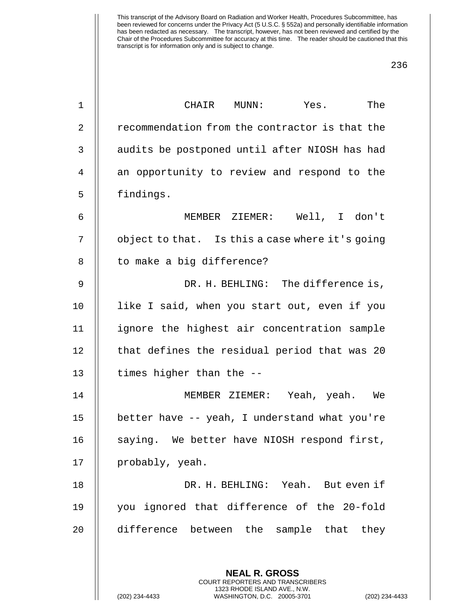| 1              | CHAIR MUNN: Yes. The                                                                                                                                     |
|----------------|----------------------------------------------------------------------------------------------------------------------------------------------------------|
| $\overline{2}$ | recommendation from the contractor is that the                                                                                                           |
| 3              | audits be postponed until after NIOSH has had                                                                                                            |
| 4              | an opportunity to review and respond to the                                                                                                              |
| 5              | findings.                                                                                                                                                |
| 6              | MEMBER ZIEMER: Well, I don't                                                                                                                             |
| 7              | object to that. Is this a case where it's going                                                                                                          |
| 8              | to make a big difference?                                                                                                                                |
| $\mathsf 9$    | DR. H. BEHLING: The difference is,                                                                                                                       |
| 10             | like I said, when you start out, even if you                                                                                                             |
| 11             | ignore the highest air concentration sample                                                                                                              |
| 12             | that defines the residual period that was 20                                                                                                             |
| 13             | times higher than the --                                                                                                                                 |
| 14             | MEMBER ZIEMER: Yeah, yeah. We                                                                                                                            |
| 15             | better have -- yeah, I understand what you're                                                                                                            |
| 16             | saying. We better have NIOSH respond first,                                                                                                              |
| 17             | probably, yeah.                                                                                                                                          |
| 18             | DR. H. BEHLING: Yeah. But even if                                                                                                                        |
| 19             | you ignored that difference of the 20-fold                                                                                                               |
| 20             | difference between the sample that<br>they                                                                                                               |
|                | <b>NEAL R. GROSS</b><br>COURT REPORTERS AND TRANSCRIBERS<br>1323 RHODE ISLAND AVE., N.W.<br>(202) 234-4433<br>WASHINGTON, D.C. 20005-3701<br>$(202)$ 234 |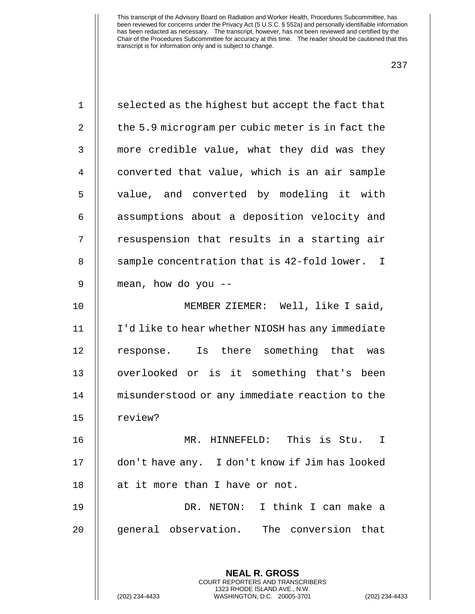| $\mathbf{1}$   | selected as the highest but accept the fact that                                                                                                         |
|----------------|----------------------------------------------------------------------------------------------------------------------------------------------------------|
| $\overline{2}$ | the 5.9 microgram per cubic meter is in fact the                                                                                                         |
| 3              | more credible value, what they did was they                                                                                                              |
| $\overline{4}$ | converted that value, which is an air sample                                                                                                             |
| 5              | value, and converted by modeling it with                                                                                                                 |
| 6              | assumptions about a deposition velocity and                                                                                                              |
| 7              | resuspension that results in a starting air                                                                                                              |
| 8              | sample concentration that is 42-fold lower. I                                                                                                            |
| 9              | mean, how do you --                                                                                                                                      |
| 10             | MEMBER ZIEMER: Well, like I said,                                                                                                                        |
| 11             | I'd like to hear whether NIOSH has any immediate                                                                                                         |
| 12             | response. Is there something that was                                                                                                                    |
| 13             | overlooked or is it something that's been                                                                                                                |
| 14             | misunderstood or any immediate reaction to the                                                                                                           |
| 15             | review?                                                                                                                                                  |
| 16             | This is Stu.<br>MR.<br>HINNEFELD:<br>I                                                                                                                   |
| 17             | don't have any. I don't know if Jim has looked                                                                                                           |
| 18             | at it more than I have or not.                                                                                                                           |
| 19             | DR. NETON: I think I can make a                                                                                                                          |
| 20             | general observation. The conversion that                                                                                                                 |
|                |                                                                                                                                                          |
|                | <b>NEAL R. GROSS</b><br>COURT REPORTERS AND TRANSCRIBERS<br>1323 RHODE ISLAND AVE., N.W.<br>(202) 234-4433<br>WASHINGTON, D.C. 20005-3701<br>$(202)$ 234 |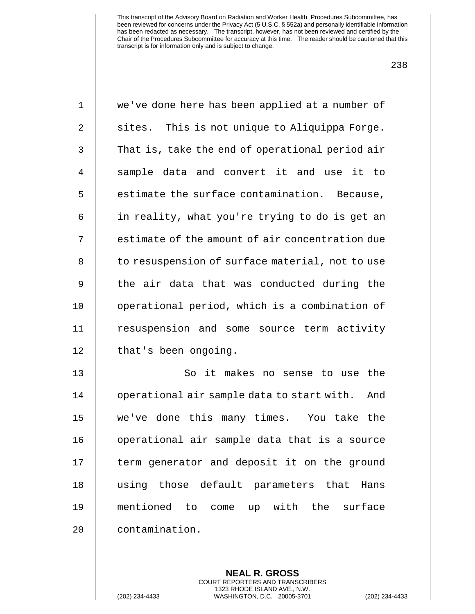| 1            | we've done here has been applied at a number of   |
|--------------|---------------------------------------------------|
| 2            | sites. This is not unique to Aliquippa Forge.     |
| $\mathsf{3}$ | That is, take the end of operational period air   |
| 4            | sample data and convert it and use it to          |
| 5            | estimate the surface contamination. Because,      |
| 6            | in reality, what you're trying to do is get an    |
| 7            | estimate of the amount of air concentration due   |
| 8            | to resuspension of surface material, not to use   |
| 9            | the air data that was conducted during the        |
| 10           | operational period, which is a combination of     |
| 11           | resuspension and some source term activity        |
| 12           | that's been ongoing.                              |
| 13           | So it makes no sense to use the                   |
| 14           | operational air sample data to start with.<br>And |
| 15           | we've done this many times. You take the          |
| 16           | operational air sample data that is a source      |
| 17           | term generator and deposit it on the ground       |
| 18           | using those default parameters that Hans          |
| 19           | mentioned to come up with the surface             |
| 20           | contamination.                                    |
|              |                                                   |

**NEAL R. GROSS** COURT REPORTERS AND TRANSCRIBERS 1323 RHODE ISLAND AVE., N.W.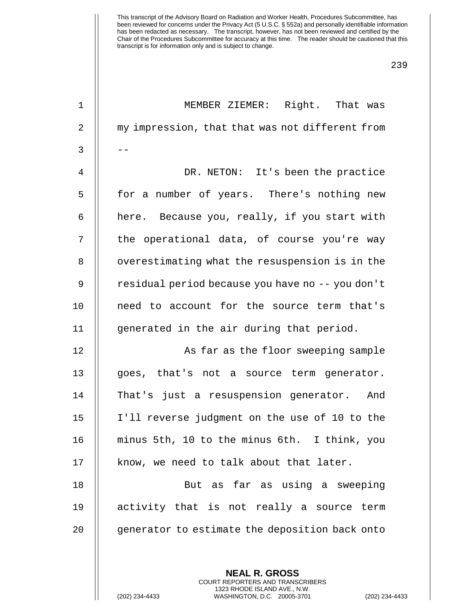| $\mathbf 1$ | MEMBER ZIEMER: Right. That was                   |
|-------------|--------------------------------------------------|
| 2           | my impression, that that was not different from  |
| 3           | --                                               |
| 4           | DR. NETON: It's been the practice                |
| 5           | for a number of years. There's nothing new       |
| 6           | here. Because you, really, if you start with     |
| 7           | the operational data, of course you're way       |
| 8           | overestimating what the resuspension is in the   |
| 9           | residual period because you have no -- you don't |
| 10          | need to account for the source term that's       |
| 11          | generated in the air during that period.         |
| 12          | As far as the floor sweeping sample              |
| 13          | goes, that's not a source term generator.        |
| 14          | That's just a resuspension generator. And        |
| 15          | I'll reverse judgment on the use of 10 to the    |
| 16          | minus 5th, 10 to the minus 6th. I think, you     |
| 17          | know, we need to talk about that later.          |
| 18          | But as far as using a sweeping                   |
| 19          | activity that is not really a source term        |
| 20          | generator to estimate the deposition back onto   |
|             |                                                  |
|             | <b>NEAL R. GROSS</b>                             |

COURT REPORTERS AND TRANSCRIBERS 1323 RHODE ISLAND AVE., N.W.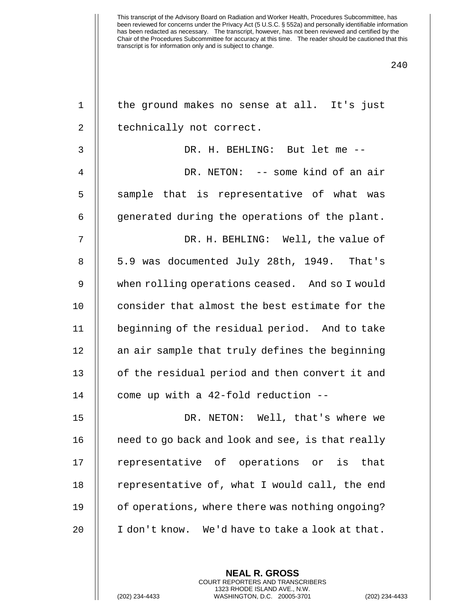| $\mathbf 1$    | the ground makes no sense at all. It's just      |
|----------------|--------------------------------------------------|
| $\overline{2}$ | technically not correct.                         |
| 3              | DR. H. BEHLING: But let me --                    |
| 4              | DR. NETON: -- some kind of an air                |
| 5              | sample that is representative of what was        |
| 6              | generated during the operations of the plant.    |
| 7              | DR. H. BEHLING: Well, the value of               |
| 8              | 5.9 was documented July 28th, 1949. That's       |
| 9              | when rolling operations ceased. And so I would   |
| 10             | consider that almost the best estimate for the   |
| 11             | beginning of the residual period. And to take    |
| 12             | an air sample that truly defines the beginning   |
| 13             | of the residual period and then convert it and   |
| 14             | come up with a 42-fold reduction --              |
| 15             | DR. NETON: Well, that's where we                 |
| 16             | need to go back and look and see, is that really |
| 17             | representative of operations or is that          |
| 18             | representative of, what I would call, the end    |
| 19             | of operations, where there was nothing ongoing?  |
| 20             | I don't know. We'd have to take a look at that.  |
|                |                                                  |
|                | <b>NEAL R. GROSS</b>                             |

COURT REPORTERS AND TRANSCRIBERS 1323 RHODE ISLAND AVE., N.W.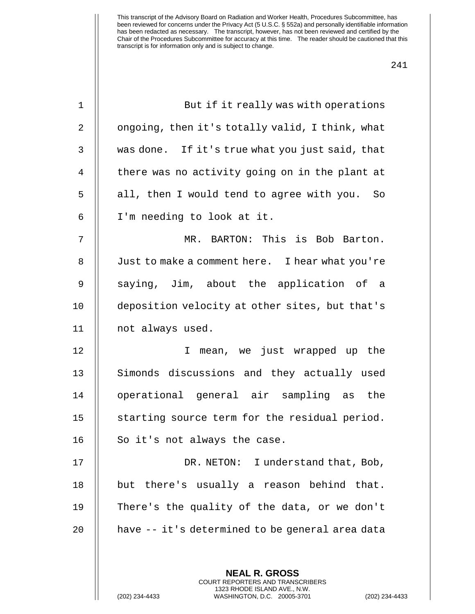| $\mathbf 1$ | But if it really was with operations                                                            |
|-------------|-------------------------------------------------------------------------------------------------|
| 2           | ongoing, then it's totally valid, I think, what                                                 |
| 3           | was done. If it's true what you just said, that                                                 |
| 4           | there was no activity going on in the plant at                                                  |
| 5           | all, then I would tend to agree with you. So                                                    |
| 6           | I'm needing to look at it.                                                                      |
| 7           | MR. BARTON: This is Bob Barton.                                                                 |
| 8           | Just to make a comment here. I hear what you're                                                 |
| 9           | saying, Jim, about the application of a                                                         |
| 10          | deposition velocity at other sites, but that's                                                  |
| 11          | not always used.                                                                                |
| 12          | I mean, we just wrapped up the                                                                  |
| 13          | Simonds discussions and they actually used                                                      |
| 14          | operational general air sampling as the                                                         |
| 15          | starting source term for the residual period.                                                   |
| 16          | So it's not always the case.                                                                    |
| 17          | DR. NETON: I understand that, Bob,                                                              |
| 18          | but there's usually a reason behind that.                                                       |
| 19          | There's the quality of the data, or we don't                                                    |
| 20          | have -- it's determined to be general area data                                                 |
|             |                                                                                                 |
|             | <b>NEAL R. GROSS</b><br><b>COURT REPORTERS AND TRANSCRIBERS</b>                                 |
|             | 1323 RHODE ISLAND AVE., N.W.<br>(202) 234-4433<br>WASHINGTON, D.C. 20005-3701<br>(202) 234-4433 |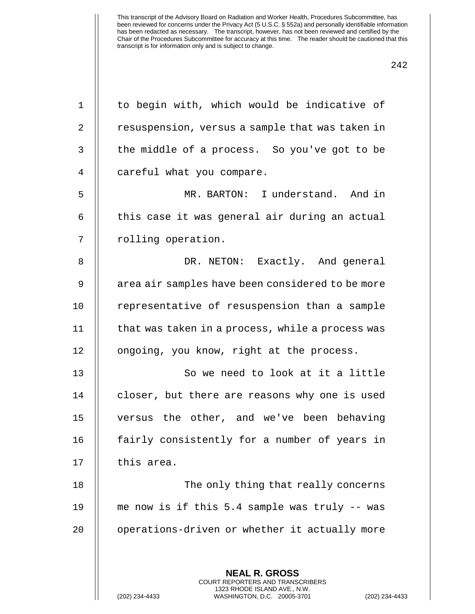| $\mathbf 1$ | to begin with, which would be indicative of                                                                                                                      |
|-------------|------------------------------------------------------------------------------------------------------------------------------------------------------------------|
| 2           | resuspension, versus a sample that was taken in                                                                                                                  |
| 3           | the middle of a process. So you've got to be                                                                                                                     |
| 4           | careful what you compare.                                                                                                                                        |
| 5           | MR. BARTON: I understand. And in                                                                                                                                 |
| 6           | this case it was general air during an actual                                                                                                                    |
| 7           | rolling operation.                                                                                                                                               |
| 8           | DR. NETON: Exactly. And general                                                                                                                                  |
| $\mathsf 9$ | area air samples have been considered to be more                                                                                                                 |
| 10          | representative of resuspension than a sample                                                                                                                     |
| 11          | that was taken in a process, while a process was                                                                                                                 |
| 12          | ongoing, you know, right at the process.                                                                                                                         |
| 13          | So we need to look at it a little                                                                                                                                |
| 14          | closer, but there are reasons why one is used                                                                                                                    |
| 15          | versus the other, and we've been behaving                                                                                                                        |
| 16          | fairly consistently for a number of years in                                                                                                                     |
| 17          | this area.                                                                                                                                                       |
| 18          | The only thing that really concerns                                                                                                                              |
| 19          | me now is if this 5.4 sample was truly -- was                                                                                                                    |
| 20          | operations-driven or whether it actually more                                                                                                                    |
|             |                                                                                                                                                                  |
|             | <b>NEAL R. GROSS</b><br><b>COURT REPORTERS AND TRANSCRIBERS</b><br>1323 RHODE ISLAND AVE., N.W.<br>(202) 234-4433<br>WASHINGTON, D.C. 20005-3701<br>$(202)$ 234- |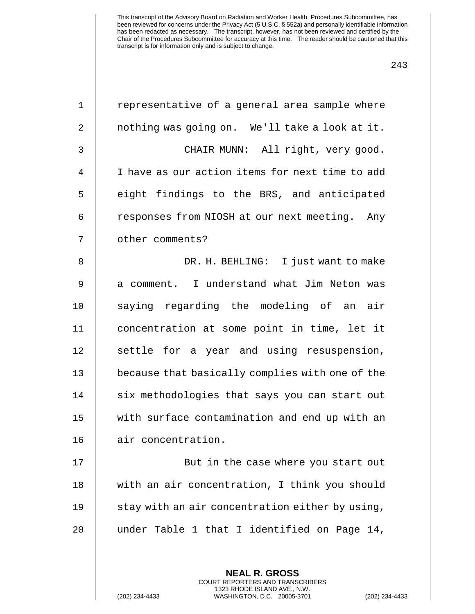| $\mathbf 1$    | representative of a general area sample where                   |
|----------------|-----------------------------------------------------------------|
| 2              | nothing was going on. We'll take a look at it.                  |
| 3              | CHAIR MUNN: All right, very good.                               |
| $\overline{4}$ | I have as our action items for next time to add                 |
| 5              | eight findings to the BRS, and anticipated                      |
| 6              | responses from NIOSH at our next meeting. Any                   |
| 7              | other comments?                                                 |
| 8              | DR. H. BEHLING: I just want to make                             |
| 9              | a comment. I understand what Jim Neton was                      |
| 10             | saying regarding the modeling of an air                         |
| 11             | concentration at some point in time, let it                     |
| 12             | settle for a year and using resuspension,                       |
| 13             | because that basically complies with one of the                 |
| 14             | six methodologies that says you can start out                   |
| 15             | with surface contamination and end up with an                   |
| 16             | air concentration.                                              |
| 17             | But in the case where you start out                             |
| 18             | with an air concentration, I think you should                   |
| 19             | stay with an air concentration either by using,                 |
| 20             | under Table 1 that I identified on Page 14,                     |
|                |                                                                 |
|                | <b>NEAL R. GROSS</b><br><b>COURT REPORTERS AND TRANSCRIBERS</b> |

1323 RHODE ISLAND AVE., N.W.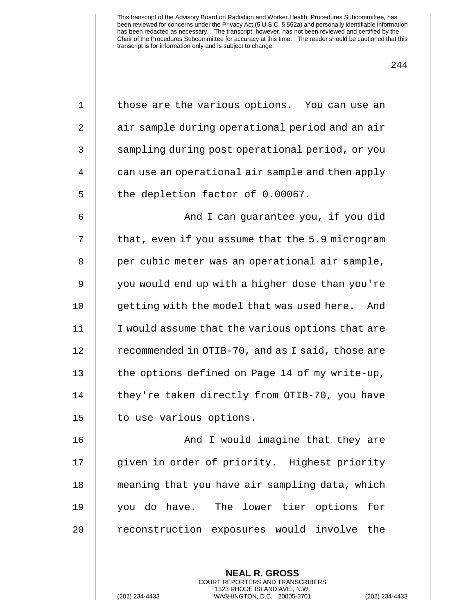| $\mathbf 1$    | those are the various options. You can use an     |
|----------------|---------------------------------------------------|
| $\mathbf{2}$   | air sample during operational period and an air   |
| $\mathfrak{Z}$ | sampling during post operational period, or you   |
| 4              | can use an operational air sample and then apply  |
| 5              | the depletion factor of 0.00067.                  |
| 6              | And I can guarantee you, if you did               |
| 7              | that, even if you assume that the 5.9 microgram   |
| 8              | per cubic meter was an operational air sample,    |
| 9              | you would end up with a higher dose than you're   |
| 10             | getting with the model that was used here.<br>And |
| 11             | I would assume that the various options that are  |
| 12             | recommended in OTIB-70, and as I said, those are  |
| 13             | the options defined on Page 14 of my write-up,    |
| 14             | they're taken directly from OTIB-70, you have     |
| 15             | to use various options.                           |
| 16             | And I would imagine that they are                 |
| 17             | given in order of priority. Highest priority      |
| 18             | meaning that you have air sampling data, which    |
| 19             | you do have. The lower tier options for           |
| 20             | reconstruction exposures would involve the        |
|                |                                                   |

**NEAL R. GROSS** COURT REPORTERS AND TRANSCRIBERS 1323 RHODE ISLAND AVE., N.W.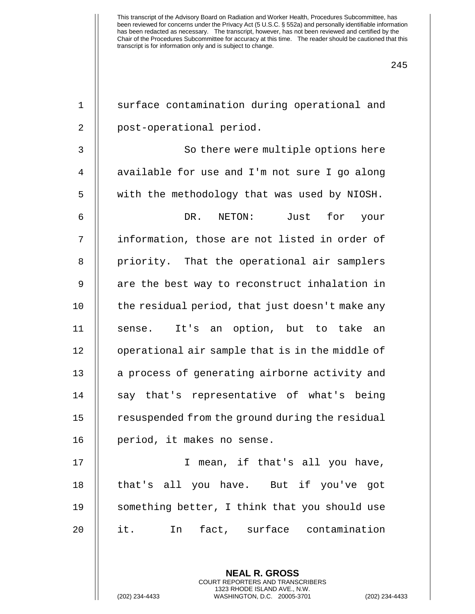| $\mathbf 1$    | surface contamination during operational and                                                                                                                    |
|----------------|-----------------------------------------------------------------------------------------------------------------------------------------------------------------|
| $\overline{2}$ | post-operational period.                                                                                                                                        |
| 3              | So there were multiple options here                                                                                                                             |
| 4              | available for use and I'm not sure I go along                                                                                                                   |
| 5              | with the methodology that was used by NIOSH.                                                                                                                    |
| 6              | for<br>DR.<br>NETON:<br>Just<br>your                                                                                                                            |
| 7              | information, those are not listed in order of                                                                                                                   |
| 8              | priority. That the operational air samplers                                                                                                                     |
| 9              | are the best way to reconstruct inhalation in                                                                                                                   |
| 10             | the residual period, that just doesn't make any                                                                                                                 |
| 11             | It's an option, but to take<br>sense.<br>an                                                                                                                     |
| 12             | operational air sample that is in the middle of                                                                                                                 |
| 13             | a process of generating airborne activity and                                                                                                                   |
| 14             | say that's representative of what's being                                                                                                                       |
| 15             | resuspended from the ground during the residual                                                                                                                 |
| 16             | period, it makes no sense.                                                                                                                                      |
| 17             | I mean, if that's all you have,                                                                                                                                 |
| 18             | that's all you have. But if you've got                                                                                                                          |
| 19             | something better, I think that you should use                                                                                                                   |
| 20             | In fact, surface contamination<br>it.                                                                                                                           |
|                | <b>NEAL R. GROSS</b><br><b>COURT REPORTERS AND TRANSCRIBERS</b><br>1323 RHODE ISLAND AVE., N.W.<br>(202) 234-4433<br>WASHINGTON, D.C. 20005-3701<br>$(202)$ 234 |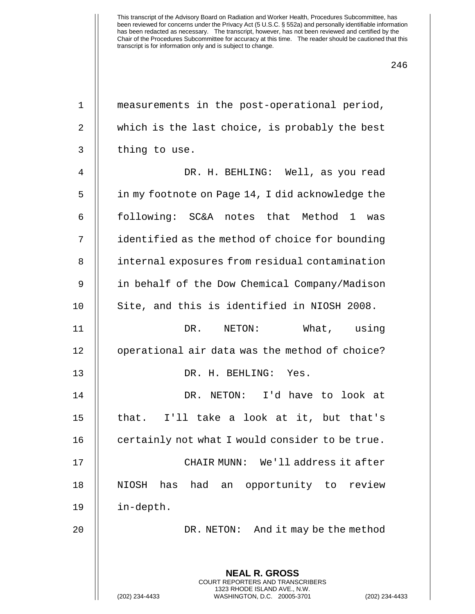| $\mathbf 1$ | measurements in the post-operational period,                                             |
|-------------|------------------------------------------------------------------------------------------|
| 2           | which is the last choice, is probably the best                                           |
| 3           | thing to use.                                                                            |
| 4           | DR. H. BEHLING: Well, as you read                                                        |
| 5           | in my footnote on Page 14, I did acknowledge the                                         |
| 6           | following: SC&A notes that Method 1 was                                                  |
| 7           | identified as the method of choice for bounding                                          |
| 8           | internal exposures from residual contamination                                           |
| 9           | in behalf of the Dow Chemical Company/Madison                                            |
| 10          | Site, and this is identified in NIOSH 2008.                                              |
| 11          | DR. NETON:<br>What, using                                                                |
| 12          | operational air data was the method of choice?                                           |
| 13          | DR. H. BEHLING: Yes.                                                                     |
| 14          | DR. NETON: I'd have to look at                                                           |
| 15          | that. I'll take a look at it, but that's                                                 |
| 16          | certainly not what I would consider to be true.                                          |
| 17          | CHAIR MUNN: We'll address it after                                                       |
| 18          | NIOSH<br>had<br>opportunity to review<br>has<br>an                                       |
| 19          | in-depth.                                                                                |
| 20          | DR. NETON: And it may be the method                                                      |
|             | <b>NEAL R. GROSS</b><br>COURT REPORTERS AND TRANSCRIBERS<br>1323 RHODE ISLAND AVE., N.W. |
|             | WASHINGTON, D.C. 20005-3701<br>(202) 234-4433<br>$(202)$ 234-                            |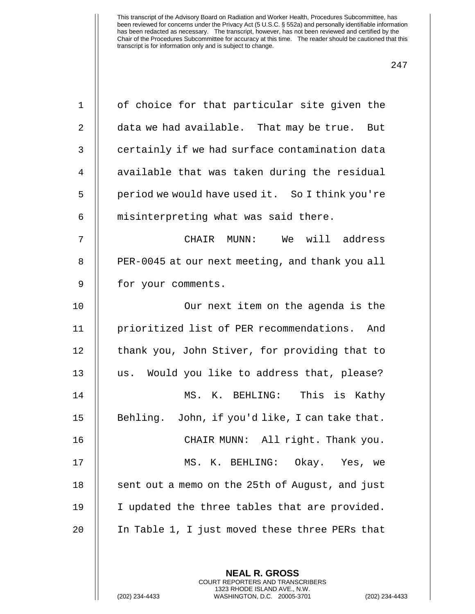| $\mathbf 1$    | of choice for that particular site given the    |
|----------------|-------------------------------------------------|
| $\overline{2}$ | data we had available. That may be true. But    |
| $\mathbf{3}$   | certainly if we had surface contamination data  |
| 4              | available that was taken during the residual    |
| 5              | period we would have used it. So I think you're |
| 6              | misinterpreting what was said there.            |
| 7              | CHAIR MUNN: We will address                     |
| 8              | PER-0045 at our next meeting, and thank you all |
| 9              | for your comments.                              |
| 10             | Our next item on the agenda is the              |
| 11             | prioritized list of PER recommendations. And    |
| 12             | thank you, John Stiver, for providing that to   |
| 13             | us. Would you like to address that, please?     |
| 14             | MS. K. BEHLING: This is Kathy                   |
| 15             | Behling. John, if you'd like, I can take that.  |
| 16             | CHAIR MUNN: All right. Thank you.               |
| 17             | MS. K. BEHLING: Okay. Yes, we                   |
| 18             | sent out a memo on the 25th of August, and just |
| 19             | I updated the three tables that are provided.   |
| 20             | In Table 1, I just moved these three PERs that  |
|                |                                                 |
|                |                                                 |

**NEAL R. GROSS** COURT REPORTERS AND TRANSCRIBERS 1323 RHODE ISLAND AVE., N.W.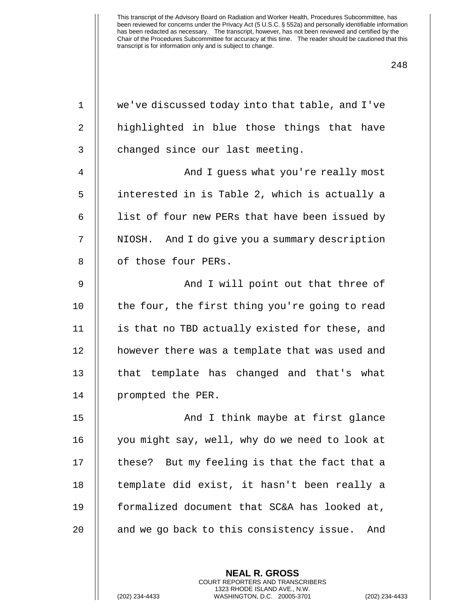| $\mathbf 1$    | we've discussed today into that table, and I've  |
|----------------|--------------------------------------------------|
| $\overline{2}$ | highlighted in blue those things that have       |
| 3              | changed since our last meeting.                  |
| $\overline{4}$ | And I guess what you're really most              |
| 5              | interested in is Table 2, which is actually a    |
| 6              | list of four new PERs that have been issued by   |
| 7              | NIOSH. And I do give you a summary description   |
| 8              | of those four PERs.                              |
| 9              | And I will point out that three of               |
| 10             | the four, the first thing you're going to read   |
| 11             | is that no TBD actually existed for these, and   |
| 12             | however there was a template that was used and   |
| 13             | that template has changed and that's what        |
| 14             | prompted the PER.                                |
| 15             | And I think maybe at first glance                |
| 16             | you might say, well, why do we need to look at   |
| 17             | these? But my feeling is that the fact that a    |
| 18             | template did exist, it hasn't been really a      |
| 19             | formalized document that SC&A has looked at,     |
| 20             | and we go back to this consistency issue.<br>And |
|                |                                                  |

**NEAL R. GROSS** COURT REPORTERS AND TRANSCRIBERS 1323 RHODE ISLAND AVE., N.W.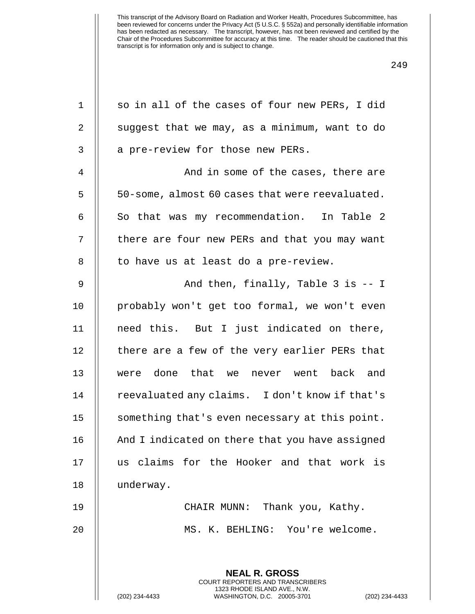| $\mathbf 1$    | so in all of the cases of four new PERs, I did                                                  |
|----------------|-------------------------------------------------------------------------------------------------|
| $\overline{2}$ | suggest that we may, as a minimum, want to do                                                   |
| 3              | a pre-review for those new PERs.                                                                |
| 4              | And in some of the cases, there are                                                             |
| 5              | 50-some, almost 60 cases that were reevaluated.                                                 |
| 6              | So that was my recommendation. In Table 2                                                       |
| 7              | there are four new PERs and that you may want                                                   |
| 8              | to have us at least do a pre-review.                                                            |
| 9              | And then, finally, Table $3$ is $-1$                                                            |
| 10             | probably won't get too formal, we won't even                                                    |
| 11             | need this. But I just indicated on there,                                                       |
| 12             | there are a few of the very earlier PERs that                                                   |
| 13             | were done that we never went back and                                                           |
| 14             | reevaluated any claims. I don't know if that's                                                  |
| 15             | something that's even necessary at this point.                                                  |
| 16             | And I indicated on there that you have assigned                                                 |
| 17             | us claims for the Hooker and that work is                                                       |
| 18             | underway.                                                                                       |
| 19             | CHAIR MUNN: Thank you, Kathy.                                                                   |
| 20             | MS. K. BEHLING: You're welcome.                                                                 |
|                |                                                                                                 |
|                | <b>NEAL R. GROSS</b><br><b>COURT REPORTERS AND TRANSCRIBERS</b>                                 |
|                | 1323 RHODE ISLAND AVE., N.W.<br>(202) 234-4433<br>WASHINGTON, D.C. 20005-3701<br>(202) 234-4433 |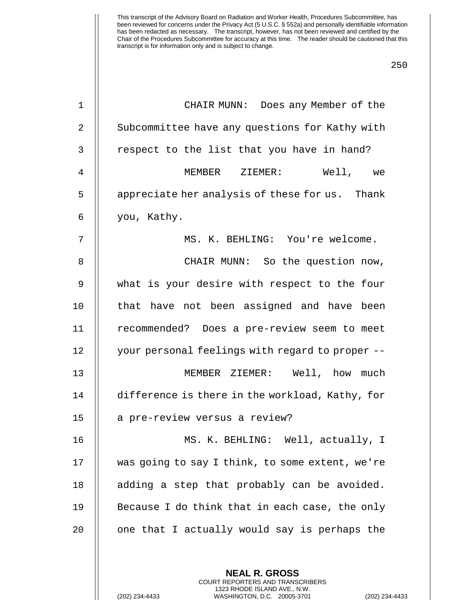| $\mathbf 1$ | CHAIR MUNN: Does any Member of the              |
|-------------|-------------------------------------------------|
| 2           | Subcommittee have any questions for Kathy with  |
| 3           | respect to the list that you have in hand?      |
| 4           | MEMBER ZIEMER:<br>Well, we                      |
| 5           | appreciate her analysis of these for us. Thank  |
| 6           | you, Kathy.                                     |
| 7           | MS. K. BEHLING: You're welcome.                 |
| 8           | CHAIR MUNN: So the question now,                |
| 9           | what is your desire with respect to the four    |
| 10          | that have not been assigned and have been       |
| 11          | recommended? Does a pre-review seem to meet     |
| 12          | your personal feelings with regard to proper -- |
| 13          | MEMBER ZIEMER: Well, how much                   |
| 14          | difference is there in the workload, Kathy, for |
| 15          | a pre-review versus a review?                   |
| 16          | MS. K. BEHLING: Well, actually, I               |
| 17          | was going to say I think, to some extent, we're |
| 18          | adding a step that probably can be avoided.     |
| 19          | Because I do think that in each case, the only  |
| 20          | one that I actually would say is perhaps the    |
|             |                                                 |
|             |                                                 |

**NEAL R. GROSS** COURT REPORTERS AND TRANSCRIBERS 1323 RHODE ISLAND AVE., N.W.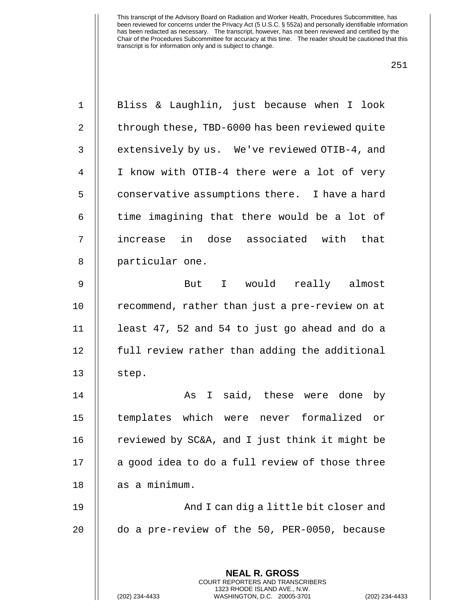| $\mathbf 1$    | Bliss & Laughlin, just because when I look                                                      |
|----------------|-------------------------------------------------------------------------------------------------|
| $\overline{2}$ | through these, TBD-6000 has been reviewed quite                                                 |
| 3              | extensively by us. We've reviewed OTIB-4, and                                                   |
| $\overline{4}$ | I know with OTIB-4 there were a lot of very                                                     |
| 5              | conservative assumptions there. I have a hard                                                   |
| 6              | time imagining that there would be a lot of                                                     |
| 7              | increase in dose associated with that                                                           |
| 8              | particular one.                                                                                 |
| 9              | But I would really almost                                                                       |
| 10             | recommend, rather than just a pre-review on at                                                  |
| 11             | least 47, 52 and 54 to just go ahead and do a                                                   |
| 12             | full review rather than adding the additional                                                   |
| 13             | step.                                                                                           |
| 14             | As I said, these were done by                                                                   |
| 15             | templates which were never formalized or                                                        |
| 16             | reviewed by SC&A, and I just think it might be                                                  |
| 17             | a good idea to do a full review of those three                                                  |
| 18             | as a minimum.                                                                                   |
| 19             | And I can dig a little bit closer and                                                           |
| 20             | do a pre-review of the 50, PER-0050, because                                                    |
|                |                                                                                                 |
|                | <b>NEAL R. GROSS</b><br><b>COURT REPORTERS AND TRANSCRIBERS</b>                                 |
|                | 1323 RHODE ISLAND AVE., N.W.<br>(202) 234-4433<br>WASHINGTON, D.C. 20005-3701<br>(202) 234-4433 |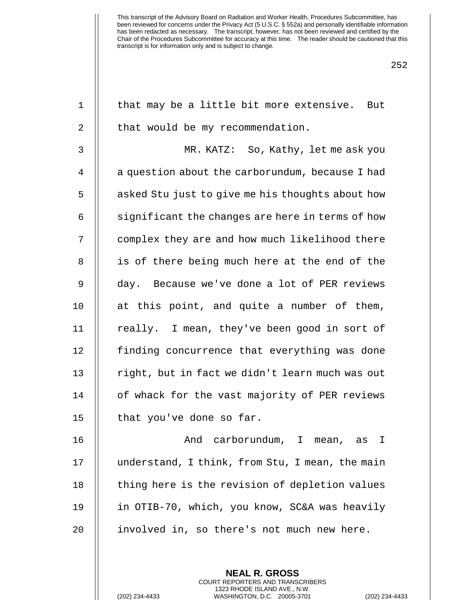| $\mathbf 1$    | that may be a little bit more extensive. But     |
|----------------|--------------------------------------------------|
| 2              | that would be my recommendation.                 |
| 3              | MR. KATZ: So, Kathy, let me ask you              |
| $\overline{4}$ | a question about the carborundum, because I had  |
| 5              | asked Stu just to give me his thoughts about how |
| 6              | significant the changes are here in terms of how |
| 7              | complex they are and how much likelihood there   |
| 8              | is of there being much here at the end of the    |
| $\mathsf 9$    | day. Because we've done a lot of PER reviews     |
| 10             | at this point, and quite a number of them,       |
| 11             | really. I mean, they've been good in sort of     |
| 12             | finding concurrence that everything was done     |
| 13             | right, but in fact we didn't learn much was out  |
| 14             | of whack for the vast majority of PER reviews    |
| 15             | that you've done so far.                         |
| 16             | And carborundum, I mean, as I                    |
| 17             | understand, I think, from Stu, I mean, the main  |
| 18             | thing here is the revision of depletion values   |
| 19             | in OTIB-70, which, you know, SC&A was heavily    |
| 20             | involved in, so there's not much new here.       |
|                |                                                  |
|                |                                                  |

**NEAL R. GROSS** COURT REPORTERS AND TRANSCRIBERS 1323 RHODE ISLAND AVE., N.W.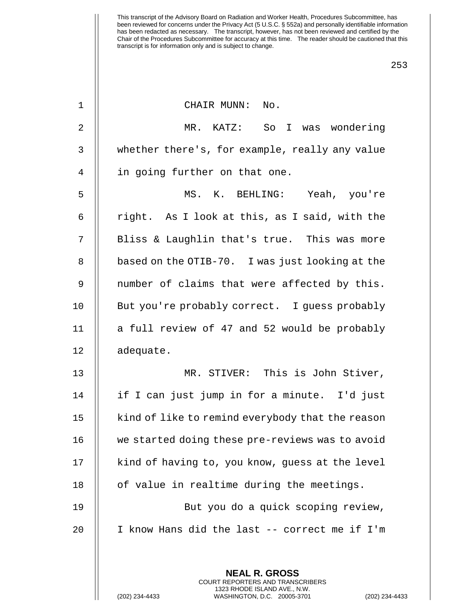| $\mathbf 1$ | CHAIR MUNN: No.                                                                                                                                          |
|-------------|----------------------------------------------------------------------------------------------------------------------------------------------------------|
| 2           | MR. KATZ: So I was wondering                                                                                                                             |
| 3           | whether there's, for example, really any value                                                                                                           |
| 4           | in going further on that one.                                                                                                                            |
| 5           | MS. K. BEHLING: Yeah, you're                                                                                                                             |
| 6           | right. As I look at this, as I said, with the                                                                                                            |
| 7           | Bliss & Laughlin that's true. This was more                                                                                                              |
| 8           | based on the OTIB-70. I was just looking at the                                                                                                          |
| 9           | number of claims that were affected by this.                                                                                                             |
| 10          | But you're probably correct. I guess probably                                                                                                            |
| 11          | a full review of 47 and 52 would be probably                                                                                                             |
| 12          | adequate.                                                                                                                                                |
| 13          | MR. STIVER: This is John Stiver,                                                                                                                         |
| 14          | if I can just jump in for a minute. I'd just                                                                                                             |
| 15          | kind of like to remind everybody that the reason                                                                                                         |
| 16          | we started doing these pre-reviews was to avoid                                                                                                          |
| 17          | kind of having to, you know, guess at the level                                                                                                          |
| 18          | of value in realtime during the meetings.                                                                                                                |
| 19          | But you do a quick scoping review,                                                                                                                       |
| 20          | I know Hans did the last -- correct me if I'm                                                                                                            |
|             |                                                                                                                                                          |
|             | <b>NEAL R. GROSS</b><br>COURT REPORTERS AND TRANSCRIBERS<br>1323 RHODE ISLAND AVE., N.W.<br>(202) 234-4433<br>WASHINGTON, D.C. 20005-3701<br>$(202)$ 234 |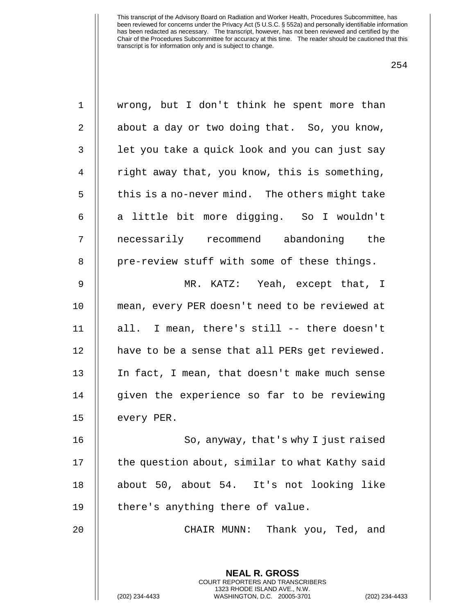| $\mathbf 1$    | wrong, but I don't think he spent more than                                                                                                              |
|----------------|----------------------------------------------------------------------------------------------------------------------------------------------------------|
| $\overline{2}$ | about a day or two doing that. So, you know,                                                                                                             |
| $\mathfrak{Z}$ | let you take a quick look and you can just say                                                                                                           |
| 4              | right away that, you know, this is something,                                                                                                            |
| 5              | this is a no-never mind. The others might take                                                                                                           |
| 6              | a little bit more digging. So I wouldn't                                                                                                                 |
| 7              | necessarily recommend abandoning the                                                                                                                     |
| 8              | pre-review stuff with some of these things.                                                                                                              |
| 9              | MR. KATZ: Yeah, except that, I                                                                                                                           |
| 10             | mean, every PER doesn't need to be reviewed at                                                                                                           |
| 11             | all. I mean, there's still -- there doesn't                                                                                                              |
| 12             | have to be a sense that all PERs get reviewed.                                                                                                           |
| 13             | In fact, I mean, that doesn't make much sense                                                                                                            |
| 14             | given the experience so far to be reviewing                                                                                                              |
| 15             | every PER.                                                                                                                                               |
| 16             | So, anyway, that's why I just raised                                                                                                                     |
| 17             | the question about, similar to what Kathy said                                                                                                           |
| 18             | about 50, about 54. It's not looking like                                                                                                                |
| 19             | there's anything there of value.                                                                                                                         |
| 20             | CHAIR MUNN: Thank you, Ted, and                                                                                                                          |
|                |                                                                                                                                                          |
|                | <b>NEAL R. GROSS</b><br>COURT REPORTERS AND TRANSCRIBERS<br>1323 RHODE ISLAND AVE., N.W.<br>(202) 234-4433<br>WASHINGTON, D.C. 20005-3701<br>$(202)$ 234 |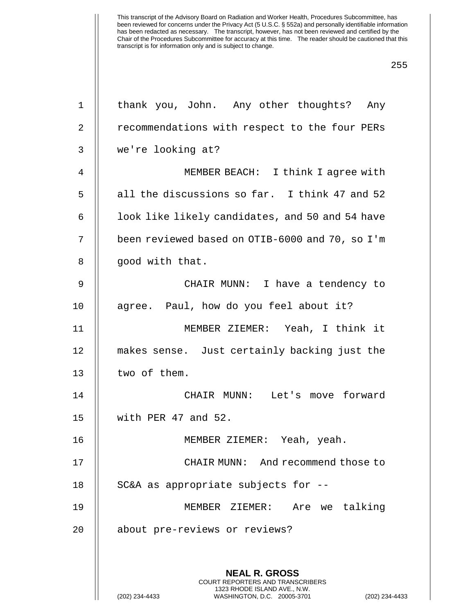| 1              | thank you, John. Any other thoughts? Any                                                        |
|----------------|-------------------------------------------------------------------------------------------------|
| 2              | recommendations with respect to the four PERs                                                   |
| 3              | we're looking at?                                                                               |
| $\overline{4}$ | MEMBER BEACH: I think I agree with                                                              |
| 5              | all the discussions so far. I think 47 and 52                                                   |
| 6              | look like likely candidates, and 50 and 54 have                                                 |
| 7              | been reviewed based on OTIB-6000 and 70, so I'm                                                 |
| 8              | good with that.                                                                                 |
| 9              | CHAIR MUNN: I have a tendency to                                                                |
| 10             | agree. Paul, how do you feel about it?                                                          |
| 11             | MEMBER ZIEMER: Yeah, I think it                                                                 |
| 12             | makes sense. Just certainly backing just the                                                    |
| 13             | two of them.                                                                                    |
| 14             | CHAIR MUNN: Let's move forward                                                                  |
| 15             | with PER 47 and 52.                                                                             |
| 16             | MEMBER ZIEMER: Yeah, yeah.                                                                      |
| 17             | CHAIR MUNN: And recommend those to                                                              |
| 18             | SC&A as appropriate subjects for --                                                             |
| 19             | MEMBER ZIEMER:<br>Are we talking                                                                |
| 20             | about pre-reviews or reviews?                                                                   |
|                |                                                                                                 |
|                | <b>NEAL R. GROSS</b><br><b>COURT REPORTERS AND TRANSCRIBERS</b>                                 |
|                | 1323 RHODE ISLAND AVE., N.W.<br>(202) 234-4433<br>WASHINGTON, D.C. 20005-3701<br>(202) 234-4433 |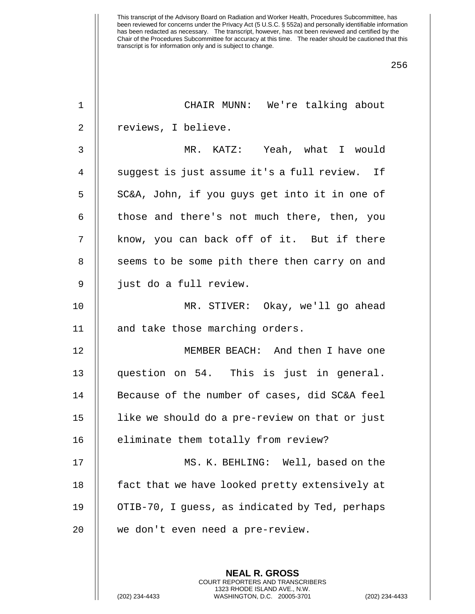| 1              | CHAIR MUNN: We're talking about                          |
|----------------|----------------------------------------------------------|
| 2              | reviews, I believe.                                      |
| $\mathsf{3}$   | MR. KATZ: Yeah, what I would                             |
| $\overline{4}$ | suggest is just assume it's a full review. If            |
| 5              | SC&A, John, if you guys get into it in one of            |
| 6              | those and there's not much there, then, you              |
| 7              | know, you can back off of it. But if there               |
| 8              | seems to be some pith there then carry on and            |
| 9              | just do a full review.                                   |
| 10             | MR. STIVER: Okay, we'll go ahead                         |
| 11             | and take those marching orders.                          |
| 12             | MEMBER BEACH: And then I have one                        |
| 13             | question on 54. This is just in general.                 |
| 14             | Because of the number of cases, did SC&A feel            |
| 15             | like we should do a pre-review on that or just           |
| 16             | eliminate them totally from review?                      |
| 17             | MS. K. BEHLING: Well, based on the                       |
| 18             | fact that we have looked pretty extensively at           |
| 19             | OTIB-70, I guess, as indicated by Ted, perhaps           |
| 20             | we don't even need a pre-review.                         |
|                |                                                          |
|                | <b>NEAL R. GROSS</b><br>COURT REPORTERS AND TRANSCRIBERS |

1323 RHODE ISLAND AVE., N.W.

 $\bigg|\bigg|$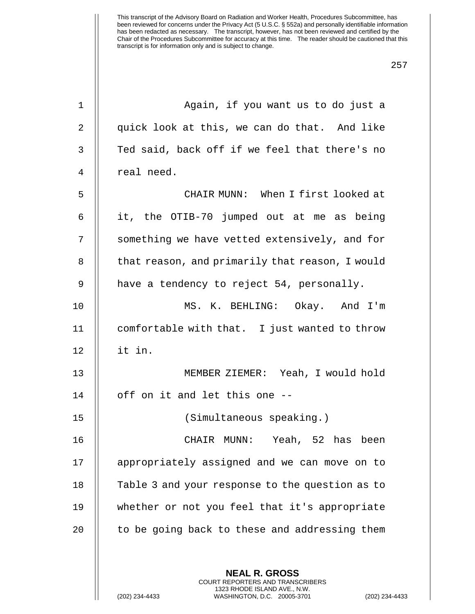| 1              | Again, if you want us to do just a                                                           |
|----------------|----------------------------------------------------------------------------------------------|
| $\overline{2}$ | quick look at this, we can do that. And like                                                 |
| 3              | Ted said, back off if we feel that there's no                                                |
| 4              | real need.                                                                                   |
| 5              | CHAIR MUNN: When I first looked at                                                           |
| 6              | it, the OTIB-70 jumped out at me as being                                                    |
| 7              | something we have vetted extensively, and for                                                |
| 8              | that reason, and primarily that reason, I would                                              |
| 9              | have a tendency to reject 54, personally.                                                    |
| 10             | MS. K. BEHLING: Okay. And I'm                                                                |
| 11             | comfortable with that. I just wanted to throw                                                |
| 12             | it in.                                                                                       |
| 13             | MEMBER ZIEMER: Yeah, I would hold                                                            |
| 14             | off on it and let this one --                                                                |
| 15             | (Simultaneous speaking.)                                                                     |
| 16             | CHAIR MUNN: Yeah, 52 has been                                                                |
| 17             | appropriately assigned and we can move on to                                                 |
| 18             | Table 3 and your response to the question as to                                              |
| 19             | whether or not you feel that it's appropriate                                                |
| 20             | to be going back to these and addressing them                                                |
|                |                                                                                              |
|                | <b>NEAL R. GROSS</b><br>COURT REPORTERS AND TRANSCRIBERS                                     |
|                | 1323 RHODE ISLAND AVE., N.W.<br>(202) 234-4433<br>WASHINGTON, D.C. 20005-3701<br>$(202)$ 234 |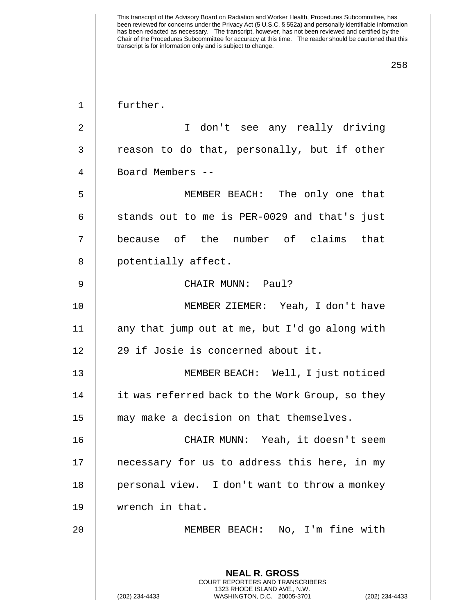1 further.

2 || T don't see any really driving  $3$  | reason to do that, personally, but if other 4 Board Members --

5 MEMBER BEACH: The only one that 6  $\parallel$  stands out to me is PER-0029 and that's just 7 || because of the number of claims that 8 || potentially affect.

9 CHAIR MUNN: Paul?

10 MEMBER ZIEMER: Yeah, I don't have 11  $\parallel$  any that jump out at me, but I'd go along with 12 || 29 if Josie is concerned about it.

13 || MEMBER BEACH: Well, I just noticed 14 | it was referred back to the Work Group, so they 15 || may make a decision on that themselves.

16 CHAIR MUNN: Yeah, it doesn't seem 17 || necessary for us to address this here, in my 18 || personal view. I don't want to throw a monkey 19 wrench in that.

20 MEMBER BEACH: No, I'm fine with

**NEAL R. GROSS** COURT REPORTERS AND TRANSCRIBERS 1323 RHODE ISLAND AVE., N.W.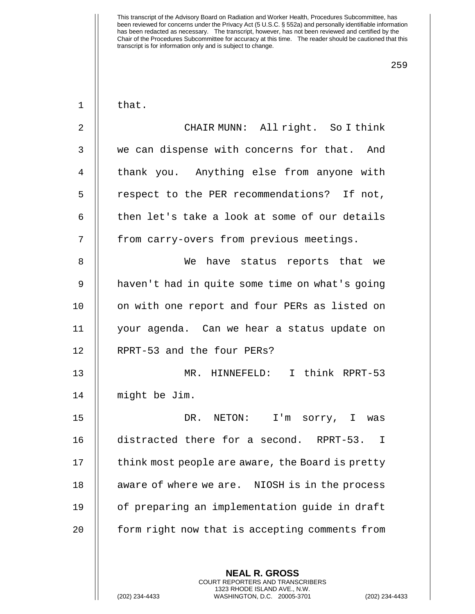| that |  |
|------|--|
|------|--|

| $\overline{2}$ | CHAIR MUNN: All right. So I think                       |
|----------------|---------------------------------------------------------|
| $\mathfrak{Z}$ | we can dispense with concerns for that. And             |
| $\overline{4}$ | thank you. Anything else from anyone with               |
| 5              | respect to the PER recommendations? If not,             |
| 6              | then let's take a look at some of our details           |
| 7              | from carry-overs from previous meetings.                |
| $\, 8$         | We have status reports that we                          |
| 9              | haven't had in quite some time on what's going          |
| 10             | on with one report and four PERs as listed on           |
| 11             | your agenda. Can we hear a status update on             |
| 12             | RPRT-53 and the four PERs?                              |
| 13             | MR. HINNEFELD: I think RPRT-53                          |
| 14             | might be Jim.                                           |
| 15             | DR. NETON: I'm sorry, I was                             |
| 16             | distracted there for a second. RPRT-53.<br>$\mathbf{I}$ |
| 17             | think most people are aware, the Board is pretty        |
| 18             | NIOSH is in the process<br>aware of where we are.       |
| 19             | of preparing an implementation guide in draft           |
| 20             | form right now that is accepting comments from          |
|                |                                                         |

**NEAL R. GROSS** COURT REPORTERS AND TRANSCRIBERS 1323 RHODE ISLAND AVE., N.W.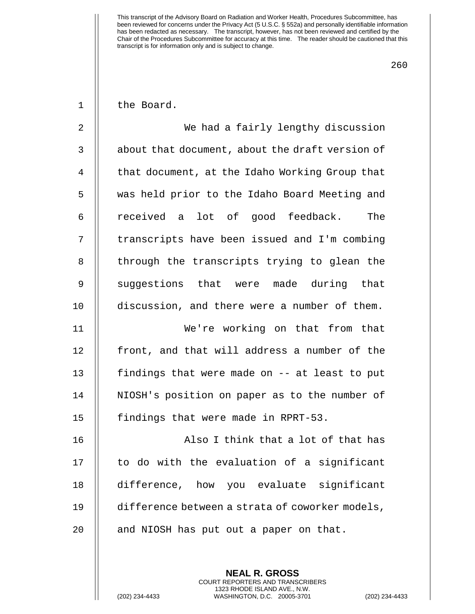260

1 | the Board.

2 We had a fairly lengthy discussion  $3$   $\parallel$  about that document, about the draft version of 4 | that document, at the Idaho Working Group that 5 was held prior to the Idaho Board Meeting and 6 received a lot of good feedback. The 7 || transcripts have been issued and I'm combing 8 || through the transcripts trying to glean the 9 || suggestions that were made during that 10 **discussion, and there were a number of them.** 11 We're working on that from that 12 || front, and that will address a number of the 13 || findings that were made on -- at least to put 14 || NIOSH's position on paper as to the number of 15 | findings that were made in RPRT-53. 16 || Also I think that a lot of that has

17 || to do with the evaluation of a significant 18 difference, how you evaluate significant 19 difference between a strata of coworker models, 20 || and NIOSH has put out a paper on that.

> **NEAL R. GROSS** COURT REPORTERS AND TRANSCRIBERS 1323 RHODE ISLAND AVE., N.W.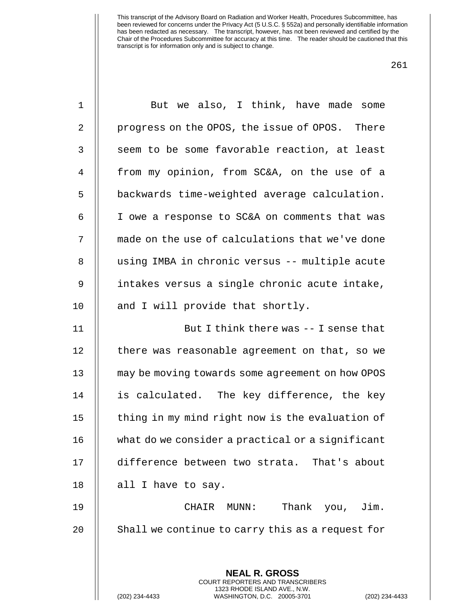| 1            | But we also, I think, have made some                                                                                                                             |
|--------------|------------------------------------------------------------------------------------------------------------------------------------------------------------------|
| 2            | progress on the OPOS, the issue of OPOS. There                                                                                                                   |
| $\mathsf{3}$ | seem to be some favorable reaction, at least                                                                                                                     |
| 4            | from my opinion, from SC&A, on the use of a                                                                                                                      |
| 5            | backwards time-weighted average calculation.                                                                                                                     |
| 6            | I owe a response to SC&A on comments that was                                                                                                                    |
| 7            | made on the use of calculations that we've done                                                                                                                  |
| 8            | using IMBA in chronic versus -- multiple acute                                                                                                                   |
| 9            | intakes versus a single chronic acute intake,                                                                                                                    |
| 10           | and I will provide that shortly.                                                                                                                                 |
| 11           | But I think there was -- I sense that                                                                                                                            |
| 12           | there was reasonable agreement on that, so we                                                                                                                    |
| 13           | may be moving towards some agreement on how OPOS                                                                                                                 |
| 14           | is calculated. The key difference, the key                                                                                                                       |
| 15           | thing in my mind right now is the evaluation of                                                                                                                  |
| 16           | what do we consider a practical or a significant                                                                                                                 |
| 17           | difference between two strata. That's about                                                                                                                      |
| 18           | all I have to say.                                                                                                                                               |
| 19           | Thank you, Jim.<br>CHAIR MUNN:                                                                                                                                   |
| 20           | Shall we continue to carry this as a request for                                                                                                                 |
|              |                                                                                                                                                                  |
|              | <b>NEAL R. GROSS</b><br><b>COURT REPORTERS AND TRANSCRIBERS</b><br>1323 RHODE ISLAND AVE., N.W.<br>WASHINGTON, D.C. 20005-3701<br>(202) 234-4433<br>$(202)$ 234- |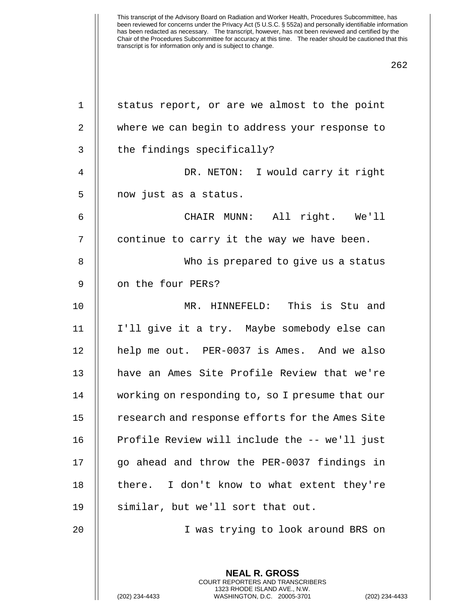| $1\,$          | status report, or are we almost to the point             |
|----------------|----------------------------------------------------------|
| $\overline{2}$ | where we can begin to address your response to           |
| 3              | the findings specifically?                               |
| 4              | DR. NETON: I would carry it right                        |
| 5              | now just as a status.                                    |
| 6              | CHAIR MUNN: All right. We'll                             |
| 7              | continue to carry it the way we have been.               |
| 8              | Who is prepared to give us a status                      |
| 9              | on the four PERs?                                        |
| 10             | MR. HINNEFELD: This is Stu and                           |
| 11             | I'll give it a try. Maybe somebody else can              |
| 12             | help me out. PER-0037 is Ames. And we also               |
| 13             | have an Ames Site Profile Review that we're              |
| 14             | working on responding to, so I presume that our          |
| 15             | research and response efforts for the Ames Site          |
| 16             | Profile Review will include the -- we'll just            |
| 17             | go ahead and throw the PER-0037 findings in              |
| 18             | there. I don't know to what extent they're               |
| 19             | similar, but we'll sort that out.                        |
| 20             | I was trying to look around BRS on                       |
|                |                                                          |
|                | <b>NEAL R. GROSS</b><br>COURT REPORTERS AND TRANSCRIBERS |

1323 RHODE ISLAND AVE., N.W.

 $\bigg|\bigg|$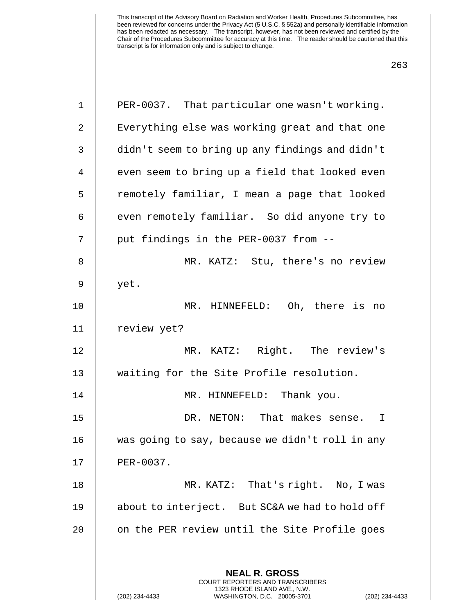| $\mathbf 1$    | PER-0037. That particular one wasn't working.                                                   |
|----------------|-------------------------------------------------------------------------------------------------|
| $\overline{2}$ | Everything else was working great and that one                                                  |
| 3              | didn't seem to bring up any findings and didn't                                                 |
| $\overline{4}$ | even seem to bring up a field that looked even                                                  |
| 5              | remotely familiar, I mean a page that looked                                                    |
| 6              | even remotely familiar. So did anyone try to                                                    |
| 7              | put findings in the PER-0037 from --                                                            |
| 8              | MR. KATZ: Stu, there's no review                                                                |
| 9              | yet.                                                                                            |
| 10             | MR. HINNEFELD: Oh, there is no                                                                  |
| 11             | review yet?                                                                                     |
| 12             | MR. KATZ: Right. The review's                                                                   |
| 13             | waiting for the Site Profile resolution.                                                        |
| 14             | MR. HINNEFELD: Thank you.                                                                       |
| 15             | DR. NETON: That makes sense.<br>$\mathbf I$                                                     |
| 16             | was going to say, because we didn't roll in any                                                 |
| 17             | PER-0037.                                                                                       |
| 18             | MR. KATZ: That's right. No, I was                                                               |
| 19             | about to interject. But SC&A we had to hold off                                                 |
| 20             | on the PER review until the Site Profile goes                                                   |
|                | <b>NEAL R. GROSS</b><br><b>COURT REPORTERS AND TRANSCRIBERS</b><br>1323 RHODE ISLAND AVE., N.W. |
|                | WASHINGTON, D.C. 20005-3701<br>(202) 234-4433<br>(202) 234-4433                                 |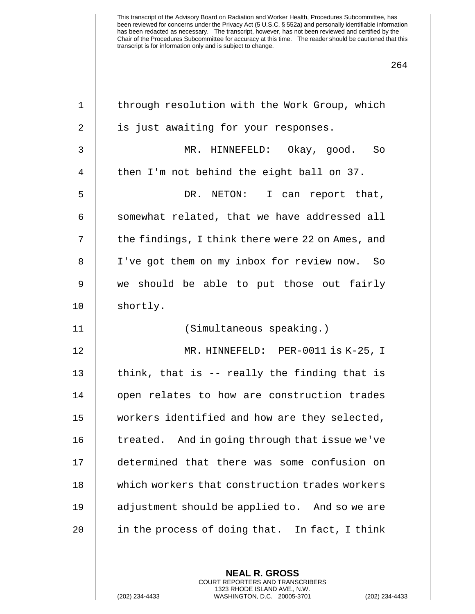| through resolution with the Work Group, which    |
|--------------------------------------------------|
| is just awaiting for your responses.             |
| MR. HINNEFELD: Okay, good. So                    |
| then I'm not behind the eight ball on 37.        |
| DR. NETON: I can report that,                    |
| somewhat related, that we have addressed all     |
| the findings, I think there were 22 on Ames, and |
| I've got them on my inbox for review now. So     |
| we should be able to put those out fairly        |
| shortly.                                         |
| (Simultaneous speaking.)                         |
| MR. HINNEFELD: PER-0011 is K-25, I               |
| think, that is -- really the finding that is     |
| open relates to how are construction trades      |
| workers identified and how are they selected,    |
| treated. And in going through that issue we've   |
| determined that there was some confusion on      |
| which workers that construction trades workers   |
| adjustment should be applied to. And so we are   |
| in the process of doing that. In fact, I think   |
|                                                  |
|                                                  |

**NEAL R. GROSS** COURT REPORTERS AND TRANSCRIBERS 1323 RHODE ISLAND AVE., N.W.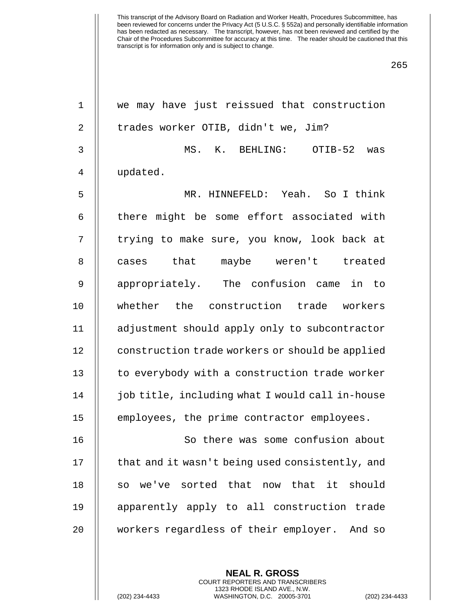| $\mathbf 1$    | we may have just reissued that construction     |
|----------------|-------------------------------------------------|
| $\sqrt{2}$     | trades worker OTIB, didn't we, Jim?             |
| $\mathsf 3$    | MS. K. BEHLING: OTIB-52 was                     |
| $\overline{4}$ | updated.                                        |
| 5              | MR. HINNEFELD: Yeah. So I think                 |
| 6              | there might be some effort associated with      |
| 7              | trying to make sure, you know, look back at     |
| $\, 8$         | cases that maybe weren't treated                |
| $\mathsf 9$    | appropriately. The confusion came in to         |
| 10             | whether the construction trade workers          |
| 11             | adjustment should apply only to subcontractor   |
| 12             | construction trade workers or should be applied |
| 13             | to everybody with a construction trade worker   |
| 14             | job title, including what I would call in-house |
| 15             | employees, the prime contractor employees.      |
| 16             | So there was some confusion about               |
| 17             | that and it wasn't being used consistently, and |
| 18             | so we've sorted that now that it should         |
| 19             | apparently apply to all construction trade      |
| 20             | workers regardless of their employer. And so    |
|                |                                                 |
|                | <b>NEAL R. GROSS</b>                            |

COURT REPORTERS AND TRANSCRIBERS 1323 RHODE ISLAND AVE., N.W.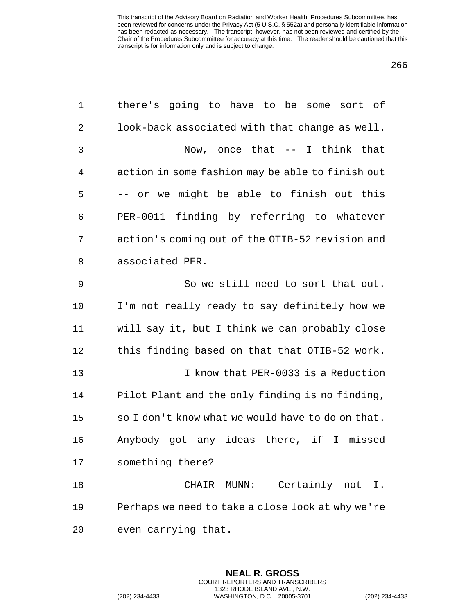| $\mathbf 1$    | there's going to have to be some sort of                                                                                                                        |
|----------------|-----------------------------------------------------------------------------------------------------------------------------------------------------------------|
| 2              | look-back associated with that change as well.                                                                                                                  |
| 3              | Now, once that $--$ I think that                                                                                                                                |
| $\overline{4}$ | action in some fashion may be able to finish out                                                                                                                |
| 5              | -- or we might be able to finish out this                                                                                                                       |
| 6              | PER-0011 finding by referring to whatever                                                                                                                       |
| 7              | action's coming out of the OTIB-52 revision and                                                                                                                 |
| $\,8\,$        | associated PER.                                                                                                                                                 |
| 9              | So we still need to sort that out.                                                                                                                              |
| 10             | I'm not really ready to say definitely how we                                                                                                                   |
| 11             | will say it, but I think we can probably close                                                                                                                  |
| 12             | this finding based on that that OTIB-52 work.                                                                                                                   |
| 13             | I know that PER-0033 is a Reduction                                                                                                                             |
| 14             | Pilot Plant and the only finding is no finding,                                                                                                                 |
| 15             | so I don't know what we would have to do on that.                                                                                                               |
| 16             | Anybody got any ideas there, if I missed                                                                                                                        |
| 17             | something there?                                                                                                                                                |
| 18             | Certainly not I.<br>CHAIR<br>MUNN :                                                                                                                             |
| 19             | Perhaps we need to take a close look at why we're                                                                                                               |
| 20             | even carrying that.                                                                                                                                             |
|                |                                                                                                                                                                 |
|                | <b>NEAL R. GROSS</b><br><b>COURT REPORTERS AND TRANSCRIBERS</b><br>1323 RHODE ISLAND AVE., N.W.<br>(202) 234-4433<br>WASHINGTON, D.C. 20005-3701<br>$(202)$ 234 |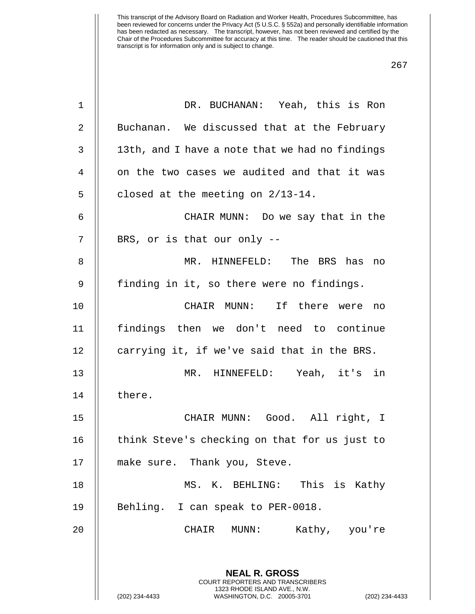| $\mathbf 1$ | DR. BUCHANAN: Yeah, this is Ron                                                                                                                                    |
|-------------|--------------------------------------------------------------------------------------------------------------------------------------------------------------------|
| 2           | Buchanan. We discussed that at the February                                                                                                                        |
| 3           | 13th, and I have a note that we had no findings                                                                                                                    |
| 4           | on the two cases we audited and that it was                                                                                                                        |
| 5           | closed at the meeting on 2/13-14.                                                                                                                                  |
| 6           | CHAIR MUNN: Do we say that in the                                                                                                                                  |
| 7           | BRS, or is that our only --                                                                                                                                        |
| 8           | MR. HINNEFELD: The BRS has no                                                                                                                                      |
| 9           | finding in it, so there were no findings.                                                                                                                          |
| 10          | CHAIR MUNN: If there were no                                                                                                                                       |
| 11          | findings then we don't need to continue                                                                                                                            |
| 12          | carrying it, if we've said that in the BRS.                                                                                                                        |
| 13          | MR. HINNEFELD: Yeah, it's in                                                                                                                                       |
| 14          | there.                                                                                                                                                             |
| 15          | CHAIR MUNN: Good. All right, I                                                                                                                                     |
| 16          | think Steve's checking on that for us just to                                                                                                                      |
| 17          | make sure. Thank you, Steve.                                                                                                                                       |
| 18          | MS. K. BEHLING: This is Kathy                                                                                                                                      |
| 19          | Behling. I can speak to PER-0018.                                                                                                                                  |
| 20          | CHAIR<br>Kathy, you're<br>MUNN :                                                                                                                                   |
|             |                                                                                                                                                                    |
|             | <b>NEAL R. GROSS</b><br><b>COURT REPORTERS AND TRANSCRIBERS</b><br>1323 RHODE ISLAND AVE., N.W.<br>(202) 234-4433<br>WASHINGTON, D.C. 20005-3701<br>(202) 234-4433 |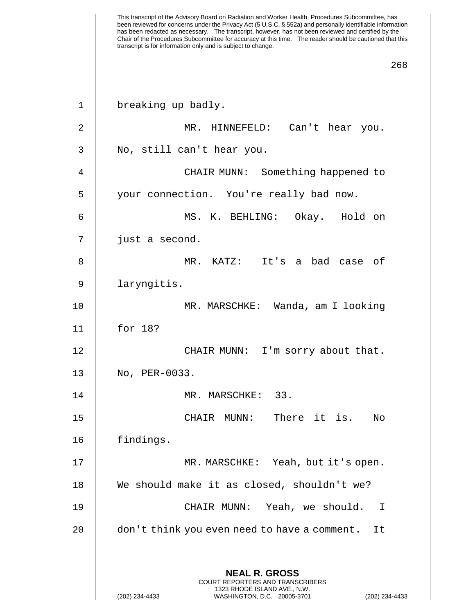| $\mathbf 1$    | breaking up badly.                                                                              |
|----------------|-------------------------------------------------------------------------------------------------|
| 2              | MR. HINNEFELD: Can't hear you.                                                                  |
| 3              | No, still can't hear you.                                                                       |
| $\overline{4}$ | CHAIR MUNN: Something happened to                                                               |
| 5              | your connection. You're really bad now.                                                         |
| 6              | MS. K. BEHLING: Okay. Hold on                                                                   |
| 7              | just a second.                                                                                  |
| 8              | MR. KATZ: It's a bad case of                                                                    |
| 9              | laryngitis.                                                                                     |
| 10             | MR. MARSCHKE: Wanda, am I looking                                                               |
| 11             | for 18?                                                                                         |
| 12             | CHAIR MUNN: I'm sorry about that.                                                               |
| 13             | No, PER-0033.                                                                                   |
| 14             | MR. MARSCHKE: 33.                                                                               |
| 15             | There it is.<br>CHAIR MUNN:<br>No                                                               |
| 16             | findings.                                                                                       |
| 17             | MR. MARSCHKE: Yeah, but it's open.                                                              |
| 18             | We should make it as closed, shouldn't we?                                                      |
| 19             | CHAIR MUNN: Yeah, we should. I                                                                  |
| 20             | don't think you even need to have a comment.<br>It                                              |
|                |                                                                                                 |
|                | <b>NEAL R. GROSS</b><br><b>COURT REPORTERS AND TRANSCRIBERS</b>                                 |
|                | 1323 RHODE ISLAND AVE., N.W.<br>(202) 234-4433<br>WASHINGTON, D.C. 20005-3701<br>(202) 234-4433 |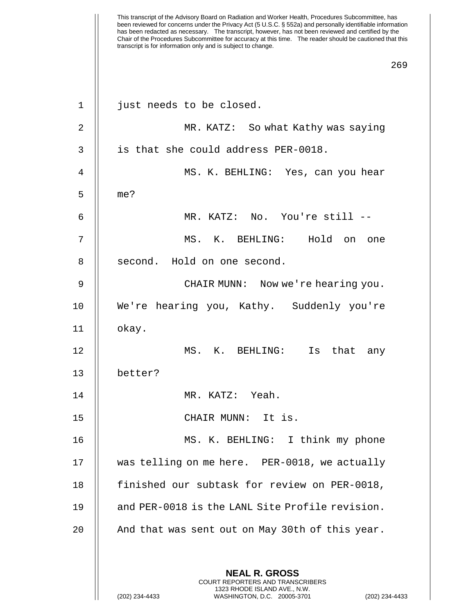| $\mathbf{1}$   | just needs to be closed.                                                                        |
|----------------|-------------------------------------------------------------------------------------------------|
| $\overline{2}$ | MR. KATZ: So what Kathy was saying                                                              |
| 3              | is that she could address PER-0018.                                                             |
| 4              | MS. K. BEHLING: Yes, can you hear                                                               |
| 5              | me?                                                                                             |
| 6              | MR. KATZ: No. You're still --                                                                   |
| 7              | MS. K. BEHLING: Hold on one                                                                     |
| 8              | second. Hold on one second.                                                                     |
| 9              | CHAIR MUNN: Now we're hearing you.                                                              |
| 10             | We're hearing you, Kathy. Suddenly you're                                                       |
| 11             | okay.                                                                                           |
| 12             | MS. K. BEHLING: Is that any                                                                     |
| 13             | better?                                                                                         |
| 14             | MR. KATZ: Yeah.                                                                                 |
| 15             | CHAIR MUNN: It is.                                                                              |
| 16             | MS. K. BEHLING: I think my phone                                                                |
| 17             | was telling on me here. PER-0018, we actually                                                   |
| 18             | finished our subtask for review on PER-0018,                                                    |
| 19             | and PER-0018 is the LANL Site Profile revision.                                                 |
| 20             | And that was sent out on May 30th of this year.                                                 |
|                |                                                                                                 |
|                | <b>NEAL R. GROSS</b><br><b>COURT REPORTERS AND TRANSCRIBERS</b>                                 |
|                | 1323 RHODE ISLAND AVE., N.W.<br>(202) 234-4433<br>WASHINGTON, D.C. 20005-3701<br>(202) 234-4433 |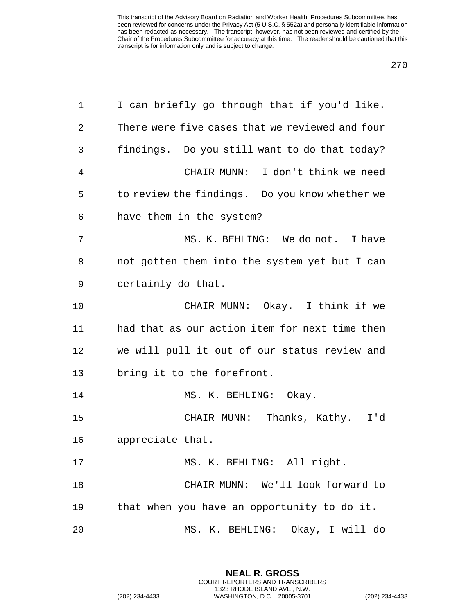| 1  | I can briefly go through that if you'd like.                                                                                                                       |
|----|--------------------------------------------------------------------------------------------------------------------------------------------------------------------|
| 2  | There were five cases that we reviewed and four                                                                                                                    |
| 3  | findings. Do you still want to do that today?                                                                                                                      |
| 4  | CHAIR MUNN: I don't think we need                                                                                                                                  |
| 5  | to review the findings. Do you know whether we                                                                                                                     |
| 6  | have them in the system?                                                                                                                                           |
| 7  | MS. K. BEHLING: We do not. I have                                                                                                                                  |
| 8  | not gotten them into the system yet but I can                                                                                                                      |
| 9  | certainly do that.                                                                                                                                                 |
| 10 | CHAIR MUNN: Okay. I think if we                                                                                                                                    |
| 11 | had that as our action item for next time then                                                                                                                     |
| 12 | we will pull it out of our status review and                                                                                                                       |
| 13 | bring it to the forefront.                                                                                                                                         |
| 14 | MS. K. BEHLING: Okay.                                                                                                                                              |
| 15 | CHAIR MUNN: Thanks, Kathy. I'd                                                                                                                                     |
| 16 | appreciate that.                                                                                                                                                   |
| 17 | MS. K. BEHLING: All right.                                                                                                                                         |
| 18 | CHAIR MUNN: We'll look forward to                                                                                                                                  |
| 19 | that when you have an opportunity to do it.                                                                                                                        |
| 20 | MS. K. BEHLING: Okay, I will do                                                                                                                                    |
|    | <b>NEAL R. GROSS</b><br><b>COURT REPORTERS AND TRANSCRIBERS</b><br>1323 RHODE ISLAND AVE., N.W.<br>(202) 234-4433<br>WASHINGTON, D.C. 20005-3701<br>(202) 234-4433 |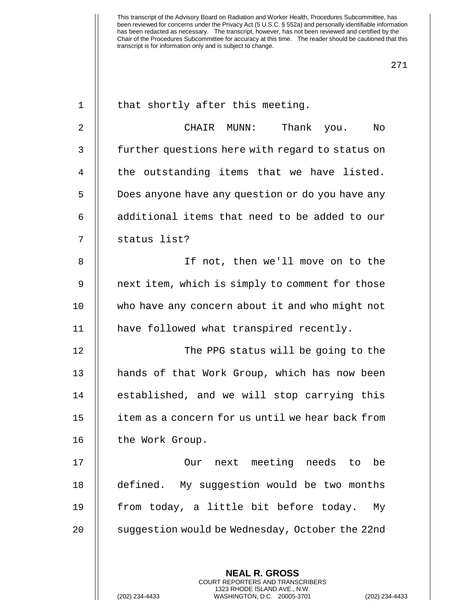| $\mathbf{1}$ | that shortly after this meeting.                         |
|--------------|----------------------------------------------------------|
| 2            | CHAIR MUNN:<br>Thank<br>No<br>you.                       |
| $\mathbf{3}$ | further questions here with regard to status on          |
| 4            | the outstanding items that we have listed.               |
| 5            | Does anyone have any question or do you have any         |
| 6            | additional items that need to be added to our            |
| 7            | status list?                                             |
| 8            | If not, then we'll move on to the                        |
| 9            | next item, which is simply to comment for those          |
| 10           | who have any concern about it and who might not          |
| 11           | have followed what transpired recently.                  |
| 12           | The PPG status will be going to the                      |
| 13           | hands of that Work Group, which has now been             |
| 14           | established, and we will stop carrying this              |
| 15           | item as a concern for us until we hear back from         |
| 16           | the Work Group.                                          |
| 17           | Our next meeting needs to be                             |
| 18           | defined. My suggestion would be two months               |
| 19           | from today, a little bit before today.<br>Мy             |
| 20           | suggestion would be Wednesday, October the 22nd          |
|              |                                                          |
|              | <b>NEAL R. GROSS</b><br>COURT REPORTERS AND TRANSCRIBERS |

1323 RHODE ISLAND AVE., N.W.

 $\prod$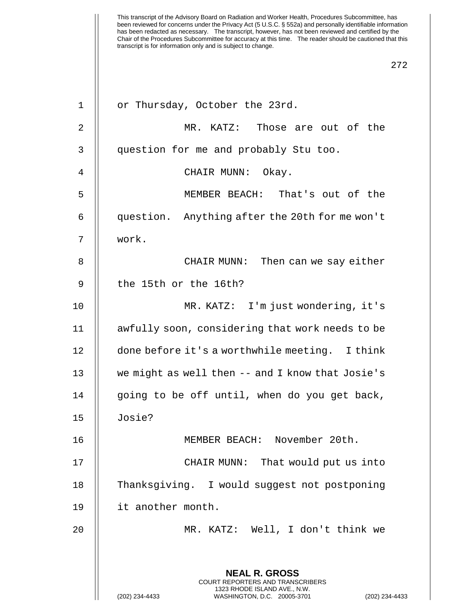| $\mathbf 1$ | or Thursday, October the 23rd.                                                                 |
|-------------|------------------------------------------------------------------------------------------------|
| 2           | MR. KATZ: Those are out of the                                                                 |
| 3           | question for me and probably Stu too.                                                          |
| 4           | CHAIR MUNN: Okay.                                                                              |
| 5           | MEMBER BEACH: That's out of the                                                                |
| 6           | question. Anything after the 20th for me won't                                                 |
| 7           | work.                                                                                          |
| 8           | CHAIR MUNN: Then can we say either                                                             |
| 9           | the 15th or the 16th?                                                                          |
| 10          | MR. KATZ: I'm just wondering, it's                                                             |
| 11          | awfully soon, considering that work needs to be                                                |
| 12          | done before it's a worthwhile meeting. I think                                                 |
| 13          | we might as well then -- and I know that Josie's                                               |
| 14          | going to be off until, when do you get back,                                                   |
| 15          | Josie?                                                                                         |
| 16          | MEMBER BEACH: November 20th.                                                                   |
| 17          | CHAIR MUNN: That would put us into                                                             |
| 18          | Thanksgiving. I would suggest not postponing                                                   |
| 19          | it another month.                                                                              |
| 20          | MR. KATZ: Well, I don't think we                                                               |
|             |                                                                                                |
|             | <b>NEAL R. GROSS</b><br>COURT REPORTERS AND TRANSCRIBERS                                       |
|             | 1323 RHODE ISLAND AVE., N.W.<br>(202) 234-4433<br>WASHINGTON, D.C. 20005-3701<br>$(202)$ 234-4 |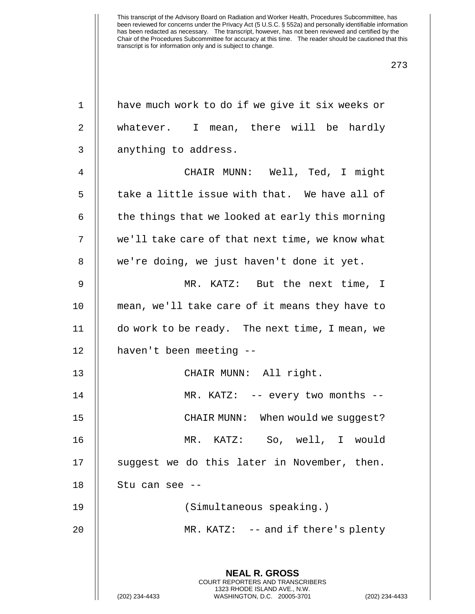| 1  | have much work to do if we give it six weeks or                                                 |
|----|-------------------------------------------------------------------------------------------------|
| 2  | whatever. I mean, there will be hardly                                                          |
| 3  | anything to address.                                                                            |
| 4  | CHAIR MUNN: Well, Ted, I might                                                                  |
| 5  | take a little issue with that. We have all of                                                   |
| 6  | the things that we looked at early this morning                                                 |
| 7  | we'll take care of that next time, we know what                                                 |
| 8  | we're doing, we just haven't done it yet.                                                       |
| 9  | MR. KATZ: But the next time, I                                                                  |
| 10 | mean, we'll take care of it means they have to                                                  |
| 11 | do work to be ready. The next time, I mean, we                                                  |
| 12 | haven't been meeting --                                                                         |
| 13 | CHAIR MUNN: All right.                                                                          |
| 14 | MR. KATZ: -- every two months --                                                                |
| 15 | CHAIR MUNN: When would we suggest?                                                              |
| 16 | KATZ: So, well, I would<br>MR.                                                                  |
| 17 | suggest we do this later in November, then.                                                     |
| 18 | Stu can see --                                                                                  |
| 19 | (Simultaneous speaking.)                                                                        |
| 20 | MR. KATZ: $-$ and if there's plenty                                                             |
|    |                                                                                                 |
|    | <b>NEAL R. GROSS</b><br><b>COURT REPORTERS AND TRANSCRIBERS</b><br>1323 RHODE ISLAND AVE., N.W. |
|    | (202) 234-4433<br>WASHINGTON, D.C. 20005-3701<br>(202) 234-4433                                 |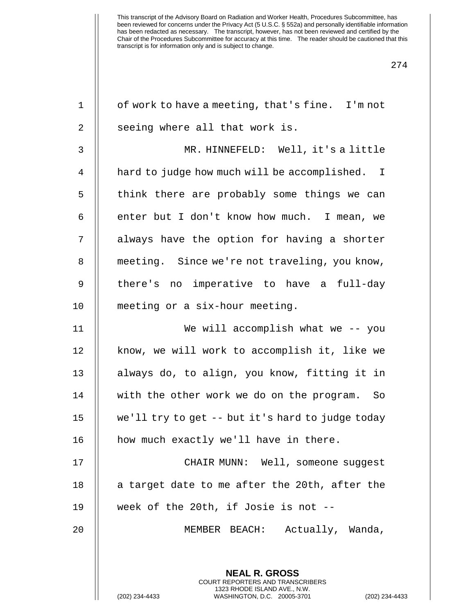| $\mathbf 1$ | of work to have a meeting, that's fine. I'm not                                                                                                           |
|-------------|-----------------------------------------------------------------------------------------------------------------------------------------------------------|
| 2           | seeing where all that work is.                                                                                                                            |
| 3           | MR. HINNEFELD: Well, it's a little                                                                                                                        |
| 4           | hard to judge how much will be accomplished. I                                                                                                            |
| 5           | think there are probably some things we can                                                                                                               |
| 6           | enter but I don't know how much. I mean, we                                                                                                               |
| 7           | always have the option for having a shorter                                                                                                               |
| 8           | meeting. Since we're not traveling, you know,                                                                                                             |
| $\mathsf 9$ | there's no imperative to have a full-day                                                                                                                  |
| 10          | meeting or a six-hour meeting.                                                                                                                            |
| 11          | We will accomplish what we -- you                                                                                                                         |
| 12          | know, we will work to accomplish it, like we                                                                                                              |
| 13          | always do, to align, you know, fitting it in                                                                                                              |
| 14          | with the other work we do on the program. So                                                                                                              |
| 15          | we'll try to get -- but it's hard to judge today                                                                                                          |
| 16          | how much exactly we'll have in there.                                                                                                                     |
| 17          | CHAIR MUNN: Well, someone suggest                                                                                                                         |
| 18          | a target date to me after the 20th, after the                                                                                                             |
| 19          | week of the 20th, if Josie is not --                                                                                                                      |
| 20          | MEMBER BEACH: Actually, Wanda,                                                                                                                            |
|             |                                                                                                                                                           |
|             | <b>NEAL R. GROSS</b><br>COURT REPORTERS AND TRANSCRIBERS<br>1323 RHODE ISLAND AVE., N.W.<br>(202) 234-4433<br>WASHINGTON, D.C. 20005-3701<br>$(202)$ 234- |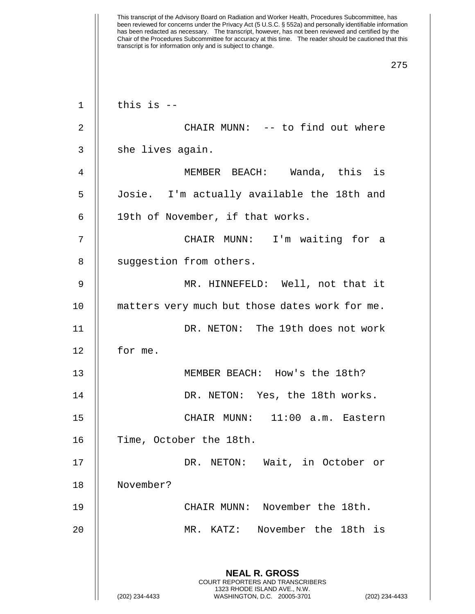| $\mathbf 1$ | this is $-$                                                                                                                                                 |
|-------------|-------------------------------------------------------------------------------------------------------------------------------------------------------------|
| 2           | CHAIR MUNN: -- to find out where                                                                                                                            |
| 3           | she lives again.                                                                                                                                            |
| 4           | MEMBER BEACH: Wanda, this is                                                                                                                                |
| 5           | Josie. I'm actually available the 18th and                                                                                                                  |
| 6           | 19th of November, if that works.                                                                                                                            |
| 7           | CHAIR MUNN: I'm waiting for a                                                                                                                               |
| 8           | suggestion from others.                                                                                                                                     |
| 9           | MR. HINNEFELD: Well, not that it                                                                                                                            |
| 10          | matters very much but those dates work for me.                                                                                                              |
| 11          | DR. NETON: The 19th does not work                                                                                                                           |
| 12          | for me.                                                                                                                                                     |
| 13          | MEMBER BEACH: How's the 18th?                                                                                                                               |
| 14          | DR. NETON: Yes, the 18th works.                                                                                                                             |
| 15          | CHAIR MUNN: 11:00 a.m. Eastern                                                                                                                              |
| 16          | Time, October the 18th.                                                                                                                                     |
| 17          | DR. NETON: Wait, in October or                                                                                                                              |
| 18          | November?                                                                                                                                                   |
| 19          | CHAIR MUNN: November the 18th.                                                                                                                              |
| 20          | MR. KATZ: November the 18th is                                                                                                                              |
|             | <b>NEAL R. GROSS</b><br>COURT REPORTERS AND TRANSCRIBERS<br>1323 RHODE ISLAND AVE., N.W.<br>(202) 234-4433<br>WASHINGTON, D.C. 20005-3701<br>(202) 234-4433 |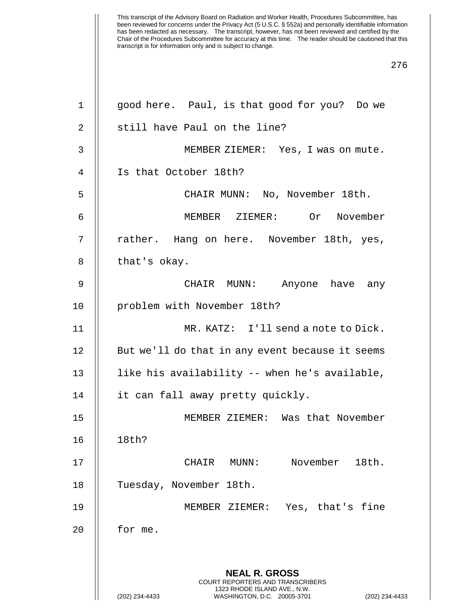| $\mathbf 1$ | good here. Paul, is that good for you? Do we                                                    |
|-------------|-------------------------------------------------------------------------------------------------|
| 2           | still have Paul on the line?                                                                    |
| 3           | MEMBER ZIEMER: Yes, I was on mute.                                                              |
| 4           | Is that October 18th?                                                                           |
| 5           | CHAIR MUNN: No, November 18th.                                                                  |
| 6           | MEMBER ZIEMER: Or November                                                                      |
| 7           | rather. Hang on here. November 18th, yes,                                                       |
| 8           | that's okay.                                                                                    |
| 9           | CHAIR MUNN: Anyone have any                                                                     |
| 10          | problem with November 18th?                                                                     |
| 11          | MR. KATZ: I'll send a note to Dick.                                                             |
| 12          | But we'll do that in any event because it seems                                                 |
| 13          | like his availability -- when he's available,                                                   |
| 14          | it can fall away pretty quickly.                                                                |
| 15          | MEMBER ZIEMER: Was that November                                                                |
| 16          | 18th?                                                                                           |
| 17          | November 18th.<br>CHAIR MUNN:                                                                   |
| 18          | Tuesday, November 18th.                                                                         |
| 19          | MEMBER ZIEMER: Yes, that's fine                                                                 |
| 20          | for me.                                                                                         |
|             |                                                                                                 |
|             | <b>NEAL R. GROSS</b><br><b>COURT REPORTERS AND TRANSCRIBERS</b>                                 |
|             | 1323 RHODE ISLAND AVE., N.W.<br>(202) 234-4433<br>WASHINGTON, D.C. 20005-3701<br>(202) 234-4433 |
|             |                                                                                                 |